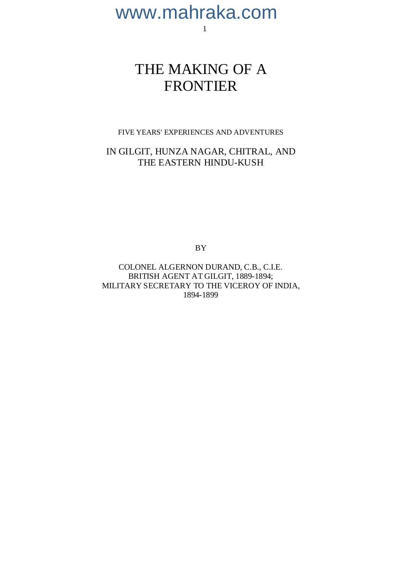# www.mahraka.com

## 1

# THE MAKING OF A FRONTIER

FIVE YEARS' EXPERIENCES AND ADVENTURES

IN GILGIT, HUNZA NAGAR, CHITRAL, AND THE EASTERN HINDU-KUSH

BY

COLONEL ALGERNON DURAND, C.B., C.I.E. BRITISH AGENT AT GILGIT, 1889-1894; MILITARY SECRETARY TO THE VICEROY OF INDIA, 1894-1899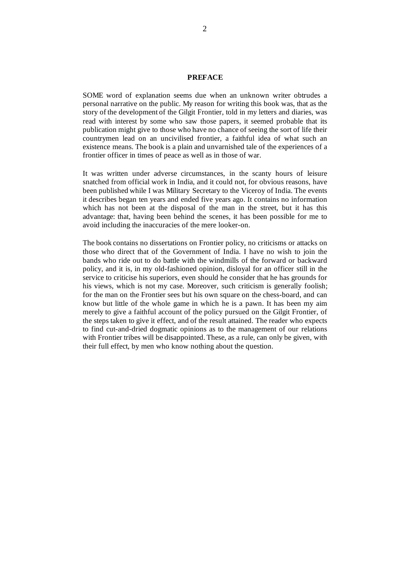#### **PREFACE**

SOME word of explanation seems due when an unknown writer obtrudes a personal narrative on the public. My reason for writing this book was, that as the story of the development of the Gilgit Frontier, told in my letters and diaries, was read with interest by some who saw those papers, it seemed probable that its publication might give to those who have no chance of seeing the sort of life their countrymen lead on an uncivilised frontier, a faithful idea of what such an existence means. The book is a plain and unvarnished tale of the experiences of a frontier officer in times of peace as well as in those of war.

It was written under adverse circumstances, in the scanty hours of leisure snatched from official work in India, and it could not, for obvious reasons, have been published while I was Military Secretary to the Viceroy of India. The events it describes began ten years and ended five years ago. It contains no information which has not been at the disposal of the man in the street, but it has this advantage: that, having been behind the scenes, it has been possible for me to avoid including the inaccuracies of the mere looker-on.

The book contains no dissertations on Frontier policy, no criticisms or attacks on those who direct that of the Government of India. I have no wish to join the bands who ride out to do battle with the windmills of the forward or backward policy, and it is, in my old-fashioned opinion, disloyal for an officer still in the service to criticise his superiors, even should he consider that he has grounds for his views, which is not my case. Moreover, such criticism is generally foolish; for the man on the Frontier sees but his own square on the chess-board, and can know but little of the whole game in which he is a pawn. It has been my aim merely to give a faithful account of the policy pursued on the Gilgit Frontier, of the steps taken to give it effect, and of the result attained. The reader who expects to find cut-and-dried dogmatic opinions as to the management of our relations with Frontier tribes will be disappointed. These, as a rule, can only be given, with their full effect, by men who know nothing about the question.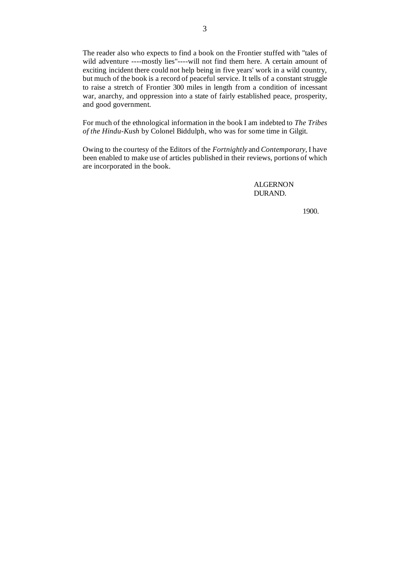The reader also who expects to find a book on the Frontier stuffed with "tales of wild adventure ----mostly lies"----will not find them here. A certain amount of exciting incident there could not help being in five years' work in a wild country, but much of the book is a record of peaceful service. It tells of a constant struggle to raise a stretch of Frontier 300 miles in length from a condition of incessant war, anarchy, and oppression into a state of fairly established peace, prosperity, and good government.

For much of the ethnological information in the book I am indebted to *The Tribes of the Hindu-Kush* by Colonel Biddulph, who was for some time in Gilgit.

Owing to the courtesy of the Editors of the *Fortnightly* and *Contemporary,* I have been enabled to make use of articles published in their reviews, portions of which are incorporated in the book.

> ALGERNON DURAND.

> > 1900.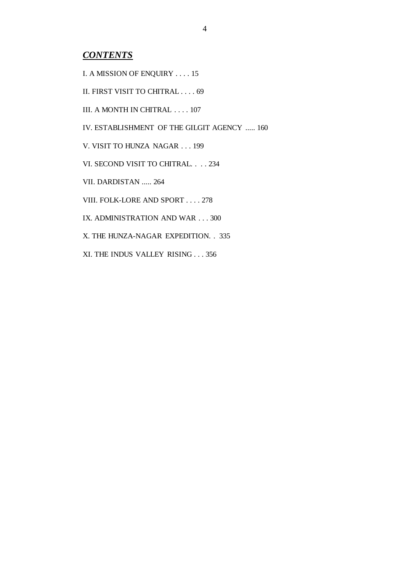# *CONTENTS*

I. A MISSION OF ENQUIRY . . . . 15

II. FIRST VISIT TO CHITRAL . . . . 69

III. A MONTH IN CHITRAL . . . . 107

IV. ESTABLISHMENT OF THE GILGIT AGENCY ..... 160

V. VISIT TO HUNZA NAGAR . . . 199

VI. SECOND VISIT TO CHITRAL. . . . 234

VII. DARDISTAN ..... 264

VIII. FOLK-LORE AND SPORT . . . . 278

IX. ADMINISTRATION AND WAR . . . 300

X. THE HUNZA-NAGAR EXPEDITION. . 335

XI. THE INDUS VALLEY RISING . . . 356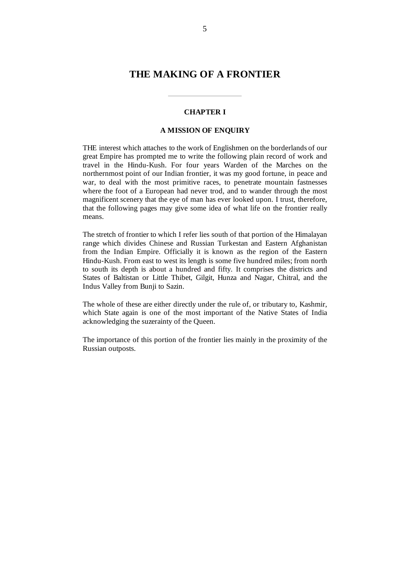# **THE MAKING OF A FRONTIER**

#### **CHAPTER I**

### **A MISSION OF ENQUIRY**

THE interest which attaches to the work of Englishmen on the borderlands of our great Empire has prompted me to write the following plain record of work and travel in the Hindu-Kush. For four years Warden of the Marches on the northernmost point of our Indian frontier, it was my good fortune, in peace and war, to deal with the most primitive races, to penetrate mountain fastnesses where the foot of a European had never trod, and to wander through the most magnificent scenery that the eye of man has ever looked upon. I trust, therefore, that the following pages may give some idea of what life on the frontier really means.

The stretch of frontier to which I refer lies south of that portion of the Himalayan range which divides Chinese and Russian Turkestan and Eastern Afghanistan from the Indian Empire. Officially it is known as the region of the Eastern Hindu-Kush. From east to west its length is some five hundred miles; from north to south its depth is about a hundred and fifty. It comprises the districts and States of Baltistan or Little Thibet, Gilgit, Hunza and Nagar, Chitral, and the Indus Valley from Bunji to Sazin.

The whole of these are either directly under the rule of, or tributary to, Kashmir, which State again is one of the most important of the Native States of India acknowledging the suzerainty of the Queen.

The importance of this portion of the frontier lies mainly in the proximity of the Russian outposts.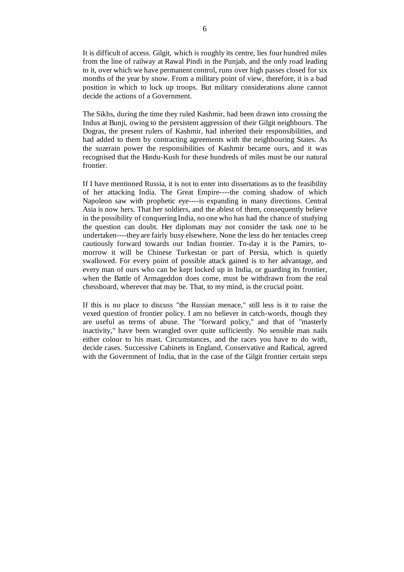It is difficult of access. Gilgit, which is roughly its centre, lies four hundred miles from the line of railway at Rawal Pindi in the Punjab, and the only road leading to it, over which we have permanent control, runs over high passes closed for six months of the year by snow. From a military point of view, therefore, it is a bad position in which to lock up troops. But military considerations alone cannot decide the actions of a Government.

The Sikhs, during the time they ruled Kashmir, had been drawn into crossing the Indus at Bunji, owing to the persistent aggression of their Gilgit neighbours. The Dogras, the present rulers of Kashmir, had inherited their responsibilities, and had added to them by contracting agreements with the neighbouring States. As the suzerain power the responsibilities of Kashmir became ours, and it was recognised that the Hindu-Kush for these hundreds of miles must be our natural frontier.

If I have mentioned Russia, it is not to enter into dissertations as to the feasibility of her attacking India. The Great Empire----the coming shadow of which Napoleon saw with prophetic eye----is expanding in many directions. Central Asia is now hers. That her soldiers, and the ablest of them, consequently believe in the possibility of conquering India, no one who has had the chance of studying the question can doubt. Her diplomats may not consider the task one to be undertaken----they are fairly busy elsewhere. None the less do her tentacles creep cautiously forward towards our Indian frontier. To-day it is the Pamirs, tomorrow it will be Chinese Turkestan or part of Persia, which is quietly swallowed. For every point of possible attack gained is to her advantage, and every man of ours who can be kept locked up in India, or guarding its frontier, when the Battle of Armageddon does come, must be withdrawn from the real chessboard, wherever that may be. That, to my mind, is the crucial point.

If this is no place to discuss "the Russian menace," still less is it to raise the vexed question of frontier policy. I am no believer in catch-words, though they are useful as terms of abuse. The "forward policy," and that of "masterly inactivity," have been wrangled over quite sufficiently. No sensible man nails either colour to his mast. Circumstances, and the races you have to do with, decide cases. Successive Cabinets in England, Conservative and Radical, agreed with the Government of India, that in the case of the Gilgit frontier certain steps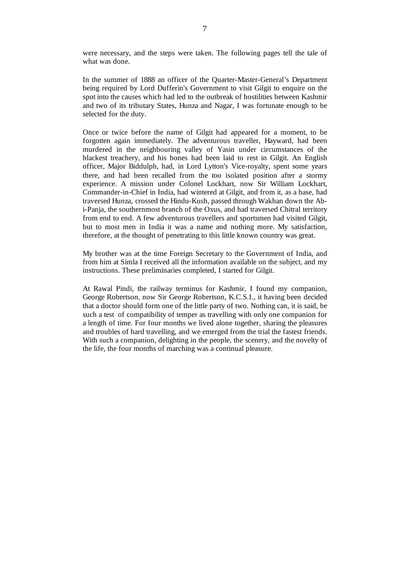were necessary, and the steps were taken. The following pages tell the tale of what was done.

In the summer of 1888 an officer of the Quarter-Master-General's Department being required by Lord Dufferin's Government to visit Gilgit to enquire on the spot into the causes which had led to the outbreak of hostilities between Kashmir and two of its tributary States, Hunza and Nagar, I was fortunate enough to be selected for the duty.

Once or twice before the name of Gilgit had appeared for a moment, to be forgotten again immediately. The adventurous traveller, Hayward, had been murdered in the neighbouring valley of Yasin under circumstances of the blackest treachery, and his bones had been laid to rest in Gilgit. An English officer, Major Biddulph, had, in Lord Lytton's Vice-royalty, spent some years there, and had been recalled from the too isolated position after a stormy experience. A mission under Colonel Lockhart, now Sir William Lockhart, Commander-in-Chief in India, had wintered at Gilgit, and from it, as a base, had traversed Hunza, crossed the Hindu-Kush, passed through Wakhan down the Abi-Panja, the southernmost branch of the Oxus, and had traversed Chitral territory from end to end. A few adventurous travellers and sportsmen had visited Gilgit, but to most men in India it was a name and nothing more. My satisfaction, therefore, at the thought of penetrating to this little known country was great.

My brother was at the time Foreign Secretary to the Government of India, and from him at Simla I received all the information available on the subject, and my instructions. These preliminaries completed, I started for Gilgit.

At Rawal Pindi, the railway terminus for Kashmir, I found my companion, George Robertson, now Sir George Robertson, K.C.S.I., it having been decided that a doctor should form one of the little party of two. Nothing can, it is said, be such a test of compatibility of temper as travelling with only one companion for a length of time. For four months we lived alone together, sharing the pleasures and troubles of hard travelling, and we emerged from the trial the fastest friends. With such a companion, delighting in the people, the scenery, and the novelty of the life, the four months of marching was a continual pleasure.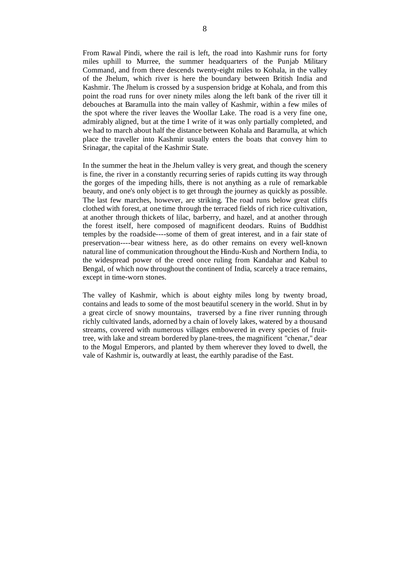From Rawal Pindi, where the rail is left, the road into Kashmir runs for forty miles uphill to Murree, the summer headquarters of the Punjab Military Command, and from there descends twenty-eight miles to Kohala, in the valley of the Jhelum, which river is here the boundary between British India and Kashmir. The Jhelum is crossed by a suspension bridge at Kohala, and from this point the road runs for over ninety miles along the left bank of the river till it debouches at Baramulla into the main valley of Kashmir, within a few miles of the spot where the river leaves the Woollar Lake. The road is a very fine one, admirably aligned, but at the time I write of it was only partially completed, and we had to march about half the distance between Kohala and Baramulla, at which place the traveller into Kashmir usually enters the boats that convey him to Srinagar, the capital of the Kashmir State.

In the summer the heat in the Jhelum valley is very great, and though the scenery is fine, the river in a constantly recurring series of rapids cutting its way through the gorges of the impeding hills, there is not anything as a rule of remarkable beauty, and one's only object is to get through the journey as quickly as possible. The last few marches, however, are striking. The road runs below great cliffs clothed with forest, at one time through the terraced fields of rich rice cultivation, at another through thickets of lilac, barberry, and hazel, and at another through the forest itself, here composed of magnificent deodars. Ruins of Buddhist temples by the roadside----some of them of great interest, and in a fair state of preservation----bear witness here, as do other remains on every well-known natural line of communication throughout the Hindu-Kush and Northern India, to the widespread power of the creed once ruling from Kandahar and Kabul to Bengal, of which now throughout the continent of India, scarcely a trace remains, except in time-worn stones.

The valley of Kashmir, which is about eighty miles long by twenty broad, contains and leads to some of the most beautiful scenery in the world. Shut in by a great circle of snowy mountains, traversed by a fine river running through richly cultivated lands, adorned by a chain of lovely lakes, watered by a thousand streams, covered with numerous villages embowered in every species of fruittree, with lake and stream bordered by plane-trees, the magnificent "chenar," dear to the Mogul Emperors, and planted by them wherever they loved to dwell, the vale of Kashmir is, outwardly at least, the earthly paradise of the East.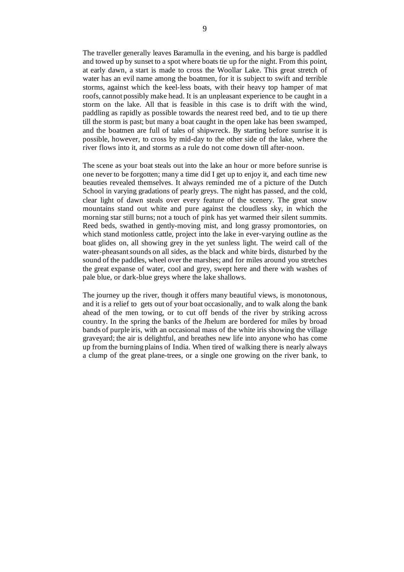The traveller generally leaves Baramulla in the evening, and his barge is paddled and towed up by sunset to a spot where boats tie up for the night. From this point, at early dawn, a start is made to cross the Woollar Lake. This great stretch of water has an evil name among the boatmen, for it is subject to swift and terrible storms, against which the keel-less boats, with their heavy top hamper of mat roofs, cannot possibly make head. It is an unpleasant experience to be caught in a storm on the lake. All that is feasible in this case is to drift with the wind, paddling as rapidly as possible towards the nearest reed bed, and to tie up there till the storm is past; but many a boat caught in the open lake has been swamped, and the boatmen are full of tales of shipwreck. By starting before sunrise it is possible, however, to cross by mid-day to the other side of the lake, where the river flows into it, and storms as a rule do not come down till after-noon.

The scene as your boat steals out into the lake an hour or more before sunrise is one never to be forgotten; many a time did I get up to enjoy it, and each time new beauties revealed themselves. It always reminded me of a picture of the Dutch School in varying gradations of pearly greys. The night has passed, and the cold, clear light of dawn steals over every feature of the scenery. The great snow mountains stand out white and pure against the cloudless sky, in which the morning star still burns; not a touch of pink has yet warmed their silent summits. Reed beds, swathed in gently-moving mist, and long grassy promontories, on which stand motionless cattle, project into the lake in ever-varying outline as the boat glides on, all showing grey in the yet sunless light. The weird call of the water-pheasant sounds on all sides, as the black and white birds, disturbed by the sound of the paddles, wheel over the marshes; and for miles around you stretches the great expanse of water, cool and grey, swept here and there with washes of pale blue, or dark-blue greys where the lake shallows.

The journey up the river, though it offers many beautiful views, is monotonous, and it is a relief to gets out of your boat occasionally, and to walk along the bank ahead of the men towing, or to cut off bends of the river by striking across country. In the spring the banks of the Jhelum are bordered for miles by broad bands of purple iris, with an occasional mass of the white iris showing the village graveyard; the air is delightful, and breathes new life into anyone who has come up from the burning plains of India. When tired of walking there is nearly always a clump of the great plane-trees, or a single one growing on the river bank, to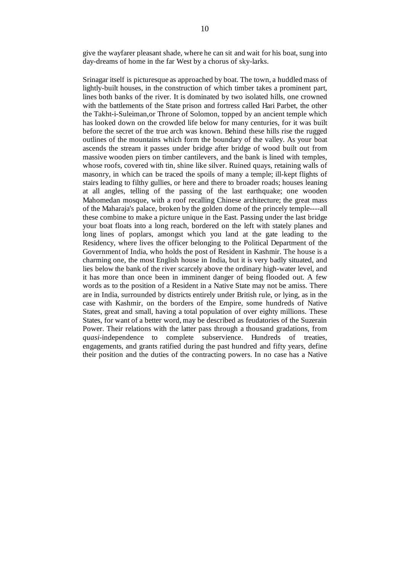give the wayfarer pleasant shade, where he can sit and wait for his boat, sung into day-dreams of home in the far West by a chorus of sky-larks.

Srinagar itself is picturesque as approached by boat. The town, a huddled mass of lightly-built houses, in the construction of which timber takes a prominent part, lines both banks of the river. It is dominated by two isolated hills, one crowned with the battlements of the State prison and fortress called Hari Parbet, the other the Takht-i-Suleiman,or Throne of Solomon, topped by an ancient temple which has looked down on the crowded life below for many centuries, for it was built before the secret of the true arch was known. Behind these hills rise the rugged outlines of the mountains which form the boundary of the valley. As your boat ascends the stream it passes under bridge after bridge of wood built out from massive wooden piers on timber cantilevers, and the bank is lined with temples, whose roofs, covered with tin, shine like silver. Ruined quays, retaining walls of masonry, in which can be traced the spoils of many a temple; ill-kept flights of stairs leading to filthy gullies, or here and there to broader roads; houses leaning at all angles, telling of the passing of the last earthquake; one wooden Mahomedan mosque, with a roof recalling Chinese architecture; the great mass of the Maharaja's palace, broken by the golden dome of the princely temple----all these combine to make a picture unique in the East. Passing under the last bridge your boat floats into a long reach, bordered on the left with stately planes and long lines of poplars, amongst which you land at the gate leading to the Residency, where lives the officer belonging to the Political Department of the Government of India, who holds the post of Resident in Kashmir. The house is a charming one, the most English house in India, but it is very badly situated, and lies below the bank of the river scarcely above the ordinary high-water level, and it has more than once been in imminent danger of being flooded out. A few words as to the position of a Resident in a Native State may not be amiss. There are in India, surrounded by districts entirely under British rule, or lying, as in the case with Kashmir, on the borders of the Empire, some hundreds of Native States, great and small, having a total population of over eighty millions. These States, for want of a better word, may be described as feudatories of the Suzerain Power. Their relations with the latter pass through a thousand gradations, from *quasi*-independence to complete subservience. Hundreds of treaties, engagements, and grants ratified during the past hundred and fifty years, define their position and the duties of the contracting powers. In no case has a Native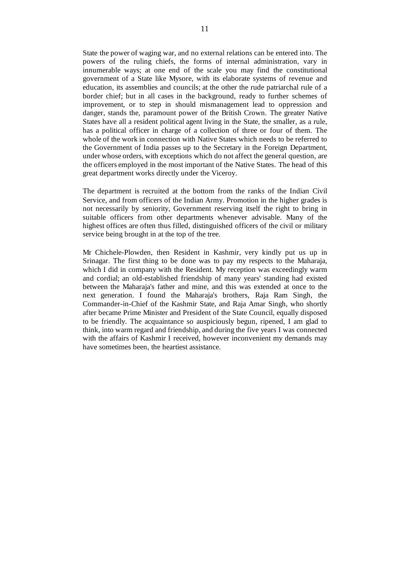State the power of waging war, and no external relations can be entered into. The powers of the ruling chiefs, the forms of internal administration, vary in innumerable ways; at one end of the scale you may find the constitutional government of a State like Mysore, with its elaborate systems of revenue and education, its assemblies and councils; at the other the rude patriarchal rule of a border chief; but in all cases in the background, ready to further schemes of improvement, or to step in should mismanagement lead to oppression and danger, stands the, paramount power of the British Crown. The greater Native States have all a resident political agent living in the State, the smaller, as a rule, has a political officer in charge of a collection of three or four of them. The whole of the work in connection with Native States which needs to be referred to the Government of India passes up to the Secretary in the Foreign Department, under whose orders, with exceptions which do not affect the general question, are the officers employed in the most important of the Native States. The head of this great department works directly under the Viceroy.

The department is recruited at the bottom from the ranks of the Indian Civil Service, and from officers of the Indian Army. Promotion in the higher grades is not necessarily by seniority, Government reserving itself the right to bring in suitable officers from other departments whenever advisable. Many of the highest offices are often thus filled, distinguished officers of the civil or military service being brought in at the top of the tree.

Mr Chichele-Plowden, then Resident in Kashmir, very kindly put us up in Srinagar. The first thing to be done was to pay my respects to the Maharaja, which I did in company with the Resident. My reception was exceedingly warm and cordial; an old-established friendship of many years' standing had existed between the Maharaja's father and mine, and this was extended at once to the next generation. I found the Maharaja's brothers, Raja Ram Singh, the Commander-in-Chief of the Kashmir State, and Raja Amar Singh, who shortly after became Prime Minister and President of the State Council, equally disposed to be friendly. The acquaintance so auspiciously begun, ripened, I am glad to think, into warm regard and friendship, and during the five years I was connected with the affairs of Kashmir I received, however inconvenient my demands may have sometimes been, the heartiest assistance.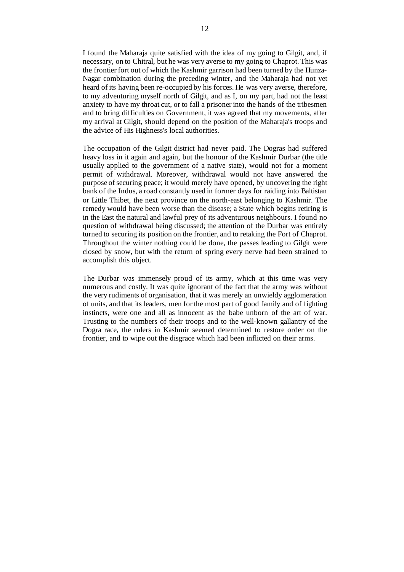I found the Maharaja quite satisfied with the idea of my going to Gilgit, and, if necessary, on to Chitral, but he was very averse to my going to Chaprot. This was the frontier fort out of which the Kashmir garrison had been turned by the Hunza-Nagar combination during the preceding winter, and the Maharaja had not yet heard of its having been re-occupied by his forces. He was very averse, therefore, to my adventuring myself north of Gilgit, and as I, on my part, had not the least anxiety to have my throat cut, or to fall a prisoner into the hands of the tribesmen and to bring difficulties on Government, it was agreed that my movements, after my arrival at Gilgit, should depend on the position of the Maharaja's troops and the advice of His Highness's local authorities.

The occupation of the Gilgit district had never paid. The Dogras had suffered heavy loss in it again and again, but the honour of the Kashmir Durbar (the title usually applied to the government of a native state), would not for a moment permit of withdrawal. Moreover, withdrawal would not have answered the purpose of securing peace; it would merely have opened, by uncovering the right bank of the Indus, a road constantly used in former days for raiding into Baltistan or Little Thibet, the next province on the north-east belonging to Kashmir. The remedy would have been worse than the disease; a State which begins retiring is in the East the natural and lawful prey of its adventurous neighbours. I found no question of withdrawal being discussed; the attention of the Durbar was entirely turned to securing its position on the frontier, and to retaking the Fort of Chaprot. Throughout the winter nothing could be done, the passes leading to Gilgit were closed by snow, but with the return of spring every nerve had been strained to accomplish this object.

The Durbar was immensely proud of its army, which at this time was very numerous and costly. It was quite ignorant of the fact that the army was without the very rudiments of organisation, that it was merely an unwieldy agglomeration of units, and that its leaders, men for the most part of good family and of fighting instincts, were one and all as innocent as the babe unborn of the art of war. Trusting to the numbers of their troops and to the well-known gallantry of the Dogra race, the rulers in Kashmir seemed determined to restore order on the frontier, and to wipe out the disgrace which had been inflicted on their arms.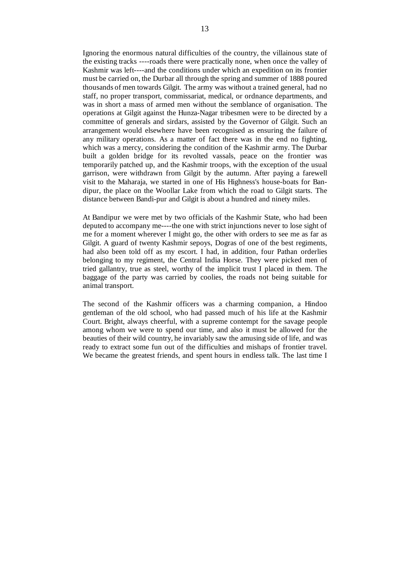Ignoring the enormous natural difficulties of the country, the villainous state of the existing tracks ----roads there were practically none, when once the valley of Kashmir was left----and the conditions under which an expedition on its frontier must be carried on, the Durbar all through the spring and summer of 1888 poured thousands of men towards Gilgit. The army was without a trained general, had no staff, no proper transport, commissariat, medical, or ordnance departments, and was in short a mass of armed men without the semblance of organisation. The operations at Gilgit against the Hunza-Nagar tribesmen were to be directed by a committee of generals and sirdars, assisted by the Governor of Gilgit. Such an arrangement would elsewhere have been recognised as ensuring the failure of any military operations. As a matter of fact there was in the end no fighting, which was a mercy, considering the condition of the Kashmir army. The Durbar built a golden bridge for its revolted vassals, peace on the frontier was temporarily patched up, and the Kashmir troops, with the exception of the usual garrison, were withdrawn from Gilgit by the autumn. After paying a farewell visit to the Maharaja, we started in one of His Highness's house-boats for Bandipur, the place on the Woollar Lake from which the road to Gilgit starts. The distance between Bandi-pur and Gilgit is about a hundred and ninety miles.

At Bandipur we were met by two officials of the Kashmir State, who had been deputed to accompany me----the one with strict injunctions never to lose sight of me for a moment wherever I might go, the other with orders to see me as far as Gilgit. A guard of twenty Kashmir sepoys, Dogras of one of the best regiments, had also been told off as my escort. I had, in addition, four Pathan orderlies belonging to my regiment, the Central India Horse. They were picked men of tried gallantry, true as steel, worthy of the implicit trust I placed in them. The baggage of the party was carried by coolies, the roads not being suitable for animal transport.

The second of the Kashmir officers was a charming companion, a Hindoo gentleman of the old school, who had passed much of his life at the Kashmir Court. Bright, always cheerful, with a supreme contempt for the savage people among whom we were to spend our time, and also it must be allowed for the beauties of their wild country, he invariably saw the amusing side of life, and was ready to extract some fun out of the difficulties and mishaps of frontier travel. We became the greatest friends, and spent hours in endless talk. The last time I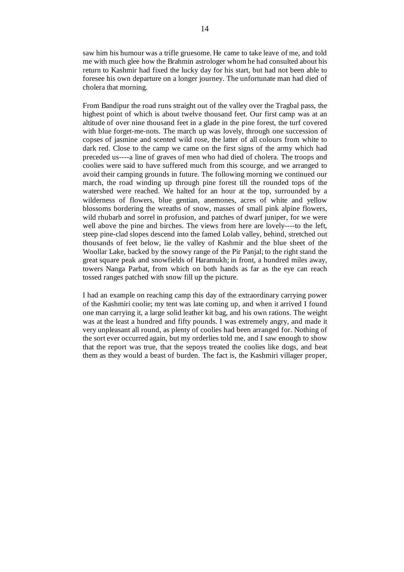saw him his humour was a trifle gruesome. He came to take leave of me, and told me with much glee how the Brahmin astrologer whom he had consulted about his return to Kashmir had fixed the lucky day for his start, but had not been able to foresee his own departure on a longer journey. The unfortunate man had died of cholera that morning.

From Bandipur the road runs straight out of the valley over the Tragbal pass, the highest point of which is about twelve thousand feet. Our first camp was at an altitude of over nine thousand feet in a glade in the pine forest, the turf covered with blue forget-me-nots. The march up was lovely, through one succession of copses of jasmine and scented wild rose, the latter of all colours from white to dark red. Close to the camp we came on the first signs of the army which had preceded us----a line of graves of men who had died of cholera. The troops and coolies were said to have suffered much from this scourge, and we arranged to avoid their camping grounds in future. The following morning we continued our march, the road winding up through pine forest till the rounded tops of the watershed were reached. We halted for an hour at the top, surrounded by a wilderness of flowers, blue gentian, anemones, acres of white and yellow blossoms bordering the wreaths of snow, masses of small pink alpine flowers, wild rhubarb and sorrel in profusion, and patches of dwarf juniper, for we were well above the pine and birches. The views from here are lovely----to the left, steep pine-clad slopes descend into the famed Lolab valley, behind, stretched out thousands of feet below, lie the valley of Kashmir and the blue sheet of the Woollar Lake, backed by the snowy range of the Pir Panjal; to the right stand the great square peak and snowfields of Haramukh; in front, a hundred miles away, towers Nanga Parbat, from which on both hands as far as the eye can reach tossed ranges patched with snow fill up the picture.

I had an example on reaching camp this day of the extraordinary carrying power of the Kashmiri coolie; my tent was late coming up, and when it arrived I found one man carrying it, a large solid leather kit bag, and his own rations. The weight was at the least a hundred and fifty pounds. I was extremely angry, and made it very unpleasant all round, as plenty of coolies had been arranged for. Nothing of the sort ever occurred again, but my orderlies told me, and I saw enough to show that the report was true, that the sepoys treated the coolies like dogs, and beat them as they would a beast of burden. The fact is, the Kashmiri villager proper,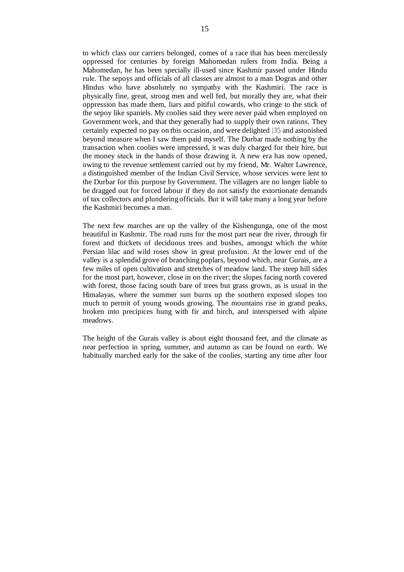to which class our carriers belonged, comes of a race that has been mercilessly oppressed for centuries by foreign Mahomedan rulers from India. Being a Mahomedan, he has been specially ill-used since Kashmir passed under Hindu rule. The sepoys and officials of all classes are almost to a man Dogras and other Hindus who have absolutely no sympathy with the Kashmiri. The race is physically fine, great, strong men and well fed, but morally they are, what their oppression has made them, liars and pitiful cowards, who cringe to the stick of the sepoy like spaniels. My coolies said they were never paid when employed on Government work, and that they generally had to supply their own rations. They certainly expected no pay on this occasion, and were delighted |35 and astonished beyond measure when I saw them paid myself. The Durbar made nothing by the transaction when coolies were impressed, it was duly charged for their hire, but the money stuck in the hands of those drawing it. A new era has now opened, owing to the revenue settlement carried out by my friend, Mr. Walter Lawrence, a distinguished member of the Indian Civil Service, whose services were lent to the Durbar for this purpose by Government. The villagers are no longer liable to be dragged out for forced labour if they do not satisfy the extortionate demands of tax collectors and plundering officials. But it will take many a long year before the Kashmiri becomes a man.

The next few marches are up the valley of the Kishengunga, one of the most beautiful in Kashmir. The road runs for the most part near the river, through fir forest and thickets of deciduous trees and bushes, amongst which the white Persian lilac and wild roses show in great profusion. At the lower end of the valley is a splendid grove of branching poplars, beyond which, near Gurais, are a few miles of open cultivation and stretches of meadow land. The steep hill sides for the most part, however, close in on the river; the slopes facing north covered with forest, those facing south bare of trees but grass grown, as is usual in the Himalayas, where the summer sun burns up the southern exposed slopes too much to permit of young woods growing. The mountains rise in grand peaks, broken into precipices hung with fir and birch, and interspersed with alpine meadows.

The height of the Gurais valley is about eight thousand feet, and the climate as near perfection in spring, summer, and autumn as can be found on earth. We habitually marched early for the sake of the coolies, starting any time after four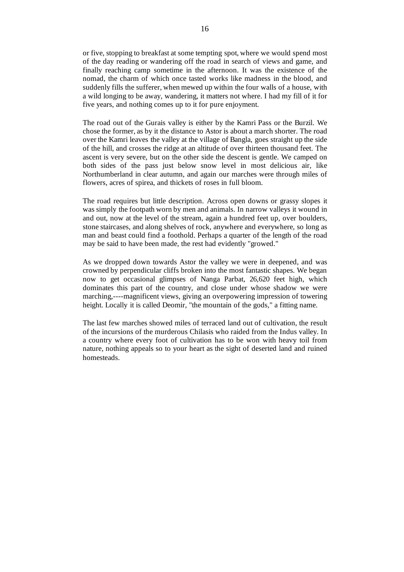or five, stopping to breakfast at some tempting spot, where we would spend most of the day reading or wandering off the road in search of views and game, and finally reaching camp sometime in the afternoon. It was the existence of the nomad, the charm of which once tasted works like madness in the blood, and suddenly fills the sufferer, when mewed up within the four walls of a house, with a wild longing to be away, wandering, it matters not where. I had my fill of it for five years, and nothing comes up to it for pure enjoyment.

The road out of the Gurais valley is either by the Kamri Pass or the Burzil. We chose the former, as by it the distance to Astor is about a march shorter. The road over the Kamri leaves the valley at the village of Bangla, goes straight up the side of the hill, and crosses the ridge at an altitude of over thirteen thousand feet. The ascent is very severe, but on the other side the descent is gentle. We camped on both sides of the pass just below snow level in most delicious air, like Northumberland in clear autumn, and again our marches were through miles of flowers, acres of spirea, and thickets of roses in full bloom.

The road requires but little description. Across open downs or grassy slopes it was simply the footpath worn by men and animals. In narrow valleys it wound in and out, now at the level of the stream, again a hundred feet up, over boulders, stone staircases, and along shelves of rock, anywhere and everywhere, so long as man and beast could find a foothold. Perhaps a quarter of the length of the road may be said to have been made, the rest had evidently "growed."

As we dropped down towards Astor the valley we were in deepened, and was crowned by perpendicular cliffs broken into the most fantastic shapes. We began now to get occasional glimpses of Nanga Parbat, 26,620 feet high, which dominates this part of the country, and close under whose shadow we were marching,----magnificent views, giving an overpowering impression of towering height. Locally it is called Deomir, "the mountain of the gods," a fitting name.

The last few marches showed miles of terraced land out of cultivation, the result of the incursions of the murderous Chilasis who raided from the Indus valley. In a country where every foot of cultivation has to be won with heavy toil from nature, nothing appeals so to your heart as the sight of deserted land and ruined homesteads.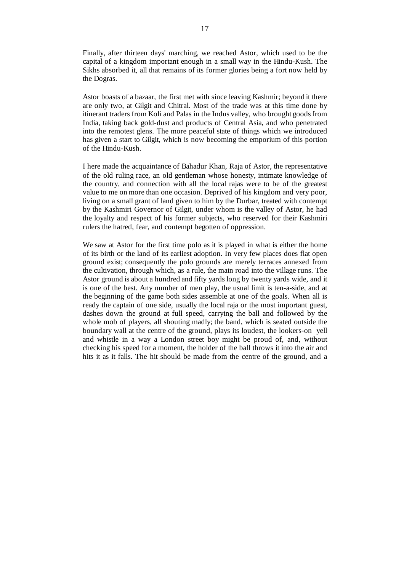Finally, after thirteen days' marching, we reached Astor, which used to be the capital of a kingdom important enough in a small way in the Hindu-Kush. The Sikhs absorbed it, all that remains of its former glories being a fort now held by the Dogras.

Astor boasts of a bazaar, the first met with since leaving Kashmir; beyond it there are only two, at Gilgit and Chitral. Most of the trade was at this time done by itinerant traders from Koli and Palas in the Indus valley, who brought goods from India, taking back gold-dust and products of Central Asia, and who penetrated into the remotest glens. The more peaceful state of things which we introduced has given a start to Gilgit, which is now becoming the emporium of this portion of the Hindu-Kush.

I here made the acquaintance of Bahadur Khan, Raja of Astor, the representative of the old ruling race, an old gentleman whose honesty, intimate knowledge of the country, and connection with all the local rajas were to be of the greatest value to me on more than one occasion. Deprived of his kingdom and very poor, living on a small grant of land given to him by the Durbar, treated with contempt by the Kashmiri Governor of Gilgit, under whom is the valley of Astor, he had the loyalty and respect of his former subjects, who reserved for their Kashmiri rulers the hatred, fear, and contempt begotten of oppression.

We saw at Astor for the first time polo as it is played in what is either the home of its birth or the land of its earliest adoption. In very few places does flat open ground exist; consequently the polo grounds are merely terraces annexed from the cultivation, through which, as a rule, the main road into the village runs. The Astor ground is about a hundred and fifty yards long by twenty yards wide, and it is one of the best. Any number of men play, the usual limit is ten-a-side, and at the beginning of the game both sides assemble at one of the goals. When all is ready the captain of one side, usually the local raja or the most important guest, dashes down the ground at full speed, carrying the ball and followed by the whole mob of players, all shouting madly; the band, which is seated outside the boundary wall at the centre of the ground, plays its loudest, the lookers-on yell and whistle in a way a London street boy might be proud of, and, without checking his speed for a moment, the holder of the ball throws it into the air and hits it as it falls. The hit should be made from the centre of the ground, and a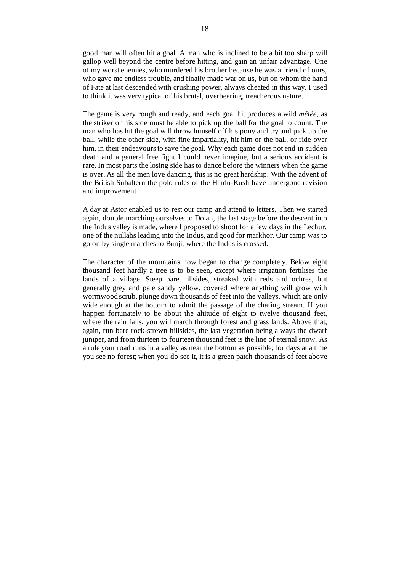good man will often hit a goal. A man who is inclined to be a bit too sharp will gallop well beyond the centre before hitting, and gain an unfair advantage. One of my worst enemies, who murdered his brother because he was a friend of ours, who gave me endless trouble, and finally made war on us, but on whom the hand of Fate at last descended with crushing power, always cheated in this way. I used to think it was very typical of his brutal, overbearing, treacherous nature.

The game is very rough and ready, and each goal hit produces a wild *mêlée,* as the striker or his side must be able to pick up the ball for the goal to count. The man who has hit the goal will throw himself off his pony and try and pick up the ball, while the other side, with fine impartiality, hit him or the ball, or ride over him, in their endeavours to save the goal. Why each game does not end in sudden death and a general free fight I could never imagine, but a serious accident is rare. In most parts the losing side has to dance before the winners when the game is over. As all the men love dancing, this is no great hardship. With the advent of the British Subaltern the polo rules of the Hindu-Kush have undergone revision and improvement.

A day at Astor enabled us to rest our camp and attend to letters. Then we started again, double marching ourselves to Doian, the last stage before the descent into the Indus valley is made, where I proposed to shoot for a few days in the Lechur, one of the nullahs leading into the Indus, and good for markhor. Our camp was to go on by single marches to Bunji, where the Indus is crossed.

The character of the mountains now began to change completely. Below eight thousand feet hardly a tree is to be seen, except where irrigation fertilises the lands of a village. Steep bare hillsides, streaked with reds and ochres, but generally grey and pale sandy yellow, covered where anything will grow with wormwood scrub, plunge down thousands of feet into the valleys, which are only wide enough at the bottom to admit the passage of the chafing stream. If you happen fortunately to be about the altitude of eight to twelve thousand feet, where the rain falls, you will march through forest and grass lands. Above that, again, run bare rock-strewn hillsides, the last vegetation being always the dwarf juniper, and from thirteen to fourteen thousand feet is the line of eternal snow. As a rule your road runs in a valley as near the bottom as possible; for days at a time you see no forest; when you do see it, it is a green patch thousands of feet above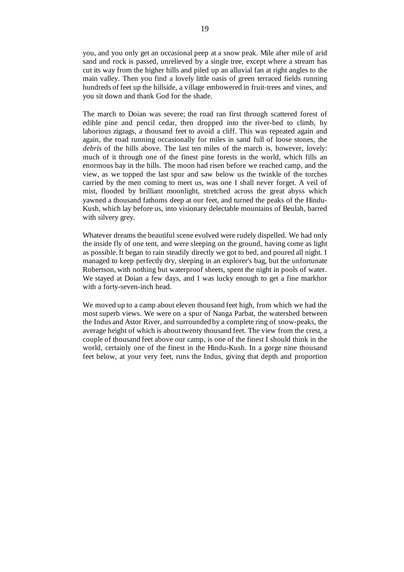you, and you only get an occasional peep at a snow peak. Mile after mile of arid sand and rock is passed, unrelieved by a single tree, except where a stream has cut its way from the higher hills and piled up an alluvial fan at right angles to the main valley. Then you find a lovely little oasis of green terraced fields running hundreds of feet up the hillside, a village embowered in fruit-trees and vines, and you sit down and thank God for the shade.

The march to Doian was severe; the road ran first through scattered forest of edible pine and pencil cedar, then dropped into the river-bed to climb, by laborious zigzags, a thousand feet to avoid a cliff. This was repeated again and again, the road running occasionally for miles in sand full of loose stones, the *debris* of the hills above. The last ten miles of the march is, however, lovely: much of it through one of the finest pine forests in the world, which fills an enormous bay in the hills. The moon had risen before we reached camp, and the view, as we topped the last spur and saw below us the twinkle of the torches carried by the men coming to meet us, was one I shall never forget. A veil of mist, flooded by brilliant moonlight, stretched across the great abyss which yawned a thousand fathoms deep at our feet, and turned the peaks of the Hindu-Kush, which lay before us, into visionary delectable mountains of Beulah, barred with silvery grey.

Whatever dreams the beautiful scene evolved were rudely dispelled. We had only the inside fly of one tent, and were sleeping on the ground, having come as light as possible. It began to rain steadily directly we got to bed, and poured all night. I managed to keep perfectly dry, sleeping in an explorer's bag, but the unfortunate Robertson, with nothing but waterproof sheets, spent the night in pools of water. We stayed at Doian a few days, and I was lucky enough to get a fine markhor with a forty-seven-inch head.

We moved up to a camp about eleven thousand feet high, from which we had the most superb views. We were on a spur of Nanga Parbat, the watershed between the Indus and Astor River, and surrounded by a complete ring of snow-peaks, the average height of which is about twenty thousand feet. The view from the crest, a couple of thousand feet above our camp, is one of the finest I should think in the world, certainly one of the finest in the Hindu-Kush. In a gorge nine thousand feet below, at your very feet, runs the Indus, giving that depth and proportion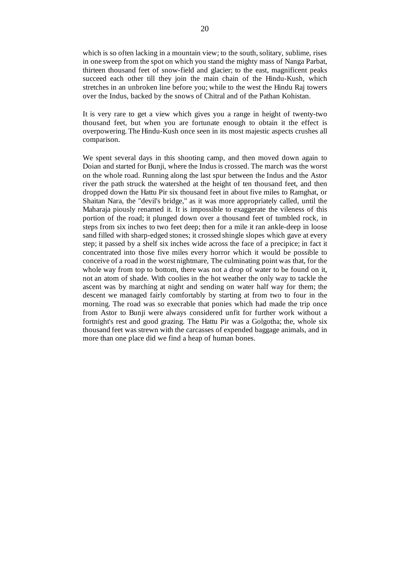which is so often lacking in a mountain view; to the south, solitary, sublime, rises in one sweep from the spot on which you stand the mighty mass of Nanga Parbat, thirteen thousand feet of snow-field and glacier; to the east, magnificent peaks succeed each other till they join the main chain of the Hindu-Kush, which stretches in an unbroken line before you; while to the west the Hindu Raj towers over the Indus, backed by the snows of Chitral and of the Pathan Kohistan.

It is very rare to get a view which gives you a range in height of twenty-two thousand feet, but when you are fortunate enough to obtain it the effect is overpowering. The Hindu-Kush once seen in its most majestic aspects crushes all comparison.

We spent several days in this shooting camp, and then moved down again to Doian and started for Bunji, where the Indus is crossed. The march was the worst on the whole road. Running along the last spur between the Indus and the Astor river the path struck the watershed at the height of ten thousand feet, and then dropped down the Hattu Pir six thousand feet in about five miles to Ramghat, or Shaitan Nara, the "devil's bridge," as it was more appropriately called, until the Maharaja piously renamed it. It is impossible to exaggerate the vileness of this portion of the road; it plunged down over a thousand feet of tumbled rock, in steps from six inches to two feet deep; then for a mile it ran ankle-deep in loose sand filled with sharp-edged stones; it crossed shingle slopes which gave at every step; it passed by a shelf six inches wide across the face of a precipice; in fact it concentrated into those five miles every horror which it would be possible to conceive of a road in the worst nightmare, The culminating point was that, for the whole way from top to bottom, there was not a drop of water to be found on it, not an atom of shade. With coolies in the hot weather the only way to tackle the ascent was by marching at night and sending on water half way for them; the descent we managed fairly comfortably by starting at from two to four in the morning. The road was so execrable that ponies which had made the trip once from Astor to Bunji were always considered unfit for further work without a fortnight's rest and good grazing. The Hattu Pir was a Golgotha; the, whole six thousand feet was strewn with the carcasses of expended baggage animals, and in more than one place did we find a heap of human bones.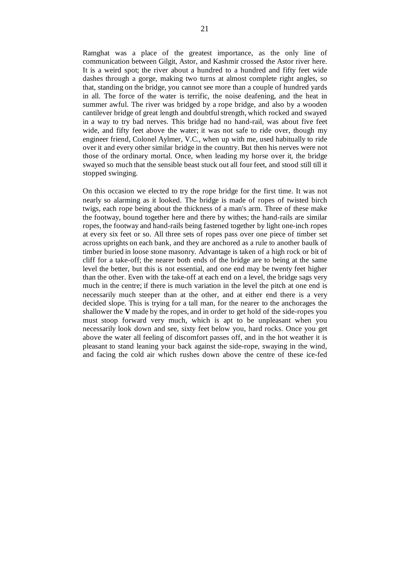Ramghat was a place of the greatest importance, as the only line of communication between Gilgit, Astor, and Kashmir crossed the Astor river here. It is a weird spot; the river about a hundred to a hundred and fifty feet wide dashes through a gorge, making two turns at almost complete right angles, so that, standing on the bridge, you cannot see more than a couple of hundred yards in all. The force of the water is terrific, the noise deafening, and the heat in summer awful. The river was bridged by a rope bridge, and also by a wooden cantilever bridge of great length and doubtful strength, which rocked and swayed in a way to try bad nerves. This bridge had no hand-rail, was about five feet wide, and fifty feet above the water; it was not safe to ride over, though my engineer friend, Colonel Aylmer, V.C., when up with me, used habitually to ride over it and every other similar bridge in the country. But then his nerves were not those of the ordinary mortal. Once, when leading my horse over it, the bridge swayed so much that the sensible beast stuck out all four feet, and stood still till it stopped swinging.

On this occasion we elected to try the rope bridge for the first time. It was not nearly so alarming as it looked. The bridge is made of ropes of twisted birch twigs, each rope being about the thickness of a man's arm. Three of these make the footway, bound together here and there by withes; the hand-rails are similar ropes, the footway and hand-rails being fastened together by light one-inch ropes at every six feet or so. All three sets of ropes pass over one piece of timber set across uprights on each bank, and they are anchored as a rule to another baulk of timber buried in loose stone masonry. Advantage is taken of a high rock or bit of cliff for a take-off; the nearer both ends of the bridge are to being at the same level the better, but this is not essential, and one end may be twenty feet higher than the other. Even with the take-off at each end on a level, the bridge sags very much in the centre; if there is much variation in the level the pitch at one end is necessarily much steeper than at the other, and at either end there is a very decided slope. This is trying for a tall man, for the nearer to the anchorages the shallower the **V** made by the ropes, and in order to get hold of the side-ropes you must stoop forward very much, which is apt to be unpleasant when you necessarily look down and see, sixty feet below you, hard rocks. Once you get above the water all feeling of discomfort passes off, and in the hot weather it is pleasant to stand leaning your back against the side-rope, swaying in the wind, and facing the cold air which rushes down above the centre of these ice-fed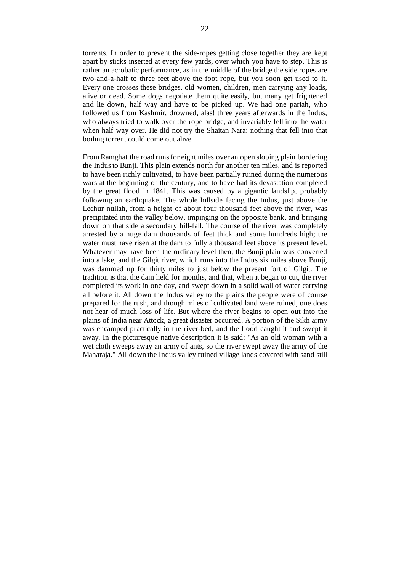torrents. In order to prevent the side-ropes getting close together they are kept apart by sticks inserted at every few yards, over which you have to step. This is rather an acrobatic performance, as in the middle of the bridge the side ropes are two-and-a-half to three feet above the foot rope, but you soon get used to it. Every one crosses these bridges, old women, children, men carrying any loads, alive or dead. Some dogs negotiate them quite easily, but many get frightened and lie down, half way and have to be picked up. We had one pariah, who followed us from Kashmir, drowned, alas! three years afterwards in the Indus, who always tried to walk over the rope bridge, and invariably fell into the water when half way over. He did not try the Shaitan Nara: nothing that fell into that boiling torrent could come out alive.

From Ramghat the road runs for eight miles over an open sloping plain bordering the Indus to Bunji. This plain extends north for another ten miles, and is reported to have been richly cultivated, to have been partially ruined during the numerous wars at the beginning of the century, and to have had its devastation completed by the great flood in 1841. This was caused by a gigantic landslip, probably following an earthquake. The whole hillside facing the Indus, just above the Lechur nullah, from a height of about four thousand feet above the river, was precipitated into the valley below, impinging on the opposite bank, and bringing down on that side a secondary hill-fall. The course of the river was completely arrested by a huge dam thousands of feet thick and some hundreds high; the water must have risen at the dam to fully a thousand feet above its present level. Whatever may have been the ordinary level then, the Bunji plain was converted into a lake, and the Gilgit river, which runs into the Indus six miles above Bunji, was dammed up for thirty miles to just below the present fort of Gilgit. The tradition is that the dam held for months, and that, when it began to cut, the river completed its work in one day, and swept down in a solid wall of water carrying all before it. All down the Indus valley to the plains the people were of course prepared for the rush, and though miles of cultivated land were ruined, one does not hear of much loss of life. But where the river begins to open out into the plains of India near Attock, a great disaster occurred. A portion of the Sikh army was encamped practically in the river-bed, and the flood caught it and swept it away. In the picturesque native description it is said: "As an old woman with a wet cloth sweeps away an army of ants, so the river swept away the army of the Maharaja." All down the Indus valley ruined village lands covered with sand still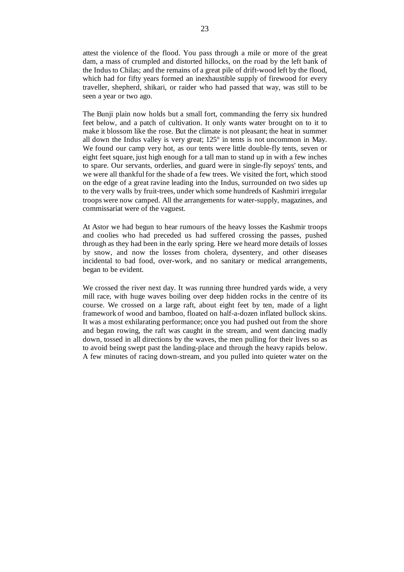attest the violence of the flood. You pass through a mile or more of the great dam, a mass of crumpled and distorted hillocks, on the road by the left bank of the Indus to Chilas; and the remains of a great pile of drift-wood left by the flood, which had for fifty years formed an inexhaustible supply of firewood for every traveller, shepherd, shikari, or raider who had passed that way, was still to be seen a year or two ago.

The Bunji plain now holds but a small fort, commanding the ferry six hundred feet below, and a patch of cultivation. It only wants water brought on to it to make it blossom like the rose. But the climate is not pleasant; the heat in summer all down the Indus valley is very great;  $125^{\circ}$  in tents is not uncommon in May. We found our camp very hot, as our tents were little double-fly tents, seven or eight feet square, just high enough for a tall man to stand up in with a few inches to spare. Our servants, orderlies, and guard were in single-fly sepoys' tents, and we were all thankful for the shade of a few trees. We visited the fort, which stood on the edge of a great ravine leading into the Indus, surrounded on two sides up to the very walls by fruit-trees, under which some hundreds of Kashmiri irregular troops were now camped. All the arrangements for water-supply, magazines, and commissariat were of the vaguest.

At Astor we had begun to hear rumours of the heavy losses the Kashmir troops and coolies who had preceded us had suffered crossing the passes, pushed through as they had been in the early spring. Here we heard more details of losses by snow, and now the losses from cholera, dysentery, and other diseases incidental to bad food, over-work, and no sanitary or medical arrangements, began to be evident.

We crossed the river next day. It was running three hundred yards wide, a very mill race, with huge waves boiling over deep hidden rocks in the centre of its course. We crossed on a large raft, about eight feet by ten, made of a light framework of wood and bamboo, floated on half-a-dozen inflated bullock skins. It was a most exhilarating performance; once you had pushed out from the shore and began rowing, the raft was caught in the stream, and went dancing madly down, tossed in all directions by the waves, the men pulling for their lives so as to avoid being swept past the landing-place and through the heavy rapids below. A few minutes of racing down-stream, and you pulled into quieter water on the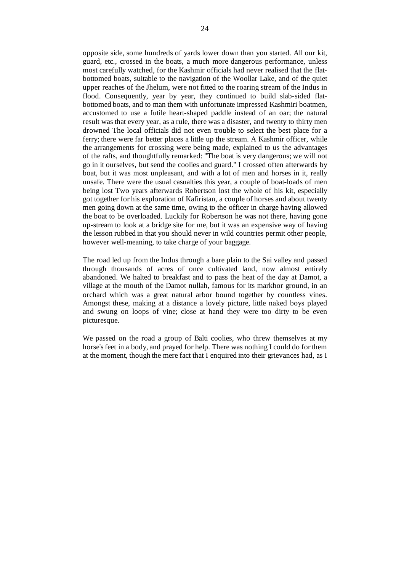opposite side, some hundreds of yards lower down than you started. All our kit, guard, etc., crossed in the boats, a much more dangerous performance, unless most carefully watched, for the Kashmir officials had never realised that the flatbottomed boats, suitable to the navigation of the Woollar Lake, and of the quiet upper reaches of the Jhelum, were not fitted to the roaring stream of the Indus in flood. Consequently, year by year, they continued to build slab-sided flatbottomed boats, and to man them with unfortunate impressed Kashmiri boatmen, accustomed to use a futile heart-shaped paddle instead of an oar; the natural result was that every year, as a rule, there was a disaster, and twenty to thirty men drowned The local officials did not even trouble to select the best place for a ferry; there were far better places a little up the stream. A Kashmir officer, while the arrangements for crossing were being made, explained to us the advantages of the rafts, and thoughtfully remarked: "The boat is very dangerous; we will not go in it ourselves, but send the coolies and guard." I crossed often afterwards by boat, but it was most unpleasant, and with a lot of men and horses in it, really unsafe. There were the usual casualties this year, a couple of boat-loads of men being lost Two years afterwards Robertson lost the whole of his kit, especially got together for his exploration of Kafiristan, a couple of horses and about twenty men going down at the same time, owing to the officer in charge having allowed the boat to be overloaded. Luckily for Robertson he was not there, having gone up-stream to look at a bridge site for me, but it was an expensive way of having the lesson rubbed in that you should never in wild countries permit other people, however well-meaning, to take charge of your baggage.

The road led up from the Indus through a bare plain to the Sai valley and passed through thousands of acres of once cultivated land, now almost entirely abandoned. We halted to breakfast and to pass the heat of the day at Damot, a village at the mouth of the Damot nullah, famous for its markhor ground, in an orchard which was a great natural arbor bound together by countless vines. Amongst these, making at a distance a lovely picture, little naked boys played and swung on loops of vine; close at hand they were too dirty to be even picturesque.

We passed on the road a group of Balti coolies, who threw themselves at my horse's feet in a body, and prayed for help. There was nothing I could do for them at the moment, though the mere fact that I enquired into their grievances had, as I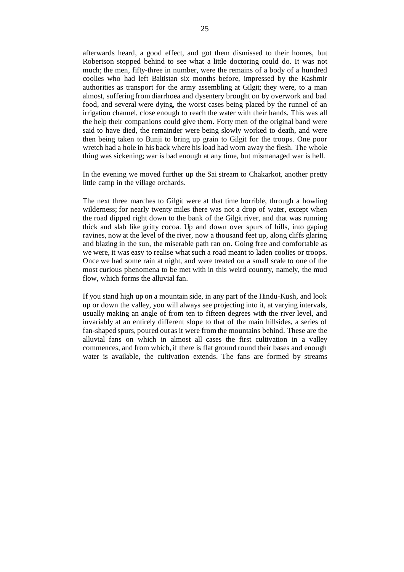afterwards heard, a good effect, and got them dismissed to their homes, but Robertson stopped behind to see what a little doctoring could do. It was not much; the men, fifty-three in number, were the remains of a body of a hundred coolies who had left Baltistan six months before, impressed by the Kashmir authorities as transport for the army assembling at Gilgit; they were, to a man almost, suffering from diarrhoea and dysentery brought on by overwork and bad food, and several were dying, the worst cases being placed by the runnel of an irrigation channel, close enough to reach the water with their hands. This was all the help their companions could give them. Forty men of the original band were said to have died, the remainder were being slowly worked to death, and were then being taken to Bunji to bring up grain to Gilgit for the troops. One poor wretch had a hole in his back where his load had worn away the flesh. The whole thing was sickening; war is bad enough at any time, but mismanaged war is hell.

In the evening we moved further up the Sai stream to Chakarkot, another pretty little camp in the village orchards.

The next three marches to Gilgit were at that time horrible, through a howling wilderness; for nearly twenty miles there was not a drop of water, except when the road dipped right down to the bank of the Gilgit river, and that was running thick and slab like gritty cocoa. Up and down over spurs of hills, into gaping ravines, now at the level of the river, now a thousand feet up, along cliffs glaring and blazing in the sun, the miserable path ran on. Going free and comfortable as we were, it was easy to realise what such a road meant to laden coolies or troops. Once we had some rain at night, and were treated on a small scale to one of the most curious phenomena to be met with in this weird country, namely, the mud flow, which forms the alluvial fan.

If you stand high up on a mountain side, in any part of the Hindu-Kush, and look up or down the valley, you will always see projecting into it, at varying intervals, usually making an angle of from ten to fifteen degrees with the river level, and invariably at an entirely different slope to that of the main hillsides, a series of fan-shaped spurs, poured out as it were from the mountains behind. These are the alluvial fans on which in almost all cases the first cultivation in a valley commences, and from which, if there is flat ground round their bases and enough water is available, the cultivation extends. The fans are formed by streams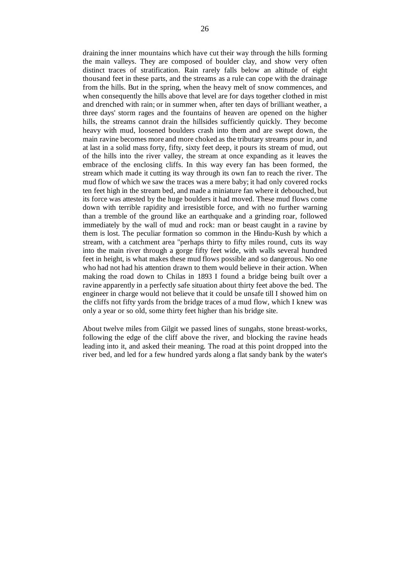draining the inner mountains which have cut their way through the hills forming the main valleys. They are composed of boulder clay, and show very often distinct traces of stratification. Rain rarely falls below an altitude of eight thousand feet in these parts, and the streams as a rule can cope with the drainage from the hills. But in the spring, when the heavy melt of snow commences, and when consequently the hills above that level are for days together clothed in mist and drenched with rain; or in summer when, after ten days of brilliant weather, a three days' storm rages and the fountains of heaven are opened on the higher hills, the streams cannot drain the hillsides sufficiently quickly. They become heavy with mud, loosened boulders crash into them and are swept down, the main ravine becomes more and more choked as the tributary streams pour in, and at last in a solid mass forty, fifty, sixty feet deep, it pours its stream of mud, out of the hills into the river valley, the stream at once expanding as it leaves the embrace of the enclosing cliffs. In this way every fan has been formed, the stream which made it cutting its way through its own fan to reach the river. The mud flow of which we saw the traces was a mere baby; it had only covered rocks ten feet high in the stream bed, and made a miniature fan where it debouched, but its force was attested by the huge boulders it had moved. These mud flows come down with terrible rapidity and irresistible force, and with no further warning than a tremble of the ground like an earthquake and a grinding roar, followed immediately by the wall of mud and rock: man or beast caught in a ravine by them is lost. The peculiar formation so common in the Hindu-Kush by which a stream, with a catchment area "perhaps thirty to fifty miles round, cuts its way into the main river through a gorge fifty feet wide, with walls several hundred feet in height, is what makes these mud flows possible and so dangerous. No one who had not had his attention drawn to them would believe in their action. When making the road down to Chilas in 1893 I found a bridge being built over a ravine apparently in a perfectly safe situation about thirty feet above the bed. The engineer in charge would not believe that it could be unsafe till I showed him on the cliffs not fifty yards from the bridge traces of a mud flow, which I knew was only a year or so old, some thirty feet higher than his bridge site.

About twelve miles from Gilgit we passed lines of sungahs, stone breast-works, following the edge of the cliff above the river, and blocking the ravine heads leading into it, and asked their meaning. The road at this point dropped into the river bed, and led for a few hundred yards along a flat sandy bank by the water's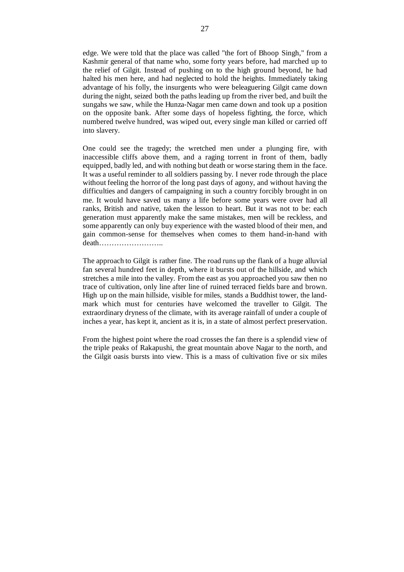edge. We were told that the place was called "the fort of Bhoop Singh," from a Kashmir general of that name who, some forty years before, had marched up to the relief of Gilgit. Instead of pushing on to the high ground beyond, he had halted his men here, and had neglected to hold the heights. Immediately taking advantage of his folly, the insurgents who were beleaguering Gilgit came down during the night, seized both the paths leading up from the river bed, and built the sungahs we saw, while the Hunza-Nagar men came down and took up a position on the opposite bank. After some days of hopeless fighting, the force, which numbered twelve hundred, was wiped out, every single man killed or carried off into slavery.

One could see the tragedy; the wretched men under a plunging fire, with inaccessible cliffs above them, and a raging torrent in front of them, badly equipped, badly led, and with nothing but death or worse staring them in the face. It was a useful reminder to all soldiers passing by. I never rode through the place without feeling the horror of the long past days of agony, and without having the difficulties and dangers of campaigning in such a country forcibly brought in on me. It would have saved us many a life before some years were over had all ranks, British and native, taken the lesson to heart. But it was not to be: each generation must apparently make the same mistakes, men will be reckless, and some apparently can only buy experience with the wasted blood of their men, and gain common-sense for themselves when comes to them hand-in-hand with death……………………..

The approach to Gilgit is rather fine. The road runs up the flank of a huge alluvial fan several hundred feet in depth, where it bursts out of the hillside, and which stretches a mile into the valley. From the east as you approached you saw then no trace of cultivation, only line after line of ruined terraced fields bare and brown. High up on the main hillside, visible for miles, stands a Buddhist tower, the landmark which must for centuries have welcomed the traveller to Gilgit. The extraordinary dryness of the climate, with its average rainfall of under a couple of inches a year, has kept it, ancient as it is, in a state of almost perfect preservation.

From the highest point where the road crosses the fan there is a splendid view of the triple peaks of Rakapushi, the great mountain above Nagar to the north, and the Gilgit oasis bursts into view. This is a mass of cultivation five or six miles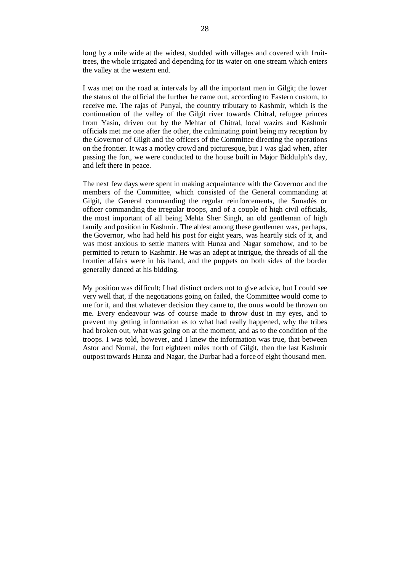long by a mile wide at the widest, studded with villages and covered with fruittrees, the whole irrigated and depending for its water on one stream which enters the valley at the western end.

I was met on the road at intervals by all the important men in Gilgit; the lower the status of the official the further he came out, according to Eastern custom, to receive me. The rajas of Punyal, the country tributary to Kashmir, which is the continuation of the valley of the Gilgit river towards Chitral, refugee princes from Yasin, driven out by the Mehtar of Chitral, local wazirs and Kashmir officials met me one after the other, the culminating point being my reception by the Governor of Gilgit and the officers of the Committee directing the operations on the frontier. It was a motley crowd and picturesque, but I was glad when, after passing the fort, we were conducted to the house built in Major Biddulph's day, and left there in peace.

The next few days were spent in making acquaintance with the Governor and the members of the Committee, which consisted of the General commanding at Gilgit, the General commanding the regular reinforcements, the Sunadés or officer commanding the irregular troops, and of a couple of high civil officials, the most important of all being Mehta Sher Singh, an old gentleman of high family and position in Kashmir. The ablest among these gentlemen was, perhaps, the Governor, who had held his post for eight years, was heartily sick of it, and was most anxious to settle matters with Hunza and Nagar somehow, and to be permitted to return to Kashmir. He was an adept at intrigue, the threads of all the frontier affairs were in his hand, and the puppets on both sides of the border generally danced at his bidding.

My position was difficult; I had distinct orders not to give advice, but I could see very well that, if the negotiations going on failed, the Committee would come to me for it, and that whatever decision they came to, the onus would be thrown on me. Every endeavour was of course made to throw dust in my eyes, and to prevent my getting information as to what had really happened, why the tribes had broken out, what was going on at the moment, and as to the condition of the troops. I was told, however, and I knew the information was true, that between Astor and Nomal, the fort eighteen miles north of Gilgit, then the last Kashmir outpost towards Hunza and Nagar, the Durbar had a force of eight thousand men.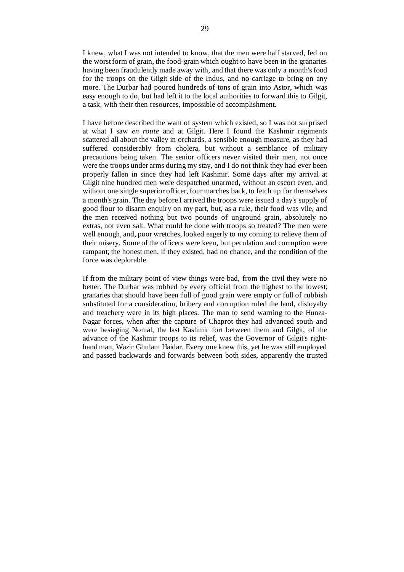I knew, what I was not intended to know, that the men were half starved, fed on the worst form of grain, the food-grain which ought to have been in the granaries having been fraudulently made away with, and that there was only a month's food for the troops on the Gilgit side of the Indus, and no carriage to bring on any more. The Durbar had poured hundreds of tons of grain into Astor, which was easy enough to do, but had left it to the local authorities to forward this to Gilgit, a task, with their then resources, impossible of accomplishment.

I have before described the want of system which existed, so I was not surprised at what I saw *en route* and at Gilgit. Here I found the Kashmir regiments scattered all about the valley in orchards, a sensible enough measure, as they had suffered considerably from cholera, but without a semblance of military precautions being taken. The senior officers never visited their men, not once were the troops under arms during my stay, and I do not think they had ever been properly fallen in since they had left Kashmir. Some days after my arrival at Gilgit nine hundred men were despatched unarmed, without an escort even, and without one single superior officer, four marches back, to fetch up for themselves a month's grain. The day before I arrived the troops were issued a day's supply of good flour to disarm enquiry on my part, but, as a rule, their food was vile, and the men received nothing but two pounds of unground grain, absolutely no extras, not even salt. What could be done with troops so treated? The men were well enough, and, poor wretches, looked eagerly to my coming to relieve them of their misery. Some of the officers were keen, but peculation and corruption were rampant; the honest men, if they existed, had no chance, and the condition of the force was deplorable.

If from the military point of view things were bad, from the civil they were no better. The Durbar was robbed by every official from the highest to the lowest; granaries that should have been full of good grain were empty or full of rubbish substituted for a consideration, bribery and corruption ruled the land, disloyalty and treachery were in its high places. The man to send warning to the Hunza-Nagar forces, when after the capture of Chaprot they had advanced south and were besieging Nomal, the last Kashmir fort between them and Gilgit, of the advance of the Kashmir troops to its relief, was the Governor of Gilgit's righthand man, Wazir Ghulam Haidar. Every one knew this, yet he was still employed and passed backwards and forwards between both sides, apparently the trusted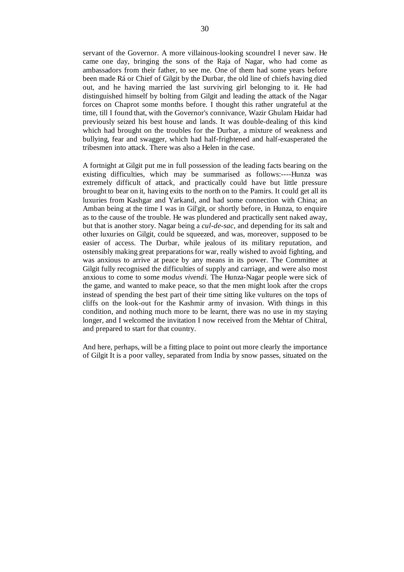servant of the Governor. A more villainous-looking scoundrel I never saw. He came one day, bringing the sons of the Raja of Nagar, who had come as ambassadors from their father, to see me. One of them had some years before been made Rá or Chief of Gilgit by the Durbar, the old line of chiefs having died out, and he having married the last surviving girl belonging to it. He had distinguished himself by bolting from Gilgit and leading the attack of the Nagar forces on Chaprot some months before. I thought this rather ungrateful at the time, till I found that, with the Governor's connivance, Wazir Ghulam Haidar had previously seized his best house and lands. It was double-dealing of this kind which had brought on the troubles for the Durbar, a mixture of weakness and bullying, fear and swagger, which had half-frightened and half-exasperated the tribesmen into attack. There was also a Helen in the case.

A fortnight at Gilgit put me in full possession of the leading facts bearing on the existing difficulties, which may be summarised as follows:----Hunza was extremely difficult of attack, and practically could have but little pressure brought to bear on it, having exits to the north on to the Pamirs. It could get all its luxuries from Kashgar and Yarkand, and had some connection with China; an Amban being at the time I was in Gil'git, or shortly before, in Hunza, to enquire as to the cause of the trouble. He was plundered and practically sent naked away, but that is another story. Nagar being a *cul-de-sac,* and depending for its salt and other luxuries on Gilgit, could be squeezed, and was, moreover, supposed to be easier of access. The Durbar, while jealous of its military reputation, and ostensibly making great preparations for war, really wished to avoid fighting, and was anxious to arrive at peace by any means in its power. The Committee at Gilgit fully recognised the difficulties of supply and carriage, and were also most anxious to come to some *modus vivendi.* The Hunza-Nagar people were sick of the game, and wanted to make peace, so that the men might look after the crops instead of spending the best part of their time sitting like vultures on the tops of cliffs on the look-out for the Kashmir army of invasion. With things in this condition, and nothing much more to be learnt, there was no use in my staying longer, and I welcomed the invitation I now received from the Mehtar of Chitral, and prepared to start for that country.

And here, perhaps, will be a fitting place to point out more clearly the importance of Gilgit It is a poor valley, separated from India by snow passes, situated on the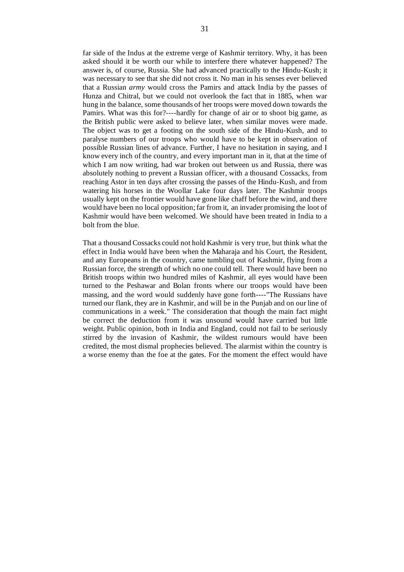far side of the Indus at the extreme verge of Kashmir territory. Why, it has been asked should it be worth our while to interfere there whatever happened? The answer is, of course, Russia. She had advanced practically to the Hindu-Kush; it was necessary to see that she did not cross it. No man in his senses ever believed that a Russian *army* would cross the Pamirs and attack India by the passes of Hunza and Chitral, but we could not overlook the fact that in 1885, when war hung in the balance, some thousands of her troops were moved down towards the Pamirs. What was this for?----hardly for change of air or to shoot big game, as the British public were asked to believe later, when similar moves were made. The object was to get a footing on the south side of the Hindu-Kush, and to paralyse numbers of our troops who would have to be kept in observation of possible Russian lines of advance. Further, I have no hesitation in saying, and I know every inch of the country, and every important man in it, that at the time of which I am now writing, had war broken out between us and Russia, there was absolutely nothing to prevent a Russian officer, with a thousand Cossacks, from reaching Astor in ten days after crossing the passes of the Hindu-Kush, and from watering his horses in the Woollar Lake four days later. The Kashmir troops usually kept on the frontier would have gone like chaff before the wind, and there would have been no local opposition; far from it, an invader promising the loot of Kashmir would have been welcomed. We should have been treated in India to a bolt from the blue.

That a thousand Cossacks could not hold Kashmir is very true, but think what the effect in India would have been when the Maharaja and his Court, the Resident, and any Europeans in the country, came tumbling out of Kashmir, flying from a Russian force, the strength of which no one could tell. There would have been no British troops within two hundred miles of Kashmir, all eyes would have been turned to the Peshawar and Bolan fronts where our troops would have been massing, and the word would suddenly have gone forth----"The Russians have turned our flank, they are in Kashmir, and will be in the Punjab and on our line of communications in a week." The consideration that though the main fact might be correct the deduction from it was unsound would have carried but little weight. Public opinion, both in India and England, could not fail to be seriously stirred by the invasion of Kashmir, the wildest rumours would have been credited, the most dismal prophecies believed. The alarmist within the country is a worse enemy than the foe at the gates. For the moment the effect would have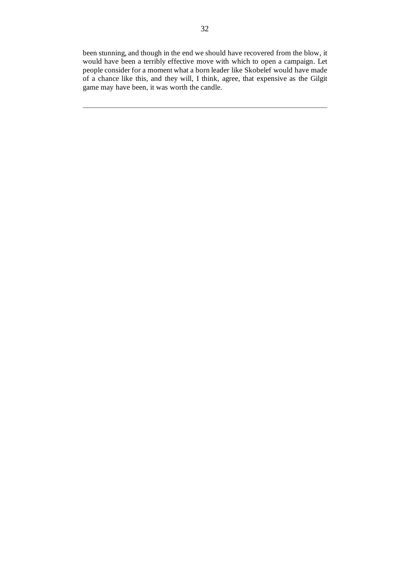been stunning, and though in the end we should have recovered from the blow, it would have been a terribly effective move with which to open a campaign. Let people consider for a moment what a born leader like Skobelef would have made of a chance like this, and they will, I think, agree, that expensive as the Gilgit game may have been, it was worth the candle.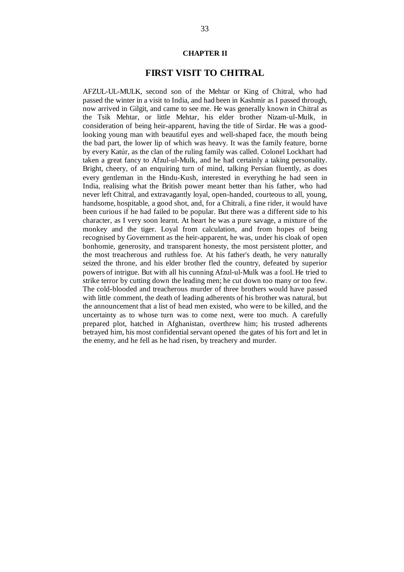#### **CHAPTER II**

# **FIRST VISIT TO CHITRAL**

AFZUL-UL-MULK, second son of the Mehtar or King of Chitral, who had passed the winter in a visit to India, and had been in Kashmir as I passed through, now arrived in Gilgit, and came to see me. He was generally known in Chitral as the Tsik Mehtar, or little Mehtar, his elder brother Nizam-ul-Mulk, in consideration of being heir-apparent, having the title of Sirdar. He was a goodlooking young man with beautiful eyes and well-shaped face, the mouth being the bad part, the lower lip of which was heavy. It was the family feature, borne by every Katúr, as the clan of the ruling family was called. Colonel Lockhart had taken a great fancy to Afzul-ul-Mulk, and he had certainly a taking personality. Bright, cheery, of an enquiring turn of mind, talking Persian fluently, as does every gentleman in the Hindu-Kush, interested in everything he had seen in India, realising what the British power meant better than his father, who had never left Chitral, and extravagantly loyal, open-handed, courteous to all, young, handsome, hospitable, a good shot, and, for a Chitrali, a fine rider, it would have been curious if he had failed to be popular. But there was a different side to his character, as I very soon learnt. At heart he was a pure savage, a mixture of the monkey and the tiger. Loyal from calculation, and from hopes of being recognised by Government as the heir-apparent, he was, under his cloak of open bonhomie, generosity, and transparent honesty, the most persistent plotter, and the most treacherous and ruthless foe. At his father's death, he very naturally seized the throne, and his elder brother fled the country, defeated by superior powers of intrigue. But with all his cunning Afzul-ul-Mulk was a fool. He tried to strike terror by cutting down the leading men; he cut down too many or too few. The cold-blooded and treacherous murder of three brothers would have passed with little comment, the death of leading adherents of his brother was natural, but the announcement that a list of head men existed, who were to be killed, and the uncertainty as to whose turn was to come next, were too much. A carefully prepared plot, hatched in Afghanistan, overthrew him; his trusted adherents betrayed him, his most confidential servant opened the gates of his fort and let in the enemy, and he fell as he had risen, by treachery and murder.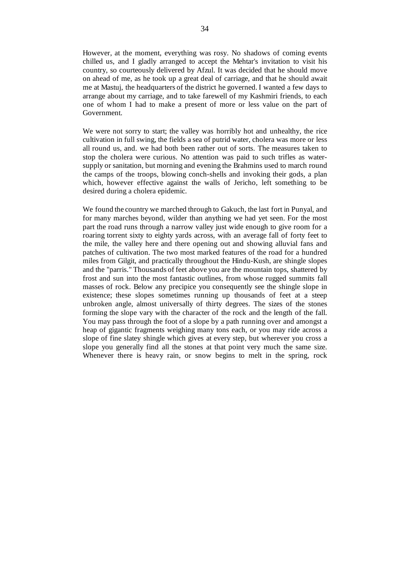However, at the moment, everything was rosy. No shadows of coming events chilled us, and I gladly arranged to accept the Mehtar's invitation to visit his country, so courteously delivered by Afzul. It was decided that he should move on ahead of me, as he took up a great deal of carriage, and that he should await me at Mastuj, the headquarters of the district he governed. I wanted a few days to arrange about my carriage, and to take farewell of my Kashmiri friends, to each one of whom I had to make a present of more or less value on the part of Government.

We were not sorry to start; the valley was horribly hot and unhealthy, the rice cultivation in full swing, the fields a sea of putrid water, cholera was more or less all round us, and. we had both been rather out of sorts. The measures taken to stop the cholera were curious. No attention was paid to such trifles as watersupply or sanitation, but morning and evening the Brahmins used to march round the camps of the troops, blowing conch-shells and invoking their gods, a plan which, however effective against the walls of Jericho, left something to be desired during a cholera epidemic.

We found the country we marched through to Gakuch, the last fort in Punyal, and for many marches beyond, wilder than anything we had yet seen. For the most part the road runs through a narrow valley just wide enough to give room for a roaring torrent sixty to eighty yards across, with an average fall of forty feet to the mile, the valley here and there opening out and showing alluvial fans and patches of cultivation. The two most marked features of the road for a hundred miles from Gilgit, and practically throughout the Hindu-Kush, are shingle slopes and the "parris." Thousands of feet above you are the mountain tops, shattered by frost and sun into the most fantastic outlines, from whose rugged summits fall masses of rock. Below any precipice you consequently see the shingle slope in existence; these slopes sometimes running up thousands of feet at a steep unbroken angle, almost universally of thirty degrees. The sizes of the stones forming the slope vary with the character of the rock and the length of the fall. You may pass through the foot of a slope by a path running over and amongst a heap of gigantic fragments weighing many tons each, or you may ride across a slope of fine slatey shingle which gives at every step, but wherever you cross a slope you generally find all the stones at that point very much the same size. Whenever there is heavy rain, or snow begins to melt in the spring, rock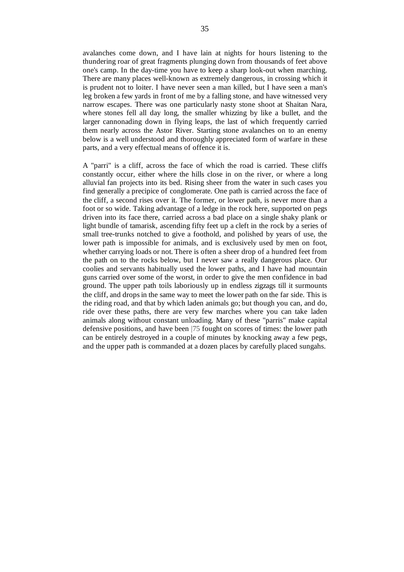avalanches come down, and I have lain at nights for hours listening to the thundering roar of great fragments plunging down from thousands of feet above one's camp. In the day-time you have to keep a sharp look-out when marching. There are many places well-known as extremely dangerous, in crossing which it is prudent not to loiter. I have never seen a man killed, but I have seen a man's leg broken a few yards in front of me by a falling stone, and have witnessed very narrow escapes. There was one particularly nasty stone shoot at Shaitan Nara, where stones fell all day long, the smaller whizzing by like a bullet, and the larger cannonading down in flying leaps, the last of which frequently carried them nearly across the Astor River. Starting stone avalanches on to an enemy below is a well understood and thoroughly appreciated form of warfare in these parts, and a very effectual means of offence it is.

A "parri" is a cliff, across the face of which the road is carried. These cliffs constantly occur, either where the hills close in on the river, or where a long alluvial fan projects into its bed. Rising sheer from the water in such cases you find generally a precipice of conglomerate. One path is carried across the face of the cliff, a second rises over it. The former, or lower path, is never more than a foot or so wide. Taking advantage of a ledge in the rock here, supported on pegs driven into its face there, carried across a bad place on a single shaky plank or light bundle of tamarisk, ascending fifty feet up a cleft in the rock by a series of small tree-trunks notched to give a foothold, and polished by years of use, the lower path is impossible for animals, and is exclusively used by men on foot, whether carrying loads or not. There is often a sheer drop of a hundred feet from the path on to the rocks below, but I never saw a really dangerous place. Our coolies and servants habitually used the lower paths, and I have had mountain guns carried over some of the worst, in order to give the men confidence in bad ground. The upper path toils laboriously up in endless zigzags till it surmounts the cliff, and drops in the same way to meet the lower path on the far side. This is the riding road, and that by which laden animals go; but though you can, and do, ride over these paths, there are very few marches where you can take laden animals along without constant unloading. Many of these "parris" make capital defensive positions, and have been |75 fought on scores of times: the lower path can be entirely destroyed in a couple of minutes by knocking away a few pegs, and the upper path is commanded at a dozen places by carefully placed sungahs.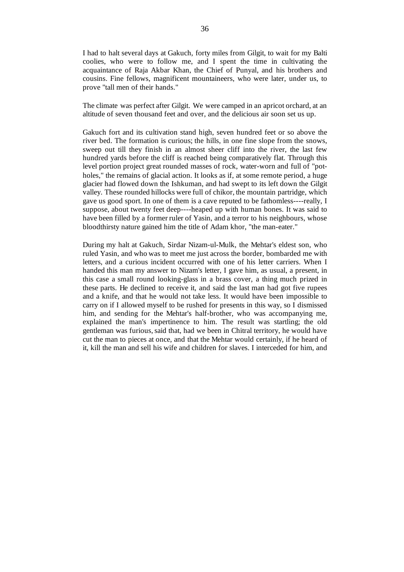I had to halt several days at Gakuch, forty miles from Gilgit, to wait for my Balti coolies, who were to follow me, and I spent the time in cultivating the acquaintance of Raja Akbar Khan, the Chief of Punyal, and his brothers and cousins. Fine fellows, magnificent mountaineers, who were later, under us, to prove "tall men of their hands."

The climate was perfect after Gilgit. We were camped in an apricot orchard, at an altitude of seven thousand feet and over, and the delicious air soon set us up.

Gakuch fort and its cultivation stand high, seven hundred feet or so above the river bed. The formation is curious; the hills, in one fine slope from the snows, sweep out till they finish in an almost sheer cliff into the river, the last few hundred yards before the cliff is reached being comparatively flat. Through this level portion project great rounded masses of rock, water-worn and full of "potholes," the remains of glacial action. It looks as if, at some remote period, a huge glacier had flowed down the Ishkuman, and had swept to its left down the Gilgit valley. These rounded hillocks were full of chikor, the mountain partridge, which gave us good sport. In one of them is a cave reputed to be fathomless----really, I suppose, about twenty feet deep----heaped up with human bones. It was said to have been filled by a former ruler of Yasin, and a terror to his neighbours, whose bloodthirsty nature gained him the title of Adam khor, "the man-eater."

During my halt at Gakuch, Sirdar Nizam-ul-Mulk, the Mehtar's eldest son, who ruled Yasin, and who was to meet me just across the border, bombarded me with letters, and a curious incident occurred with one of his letter carriers. When I handed this man my answer to Nizam's letter, I gave him, as usual, a present, in this case a small round looking-glass in a brass cover, a thing much prized in these parts. He declined to receive it, and said the last man had got five rupees and a knife, and that he would not take less. It would have been impossible to carry on if I allowed myself to be rushed for presents in this way, so I dismissed him, and sending for the Mehtar's half-brother, who was accompanying me, explained the man's impertinence to him. The result was startling; the old gentleman was furious, said that, had we been in Chitral territory, he would have cut the man to pieces at once, and that the Mehtar would certainly, if he heard of it, kill the man and sell his wife and children for slaves. I interceded for him, and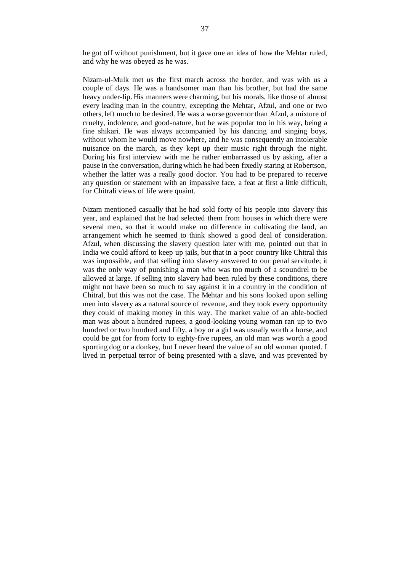he got off without punishment, but it gave one an idea of how the Mehtar ruled, and why he was obeyed as he was.

Nizam-ul-Mulk met us the first march across the border, and was with us a couple of days. He was a handsomer man than his brother, but had the same heavy under-lip. His manners were charming, but his morals, like those of almost every leading man in the country, excepting the Mehtar, Afzul, and one or two others, left much to be desired. He was a worse governor than Afzul, a mixture of cruelty, indolence, and good-nature, but he was popular too in his way, being a fine shikari. He was always accompanied by his dancing and singing boys, without whom he would move nowhere, and he was consequently an intolerable nuisance on the march, as they kept up their music right through the night. During his first interview with me he rather embarrassed us by asking, after a pause in the conversation, during which he had been fixedly staring at Robertson, whether the latter was a really good doctor. You had to be prepared to receive any question or statement with an impassive face, a feat at first a little difficult, for Chitrali views of life were quaint.

Nizam mentioned casually that he had sold forty of his people into slavery this year, and explained that he had selected them from houses in which there were several men, so that it would make no difference in cultivating the land, an arrangement which he seemed to think showed a good deal of consideration. Afzul, when discussing the slavery question later with me, pointed out that in India we could afford to keep up jails, but that in a poor country like Chitral this was impossible, and that selling into slavery answered to our penal servitude; it was the only way of punishing a man who was too much of a scoundrel to be allowed at large. If selling into slavery had been ruled by these conditions, there might not have been so much to say against it in a country in the condition of Chitral, but this was not the case. The Mehtar and his sons looked upon selling men into slavery as a natural source of revenue, and they took every opportunity they could of making money in this way. The market value of an able-bodied man was about a hundred rupees, a good-looking young woman ran up to two hundred or two hundred and fifty, a boy or a girl was usually worth a horse, and could be got for from forty to eighty-five rupees, an old man was worth a good sporting dog or a donkey, but I never heard the value of an old woman quoted. I lived in perpetual terror of being presented with a slave, and was prevented by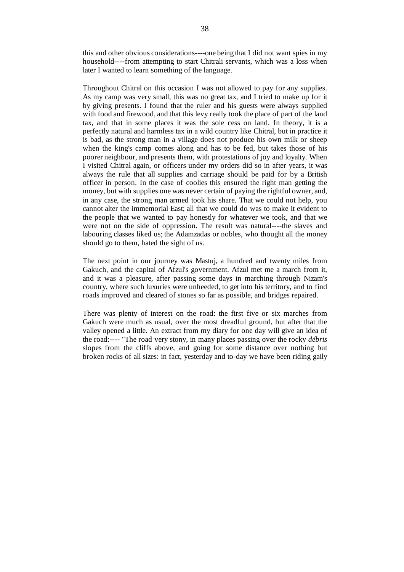this and other obvious considerations----one being that I did not want spies in my household----from attempting to start Chitrali servants, which was a loss when later I wanted to learn something of the language.

Throughout Chitral on this occasion I was not allowed to pay for any supplies. As my camp was very small, this was no great tax, and I tried to make up for it by giving presents. I found that the ruler and his guests were always supplied with food and firewood, and that this levy really took the place of part of the land tax, and that in some places it was the sole cess on land. In theory, it is a perfectly natural and harmless tax in a wild country like Chitral, but in practice it is bad, as the strong man in a village does not produce his own milk or sheep when the king's camp comes along and has to be fed, but takes those of his poorer neighbour, and presents them, with protestations of joy and loyalty. When I visited Chitral again, or officers under my orders did so in after years, it was always the rule that all supplies and carriage should be paid for by a British officer in person. In the case of coolies this ensured the right man getting the money, but with supplies one was never certain of paying the rightful owner, and, in any case, the strong man armed took his share. That we could not help, you cannot alter the immemorial East; all that we could do was to make it evident to the people that we wanted to pay honestly for whatever we took, and that we were not on the side of oppression. The result was natural----the slaves and labouring classes liked us; the Adamzadas or nobles, who thought all the money should go to them, hated the sight of us.

The next point in our journey was Mastuj, a hundred and twenty miles from Gakuch, and the capital of Afzul's government. Afzul met me a march from it, and it was a pleasure, after passing some days in marching through Nizam's country, where such luxuries were unheeded, to get into his territory, and to find roads improved and cleared of stones so far as possible, and bridges repaired.

There was plenty of interest on the road: the first five or six marches from Gakuch were much as usual, over the most dreadful ground, but after that the valley opened a little. An extract from my diary for one day will give an idea of the road:---- "The road very stony, in many places passing over the rocky *débris*  slopes from the cliffs above, and going for some distance over nothing but broken rocks of all sizes: in fact, yesterday and to-day we have been riding gaily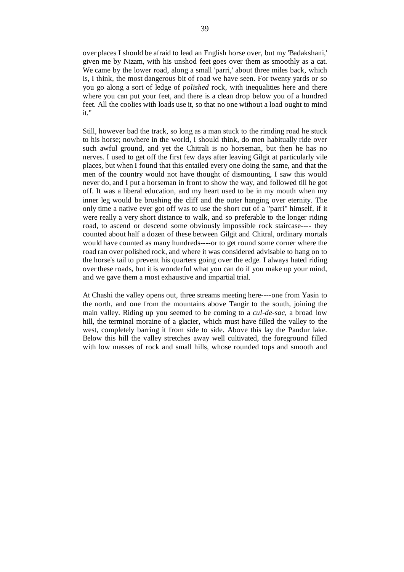over places I should be afraid to lead an English horse over, but my 'Badakshani,' given me by Nizam, with his unshod feet goes over them as smoothly as a cat. We came by the lower road, along a small 'parri,' about three miles back, which is, I think, the most dangerous bit of road we have seen. For twenty yards or so you go along a sort of ledge of *polished* rock, with inequalities here and there where you can put your feet, and there is a clean drop below you of a hundred feet. All the coolies with loads use it, so that no one without a load ought to mind it."

Still, however bad the track, so long as a man stuck to the rimding road he stuck to his horse; nowhere in the world, I should think, do men habitually ride over such awful ground, and yet the Chitrali is no horseman, but then he has no nerves. I used to get off the first few days after leaving Gilgit at particularly vile places, but when I found that this entailed every one doing the same, and that the men of the country would not have thought of dismounting, I saw this would never do, and I put a horseman in front to show the way, and followed till he got off. It was a liberal education, and my heart used to be in my mouth when my inner leg would be brushing the cliff and the outer hanging over eternity. The only time a native ever got off was to use the short cut of a "parri" himself, if it were really a very short distance to walk, and so preferable to the longer riding road, to ascend or descend some obviously impossible rock staircase---- they counted about half a dozen of these between Gilgit and Chitral, ordinary mortals would have counted as many hundreds----or to get round some corner where the road ran over polished rock, and where it was considered advisable to hang on to the horse's tail to prevent his quarters going over the edge. I always hated riding over these roads, but it is wonderful what you can do if you make up your mind, and we gave them a most exhaustive and impartial trial.

At Chashi the valley opens out, three streams meeting here----one from Yasin to the north, and one from the mountains above Tangir to the south, joining the main valley. Riding up you seemed to be coming to a *cul-de-sac,* a broad low hill, the terminal moraine of a glacier, which must have filled the valley to the west, completely barring it from side to side. Above this lay the Pandur lake. Below this hill the valley stretches away well cultivated, the foreground filled with low masses of rock and small hills, whose rounded tops and smooth and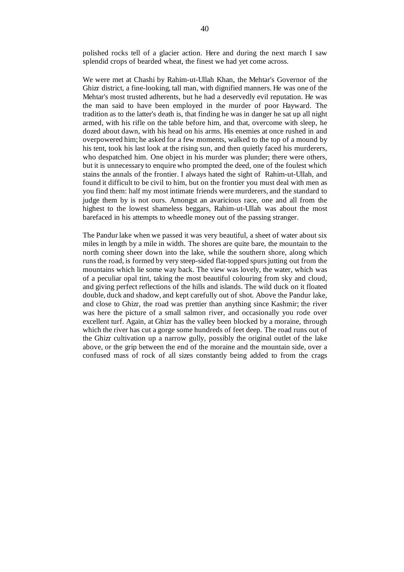polished rocks tell of a glacier action. Here and during the next march I saw splendid crops of bearded wheat, the finest we had yet come across.

We were met at Chashi by Rahim-ut-Ullah Khan, the Mehtar's Governor of the Ghizr district, a fine-looking, tall man, with dignified manners. He was one of the Mehtar's most trusted adherents, but he had a deservedly evil reputation. He was the man said to have been employed in the murder of poor Hayward. The tradition as to the latter's death is, that finding he was in danger he sat up all night armed, with his rifle on the table before him, and that, overcome with sleep, he dozed about dawn, with his head on his arms. His enemies at once rushed in and overpowered him; he asked for a few moments, walked to the top of a mound by his tent, took his last look at the rising sun, and then quietly faced his murderers, who despatched him. One object in his murder was plunder; there were others, but it is unnecessary to enquire who prompted the deed, one of the foulest which stains the annals of the frontier. I always hated the sight of Rahim-ut-Ullah, and found it difficult to be civil to him, but on the frontier you must deal with men as you find them: half my most intimate friends were murderers, and the standard to judge them by is not ours. Amongst an avaricious race, one and all from the highest to the lowest shameless beggars, Rahim-ut-Ullah was about the most barefaced in his attempts to wheedle money out of the passing stranger.

The Pandur lake when we passed it was very beautiful, a sheet of water about six miles in length by a mile in width. The shores are quite bare, the mountain to the north coming sheer down into the lake, while the southern shore, along which runs the road, is formed by very steep-sided flat-topped spurs jutting out from the mountains which lie some way back. The view was lovely, the water, which was of a peculiar opal tint, taking the most beautiful colouring from sky and cloud, and giving perfect reflections of the hills and islands. The wild duck on it floated double, duck and shadow, and kept carefully out of shot. Above the Pandur lake, and close to Ghizr, the road was prettier than anything since Kashmir; the river was here the picture of a small salmon river, and occasionally you rode over excellent turf. Again, at Ghizr has the valley been blocked by a moraine, through which the river has cut a gorge some hundreds of feet deep. The road runs out of the Ghizr cultivation up a narrow gully, possibly the original outlet of the lake above, or the grip between the end of the moraine and the mountain side, over a confused mass of rock of all sizes constantly being added to from the crags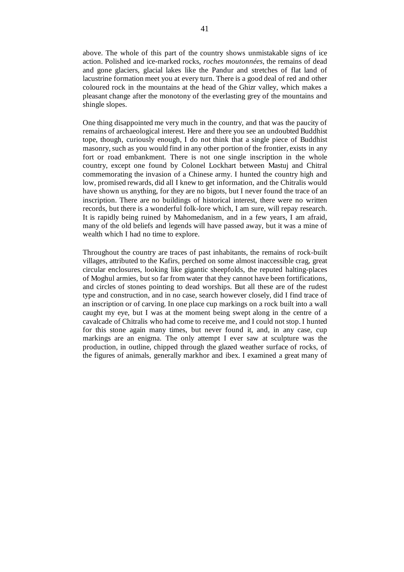above. The whole of this part of the country shows unmistakable signs of ice action. Polished and ice-marked rocks, *roches moutonnées,* the remains of dead and gone glaciers, glacial lakes like the Pandur and stretches of flat land of lacustrine formation meet you at every turn. There is a good deal of red and other coloured rock in the mountains at the head of the Ghizr valley, which makes a pleasant change after the monotony of the everlasting grey of the mountains and shingle slopes.

One thing disappointed me very much in the country, and that was the paucity of remains of archaeological interest. Here and there you see an undoubted Buddhist tope, though, curiously enough, I do not think that a single piece of Buddhist masonry, such as you would find in any other portion of the frontier, exists in any fort or road embankment. There is not one single inscription in the whole country, except one found by Colonel Lockhart between Mastuj and Chitral commemorating the invasion of a Chinese army. I hunted the country high and low, promised rewards, did all I knew to get information, and the Chitralis would have shown us anything, for they are no bigots, but I never found the trace of an inscription. There are no buildings of historical interest, there were no written records, but there is a wonderful folk-lore which, I am sure, will repay research. It is rapidly being ruined by Mahomedanism, and in a few years, I am afraid, many of the old beliefs and legends will have passed away, but it was a mine of wealth which I had no time to explore.

Throughout the country are traces of past inhabitants, the remains of rock-built villages, attributed to the Kafirs, perched on some almost inaccessible crag, great circular enclosures, looking like gigantic sheepfolds, the reputed halting-places of Moghul armies, but so far from water that they cannot have been fortifications, and circles of stones pointing to dead worships. But all these are of the rudest type and construction, and in no case, search however closely, did I find trace of an inscription or of carving. In one place cup markings on a rock built into a wall caught my eye, but I was at the moment being swept along in the centre of a cavalcade of Chitralis who had come to receive me, and I could not stop. I hunted for this stone again many times, but never found it, and, in any case, cup markings are an enigma. The only attempt I ever saw at sculpture was the production, in outline, chipped through the glazed weather surface of rocks, of the figures of animals, generally markhor and ibex. I examined a great many of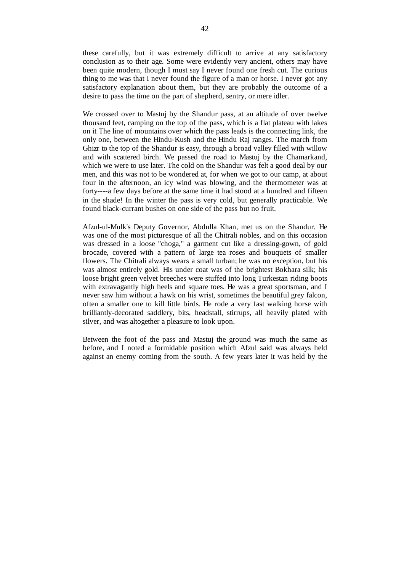these carefully, but it was extremely difficult to arrive at any satisfactory conclusion as to their age. Some were evidently very ancient, others may have been quite modern, though I must say I never found one fresh cut. The curious thing to me was that I never found the figure of a man or horse. I never got any satisfactory explanation about them, but they are probably the outcome of a desire to pass the time on the part of shepherd, sentry, or mere idler.

We crossed over to Mastuj by the Shandur pass, at an altitude of over twelve thousand feet, camping on the top of the pass, which is a flat plateau with lakes on it The line of mountains over which the pass leads is the connecting link, the only one, between the Hindu-Kush and the Hindu Raj ranges. The march from Ghizr to the top of the Shandur is easy, through a broad valley filled with willow and with scattered birch. We passed the road to Mastuj by the Chamarkand, which we were to use later. The cold on the Shandur was felt a good deal by our men, and this was not to be wondered at, for when we got to our camp, at about four in the afternoon, an icy wind was blowing, and the thermometer was at forty----a few days before at the same time it had stood at a hundred and fifteen in the shade! In the winter the pass is very cold, but generally practicable. We found black-currant bushes on one side of the pass but no fruit.

Afzul-ul-Mulk's Deputy Governor, Abdulla Khan, met us on the Shandur. He was one of the most picturesque of all the Chitrali nobles, and on this occasion was dressed in a loose "choga," a garment cut like a dressing-gown, of gold brocade, covered with a pattern of large tea roses and bouquets of smaller flowers. The Chitrali always wears a small turban; he was no exception, but his was almost entirely gold. His under coat was of the brightest Bokhara silk; his loose bright green velvet breeches were stuffed into long Turkestan riding boots with extravagantly high heels and square toes. He was a great sportsman, and I never saw him without a hawk on his wrist, sometimes the beautiful grey falcon, often a smaller one to kill little birds. He rode a very fast walking horse with brilliantly-decorated saddlery, bits, headstall, stirrups, all heavily plated with silver, and was altogether a pleasure to look upon.

Between the foot of the pass and Mastuj the ground was much the same as before, and I noted a formidable position which Afzul said was always held against an enemy coming from the south. A few years later it was held by the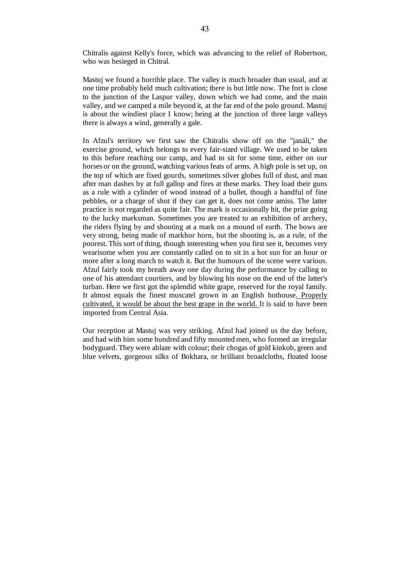Chitralis against Kelly's force, which was advancing to the relief of Robertson, who was besieged in Chitral.

Mastuj we found a horrible place. The valley is much broader than usual, and at one time probably held much cultivation; there is but little now. The fort is close to the junction of the Laspur valley, down which we had come, and the main valley, and we camped a mile beyond it, at the far end of the polo ground. Mastuj is about the windiest place I know; being at the junction of three large valleys there is always a wind, generally a gale.

In Afzul's territory we first saw the Chitralis show off on the "janáli," the exercise ground, which belongs to every fair-sized village. We used to be taken to this before reaching our camp, and had to sit for some time, either on our horses or on the ground, watching various feats of arms. A high pole is set up, on the top of which are fixed gourds, sometimes silver globes full of dust, and man after man dashes by at full gallop and fires at these marks. They load their guns as a rule with a cylinder of wood instead of a bullet, though a handful of fine pebbles, or a charge of shot if they can get it, does not come amiss. The latter practice is not regarded as quite fair. The mark is occasionally hit, the prize going to the lucky marksman. Sometimes you are treated to an exhibition of archery, the riders flying by and shooting at a mark on a mound of earth. The bows are very strong, being made of markhor horn, but the shooting is, as a rule, of the poorest. This sort of thing, though interesting when you first see it, becomes very wearisome when you are constantly called on to sit in a hot sun for an hour or more after a long march to watch it. But the humours of the scene were various. Afzul fairly took my breath away one day during the performance by calling to one of his attendant courtiers, and by blowing his nose on the end of the latter's turban. Here we first got the splendid white grape, reserved for the royal family. It almost equals the finest muscatel grown in an English hothouse. Properly cultivated, it would be about the best grape in the world. It is said to have been imported from Central Asia.

Our reception at Mastuj was very striking. Afzul had joined us the day before, and had with him some hundred and fifty mounted men, who formed an irregular bodyguard. They were ablaze with colour; their chogas of gold kinkob, green and blue velvets, gorgeous silks of Bokhara, or brilliant broadcloths, floated loose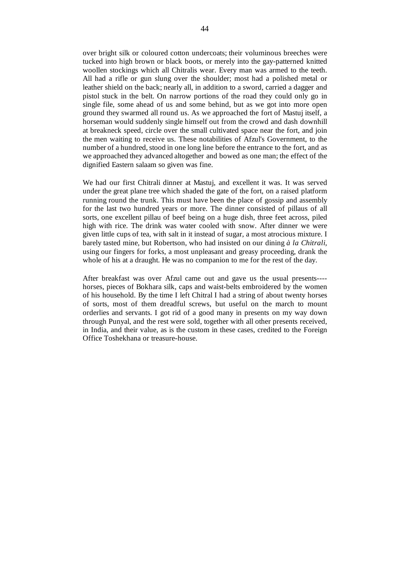over bright silk or coloured cotton undercoats; their voluminous breeches were tucked into high brown or black boots, or merely into the gay-patterned knitted woollen stockings which all Chitralis wear. Every man was armed to the teeth. All had a rifle or gun slung over the shoulder; most had a polished metal or leather shield on the back; nearly all, in addition to a sword, carried a dagger and pistol stuck in the belt. On narrow portions of the road they could only go in single file, some ahead of us and some behind, but as we got into more open ground they swarmed all round us. As we approached the fort of Mastuj itself, a horseman would suddenly single himself out from the crowd and dash downhill at breakneck speed, circle over the small cultivated space near the fort, and join the men waiting to receive us. These notabilities of Afzul's Government, to the number of a hundred, stood in one long line before the entrance to the fort, and as we approached they advanced altogether and bowed as one man; the effect of the dignified Eastern salaam so given was fine.

We had our first Chitrali dinner at Mastuj, and excellent it was. It was served under the great plane tree which shaded the gate of the fort, on a raised platform running round the trunk. This must have been the place of gossip and assembly for the last two hundred years or more. The dinner consisted of pillaus of all sorts, one excellent pillau of beef being on a huge dish, three feet across, piled high with rice. The drink was water cooled with snow. After dinner we were given little cups of tea, with salt in it instead of sugar, a most atrocious mixture. I barely tasted mine, but Robertson, who had insisted on our dining *à la Chitrali,*  using our fingers for forks, a most unpleasant and greasy proceeding, drank the whole of his at a draught. He was no companion to me for the rest of the day.

After breakfast was over Afzul came out and gave us the usual presents--- horses, pieces of Bokhara silk, caps and waist-belts embroidered by the women of his household. By the time I left Chitral I had a string of about twenty horses of sorts, most of them dreadful screws, but useful on the march to mount orderlies and servants. I got rid of a good many in presents on my way down through Punyal, and the rest were sold, together with all other presents received, in India, and their value, as is the custom in these cases, credited to the Foreign Office Toshekhana or treasure-house.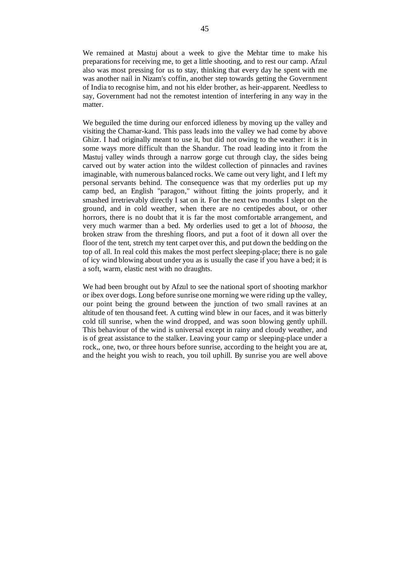We remained at Mastuj about a week to give the Mehtar time to make his preparations for receiving me, to get a little shooting, and to rest our camp. Afzul also was most pressing for us to stay, thinking that every day he spent with me was another nail in Nizam's coffin, another step towards getting the Government of India to recognise him, and not his elder brother, as heir-apparent. Needless to say, Government had not the remotest intention of interfering in any way in the matter.

We beguiled the time during our enforced idleness by moving up the valley and visiting the Chamar-kand. This pass leads into the valley we had come by above Ghizr. I had originally meant to use it, but did not owing to the weather: it is in some ways more difficult than the Shandur. The road leading into it from the Mastuj valley winds through a narrow gorge cut through clay, the sides being carved out by water action into the wildest collection of pinnacles and ravines imaginable, with numerous balanced rocks. We came out very light, and I left my personal servants behind. The consequence was that my orderlies put up my camp bed, an English "paragon," without fitting the joints properly, and it smashed irretrievably directly I sat on it. For the next two months I slept on the ground, and in cold weather, when there are no centipedes about, or other horrors, there is no doubt that it is far the most comfortable arrangement, and very much warmer than a bed. My orderlies used to get a lot of *bhoosa*, the broken straw from the threshing floors, and put a foot of it down all over the floor of the tent, stretch my tent carpet over this, and put down the bedding on the top of all. In real cold this makes the most perfect sleeping-place; there is no gale of icy wind blowing about under you as is usually the case if you have a bed; it is a soft, warm, elastic nest with no draughts.

We had been brought out by Afzul to see the national sport of shooting markhor or ibex over dogs. Long before sunrise one morning we were riding up the valley, our point being the ground between the junction of two small ravines at an altitude of ten thousand feet. A cutting wind blew in our faces, and it was bitterly cold till sunrise, when the wind dropped, and was soon blowing gently uphill. This behaviour of the wind is universal except in rainy and cloudy weather, and is of great assistance to the stalker. Leaving your camp or sleeping-place under a rock,, one, two, or three hours before sunrise, according to the height you are at, and the height you wish to reach, you toil uphill. By sunrise you are well above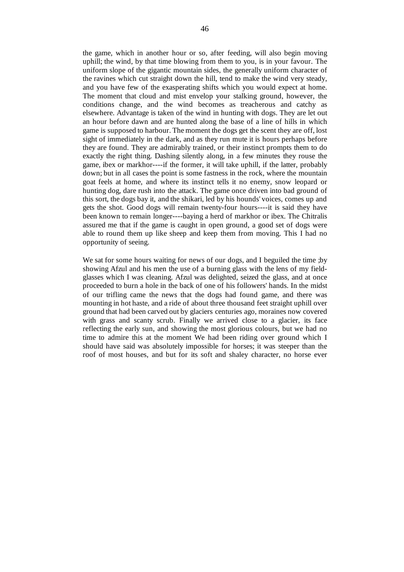the game, which in another hour or so, after feeding, will also begin moving uphill; the wind, by that time blowing from them to you, is in your favour. The uniform slope of the gigantic mountain sides, the generally uniform character of the ravines which cut straight down the hill, tend to make the wind very steady, and you have few of the exasperating shifts which you would expect at home. The moment that cloud and mist envelop your stalking ground, however, the conditions change, and the wind becomes as treacherous and catchy as elsewhere. Advantage is taken of the wind in hunting with dogs. They are let out an hour before dawn and are hunted along the base of a line of hills in which game is supposed to harbour. The moment the dogs get the scent they are off, lost sight of immediately in the dark, and as they run mute it is hours perhaps before they are found. They are admirably trained, or their instinct prompts them to do exactly the right thing. Dashing silently along, in a few minutes they rouse the game, ibex or markhor----if the former, it will take uphill, if the latter, probably down; but in all cases the point is some fastness in the rock, where the mountain goat feels at home, and where its instinct tells it no enemy, snow leopard or hunting dog, dare rush into the attack. The game once driven into bad ground of this sort, the dogs bay it, and the shikari, led by his hounds' voices, comes up and gets the shot. Good dogs will remain twenty-four hours----it is said they have been known to remain longer----baying a herd of markhor or ibex. The Chitralis assured me that if the game is caught in open ground, a good set of dogs were able to round them up like sheep and keep them from moving. This I had no opportunity of seeing.

We sat for some hours waiting for news of our dogs, and I beguiled the time ; by showing Afzul and his men the use of a burning glass with the lens of my fieldglasses which I was cleaning. Afzul was delighted, seized the glass, and at once proceeded to burn a hole in the back of one of his followers' hands. In the midst of our trifling came the news that the dogs had found game, and there was mounting in hot haste, and a ride of about three thousand feet straight uphill over ground that had been carved out by glaciers centuries ago, moraines now covered with grass and scanty scrub. Finally we arrived close to a glacier, its face reflecting the early sun, and showing the most glorious colours, but we had no time to admire this at the moment We had been riding over ground which I should have said was absolutely impossible for horses; it was steeper than the roof of most houses, and but for its soft and shaley character, no horse ever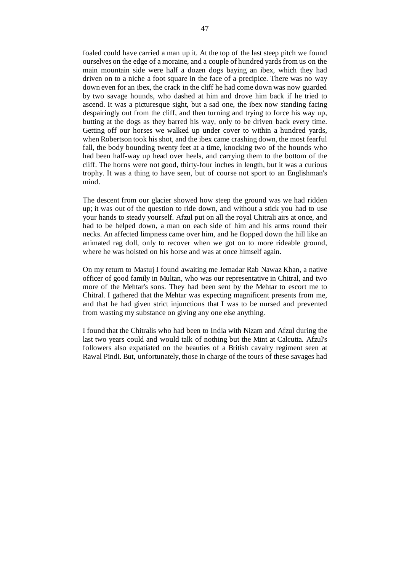foaled could have carried a man up it. At the top of the last steep pitch we found ourselves on the edge of a moraine, and a couple of hundred yards from us on the main mountain side were half a dozen dogs baying an ibex, which they had driven on to a niche a foot square in the face of a precipice. There was no way down even for an ibex, the crack in the cliff he had come down was now guarded by two savage hounds, who dashed at him and drove him back if he tried to ascend. It was a picturesque sight, but a sad one, the ibex now standing facing despairingly out from the cliff, and then turning and trying to force his way up, butting at the dogs as they barred his way, only to be driven back every time. Getting off our horses we walked up under cover to within a hundred yards, when Robertson took his shot, and the ibex came crashing down, the most fearful fall, the body bounding twenty feet at a time, knocking two of the hounds who had been half-way up head over heels, and carrying them to the bottom of the cliff. The horns were not good, thirty-four inches in length, but it was a curious trophy. It was a thing to have seen, but of course not sport to an Englishman's mind.

The descent from our glacier showed how steep the ground was we had ridden up; it was out of the question to ride down, and without a stick you had to use your hands to steady yourself. Afzul put on all the royal Chitrali airs at once, and had to be helped down, a man on each side of him and his arms round their necks. An affected limpness came over him, and he flopped down the hill like an animated rag doll, only to recover when we got on to more rideable ground, where he was hoisted on his horse and was at once himself again.

On my return to Mastuj I found awaiting me Jemadar Rab Nawaz Khan, a native officer of good family in Multan, who was our representative in Chitral, and two more of the Mehtar's sons. They had been sent by the Mehtar to escort me to Chitral. I gathered that the Mehtar was expecting magnificent presents from me, and that he had given strict injunctions that I was to be nursed and prevented from wasting my substance on giving any one else anything.

I found that the Chitralis who had been to India with Nizam and Afzul during the last two years could and would talk of nothing but the Mint at Calcutta. Afzul's followers also expatiated on the beauties of a British cavalry regiment seen at Rawal Pindi. But, unfortunately, those in charge of the tours of these savages had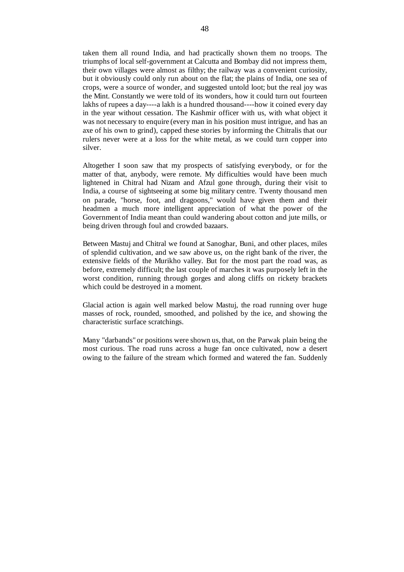taken them all round India, and had practically shown them no troops. The triumphs of local self-government at Calcutta and Bombay did not impress them, their own villages were almost as filthy; the railway was a convenient curiosity, but it obviously could only run about on the flat; the plains of India, one sea of crops, were a source of wonder, and suggested untold loot; but the real joy was the Mint. Constantly we were told of its wonders, how it could turn out fourteen lakhs of rupees a day----a lakh is a hundred thousand----how it coined every day in the year without cessation. The Kashmir officer with us, with what object it was not necessary to enquire (every man in his position must intrigue, and has an axe of his own to grind), capped these stories by informing the Chitralis that our rulers never were at a loss for the white metal, as we could turn copper into silver.

Altogether I soon saw that my prospects of satisfying everybody, or for the matter of that, anybody, were remote. My difficulties would have been much lightened in Chitral had Nizam and Afzul gone through, during their visit to India, a course of sightseeing at some big military centre. Twenty thousand men on parade, "horse, foot, and dragoons," would have given them and their headmen a much more intelligent appreciation of what the power of the Government of India meant than could wandering about cotton and jute mills, or being driven through foul and crowded bazaars.

Between Mastuj and Chitral we found at Sanoghar, Buni, and other places, miles of splendid cultivation, and we saw above us, on the right bank of the river, the extensive fields of the Murikho valley. But for the most part the road was, as before, extremely difficult; the last couple of marches it was purposely left in the worst condition, running through gorges and along cliffs on rickety brackets which could be destroyed in a moment.

Glacial action is again well marked below Mastuj, the road running over huge masses of rock, rounded, smoothed, and polished by the ice, and showing the characteristic surface scratchings.

Many "darbands" or positions were shown us, that, on the Parwak plain being the most curious. The road runs across a huge fan once cultivated, now a desert owing to the failure of the stream which formed and watered the fan. Suddenly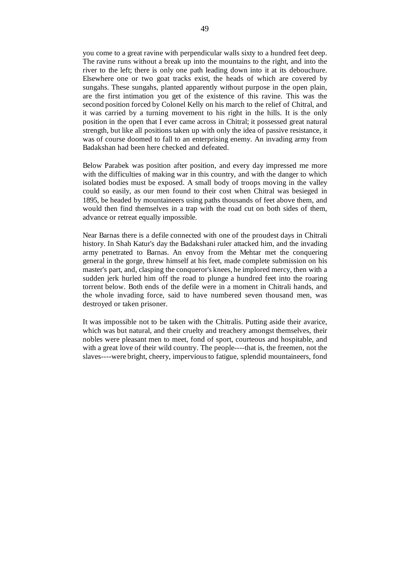you come to a great ravine with perpendicular walls sixty to a hundred feet deep. The ravine runs without a break up into the mountains to the right, and into the river to the left; there is only one path leading down into it at its debouchure. Elsewhere one or two goat tracks exist, the heads of which are covered by sungahs. These sungahs, planted apparently without purpose in the open plain, are the first intimation you get of the existence of this ravine. This was the second position forced by Colonel Kelly on his march to the relief of Chitral, and it was carried by a turning movement to his right in the hills. It is the only position in the open that I ever came across in Chitral; it possessed great natural strength, but like all positions taken up with only the idea of passive resistance, it was of course doomed to fall to an enterprising enemy. An invading army from Badakshan had been here checked and defeated.

Below Parabek was position after position, and every day impressed me more with the difficulties of making war in this country, and with the danger to which isolated bodies must be exposed. A small body of troops moving in the valley could so easily, as our men found to their cost when Chitral was besieged in 1895, be headed by mountaineers using paths thousands of feet above them, and would then find themselves in a trap with the road cut on both sides of them, advance or retreat equally impossible.

Near Barnas there is a defile connected with one of the proudest days in Chitrali history. In Shah Katur's day the Badakshani ruler attacked him, and the invading army penetrated to Barnas. An envoy from the Mehtar met the conquering general in the gorge, threw himself at his feet, made complete submission on his master's part, and, clasping the conqueror's knees, he implored mercy, then with a sudden jerk hurled him off the road to plunge a hundred feet into the roaring torrent below. Both ends of the defile were in a moment in Chitrali hands, and the whole invading force, said to have numbered seven thousand men, was destroyed or taken prisoner.

It was impossible not to be taken with the Chitralis. Putting aside their avarice, which was but natural, and their cruelty and treachery amongst themselves, their nobles were pleasant men to meet, fond of sport, courteous and hospitable, and with a great love of their wild country. The people----that is, the freemen, not the slaves----were bright, cheery, impervious to fatigue, splendid mountaineers, fond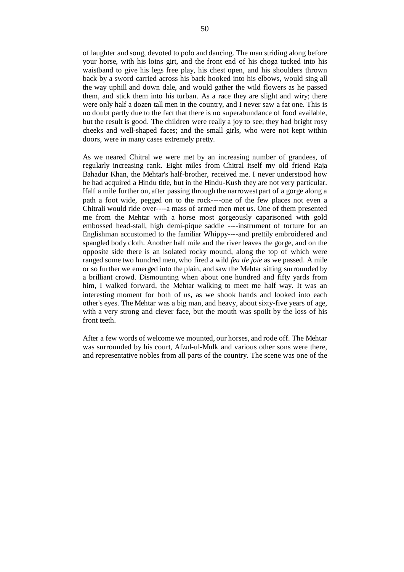of laughter and song, devoted to polo and dancing. The man striding along before your horse, with his loins girt, and the front end of his choga tucked into his waistband to give his legs free play, his chest open, and his shoulders thrown back by a sword carried across his back hooked into his elbows, would sing all the way uphill and down dale, and would gather the wild flowers as he passed them, and stick them into his turban. As a race they are slight and wiry; there were only half a dozen tall men in the country, and I never saw a fat one. This is no doubt partly due to the fact that there is no superabundance of food available, but the result is good. The children were really a joy to see; they had bright rosy cheeks and well-shaped faces; and the small girls, who were not kept within doors, were in many cases extremely pretty.

As we neared Chitral we were met by an increasing number of grandees, of regularly increasing rank. Eight miles from Chitral itself my old friend Raja Bahadur Khan, the Mehtar's half-brother, received me. I never understood how he had acquired a Hindu title, but in the Hindu-Kush they are not very particular. Half a mile further on, after passing through the narrowest part of a gorge along a path a foot wide, pegged on to the rock----one of the few places not even a Chitrali would ride over----a mass of armed men met us. One of them presented me from the Mehtar with a horse most gorgeously caparisoned with gold embossed head-stall, high demi-pique saddle ----instrument of torture for an Englishman accustomed to the familiar Whippy----and prettily embroidered and spangled body cloth. Another half mile and the river leaves the gorge, and on the opposite side there is an isolated rocky mound, along the top of which were ranged some two hundred men, who fired a wild *feu de joie* as we passed. A mile or so further we emerged into the plain, and saw the Mehtar sitting surrounded by a brilliant crowd. Dismounting when about one hundred and fifty yards from him, I walked forward, the Mehtar walking to meet me half way. It was an interesting moment for both of us, as we shook hands and looked into each other's eyes. The Mehtar was a big man, and heavy, about sixty-five years of age, with a very strong and clever face, but the mouth was spoilt by the loss of his front teeth.

After a few words of welcome we mounted, our horses, and rode off. The Mehtar was surrounded by his court, Afzul-ul-Mulk and various other sons were there, and representative nobles from all parts of the country. The scene was one of the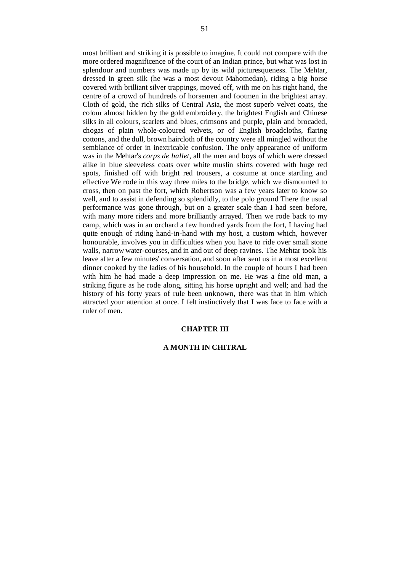most brilliant and striking it is possible to imagine. It could not compare with the more ordered magnificence of the court of an Indian prince, but what was lost in splendour and numbers was made up by its wild picturesqueness. The Mehtar, dressed in green silk (he was a most devout Mahomedan), riding a big horse covered with brilliant silver trappings, moved off, with me on his right hand, the

centre of a crowd of hundreds of horsemen and footmen in the brightest array. Cloth of gold, the rich silks of Central Asia, the most superb velvet coats, the colour almost hidden by the gold embroidery, the brightest English and Chinese silks in all colours, scarlets and blues, crimsons and purple, plain and brocaded, chogas of plain whole-coloured velvets, or of English broadcloths, flaring cottons, and the dull, brown haircloth of the country were all mingled without the semblance of order in inextricable confusion. The only appearance of uniform was in the Mehtar's *corps de ballet,* all the men and boys of which were dressed alike in blue sleeveless coats over white muslin shirts covered with huge red spots, finished off with bright red trousers, a costume at once startling and effective We rode in this way three miles to the bridge, which we dismounted to cross, then on past the fort, which Robertson was a few years later to know so well, and to assist in defending so splendidly, to the polo ground There the usual performance was gone through, but on a greater scale than I had seen before, with many more riders and more brilliantly arrayed. Then we rode back to my camp, which was in an orchard a few hundred yards from the fort, I having had quite enough of riding hand-in-hand with my host, a custom which, however honourable, involves you in difficulties when you have to ride over small stone walls, narrow water-courses, and in and out of deep ravines. The Mehtar took his leave after a few minutes' conversation, and soon after sent us in a most excellent dinner cooked by the ladies of his household. In the couple of hours I had been with him he had made a deep impression on me. He was a fine old man, a striking figure as he rode along, sitting his horse upright and well; and had the history of his forty years of rule been unknown, there was that in him which attracted your attention at once. I felt instinctively that I was face to face with a ruler of men.

## **CHAPTER III**

## **A MONTH IN CHITRAL**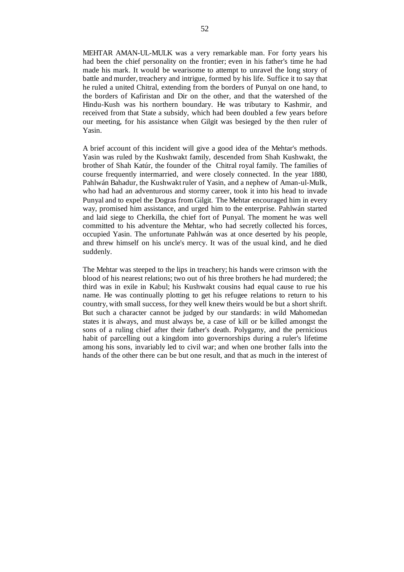MEHTAR AMAN-UL-MULK was a very remarkable man. For forty years his had been the chief personality on the frontier; even in his father's time he had made his mark. It would be wearisome to attempt to unravel the long story of battle and murder, treachery and intrigue, formed by his life. Suffice it to say that he ruled a united Chitral, extending from the borders of Punyal on one hand, to the borders of Kafiristan and Dir on the other, and that the watershed of the Hindu-Kush was his northern boundary. He was tributary to Kashmir, and received from that State a subsidy, which had been doubled a few years before our meeting, for his assistance when Gilgit was besieged by the then ruler of Yasin.

A brief account of this incident will give a good idea of the Mehtar's methods. Yasin was ruled by the Kushwakt family, descended from Shah Kushwakt, the brother of Shah Katúr, the founder of the Chitral royal family. The families of course frequently intermarried, and were closely connected. In the year 1880, Pahlwán Bahadur, the Kushwakt ruler of Yasin, and a nephew of Aman-ul-Mulk, who had had an adventurous and stormy career, took it into his head to invade Punyal and to expel the Dogras from Gilgit. The Mehtar encouraged him in every way, promised him assistance, and urged him to the enterprise. Pahlwán started and laid siege to Cherkilla, the chief fort of Punyal. The moment he was well committed to his adventure the Mehtar, who had secretly collected his forces, occupied Yasin. The unfortunate Pahlwán was at once deserted by his people, and threw himself on his uncle's mercy. It was of the usual kind, and he died suddenly.

The Mehtar was steeped to the lips in treachery; his hands were crimson with the blood of his nearest relations; two out of his three brothers he had murdered; the third was in exile in Kabul; his Kushwakt cousins had equal cause to rue his name. He was continually plotting to get his refugee relations to return to his country, with small success, for they well knew theirs would be but a short shrift. But such a character cannot be judged by our standards: in wild Mahomedan states it is always, and must always be, a case of kill or be killed amongst the sons of a ruling chief after their father's death. Polygamy, and the pernicious habit of parcelling out a kingdom into governorships during a ruler's lifetime among his sons, invariably led to civil war; and when one brother falls into the hands of the other there can be but one result, and that as much in the interest of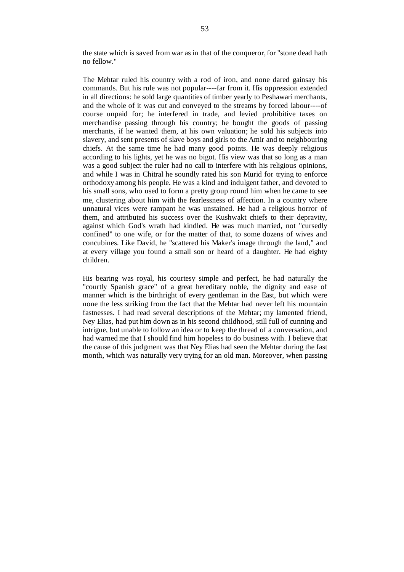the state which is saved from war as in that of the conqueror, for "stone dead hath no fellow."

The Mehtar ruled his country with a rod of iron, and none dared gainsay his commands. But his rule was not popular----far from it. His oppression extended in all directions: he sold large quantities of timber yearly to Peshawari merchants, and the whole of it was cut and conveyed to the streams by forced labour----of course unpaid for; he interfered in trade, and levied prohibitive taxes on merchandise passing through his country; he bought the goods of passing merchants, if he wanted them, at his own valuation; he sold his subjects into slavery, and sent presents of slave boys and girls to the Amir and to neighbouring chiefs. At the same time he had many good points. He was deeply religious according to his lights, yet he was no bigot. His view was that so long as a man was a good subject the ruler had no call to interfere with his religious opinions, and while I was in Chitral he soundly rated his son Murid for trying to enforce orthodoxy among his people. He was a kind and indulgent father, and devoted to his small sons, who used to form a pretty group round him when he came to see me, clustering about him with the fearlessness of affection. In a country where unnatural vices were rampant he was unstained. He had a religious horror of them, and attributed his success over the Kushwakt chiefs to their depravity, against which God's wrath had kindled. He was much married, not "cursedly confined" to one wife, or for the matter of that, to some dozens of wives and concubines. Like David, he "scattered his Maker's image through the land," and at every village you found a small son or heard of a daughter. He had eighty children.

His bearing was royal, his courtesy simple and perfect, he had naturally the "courtly Spanish grace" of a great hereditary noble, the dignity and ease of manner which is the birthright of every gentleman in the East, but which were none the less striking from the fact that the Mehtar had never left his mountain fastnesses. I had read several descriptions of the Mehtar; my lamented friend, Ney Elias, had put him down as in his second childhood, still full of cunning and intrigue, but unable to follow an idea or to keep the thread of a conversation, and had warned me that I should find him hopeless to do business with. I believe that the cause of this judgment was that Ney Elias had seen the Mehtar during the fast month, which was naturally very trying for an old man. Moreover, when passing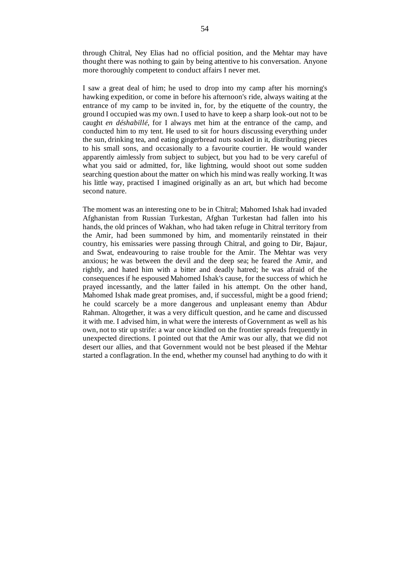through Chitral, Ney Elias had no official position, and the Mehtar may have thought there was nothing to gain by being attentive to his conversation. Anyone more thoroughly competent to conduct affairs I never met.

I saw a great deal of him; he used to drop into my camp after his morning's hawking expedition, or come in before his afternoon's ride, always waiting at the entrance of my camp to be invited in, for, by the etiquette of the country, the ground I occupied was my own. I used to have to keep a sharp look-out not to be caught *en déshabillé,* for I always met him at the entrance of the camp, and conducted him to my tent. He used to sit for hours discussing everything under the sun, drinking tea, and eating gingerbread nuts soaked in it, distributing pieces to his small sons, and occasionally to a favourite courtier. He would wander apparently aimlessly from subject to subject, but you had to be very careful of what you said or admitted, for, like lightning, would shoot out some sudden searching question about the matter on which his mind was really working. It was his little way, practised I imagined originally as an art, but which had become second nature.

The moment was an interesting one to be in Chitral; Mahomed Ishak had invaded Afghanistan from Russian Turkestan, Afghan Turkestan had fallen into his hands, the old princes of Wakhan, who had taken refuge in Chitral territory from the Amir, had been summoned by him, and momentarily reinstated in their country, his emissaries were passing through Chitral, and going to Dir, Bajaur, and Swat, endeavouring to raise trouble for the Amir. The Mehtar was very anxious; he was between the devil and the deep sea; he feared the Amir, and rightly, and hated him with a bitter and deadly hatred; he was afraid of the consequences if he espoused Mahomed Ishak's cause, for the success of which he prayed incessantly, and the latter failed in his attempt. On the other hand, Mahomed Ishak made great promises, and, if successful, might be a good friend; he could scarcely be a more dangerous and unpleasant enemy than Abdur Rahman. Altogether, it was a very difficult question, and he came and discussed it with me. I advised him, in what were the interests of Government as well as his own, not to stir up strife: a war once kindled on the frontier spreads frequently in unexpected directions. I pointed out that the Amir was our ally, that we did not desert our allies, and that Government would not be best pleased if the Mehtar started a conflagration. In the end, whether my counsel had anything to do with it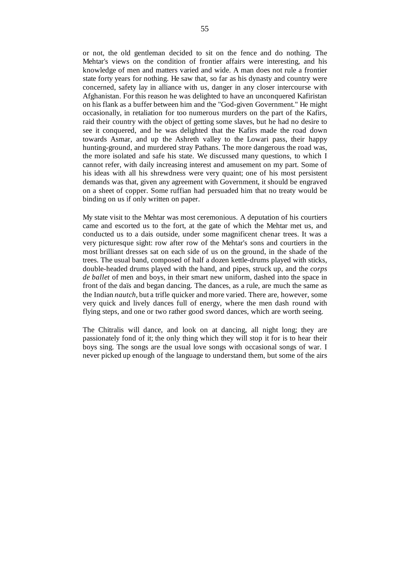or not, the old gentleman decided to sit on the fence and do nothing. The Mehtar's views on the condition of frontier affairs were interesting, and his knowledge of men and matters varied and wide. A man does not rule a frontier state forty years for nothing. He saw that, so far as his dynasty and country were concerned, safety lay in alliance with us, danger in any closer intercourse with Afghanistan. For this reason he was delighted to have an unconquered Kafiristan on his flank as a buffer between him and the "God-given Government." He might occasionally, in retaliation for too numerous murders on the part of the Kafirs, raid their country with the object of getting some slaves, but he had no desire to see it conquered, and he was delighted that the Kafirs made the road down towards Asmar, and up the Ashreth valley to the Lowari pass, their happy hunting-ground, and murdered stray Pathans. The more dangerous the road was, the more isolated and safe his state. We discussed many questions, to which I cannot refer, with daily increasing interest and amusement on my part. Some of his ideas with all his shrewdness were very quaint; one of his most persistent demands was that, given any agreement with Government, it should be engraved on a sheet of copper. Some ruffian had persuaded him that no treaty would be binding on us if only written on paper.

My state visit to the Mehtar was most ceremonious. A deputation of his courtiers came and escorted us to the fort, at the gate of which the Mehtar met us, and conducted us to a dais outside, under some magnificent chenar trees. It was a very picturesque sight: row after row of the Mehtar's sons and courtiers in the most brilliant dresses sat on each side of us on the ground, in the shade of the trees. The usual band, composed of half a dozen kettle-drums played with sticks, double-headed drums played with the hand, and pipes, struck up, and the *corps de ballet* of men and boys, in their smart new uniform, dashed into the space in front of the daïs and began dancing. The dances, as a rule, are much the same as the Indian *nautch,* but a trifle quicker and more varied. There are, however, some very quick and lively dances full of energy, where the men dash round with flying steps, and one or two rather good sword dances, which are worth seeing.

The Chitralis will dance, and look on at dancing, all night long; they are passionately fond of it; the only thing which they will stop it for is to hear their boys sing. The songs are the usual love songs with occasional songs of war. I never picked up enough of the language to understand them, but some of the airs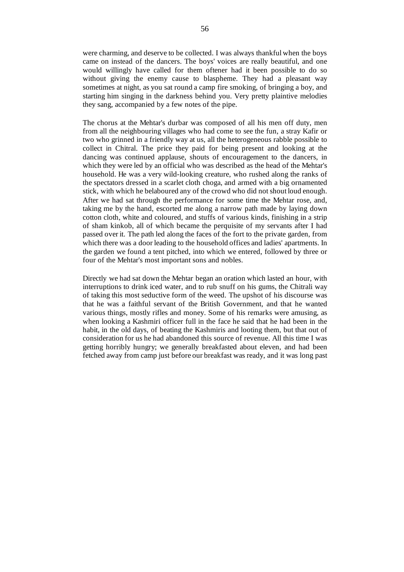were charming, and deserve to be collected. I was always thankful when the boys came on instead of the dancers. The boys' voices are really beautiful, and one would willingly have called for them oftener had it been possible to do so without giving the enemy cause to blaspheme. They had a pleasant way sometimes at night, as you sat round a camp fire smoking, of bringing a boy, and starting him singing in the darkness behind you. Very pretty plaintive melodies they sang, accompanied by a few notes of the pipe.

The chorus at the Mehtar's durbar was composed of all his men off duty, men from all the neighbouring villages who had come to see the fun, a stray Kafir or two who grinned in a friendly way at us, all the heterogeneous rabble possible to collect in Chitral. The price they paid for being present and looking at the dancing was continued applause, shouts of encouragement to the dancers, in which they were led by an official who was described as the head of the Mehtar's household. He was a very wild-looking creature, who rushed along the ranks of the spectators dressed in a scarlet cloth choga, and armed with a big ornamented stick, with which he belaboured any of the crowd who did not shout loud enough. After we had sat through the performance for some time the Mehtar rose, and, taking me by the hand, escorted me along a narrow path made by laying down cotton cloth, white and coloured, and stuffs of various kinds, finishing in a strip of sham kinkob, all of which became the perquisite of my servants after I had passed over it. The path led along the faces of the fort to the private garden, from which there was a door leading to the household offices and ladies' apartments. In the garden we found a tent pitched, into which we entered, followed by three or four of the Mehtar's most important sons and nobles.

Directly we had sat down the Mehtar began an oration which lasted an hour, with interruptions to drink iced water, and to rub snuff on his gums, the Chitrali way of taking this most seductive form of the weed. The upshot of his discourse was that he was a faithful servant of the British Government, and that he wanted various things, mostly rifles and money. Some of his remarks were amusing, as when looking a Kashmiri officer full in the face he said that he had been in the habit, in the old days, of beating the Kashmiris and looting them, but that out of consideration for us he had abandoned this source of revenue. All this time I was getting horribly hungry; we generally breakfasted about eleven, and had been fetched away from camp just before our breakfast was ready, and it was long past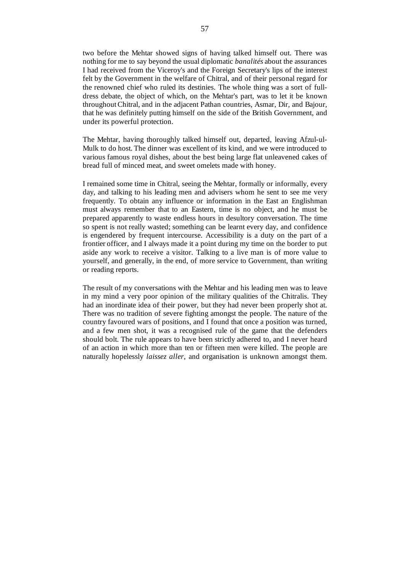two before the Mehtar showed signs of having talked himself out. There was nothing for me to say beyond the usual diplomatic *banalités* about the assurances I had received from the Viceroy's and the Foreign Secretary's lips of the interest felt by the Government in the welfare of Chitral, and of their personal regard for the renowned chief who ruled its destinies. The whole thing was a sort of fulldress debate, the object of which, on the Mehtar's part, was to let it be known throughout Chitral, and in the adjacent Pathan countries, Asmar, Dir, and Bajour, that he was definitely putting himself on the side of the British Government, and under its powerful protection.

The Mehtar, having thoroughly talked himself out, departed, leaving Afzul-ul-Mulk to do host. The dinner was excellent of its kind, and we were introduced to various famous royal dishes, about the best being large flat unleavened cakes of bread full of minced meat, and sweet omelets made with honey.

I remained some time in Chitral, seeing the Mehtar, formally or informally, every day, and talking to his leading men and advisers whom he sent to see me very frequently. To obtain any influence or information in the East an Englishman must always remember that to an Eastern, time is no object, and he must be prepared apparently to waste endless hours in desultory conversation. The time so spent is not really wasted; something can be learnt every day, and confidence is engendered by frequent intercourse. Accessibility is a duty on the part of a frontier officer, and I always made it a point during my time on the border to put aside any work to receive a visitor. Talking to a live man is of more value to yourself, and generally, in the end, of more service to Government, than writing or reading reports.

The result of my conversations with the Mehtar and his leading men was to leave in my mind a very poor opinion of the military qualities of the Chitralis. They had an inordinate idea of their power, but they had never been properly shot at. There was no tradition of severe fighting amongst the people. The nature of the country favoured wars of positions, and I found that once a position was turned, and a few men shot, it was a recognised rule of the game that the defenders should bolt. The rule appears to have been strictly adhered to, and I never heard of an action in which more than ten or fifteen men were killed. The people are naturally hopelessly *laissez aller,* and organisation is unknown amongst them.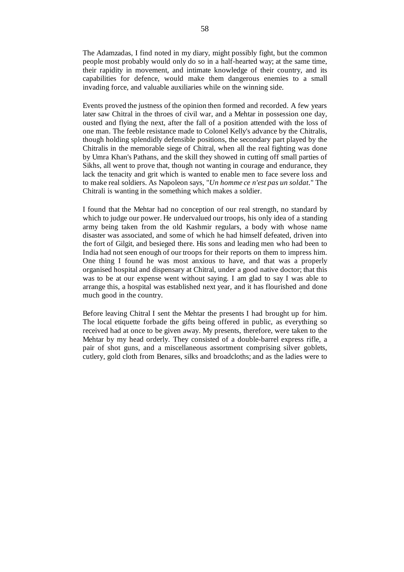The Adamzadas, I find noted in my diary, might possibly fight, but the common people most probably would only do so in a half-hearted way; at the same time, their rapidity in movement, and intimate knowledge of their country, and its capabilities for defence, would make them dangerous enemies to a small invading force, and valuable auxiliaries while on the winning side.

Events proved the justness of the opinion then formed and recorded. A few years later saw Chitral in the throes of civil war, and a Mehtar in possession one day, ousted and flying the next, after the fall of a position attended with the loss of one man. The feeble resistance made to Colonel Kelly's advance by the Chitralis, though holding splendidly defensible positions, the secondary part played by the Chitralis in the memorable siege of Chitral, when all the real fighting was done by Umra Khan's Pathans, and the skill they showed in cutting off small parties of Sikhs, all went to prove that, though not wanting in courage and endurance, they lack the tenacity and grit which is wanted to enable men to face severe loss and to make real soldiers. As Napoleon says, "*Un homme ce n'est pas un soldat.*" The Chitrali is wanting in the something which makes a soldier.

I found that the Mehtar had no conception of our real strength, no standard by which to judge our power. He undervalued our troops, his only idea of a standing army being taken from the old Kashmir regulars, a body with whose name disaster was associated, and some of which he had himself defeated, driven into the fort of Gilgit, and besieged there. His sons and leading men who had been to India had not seen enough of our troops for their reports on them to impress him. One thing I found he was most anxious to have, and that was a properly organised hospital and dispensary at Chitral, under a good native doctor; that this was to be at our expense went without saying. I am glad to say I was able to arrange this, a hospital was established next year, and it has flourished and done much good in the country.

Before leaving Chitral I sent the Mehtar the presents I had brought up for him. The local etiquette forbade the gifts being offered in public, as everything so received had at once to be given away. My presents, therefore, were taken to the Mehtar by my head orderly. They consisted of a double-barrel express rifle, a pair of shot guns, and a miscellaneous assortment comprising silver goblets, cutlery, gold cloth from Benares, silks and broadcloths; and as the ladies were to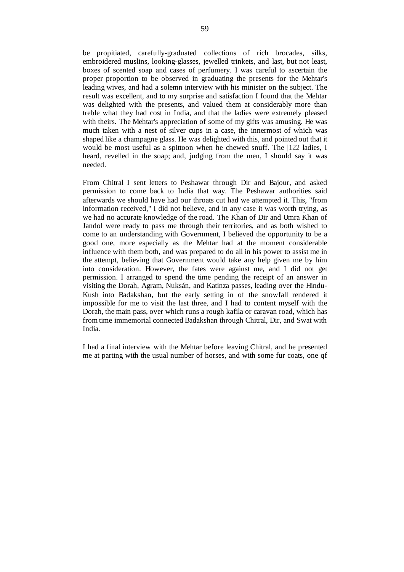be propitiated, carefully-graduated collections of rich brocades, silks, embroidered muslins, looking-glasses, jewelled trinkets, and last, but not least, boxes of scented soap and cases of perfumery. I was careful to ascertain the proper proportion to be observed in graduating the presents for the Mehtar's leading wives, and had a solemn interview with his minister on the subject. The result was excellent, and to my surprise and satisfaction I found that the Mehtar was delighted with the presents, and valued them at considerably more than treble what they had cost in India, and that the ladies were extremely pleased with theirs. The Mehtar's appreciation of some of my gifts was amusing. He was much taken with a nest of silver cups in a case, the innermost of which was shaped like a champagne glass. He was delighted with this, and pointed out that it would be most useful as a spittoon when he chewed snuff. The |122 ladies, I heard, revelled in the soap; and, judging from the men, I should say it was needed.

From Chitral I sent letters to Peshawar through Dir and Bajour, and asked permission to come back to India that way. The Peshawar authorities said afterwards we should have had our throats cut had we attempted it. This, "from information received," I did not believe, and in any case it was worth trying, as we had no accurate knowledge of the road. The Khan of Dir and Umra Khan of Jandol were ready to pass me through their territories, and as both wished to come to an understanding with Government, I believed the opportunity to be a good one, more especially as the Mehtar had at the moment considerable influence with them both, and was prepared to do all in his power to assist me in the attempt, believing that Government would take any help given me by him into consideration. However, the fates were against me, and I did not get permission. I arranged to spend the time pending the receipt of an answer in visiting the Dorah, Agram, Nuksán, and Katinza passes, leading over the Hindu-Kush into Badakshan, but the early setting in of the snowfall rendered it impossible for me to visit the last three, and I had to content myself with the Dorah, the main pass, over which runs a rough kafila or caravan road, which has from time immemorial connected Badakshan through Chitral, Dir, and Swat with India.

I had a final interview with the Mehtar before leaving Chitral, and he presented me at parting with the usual number of horses, and with some fur coats, one qf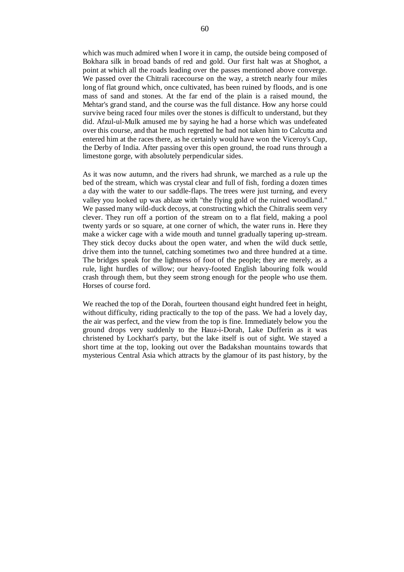which was much admired when I wore it in camp, the outside being composed of Bokhara silk in broad bands of red and gold. Our first halt was at Shoghot, a point at which all the roads leading over the passes mentioned above converge. We passed over the Chitrali racecourse on the way, a stretch nearly four miles long of flat ground which, once cultivated, has been ruined by floods, and is one mass of sand and stones. At the far end of the plain is a raised mound, the Mehtar's grand stand, and the course was the full distance. How any horse could survive being raced four miles over the stones is difficult to understand, but they did. Afzul-ul-Mulk amused me by saying he had a horse which was undefeated over this course, and that he much regretted he had not taken him to Calcutta and entered him at the races there, as he certainly would have won the Viceroy's Cup, the Derby of India. After passing over this open ground, the road runs through a limestone gorge, with absolutely perpendicular sides.

As it was now autumn, and the rivers had shrunk, we marched as a rule up the bed of the stream, which was crystal clear and full of fish, fording a dozen times a day with the water to our saddle-flaps. The trees were just turning, and every valley you looked up was ablaze with "the flying gold of the ruined woodland." We passed many wild-duck decoys, at constructing which the Chitralis seem very clever. They run off a portion of the stream on to a flat field, making a pool twenty yards or so square, at one corner of which, the water runs in. Here they make a wicker cage with a wide mouth and tunnel gradually tapering up-stream. They stick decoy ducks about the open water, and when the wild duck settle, drive them into the tunnel, catching sometimes two and three hundred at a time. The bridges speak for the lightness of foot of the people; they are merely, as a rule, light hurdles of willow; our heavy-footed English labouring folk would crash through them, but they seem strong enough for the people who use them. Horses of course ford.

We reached the top of the Dorah, fourteen thousand eight hundred feet in height, without difficulty, riding practically to the top of the pass. We had a lovely day, the air was perfect, and the view from the top is fine. Immediately below you the ground drops very suddenly to the Hauz-i-Dorah, Lake Dufferin as it was christened by Lockhart's party, but the lake itself is out of sight. We stayed a short time at the top, looking out over the Badakshan mountains towards that mysterious Central Asia which attracts by the glamour of its past history, by the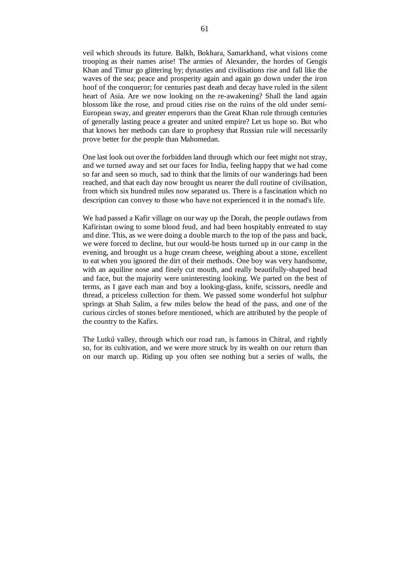veil which shrouds its future. Balkh, Bokhara, Samarkhand, what visions come trooping as their names arise! The armies of Alexander, the hordes of Gengis Khan and Timur go glittering by; dynasties and civilisations rise and fall like the waves of the sea; peace and prosperity again and again go down under the iron hoof of the conqueror; for centuries past death and decay have ruled in the silent heart of Asia. Are we now looking on the re-awakening? Shall the land again blossom like the rose, and proud cities rise on the ruins of the old under semi-European sway, and greater emperors than the Great Khan rule through centuries of generally lasting peace a greater and united empire? Let us hope so. But who that knows her methods can dare to prophesy that Russian rule will necessarily prove better for the people than Mahomedan.

One last look out over the forbidden land through which our feet might not stray, and we turned away and set our faces for India, feeling happy that we had come so far and seen so much, sad to think that the limits of our wanderings had been reached, and that each day now brought us nearer the dull routine of civilisation, from which six hundred miles now separated us. There is a fascination which no description can convey to those who have not experienced it in the nomad's life.

We had passed a Kafir village on our way up the Dorah, the people outlaws from Kafiristan owing to some blood feud, and had been hospitably entreated to stay and dine. This, as we were doing a double march to the top of the pass and back, we were forced to decline, but our would-be hosts turned up in our camp in the evening, and brought us a huge cream cheese, weighing about a stone, excellent to eat when you ignored the dirt of their methods. One boy was very handsome, with an aquiline nose and finely cut mouth, and really beautifully-shaped head and face, but the majority were uninteresting looking. We parted on the best of terms, as I gave each man and boy a looking-glass, knife, scissors, needle and thread, a priceless collection for them. We passed some wonderful hot sulphur springs at Shah Salim, a few miles below the head of the pass, and one of the curious circles of stones before mentioned, which are attributed by the people of the country to the Kafirs.

The Lutkú valley, through which our road ran, is famous in Chitral, and rightly so, for its cultivation, and we were more struck by its wealth on our return than on our march up. Riding up you often see nothing but a series of walls, the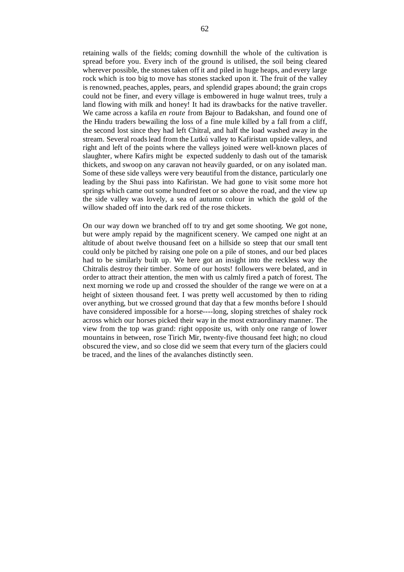retaining walls of the fields; coming downhill the whole of the cultivation is spread before you. Every inch of the ground is utilised, the soil being cleared wherever possible, the stones taken off it and piled in huge heaps, and every large rock which is too big to move has stones stacked upon it. The fruit of the valley is renowned, peaches, apples, pears, and splendid grapes abound; the grain crops could not be finer, and every village is embowered in huge walnut trees, truly a land flowing with milk and honey! It had its drawbacks for the native traveller. We came across a kafila *en route* from Bajour to Badakshan, and found one of the Hindu traders bewailing the loss of a fine mule killed by a fall from a cliff, the second lost since they had left Chitral, and half the load washed away in the stream. Several roads lead from the Lutkú valley to Kafiristan upside valleys, and right and left of the points where the valleys joined were well-known places of slaughter, where Kafirs might be expected suddenly to dash out of the tamarisk thickets, and swoop on any caravan not heavily guarded, or on any isolated man. Some of these side valleys were very beautiful from the distance, particularly one leading by the Shui pass into Kafiristan. We had gone to visit some more hot springs which came out some hundred feet or so above the road, and the view up the side valley was lovely, a sea of autumn colour in which the gold of the willow shaded off into the dark red of the rose thickets.

On our way down we branched off to try and get some shooting. We got none, but were amply repaid by the magnificent scenery. We camped one night at an altitude of about twelve thousand feet on a hillside so steep that our small tent could only be pitched by raising one pole on a pile of stones, and our bed places had to be similarly built up. We here got an insight into the reckless way the Chitralis destroy their timber. Some of our hosts! followers were belated, and in order to attract their attention, the men with us calmly fired a patch of forest. The next morning we rode up and crossed the shoulder of the range we were on at a height of sixteen thousand feet. I was pretty well accustomed by then to riding over anything, but we crossed ground that day that a few months before I should have considered impossible for a horse----long, sloping stretches of shaley rock across which our horses picked their way in the most extraordinary manner. The view from the top was grand: right opposite us, with only one range of lower mountains in between, rose Tirich Mir, twenty-five thousand feet high; no cloud obscured the view, and so close did we seem that every turn of the glaciers could be traced, and the lines of the avalanches distinctly seen.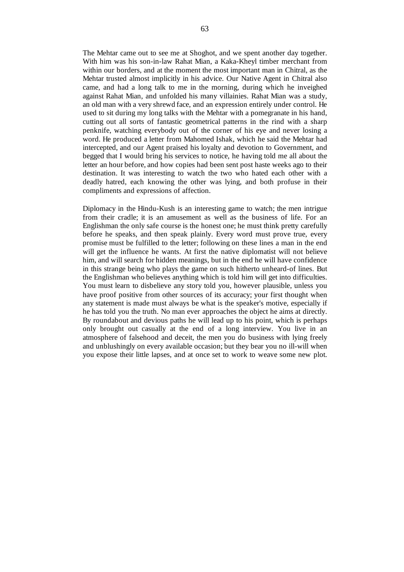The Mehtar came out to see me at Shoghot, and we spent another day together. With him was his son-in-law Rahat Mian, a Kaka-Kheyl timber merchant from within our borders, and at the moment the most important man in Chitral, as the Mehtar trusted almost implicitly in his advice. Our Native Agent in Chitral also came, and had a long talk to me in the morning, during which he inveighed against Rahat Mian, and unfolded his many villainies. Rahat Mian was a study, an old man with a very shrewd face, and an expression entirely under control. He used to sit during my long talks with the Mehtar with a pomegranate in his hand, cutting out all sorts of fantastic geometrical patterns in the rind with a sharp penknife, watching everybody out of the corner of his eye and never losing a word. He produced a letter from Mahomed Ishak, which he said the Mehtar had intercepted, and our Agent praised his loyalty and devotion to Government, and begged that I would bring his services to notice, he having told me all about the letter an hour before, and how copies had been sent post haste weeks ago to their destination. It was interesting to watch the two who hated each other with a deadly hatred, each knowing the other was lying, and both profuse in their compliments and expressions of affection.

Diplomacy in the Hindu-Kush is an interesting game to watch; the men intrigue from their cradle; it is an amusement as well as the business of life. For an Englishman the only safe course is the honest one; he must think pretty carefully before he speaks, and then speak plainly. Every word must prove true, every promise must be fulfilled to the letter; following on these lines a man in the end will get the influence he wants. At first the native diplomatist will not believe him, and will search for hidden meanings, but in the end he will have confidence in this strange being who plays the game on such hitherto unheard-of lines. But the Englishman who believes anything which is told him will get into difficulties. You must learn to disbelieve any story told you, however plausible, unless you have proof positive from other sources of its accuracy; your first thought when any statement is made must always be what is the speaker's motive, especially if he has told you the truth. No man ever approaches the object he aims at directly. By roundabout and devious paths he will lead up to his point, which is perhaps only brought out casually at the end of a long interview. You live in an atmosphere of falsehood and deceit, the men you do business with lying freely and unblushingly on every available occasion; but they bear you no ill-will when you expose their little lapses, and at once set to work to weave some new plot.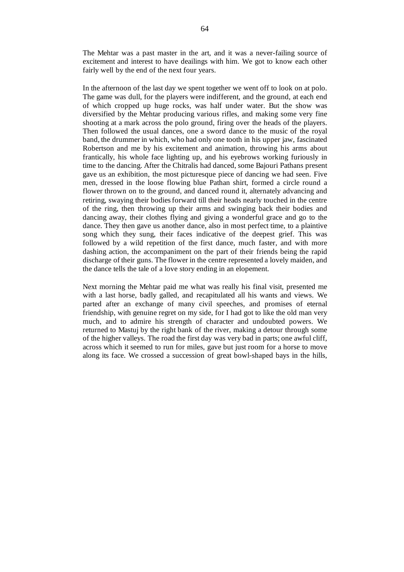The Mehtar was a past master in the art, and it was a never-failing source of excitement and interest to have deailings with him. We got to know each other fairly well by the end of the next four years.

In the afternoon of the last day we spent together we went off to look on at polo. The game was dull, for the players were indifferent, and the ground, at each end of which cropped up huge rocks, was half under water. But the show was diversified by the Mehtar producing various rifles, and making some very fine shooting at a mark across the polo ground, firing over the heads of the players. Then followed the usual dances, one a sword dance to the music of the royal band, the drummer in which, who had only one tooth in his upper jaw, fascinated Robertson and me by his excitement and animation, throwing his arms about frantically, his whole face lighting up, and his eyebrows working furiously in time to the dancing. After the Chitralis had danced, some Bajouri Pathans present gave us an exhibition, the most picturesque piece of dancing we had seen. Five men, dressed in the loose flowing blue Pathan shirt, formed a circle round a flower thrown on to the ground, and danced round it, alternately advancing and retiring, swaying their bodies forward till their heads nearly touched in the centre of the ring, then throwing up their arms and swinging back their bodies and dancing away, their clothes flying and giving a wonderful grace and go to the dance. They then gave us another dance, also in most perfect time, to a plaintive song which they sung, their faces indicative of the deepest grief. This was followed by a wild repetition of the first dance, much faster, and with more dashing action, the accompaniment on the part of their friends being the rapid discharge of their guns. The flower in the centre represented a lovely maiden, and the dance tells the tale of a love story ending in an elopement.

Next morning the Mehtar paid me what was really his final visit, presented me with a last horse, badly galled, and recapitulated all his wants and views. We parted after an exchange of many civil speeches, and promises of eternal friendship, with genuine regret on my side, for I had got to like the old man very much, and to admire his strength of character and undoubted powers. We returned to Mastuj by the right bank of the river, making a detour through some of the higher valleys. The road the first day was very bad in parts; one awful cliff, across which it seemed to run for miles, gave but just room for a horse to move along its face. We crossed a succession of great bowl-shaped bays in the hills,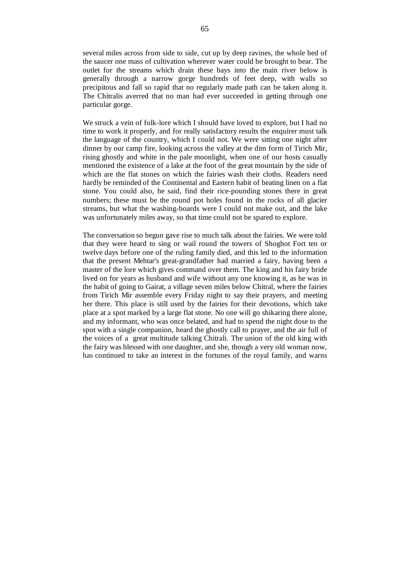several miles across from side to side, cut up by deep ravines, the whole bed of the saucer one mass of cultivation wherever water could be brought to bear. The outlet for the streams which drain these bays into the main river below is generally through a narrow gorge hundreds of feet deep, with walls so precipitous and fall so rapid that no regularly made path can be taken along it. The Chitralis averred that no man had ever succeeded in getting through one particular gorge.

We struck a vein of folk-lore which I should have loved to explore, but I had no time to work it properly, and for really satisfactory results the enquirer must talk the language of the country, which I could not. We were sitting one night after dinner by our camp fire, looking across the valley at the dim form of Tirich Mir, rising ghostly and white in the pale moonlight, when one of our hosts casually mentioned the existence of a lake at the foot of the great mountain by the side of which are the flat stones on which the fairies wash their cloths. Readers need hardly be reminded of the Continental and Eastern habit of beating linen on a flat stone. You could also, he said, find their rice-pounding stones there in great numbers; these must be the round pot holes found in the rocks of all glacier streams, but what the washing-boards were I could not make out, and the lake was unfortunately miles away, so that time could not be spared to explore.

The conversation so begun gave rise to much talk about the fairies. We were told that they were heard to sing or wail round the towers of Shoghot Fort ten or twelve days before one of the ruling family died, and this led to the information that the present Mehtar's great-grandfather had married a fairy, having been a master of the lore which gives command over them. The king and his fairy bride lived on for years as husband and wife without any one knowing it, as he was in the habit of going to Gairat, a village seven miles below Chitral, where the fairies from Tirich Mir assemble every Friday night to say their prayers, and meeting her there. This place is still used by the fairies for their devotions, which take place at a spot marked by a large flat stone. No one will go shikaring there alone, and my informant, who was once belated, and had to spend the night dose to the spot with a single companion, heard the ghostly call to prayer, and the air full of the voices of a great multitude talking Chitrali. The union of the old king with the fairy was blessed with one daughter, and she, though a very old woman now, has continued to take an interest in the fortunes of the royal family, and warns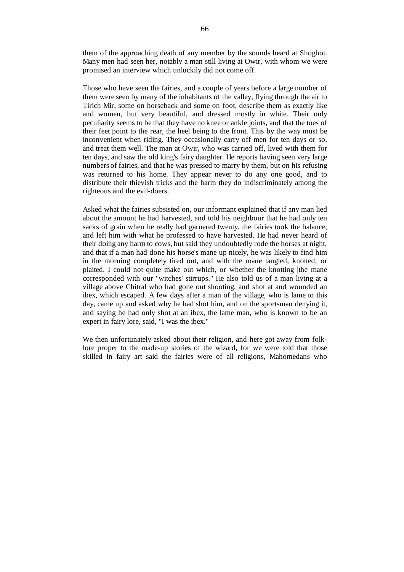them of the approaching death of any member by the sounds heard at Shoghot. Many men had seen her, notably a man still living at Owir, with whom we were promised an interview which unluckily did not come off.

Those who have seen the fairies, and a couple of years before a large number of them were seen by many of the inhabitants of the valley, flying through the air to Tirich Mir, some on horseback and some on foot, describe them as exactly like and women, but very beautiful, and dressed mostly in white. Their only peculiarity seems to be that they have no knee or ankle joints, and that the toes of their feet point to the rear, the heel being to the front. This by the way must be inconvenient when riding. They occasionally carry off men for ten days or so, and treat them well. The man at Owir, who was carried off, lived with them for ten days, and saw the old king's fairy daughter. He reports having seen very large numbers of fairies, and that he was pressed to marry by them, but on his refusing was returned to his home. They appear never to do any one good, and to distribute their thievish tricks and the harm they do indiscriminately among the righteous and the evil-doers.

Asked what the fairies subsisted on, our informant explained that if any man lied about the amount he had harvested, and told his neighbour that he had only ten sacks of grain when he really had garnered twenty, the fairies took the balance, and left him with what he professed to have harvested. He had never heard of their doing any harm to cows, but said they undoubtedly rode the horses at night, and that if a man had done his horse's mane up nicely, he was likely to find him in the morning completely tired out, and with the mane tangled, knotted, or plaited. I could not quite make out which, or whether the knotting |the mane corresponded with our "witches' stirrups." He also told us of a man living at a village above Chitral who had gone out shooting, and shot at and wounded an ibex, which escaped. A few days after a man of the village, who is lame to this day, came up and asked why he had shot him, and on the sportsman denying it, and saying he had only shot at an ibex, the lame man, who is known to be an expert in fairy lore, said, "I was the ibex."

We then unfortunately asked about their religion, and here got away from folklore proper to the made-up stories of the wizard, for we were told that those skilled in fairy art said the fairies were of all religions, Mahomedans who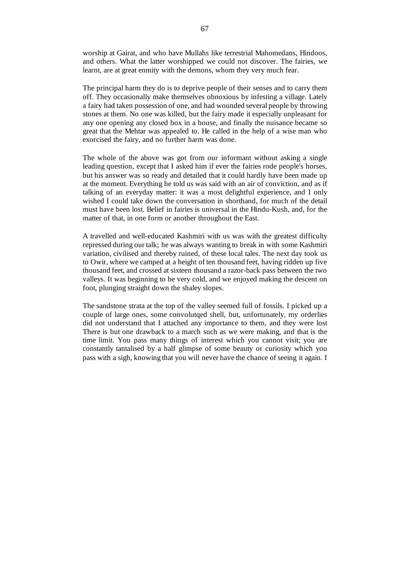worship at Gairat, and who have Mullahs like terrestrial Mahomedans, Hindoos, and others. What the latter worshipped we could not discover. The fairies, we learnt, are at great enmity with the demons, whom they very much fear.

The principal harm they do is to deprive people of their senses and to carry them off. They occasionally make themselves obnoxious by infesting a village. Lately a fairy had taken possession of one, and had wounded several people by throwing stones at them. No one was killed, but the fairy made it especially unpleasant for any one opening any closed box in a house, and finally the nuisance became so great that the Mehtar was appealed to. He called in the help of a wise man who exorcised the fairy, and no further harm was done.

The whole of the above was got from our informant without asking a single leading question, except that I asked him if ever the fairies rode people's horses, but his answer was so ready and detailed that it could hardly have been made up at the moment. Everything he told us was said with an air of conviction, and as if talking of an everyday matter: it was a most delightful experience, and I only wished I could take down the conversation in shorthand, for much of the detail must have been lost. Belief in fairies is universal in the Hindu-Kush, and, for the matter of that, in one form or another throughout the East.

A travelled and well-educated Kashmiri with us was with the greatest difficulty repressed during our talk; he was always wanting to break in with some Kashmiri variation, civilised and thereby ruined, of these local tales. The next day took us to Owir, where we camped at a height of ten thousand feet, having ridden up five thousand feet, and crossed at sixteen thousand a razor-back pass between the two valleys. It was beginning to be very cold, and we enjoyed making the descent on foot, plunging straight down the shaley slopes.

The sandstone strata at the top of the valley seemed full of fossils. I picked up a couple of large ones, some convolutqed shell, but, unfortunately, my orderlies did not understand that I attached any importance to them, and they were lost There is but one drawback to a march such as we were making, and that is the time limit. You pass many things of interest which you cannot visit; you are constantly tantalised by a half glimpse of some beauty or curiosity which you pass with a sigh, knowing that you will never have the chance of seeing it again. I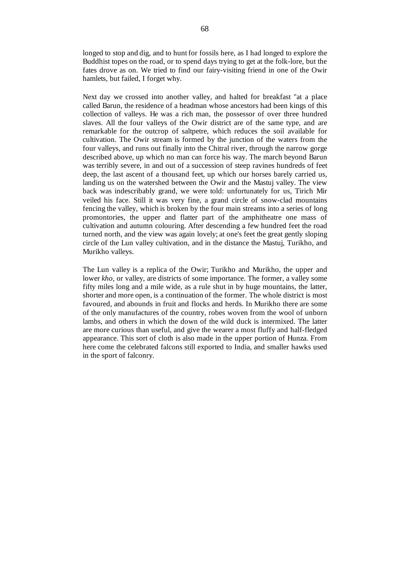longed to stop and dig, and to hunt for fossils here, as I had longed to explore the Buddhist topes on the road, or to spend days trying to get at the folk-lore, but the fates drove as on. We tried to find our fairy-visiting friend in one of the Owir hamlets, but failed, I forget why.

Next day we crossed into another valley, and halted for breakfast "at a place called Barun, the residence of a headman whose ancestors had been kings of this collection of valleys. He was a rich man, the possessor of over three hundred slaves. All the four valleys of the Owir district are of the same type, and are remarkable for the outcrop of saltpetre, which reduces the soil available for cultivation. The Owir stream is formed by the junction of the waters from the four valleys, and runs out finally into the Chitral river, through the narrow gorge described above, up which no man can force his way. The march beyond Barun was terribly severe, in and out of a succession of steep ravines hundreds of feet deep, the last ascent of a thousand feet, up which our horses barely carried us, landing us on the watershed between the Owir and the Mastuj valley. The view back was indescribably grand, we were told: unfortunately for us, Tirich Mir veiled his face. Still it was very fine, a grand circle of snow-clad mountains fencing the valley, which is broken by the four main streams into a series of long promontories, the upper and flatter part of the amphitheatre one mass of cultivation and autumn colouring. After descending a few hundred feet the road turned north, and the view was again lovely; at one's feet the great gently sloping circle of the Lun valley cultivation, and in the distance the Mastuj, Turikho, and Murikho valleys.

The Lun valley is a replica of the Owir; Turikho and Murikho, the upper and lower *kho*, or valley, are districts of some importance. The former, a valley some fifty miles long and a mile wide, as a rule shut in by huge mountains, the latter, shorter and more open, is a continuation of the former. The whole district is most favoured, and abounds in fruit and flocks and herds. In Murikho there are some of the only manufactures of the country, robes woven from the wool of unborn lambs, and others in which the down of the wild duck is intermixed. The latter are more curious than useful, and give the wearer a most fluffy and half-fledged appearance. This sort of cloth is also made in the upper portion of Hunza. From here come the celebrated falcons still exported to India, and smaller hawks used in the sport of falconry.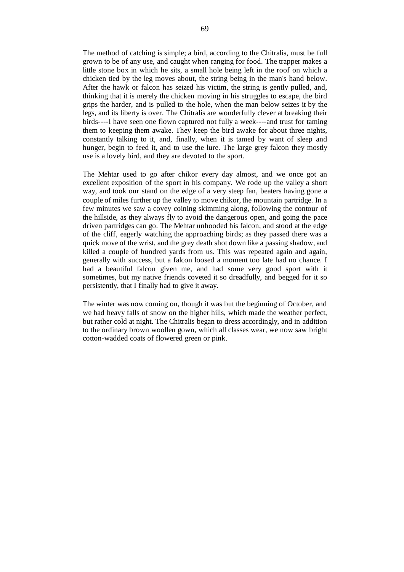The method of catching is simple; a bird, according to the Chitralis, must be full grown to be of any use, and caught when ranging for food. The trapper makes a little stone box in which he sits, a small hole being left in the roof on which a chicken tied by the leg moves about, the string being in the man's hand below. After the hawk or falcon has seized his victim, the string is gently pulled, and, thinking that it is merely the chicken moving in his struggles to escape, the bird grips the harder, and is pulled to the hole, when the man below seizes it by the legs, and its liberty is over. The Chitralis are wonderfully clever at breaking their birds----I have seen one flown captured not fully a week----and trust for taming them to keeping them awake. They keep the bird awake for about three nights, constantly talking to it, and, finally, when it is tamed by want of sleep and hunger, begin to feed it, and to use the lure. The large grey falcon they mostly use is a lovely bird, and they are devoted to the sport.

The Mehtar used to go after chikor every day almost, and we once got an excellent exposition of the sport in his company. We rode up the valley a short way, and took our stand on the edge of a very steep fan, beaters having gone a couple of miles further up the valley to move chikor, the mountain partridge. In a few minutes we saw a covey coining skimming along, following the contour of the hillside, as they always fly to avoid the dangerous open, and going the pace driven partridges can go. The Mehtar unhooded his falcon, and stood at the edge of the cliff, eagerly watching the approaching birds; as they passed there was a quick move of the wrist, and the grey death shot down like a passing shadow, and killed a couple of hundred yards from us. This was repeated again and again, generally with success, but a falcon loosed a moment too late had no chance. I had a beautiful falcon given me, and had some very good sport with it sometimes, but my native friends coveted it so dreadfully, and begged for it so persistently, that I finally had to give it away.

The winter was now coming on, though it was but the beginning of October, and we had heavy falls of snow on the higher hills, which made the weather perfect, but rather cold at night. The Chitralis began to dress accordingly, and in addition to the ordinary brown woollen gown, which all classes wear, we now saw bright cotton-wadded coats of flowered green or pink.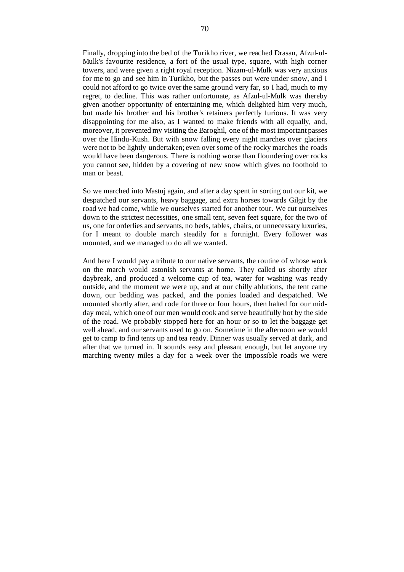Finally, dropping into the bed of the Turikho river, we reached Drasan, Afzul-ul-Mulk's favourite residence, a fort of the usual type, square, with high corner towers, and were given a right royal reception. Nizam-ul-Mulk was very anxious for me to go and see him in Turikho, but the passes out were under snow, and I could not afford to go twice over the same ground very far, so I had, much to my regret, to decline. This was rather unfortunate, as Afzul-ul-Mulk was thereby given another opportunity of entertaining me, which delighted him very much, but made his brother and his brother's retainers perfectly furious. It was very disappointing for me also, as I wanted to make friends with all equally, and, moreover, it prevented my visiting the Baroghil, one of the most important passes over the Hindu-Kush. But with snow falling every night marches over glaciers were not to be lightly undertaken; even over some of the rocky marches the roads would have been dangerous. There is nothing worse than floundering over rocks you cannot see, hidden by a covering of new snow which gives no foothold to man or beast.

So we marched into Mastuj again, and after a day spent in sorting out our kit, we despatched our servants, heavy baggage, and extra horses towards Gilgit by the road we had come, while we ourselves started for another tour. We cut ourselves down to the strictest necessities, one small tent, seven feet square, for the two of us, one for orderlies and servants, no beds, tables, chairs, or unnecessary luxuries, for I meant to double march steadily for a fortnight. Every follower was mounted, and we managed to do all we wanted.

And here I would pay a tribute to our native servants, the routine of whose work on the march would astonish servants at home. They called us shortly after daybreak, and produced a welcome cup of tea, water for washing was ready outside, and the moment we were up, and at our chilly ablutions, the tent came down, our bedding was packed, and the ponies loaded and despatched. We mounted shortly after, and rode for three or four hours, then halted for our midday meal, which one of our men would cook and serve beautifully hot by the side of the road. We probably stopped here for an hour or so to let the baggage get well ahead, and our servants used to go on. Sometime in the afternoon we would get to camp to find tents up and tea ready. Dinner was usually served at dark, and after that we turned in. It sounds easy and pleasant enough, but let anyone try marching twenty miles a day for a week over the impossible roads we were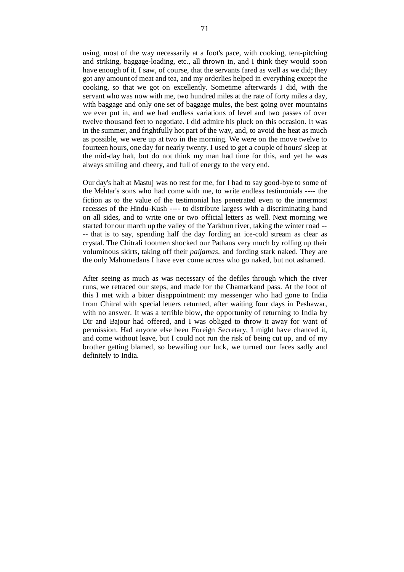using, most of the way necessarily at a foot's pace, with cooking, tent-pitching and striking, baggage-loading, etc., all thrown in, and I think they would soon have enough of it. I saw, of course, that the servants fared as well as we did; they got any amount of meat and tea, and my orderlies helped in everything except the cooking, so that we got on excellently. Sometime afterwards I did, with the servant who was now with me, two hundred miles at the rate of forty miles a day, with baggage and only one set of baggage mules, the best going over mountains we ever put in, and we had endless variations of level and two passes of over twelve thousand feet to negotiate. I did admire his pluck on this occasion. It was in the summer, and frightfully hot part of the way, and, to avoid the heat as much as possible, we were up at two in the morning. We were on the move twelve to fourteen hours, one day for nearly twenty. I used to get a couple of hours' sleep at the mid-day halt, but do not think my man had time for this, and yet he was always smiling and cheery, and full of energy to the very end.

Our day's halt at Mastuj was no rest for me, for I had to say good-bye to some of the Mehtar's sons who had come with me, to write endless testimonials ---- the fiction as to the value of the testimonial has penetrated even to the innermost recesses of the Hindu-Kush ---- to distribute largess with a discriminating hand on all sides, and to write one or two official letters as well. Next morning we started for our march up the valley of the Yarkhun river, taking the winter road -- -- that is to say, spending half the day fording an ice-cold stream as clear as crystal. The Chitrali footmen shocked our Pathans very much by rolling up their voluminous skirts, taking off their *paijamas*, and fording stark naked. They are the only Mahomedans I have ever come across who go naked, but not ashamed.

After seeing as much as was necessary of the defiles through which the river runs, we retraced our steps, and made for the Chamarkand pass. At the foot of this I met with a bitter disappointment: my messenger who had gone to India from Chitral with special letters returned, after waiting four days in Peshawar, with no answer. It was a terrible blow, the opportunity of returning to India by Dir and Bajour had offered, and I was obliged to throw it away for want of permission. Had anyone else been Foreign Secretary, I might have chanced it, and come without leave, but I could not run the risk of being cut up, and of my brother getting blamed, so bewailing our luck, we turned our faces sadly and definitely to India.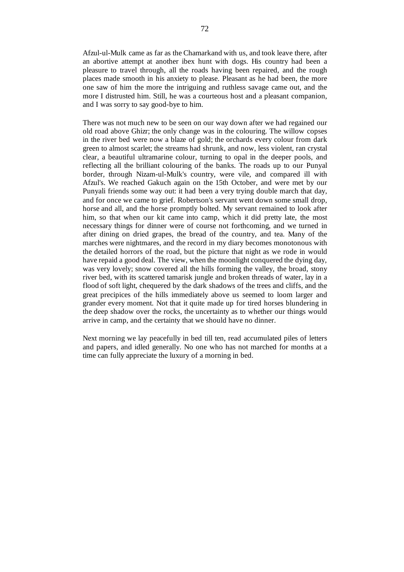Afzul-ul-Mulk came as far as the Chamarkand with us, and took leave there, after an abortive attempt at another ibex hunt with dogs. His country had been a pleasure to travel through, all the roads having been repaired, and the rough places made smooth in his anxiety to please. Pleasant as he had been, the more one saw of him the more the intriguing and ruthless savage came out, and the more I distrusted him. Still, he was a courteous host and a pleasant companion, and I was sorry to say good-bye to him.

There was not much new to be seen on our way down after we had regained our old road above Ghizr; the only change was in the colouring. The willow copses in the river bed were now a blaze of gold; the orchards every colour from dark green to almost scarlet; the streams had shrunk, and now, less violent, ran crystal clear, a beautiful ultramarine colour, turning to opal in the deeper pools, and reflecting all the brilliant colouring of the banks. The roads up to our Punyal border, through Nizam-ul-Mulk's country, were vile, and compared ill with Afzul's. We reached Gakuch again on the 15th October, and were met by our Punyali friends some way out: it had been a very trying double march that day, and for once we came to grief. Robertson's servant went down some small drop, horse and all, and the horse promptly bolted. My servant remained to look after him, so that when our kit came into camp, which it did pretty late, the most necessary things for dinner were of course not forthcoming, and we turned in after dining on dried grapes, the bread of the country, and tea. Many of the marches were nightmares, and the record in my diary becomes monotonous with the detailed horrors of the road, but the picture that night as we rode in would have repaid a good deal. The view, when the moonlight conquered the dying day, was very lovely; snow covered all the hills forming the valley, the broad, stony river bed, with its scattered tamarisk jungle and broken threads of water, lay in a flood of soft light, chequered by the dark shadows of the trees and cliffs, and the great precipices of the hills immediately above us seemed to loom larger and grander every moment. Not that it quite made up for tired horses blundering in the deep shadow over the rocks, the uncertainty as to whether our things would arrive in camp, and the certainty that we should have no dinner.

Next morning we lay peacefully in bed till ten, read accumulated piles of letters and papers, and idled generally. No one who has not marched for months at a time can fully appreciate the luxury of a morning in bed.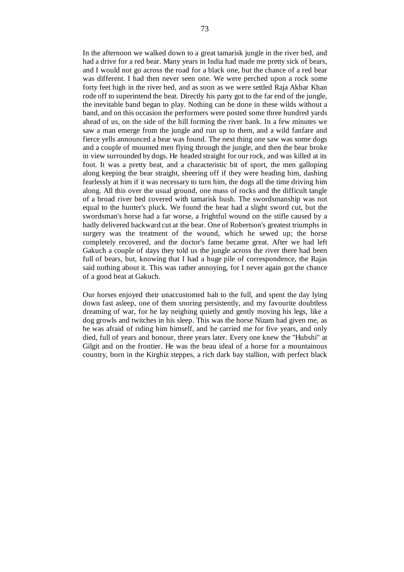In the afternoon we walked down to a great tamarisk jungle in the river bed, and had a drive for a red bear. Many years in India had made me pretty sick of bears, and I would not go across the road for a black one, but the chance of a red bear was different. I had then never seen one. We were perched upon a rock some forty feet high in the river bed, and as soon as we were settled Raja Akbar Khan rode off to superintend the beat. Directly his party got to the far end of the jungle, the inevitable band began to play. Nothing can be done in these wilds without a band, and on this occasion the performers were posted some three hundred yards ahead of us, on the side of the hill forming the river bank. In a few minutes we saw a man emerge from the jungle and run up to them, and a wild fanfare and fierce yells announced a bear was found. The next thing one saw was some dogs and a couple of mounted men flying through the jungle, and then the bear broke in view surrounded by dogs. He headed straight for our rock, and was killed at its foot. It was a pretty beat, and a characteristic bit of sport, the men galloping along keeping the bear straight, sheering off if they were heading him, dashing fearlessly at him if it was necessary to turn him, the dogs all the time driving him along. All this over the usual ground, one mass of rocks and the difficult tangle of a broad river bed covered with tamarisk bush. The swordsmanship was not equal to the hunter's pluck. We found the bear had a slight sword cut, but the swordsman's horse had a far worse, a frightful wound on the stifle caused by a badly delivered backward cut at the bear. One of Robertson's greatest triumphs in surgery was the treatment of the wound, which he sewed up; the horse completely recovered, and the doctor's fame became great. After we had left Gakuch a couple of days they told us the jungle across the river there had been full of bears, but, knowing that I had a huge pile of correspondence, the Rajas said nothing about it. This was rather annoying, for I never again got the chance

Our horses enjoyed their unaccustomed halt to the full, and spent the day lying down fast asleep, one of them snoring persistently, and my favourite doubtless dreaming of war, for he lay neighing quietly and gently moving his legs, like a dog growls and twitches in his sleep. This was the horse Nizam had given me, as he was afraid of riding him himself, and he carried me for five years, and only died, full of years and honour, three years later. Every one knew the "Hubshi" at Gilgit and on the frontier. He was the beau ideal of a horse for a mountainous country, born in the Kirghiz steppes, a rich dark bay stallion, with perfect black

of a good beat at Gakuch.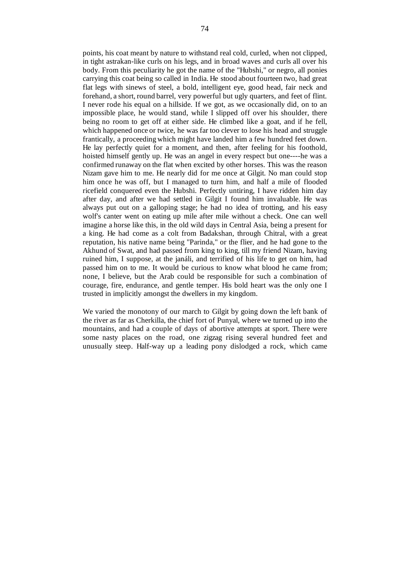points, his coat meant by nature to withstand real cold, curled, when not clipped, in tight astrakan-like curls on his legs, and in broad waves and curls all over his body. From this peculiarity he got the name of the "Hubshi," or negro, all ponies carrying this coat being so called in India. He stood about fourteen two, had great flat legs with sinews of steel, a bold, intelligent eye, good head, fair neck and forehand, a short, round barrel, very powerful but ugly quarters, and feet of flint. I never rode his equal on a hillside. If we got, as we occasionally did, on to an impossible place, he would stand, while I slipped off over his shoulder, there being no room to get off at either side. He climbed like a goat, and if he fell, which happened once or twice, he was far too clever to lose his head and struggle frantically, a proceeding which might have landed him a few hundred feet down. He lay perfectly quiet for a moment, and then, after feeling for his foothold, hoisted himself gently up. He was an angel in every respect but one----he was a confirmed runaway on the flat when excited by other horses. This was the reason Nizam gave him to me. He nearly did for me once at Gilgit. No man could stop him once he was off, but I managed to turn him, and half a mile of flooded ricefield conquered even the Hubshi. Perfectly untiring, I have ridden him day after day, and after we had settled in Gilgit I found him invaluable. He was always put out on a galloping stage; he had no idea of trotting, and his easy wolf's canter went on eating up mile after mile without a check. One can well imagine a horse like this, in the old wild days in Central Asia, being a present for a king. He had come as a colt from Badakshan, through Chitral, with a great reputation, his native name being "Parinda," or the flier, and he had gone to the Akhund of Swat, and had passed from king to king, till my friend Nizam, having ruined him, I suppose, at the janáli, and terrified of his life to get on him, had passed him on to me. It would be curious to know what blood he came from; none, I believe, but the Arab could be responsible for such a combination of courage, fire, endurance, and gentle temper. His bold heart was the only one I trusted in implicitly amongst the dwellers in my kingdom.

We varied the monotony of our march to Gilgit by going down the left bank of the river as far as Cherkilla, the chief fort of Punyal, where we turned up into the mountains, and had a couple of days of abortive attempts at sport. There were some nasty places on the road, one zigzag rising several hundred feet and unusually steep. Half-way up a leading pony dislodged a rock, which came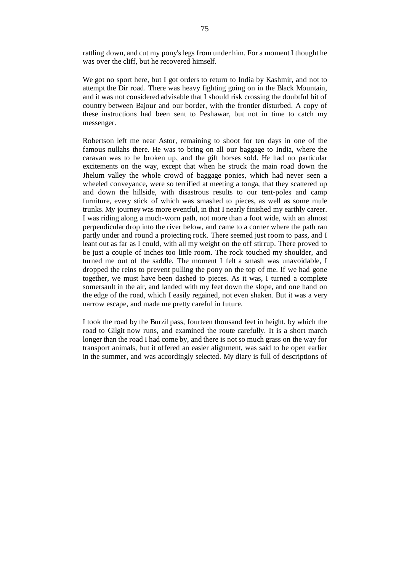rattling down, and cut my pony's legs from under him. For a moment I thought he was over the cliff, but he recovered himself.

We got no sport here, but I got orders to return to India by Kashmir, and not to attempt the Dir road. There was heavy fighting going on in the Black Mountain, and it was not considered advisable that I should risk crossing the doubtful bit of country between Bajour and our border, with the frontier disturbed. A copy of these instructions had been sent to Peshawar, but not in time to catch my messenger.

Robertson left me near Astor, remaining to shoot for ten days in one of the famous nullahs there. He was to bring on all our baggage to India, where the caravan was to be broken up, and the gift horses sold. He had no particular excitements on the way, except that when he struck the main road down the Jhelum valley the whole crowd of baggage ponies, which had never seen a wheeled conveyance, were so terrified at meeting a tonga, that they scattered up and down the hillside, with disastrous results to our tent-poles and camp furniture, every stick of which was smashed to pieces, as well as some mule trunks. My journey was more eventful, in that I nearly finished my earthly career. I was riding along a much-worn path, not more than a foot wide, with an almost perpendicular drop into the river below, and came to a corner where the path ran partly under and round a projecting rock. There seemed just room to pass, and I leant out as far as I could, with all my weight on the off stirrup. There proved to be just a couple of inches too little room. The rock touched my shoulder, and turned me out of the saddle. The moment I felt a smash was unavoidable, I dropped the reins to prevent pulling the pony on the top of me. If we had gone together, we must have been dashed to pieces. As it was, I turned a complete somersault in the air, and landed with my feet down the slope, and one hand on the edge of the road, which I easily regained, not even shaken. But it was a very narrow escape, and made me pretty careful in future.

I took the road by the Burzil pass, fourteen thousand feet in height, by which the road to Gilgit now runs, and examined the route carefully. It is a short march longer than the road I had come by, and there is not so much grass on the way for transport animals, but it offered an easier alignment, was said to be open earlier in the summer, and was accordingly selected. My diary is full of descriptions of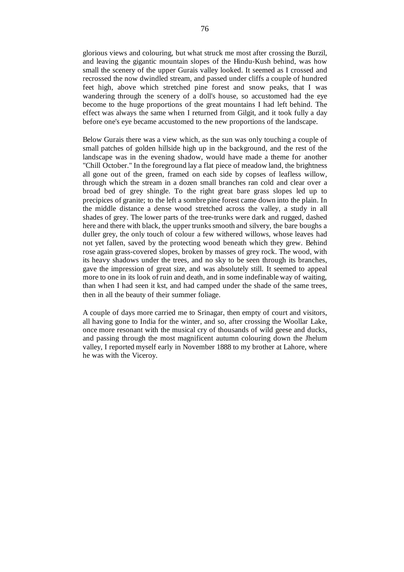glorious views and colouring, but what struck me most after crossing the Burzil, and leaving the gigantic mountain slopes of the Hindu-Kush behind, was how small the scenery of the upper Gurais valley looked. It seemed as I crossed and recrossed the now dwindled stream, and passed under cliffs a couple of hundred feet high, above which stretched pine forest and snow peaks, that I was wandering through the scenery of a doll's house, so accustomed had the eye become to the huge proportions of the great mountains I had left behind. The effect was always the same when I returned from Gilgit, and it took fully a day before one's eye became accustomed to the new proportions of the landscape.

Below Gurais there was a view which, as the sun was only touching a couple of small patches of golden hillside high up in the background, and the rest of the landscape was in the evening shadow, would have made a theme for another "Chill October." In the foreground lay a flat piece of meadow land, the brightness all gone out of the green, framed on each side by copses of leafless willow, through which the stream in a dozen small branches ran cold and clear over a broad bed of grey shingle. To the right great bare grass slopes led up to precipices of granite; to the left a sombre pine forest came down into the plain. In the middle distance a dense wood stretched across the valley, a study in all shades of grey. The lower parts of the tree-trunks were dark and rugged, dashed here and there with black, the upper trunks smooth and silvery, the bare boughs a duller grey, the only touch of colour a few withered willows, whose leaves had not yet fallen, saved by the protecting wood beneath which they grew. Behind rose again grass-covered slopes, broken by masses of grey rock. The wood, with its heavy shadows under the trees, and no sky to be seen through its branches, gave the impression of great size, and was absolutely still. It seemed to appeal more to one in its look of ruin and death, and in some indefinable way of waiting, than when I had seen it kst, and had camped under the shade of the same trees, then in all the beauty of their summer foliage.

A couple of days more carried me to Srinagar, then empty of court and visitors, all having gone to India for the winter, and so, after crossing the Woollar Lake, once more resonant with the musical cry of thousands of wild geese and ducks, and passing through the most magnificent autumn colouring down the Jhelum valley, I reported myself early in November 1888 to my brother at Lahore, where he was with the Viceroy.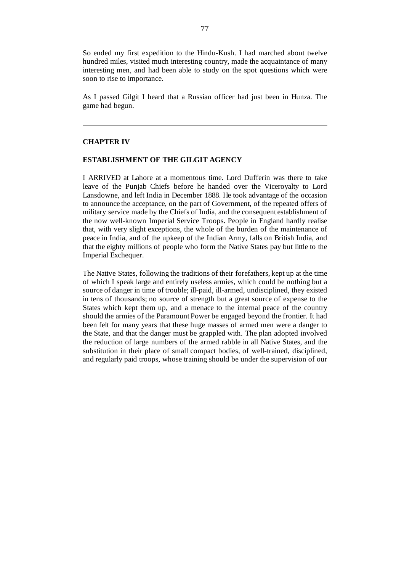So ended my first expedition to the Hindu-Kush. I had marched about twelve hundred miles, visited much interesting country, made the acquaintance of many interesting men, and had been able to study on the spot questions which were soon to rise to importance.

As I passed Gilgit I heard that a Russian officer had just been in Hunza. The game had begun.

## **CHAPTER IV**

## **ESTABLISHMENT OF THE GILGIT AGENCY**

I ARRIVED at Lahore at a momentous time. Lord Dufferin was there to take leave of the Punjab Chiefs before he handed over the Viceroyalty to Lord Lansdowne, and left India in December 1888. He took advantage of the occasion to announce the acceptance, on the part of Government, of the repeated offers of military service made by the Chiefs of India, and the consequent establishment of the now well-known Imperial Service Troops. People in England hardly realise that, with very slight exceptions, the whole of the burden of the maintenance of peace in India, and of the upkeep of the Indian Army, falls on British India, and that the eighty millions of people who form the Native States pay but little to the Imperial Exchequer.

The Native States, following the traditions of their forefathers, kept up at the time of which I speak large and entirely useless armies, which could be nothing but a source of danger in time of trouble; ill-paid, ill-armed, undisciplined, they existed in tens of thousands; no source of strength but a great source of expense to the States which kept them up, and a menace to the internal peace of the country should the armies of the Paramount Power be engaged beyond the frontier. It had been felt for many years that these huge masses of armed men were a danger to the State, and that the danger must be grappled with. The plan adopted involved the reduction of large numbers of the armed rabble in all Native States, and the substitution in their place of small compact bodies, of well-trained, disciplined, and regularly paid troops, whose training should be under the supervision of our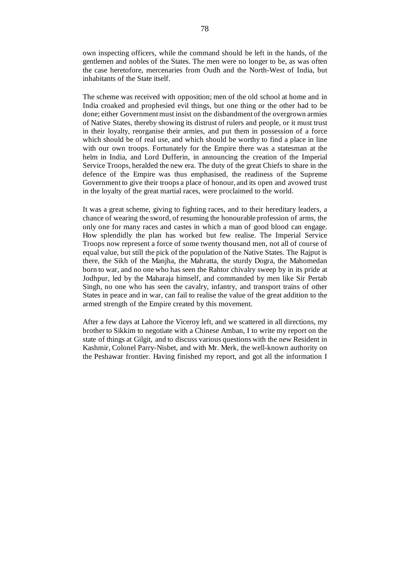own inspecting officers, while the command should be left in the hands, of the gentlemen and nobles of the States. The men were no longer to be, as was often the case heretofore, mercenaries from Oudh and the North-West of India, but inhabitants of the State itself.

The scheme was received with opposition; men of the old school at home and in India croaked and prophesied evil things, but one thing or the other had to be done; either Government must insist on the disbandment of the overgrown armies of Native States, thereby showing its distrust of rulers and people, or it must trust in their loyalty, reorganise their armies, and put them in possession of a force which should be of real use, and which should be worthy to find a place in line with our own troops. Fortunately for the Empire there was a statesman at the helm in India, and Lord Dufferin, in announcing the creation of the Imperial Service Troops, heralded the new era. The duty of the great Chiefs to share in the defence of the Empire was thus emphasised, the readiness of the Supreme Government to give their troops a place of honour, and its open and avowed trust in the loyalty of the great martial races, were proclaimed to the world.

It was a great scheme, giving to fighting races, and to their hereditary leaders, a chance of wearing the sword, of resuming the honourable profession of arms, the only one for many races and castes in which a man of good blood can engage. How splendidly the plan has worked but few realise. The Imperial Service Troops now represent a force of some twenty thousand men, not all of course of equal value, but still the pick of the population of the Native States. The Rajput is there, the Sikh of the Manjha, the Mahratta, the sturdy Dogra, the Mahomedan born to war, and no one who has seen the Rahtor chivalry sweep by in its pride at Jodhpur, led by the Maharaja himself, and commanded by men like Sir Pertab Singh, no one who has seen the cavalry, infantry, and transport trains of other States in peace and in war, can fail to realise the value of the great addition to the armed strength of the Empire created by this movement.

After a few days at Lahore the Viceroy left, and we scattered in all directions, my brother to Sikkim to negotiate with a Chinese Amban, I to write my report on the state of things at Gilgit, and to discuss various questions with the new Resident in Kashmir, Colonel Parry-Nisbet, and with Mr. Merk, the well-known authority on the Peshawar frontier. Having finished my report, and got all the information I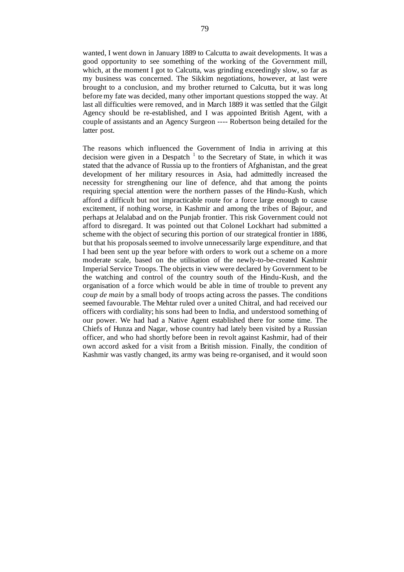wanted, I went down in January 1889 to Calcutta to await developments. It was a good opportunity to see something of the working of the Government mill, which, at the moment I got to Calcutta, was grinding exceedingly slow, so far as my business was concerned. The Sikkim negotiations, however, at last were brought to a conclusion, and my brother returned to Calcutta, but it was long before my fate was decided, many other important questions stopped the way. At last all difficulties were removed, and in March 1889 it was settled that the Gilgit Agency should be re-established, and I was appointed British Agent, with a couple of assistants and an Agency Surgeon ---- Robertson being detailed for the latter post.

The reasons which influenced the Government of India in arriving at this decision were given in a Despatch<sup>1</sup> to the Secretary of State, in which it was stated that the advance of Russia up to the frontiers of Afghanistan, and the great development of her military resources in Asia, had admittedly increased the necessity for strengthening our line of defence, ahd that among the points requiring special attention were the northern passes of the Hindu-Kush, which afford a difficult but not impracticable route for a force large enough to cause excitement, if nothing worse, in Kashmir and among the tribes of Bajour, and perhaps at Jelalabad and on the Punjab frontier. This risk Government could not afford to disregard. It was pointed out that Colonel Lockhart had submitted a scheme with the object of securing this portion of our strategical frontier in 1886, but that his proposals seemed to involve unnecessarily large expenditure, and that I had been sent up the year before with orders to work out a scheme on a more moderate scale, based on the utilisation of the newly-to-be-created Kashmir Imperial Service Troops. The objects in view were declared by Government to be the watching and control of the country south of the Hindu-Kush, and the organisation of a force which would be able in time of trouble to prevent any *coup de main* by a small body of troops acting across the passes. The conditions seemed favourable. The Mehtar ruled over a united Chitral, and had received our officers with cordiality; his sons had been to India, and understood something of our power. We had had a Native Agent established there for some time. The Chiefs of Hunza and Nagar, whose country had lately been visited by a Russian officer, and who had shortly before been in revolt against Kashmir, had of their own accord asked for a visit from a British mission. Finally, the condition of Kashmir was vastly changed, its army was being re-organised, and it would soon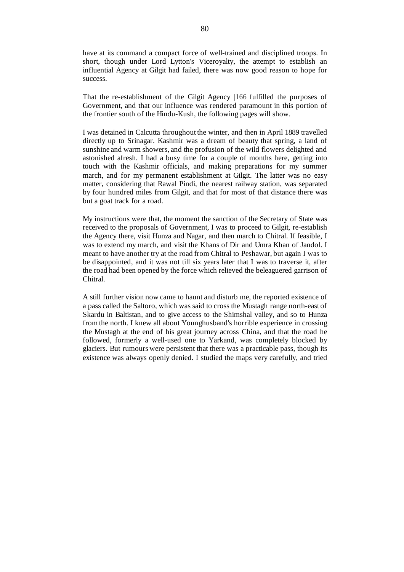have at its command a compact force of well-trained and disciplined troops. In short, though under Lord Lytton's Viceroyalty, the attempt to establish an influential Agency at Gilgit had failed, there was now good reason to hope for success.

That the re-establishment of the Gilgit Agency |166 fulfilled the purposes of Government, and that our influence was rendered paramount in this portion of the frontier south of the Hindu-Kush, the following pages will show.

I was detained in Calcutta throughout the winter, and then in April 1889 travelled directly up to Srinagar. Kashmir was a dream of beauty that spring, a land of sunshine and warm showers, and the profusion of the wild flowers delighted and astonished afresh. I had a busy time for a couple of months here, getting into touch with the Kashmir officials, and making preparations for my summer march, and for my permanent establishment at Gilgit. The latter was no easy matter, considering that Rawal Pindi, the nearest railway station, was separated by four hundred miles from Gilgit, and that for most of that distance there was but a goat track for a road.

My instructions were that, the moment the sanction of the Secretary of State was received to the proposals of Government, I was to proceed to Gilgit, re-establish the Agency there, visit Hunza and Nagar, and then march to Chitral. If feasible, I was to extend my march, and visit the Khans of Dir and Umra Khan of Jandol. I meant to have another try at the road from Chitral to Peshawar, but again I was to be disappointed, and it was not till six years later that I was to traverse it, after the road had been opened by the force which relieved the beleaguered garrison of Chitral.

A still further vision now came to haunt and disturb me, the reported existence of a pass called the Saltoro, which was said to cross the Mustagh range north-east of Skardu in Baltistan, and to give access to the Shimshal valley, and so to Hunza from the north. I knew all about Younghusband's horrible experience in crossing the Mustagh at the end of his great journey across China, and that the road he followed, formerly a well-used one to Yarkand, was completely blocked by glaciers. But rumours were persistent that there was a practicable pass, though its existence was always openly denied. I studied the maps very carefully, and tried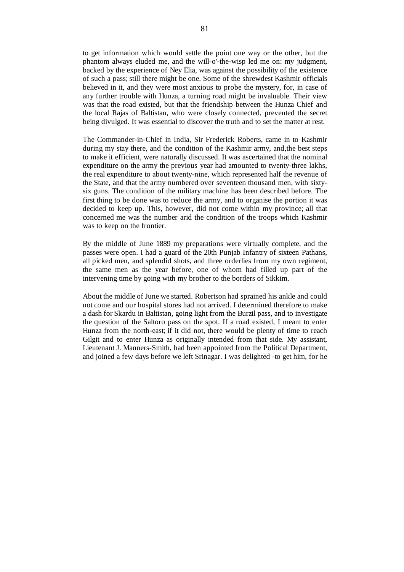to get information which would settle the point one way or the other, but the phantom always eluded me, and the will-o'-the-wisp led me on: my judgment, backed by the experience of Ney Elia, was against the possibility of the existence of such a pass; still there might be one. Some of the shrewdest Kashmir officials believed in it, and they were most anxious to probe the mystery, for, in case of any further trouble with Hunza, a turning road might be invaluable. Their view was that the road existed, but that the friendship between the Hunza Chief and the local Rajas of Baltistan, who were closely connected, prevented the secret being divulged. It was essential to discover the truth and to set the matter at rest.

The Commander-in-Chief in India, Sir Frederick Roberts, came in to Kashmir during my stay there, and the condition of the Kashmir army, and,the best steps to make it efficient, were naturally discussed. It was ascertained that the nominal expenditure on the army the previous year had amounted to twenty-three lakhs, the real expenditure to about twenty-nine, which represented half the revenue of the State, and that the army numbered over seventeen thousand men, with sixtysix guns. The condition of the military machine has been described before. The first thing to be done was to reduce the army, and to organise the portion it was decided to keep up. This, however, did not come within my province; all that concerned me was the number arid the condition of the troops which Kashmir was to keep on the frontier.

By the middle of June 1889 my preparations were virtually complete, and the passes were open. I had a guard of the 20th Punjab Infantry of sixteen Pathans, all picked men, and splendid shots, and three orderlies from my own regiment, the same men as the year before, one of whom had filled up part of the intervening time by going with my brother to the borders of Sikkim.

About the middle of June we started. Robertson had sprained his ankle and could not come and our hospital stores had not arrived. I determined therefore to make a dash for Skardu in Baltistan, going light from the Burzil pass, and to investigate the question of the Saltoro pass on the spot. If a road existed, I meant to enter Hunza from the north-east; if it did not, there would be plenty of time to reach Gilgit and to enter Hunza as originally intended from that side. My assistant, Lieutenant J. Manners-Smith, had been appointed from the Political Department, and joined a few days before we left Srinagar. I was delighted -to get him, for he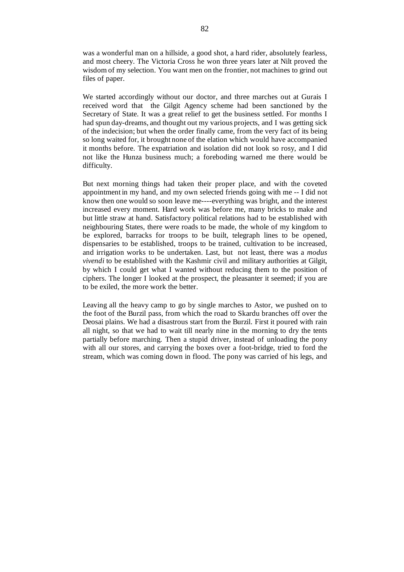was a wonderful man on a hillside, a good shot, a hard rider, absolutely fearless, and most cheery. The Victoria Cross he won three years later at Nilt proved the wisdom of my selection. You want men on the frontier, not machines to grind out files of paper.

We started accordingly without our doctor, and three marches out at Gurais I received word that the Gilgit Agency scheme had been sanctioned by the Secretary of State. It was a great relief to get the business settled. For months I had spun day-dreams, and thought out my various projects, and I was getting sick of the indecision; but when the order finally came, from the very fact of its being so long waited for, it brought none of the elation which would have accompanied it months before. The expatriation and isolation did not look so rosy, and I did not like the Hunza business much; a foreboding warned me there would be difficulty.

But next morning things had taken their proper place, and with the coveted appointment in my hand, and my own selected friends going with me -- I did not know then one would so soon leave me----everything was bright, and the interest increased every moment. Hard work was before me, many bricks to make and but little straw at hand. Satisfactory political relations had to be established with neighbouring States, there were roads to be made, the whole of my kingdom to be explored, barracks for troops to be built, telegraph lines to be opened, dispensaries to be established, troops to be trained, cultivation to be increased, and irrigation works to be undertaken. Last, but not least, there was a *modus vivendi* to be established with the Kashmir civil and military authorities at Gilgit, by which I could get what I wanted without reducing them to the position of ciphers. The longer I looked at the prospect, the pleasanter it seemed; if you are to be exiled, the more work the better.

Leaving all the heavy camp to go by single marches to Astor, we pushed on to the foot of the Burzil pass, from which the road to Skardu branches off over the Deosai plains. We had a disastrous start from the Burzil. First it poured with rain all night, so that we had to wait till nearly nine in the morning to dry the tents partially before marching. Then a stupid driver, instead of unloading the pony with all our stores, and carrying the boxes over a foot-bridge, tried to ford the stream, which was coming down in flood. The pony was carried of his legs, and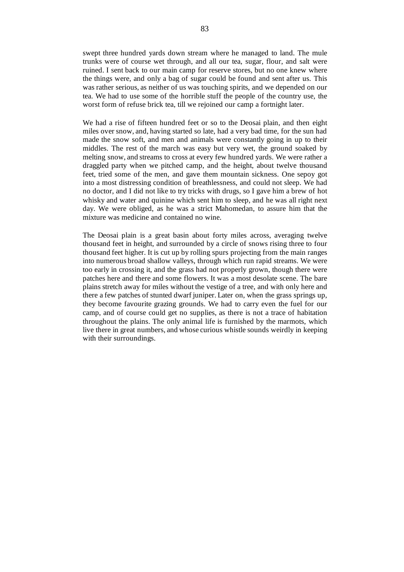swept three hundred yards down stream where he managed to land. The mule trunks were of course wet through, and all our tea, sugar, flour, and salt were ruined. I sent back to our main camp for reserve stores, but no one knew where the things were, and only a bag of sugar could be found and sent after us. This was rather serious, as neither of us was touching spirits, and we depended on our tea. We had to use some of the horrible stuff the people of the country use, the worst form of refuse brick tea, till we rejoined our camp a fortnight later.

We had a rise of fifteen hundred feet or so to the Deosai plain, and then eight miles over snow, and, having started so late, had a very bad time, for the sun had made the snow soft, and men and animals were constantly going in up to their middles. The rest of the march was easy but very wet, the ground soaked by melting snow, and streams to cross at every few hundred yards. We were rather a draggled party when we pitched camp, and the height, about twelve thousand feet, tried some of the men, and gave them mountain sickness. One sepoy got into a most distressing condition of breathlessness, and could not sleep. We had no doctor, and I did not like to try tricks with drugs, so I gave him a brew of hot whisky and water and quinine which sent him to sleep, and he was all right next day. We were obliged, as he was a strict Mahomedan, to assure him that the mixture was medicine and contained no wine.

The Deosai plain is a great basin about forty miles across, averaging twelve thousand feet in height, and surrounded by a circle of snows rising three to four thousand feet higher. It is cut up by rolling spurs projecting from the main ranges into numerous broad shallow valleys, through which run rapid streams. We were too early in crossing it, and the grass had not properly grown, though there were patches here and there and some flowers. It was a most desolate scene. The bare plains stretch away for miles without the vestige of a tree, and with only here and there a few patches of stunted dwarf juniper. Later on, when the grass springs up, they become favourite grazing grounds. We had to carry even the fuel for our camp, and of course could get no supplies, as there is not a trace of habitation throughout the plains. The only animal life is furnished by the marmots, which live there in great numbers, and whose curious whistle sounds weirdly in keeping with their surroundings.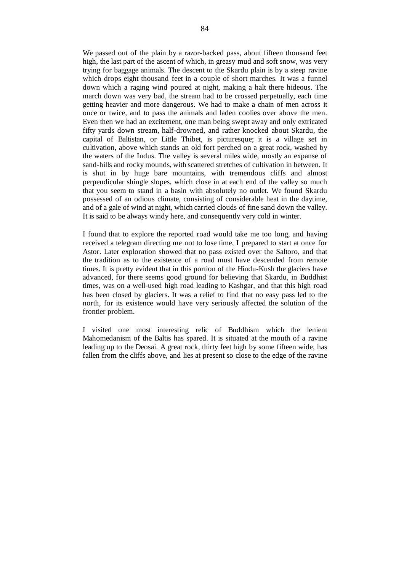We passed out of the plain by a razor-backed pass, about fifteen thousand feet high, the last part of the ascent of which, in greasy mud and soft snow, was very trying for baggage animals. The descent to the Skardu plain is by a steep ravine which drops eight thousand feet in a couple of short marches. It was a funnel down which a raging wind poured at night, making a halt there hideous. The march down was very bad, the stream had to be crossed perpetually, each time getting heavier and more dangerous. We had to make a chain of men across it once or twice, and to pass the animals and laden coolies over above the men. Even then we had an excitement, one man being swept away and only extricated fifty yards down stream, half-drowned, and rather knocked about Skardu, the capital of Baltistan, or Little Thibet, is picturesque; it is a village set in cultivation, above which stands an old fort perched on a great rock, washed by the waters of the Indus. The valley is several miles wide, mostly an expanse of sand-hills and rocky mounds, with scattered stretches of cultivation in between. It is shut in by huge bare mountains, with tremendous cliffs and almost perpendicular shingle slopes, which close in at each end of the valley so much that you seem to stand in a basin with absolutely no outlet. We found Skardu possessed of an odious climate, consisting of considerable heat in the daytime, and of a gale of wind at night, which carried clouds of fine sand down the valley. It is said to be always windy here, and consequently very cold in winter.

I found that to explore the reported road would take me too long, and having received a telegram directing me not to lose time, I prepared to start at once for Astor. Later exploration showed that no pass existed over the Saltoro, and that the tradition as to the existence of a road must have descended from remote times. It is pretty evident that in this portion of the Hindu-Kush the glaciers have advanced, for there seems good ground for believing that Skardu, in Buddhist times, was on a well-used high road leading to Kashgar, and that this high road has been closed by glaciers. It was a relief to find that no easy pass led to the north, for its existence would have very seriously affected the solution of the frontier problem.

I visited one most interesting relic of Buddhism which the lenient Mahomedanism of the Baltis has spared. It is situated at the mouth of a ravine leading up to the Deosai. A great rock, thirty feet high by some fifteen wide, has fallen from the cliffs above, and lies at present so close to the edge of the ravine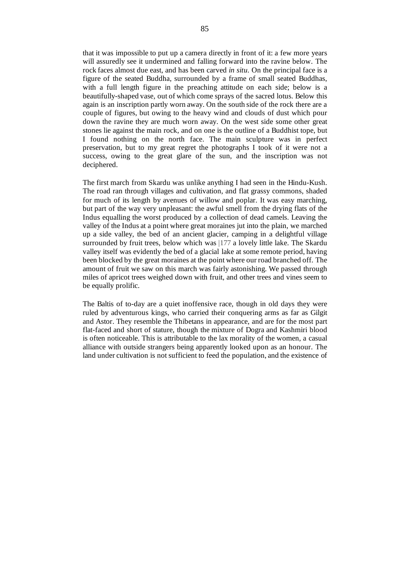that it was impossible to put up a camera directly in front of it: a few more years will assuredly see it undermined and falling forward into the ravine below. The rock faces almost due east, and has been carved *in situ.* On the principal face is a figure of the seated Buddha, surrounded by a frame of small seated Buddhas, with a full length figure in the preaching attitude on each side; below is a beautifully-shaped vase, out of which come sprays of the sacred lotus. Below this again is an inscription partly worn away. On the south side of the rock there are a couple of figures, but owing to the heavy wind and clouds of dust which pour down the ravine they are much worn away. On the west side some other great stones lie against the main rock, and on one is the outline of a Buddhist tope, but I found nothing on the north face. The main sculpture was in perfect preservation, but to my great regret the photographs I took of it were not a success, owing to the great glare of the sun, and the inscription was not deciphered.

The first march from Skardu was unlike anything I had seen in the Hindu-Kush. The road ran through villages and cultivation, and flat grassy commons, shaded for much of its length by avenues of willow and poplar. It was easy marching, but part of the way very unpleasant: the awful smell from the drying flats of the Indus equalling the worst produced by a collection of dead camels. Leaving the valley of the Indus at a point where great moraines jut into the plain, we marched up a side valley, the bed of an ancient glacier, camping in a delightful village surrounded by fruit trees, below which was |177 a lovely little lake. The Skardu valley itself was evidently the bed of a glacial lake at some remote period, having been blocked by the great moraines at the point where our road branched off. The amount of fruit we saw on this march was fairly astonishing. We passed through miles of apricot trees weighed down with fruit, and other trees and vines seem to be equally prolific.

The Baltis of to-day are a quiet inoffensive race, though in old days they were ruled by adventurous kings, who carried their conquering arms as far as Gilgit and Astor. They resemble the Thibetans in appearance, and are for the most part flat-faced and short of stature, though the mixture of Dogra and Kashmiri blood is often noticeable. This is attributable to the lax morality of the women, a casual alliance with outside strangers being apparently looked upon as an honour. The land under cultivation is not sufficient to feed the population, and the existence of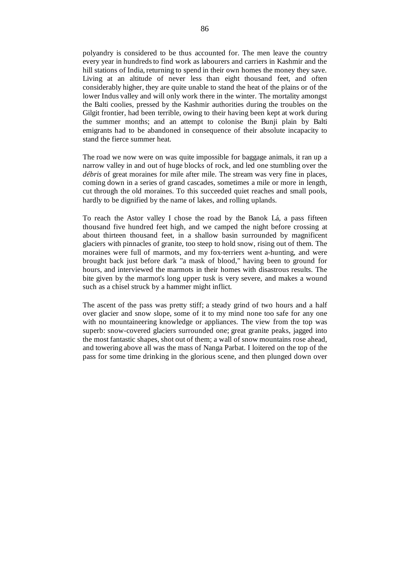polyandry is considered to be thus accounted for. The men leave the country every year in hundreds to find work as labourers and carriers in Kashmir and the hill stations of India, returning to spend in their own homes the money they save. Living at an altitude of never less than eight thousand feet, and often considerably higher, they are quite unable to stand the heat of the plains or of the lower Indus valley and will only work there in the winter. The mortality amongst the Balti coolies, pressed by the Kashmir authorities during the troubles on the Gilgit frontier, had been terrible, owing to their having been kept at work during the summer months; and an attempt to colonise the Bunji plain by Balti emigrants had to be abandoned in consequence of their absolute incapacity to stand the fierce summer heat.

The road we now were on was quite impossible for baggage animals, it ran up a narrow valley in and out of huge blocks of rock, and led one stumbling over the *débris* of great moraines for mile after mile. The stream was very fine in places, coming down in a series of grand cascades, sometimes a mile or more in length, cut through the old moraines. To this succeeded quiet reaches and small pools, hardly to be dignified by the name of lakes, and rolling uplands.

To reach the Astor valley I chose the road by the Banok Lá, a pass fifteen thousand five hundred feet high, and we camped the night before crossing at about thirteen thousand feet, in a shallow basin surrounded by magnificent glaciers with pinnacles of granite, too steep to hold snow, rising out of them. The moraines were full of marmots, and my fox-terriers went a-hunting, and were brought back just before dark "a mask of blood," having been to ground for hours, and interviewed the marmots in their homes with disastrous results. The bite given by the marmot's long upper tusk is very severe, and makes a wound such as a chisel struck by a hammer might inflict.

The ascent of the pass was pretty stiff; a steady grind of two hours and a half over glacier and snow slope, some of it to my mind none too safe for any one with no mountaineering knowledge or appliances. The view from the top was superb: snow-covered glaciers surrounded one; great granite peaks, jagged into the most fantastic shapes, shot out of them; a wall of snow mountains rose ahead, and towering above all was the mass of Nanga Parbat. I loitered on the top of the pass for some time drinking in the glorious scene, and then plunged down over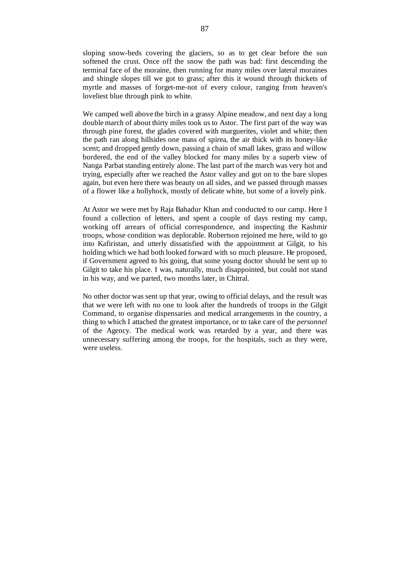sloping snow-beds covering the glaciers, so as to get clear before the sun softened the crust. Once off the snow the path was bad: first descending the terminal face of the moraine, then running for many miles over lateral moraines and shingle slopes till we got to grass; after this it wound through thickets of myrtle and masses of forget-me-not of every colour, ranging from heaven's loveliest blue through pink to white.

We camped well above the birch in a grassy Alpine meadow, and next day a long double march of about thirty miles took us to Astor. The first part of the way was through pine forest, the glades covered with marguerites, violet and white; then the path ran along hillsides one mass of spirea, the air thick with its honey-like scent; and dropped gently down, passing a chain of small lakes, grass and willow bordered, the end of the valley blocked for many miles by a superb view of Nanga Parbat standing entirely alone. The last part of the march was very hot and trying, especially after we reached the Astor valley and got on to the bare slopes again, but even here there was beauty on all sides, and we passed through masses of a flower like a hollyhock, mostly of delicate white, but some of a lovely pink.

At Astor we were met by Raja Bahadur Khan and conducted to our camp. Here I found a collection of letters, and spent a couple of days resting my camp, working off arrears of official correspondence, and inspecting the Kashmir troops, whose condition was deplorable. Robertson rejoined me here, wild to go into Kafiristan, and utterly dissatisfied with the appointment at Gilgit, to his holding which we had both looked forward with so much pleasure. He proposed, if Government agreed to his going, that some young doctor should be sent up to Gilgit to take his place. I was, naturally, much disappointed, but could not stand in his way, and we parted, two months later, in Chitral.

No other doctor was sent up that year, owing to official delays, and the result was that we were left with no one to look after the hundreds of troops in the Gilgit Command, to organise dispensaries and medical arrangements in the country, a thing to which I attached the greatest importance, or to take care of the *personnel*  of the Agency. The medical work was retarded by a year, and there was unnecessary suffering among the troops, for the hospitals, such as they were, were useless.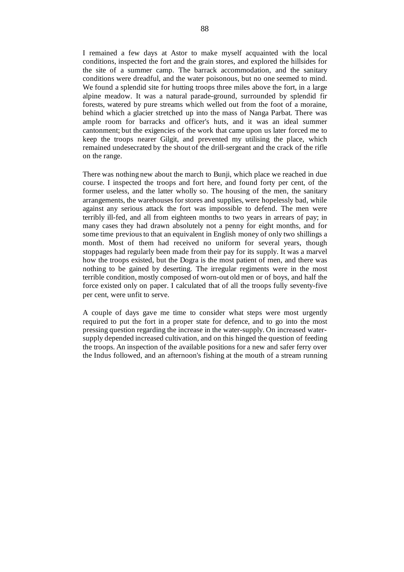I remained a few days at Astor to make myself acquainted with the local conditions, inspected the fort and the grain stores, and explored the hillsides for the site of a summer camp. The barrack accommodation, and the sanitary conditions were dreadful, and the water poisonous, but no one seemed to mind. We found a splendid site for hutting troops three miles above the fort, in a large alpine meadow. It was a natural parade-ground, surrounded by splendid fir forests, watered by pure streams which welled out from the foot of a moraine, behind which a glacier stretched up into the mass of Nanga Parbat. There was ample room for barracks and officer's huts, and it was an ideal summer cantonment; but the exigencies of the work that came upon us later forced me to keep the troops nearer Gilgit, and prevented my utilising the place, which remained undesecrated by the shout of the drill-sergeant and the crack of the rifle on the range.

There was nothing new about the march to Bunji, which place we reached in due course. I inspected the troops and fort here, and found forty per cent, of the former useless, and the latter wholly so. The housing of the men, the sanitary arrangements, the warehouses for stores and supplies, were hopelessly bad, while against any serious attack the fort was impossible to defend. The men were terribly ill-fed, and all from eighteen months to two years in arrears of pay; in many cases they had drawn absolutely not a penny for eight months, and for some time previous to that an equivalent in English money of only two shillings a month. Most of them had received no uniform for several years, though stoppages had regularly been made from their pay for its supply. It was a marvel how the troops existed, but the Dogra is the most patient of men, and there was nothing to be gained by deserting. The irregular regiments were in the most terrible condition, mostly composed of worn-out old men or of boys, and half the force existed only on paper. I calculated that of all the troops fully seventy-five per cent, were unfit to serve.

A couple of days gave me time to consider what steps were most urgently required to put the fort in a proper state for defence, and to go into the most pressing question regarding the increase in the water-supply. On increased watersupply depended increased cultivation, and on this hinged the question of feeding the troops. An inspection of the available positions for a new and safer ferry over the Indus followed, and an afternoon's fishing at the mouth of a stream running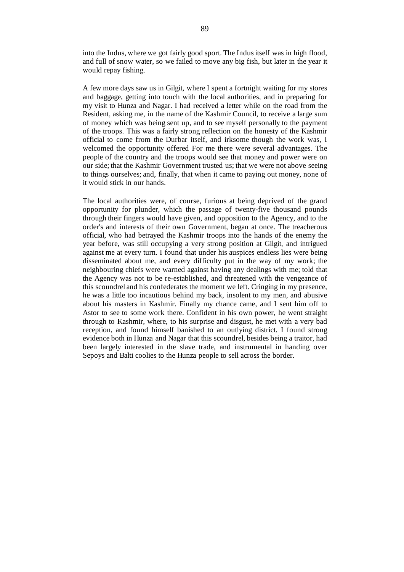into the Indus, where we got fairly good sport. The Indus itself was in high flood, and full of snow water, so we failed to move any big fish, but later in the year it would repay fishing.

A few more days saw us in Gilgit, where I spent a fortnight waiting for my stores and baggage, getting into touch with the local authorities, and in preparing for my visit to Hunza and Nagar. I had received a letter while on the road from the Resident, asking me, in the name of the Kashmir Council, to receive a large sum of money which was being sent up, and to see myself personally to the payment of the troops. This was a fairly strong reflection on the honesty of the Kashmir official to come from the Durbar itself, and irksome though the work was, I welcomed the opportunity offered For me there were several advantages. The people of the country and the troops would see that money and power were on our side; that the Kashmir Government trusted us; that we were not above seeing to things ourselves; and, finally, that when it came to paying out money, none of it would stick in our hands.

The local authorities were, of course, furious at being deprived of the grand opportunity for plunder, which the passage of twenty-five thousand pounds through their fingers would have given, and opposition to the Agency, and to the order's and interests of their own Government, began at once. The treacherous official, who had betrayed the Kashmir troops into the hands of the enemy the year before, was still occupying a very strong position at Gilgit, and intrigued against me at every turn. I found that under his auspices endless lies were being disseminated about me, and every difficulty put in the way of my work; the neighbouring chiefs were warned against having any dealings with me; told that the Agency was not to be re-established, and threatened with the vengeance of this scoundrel and his confederates the moment we left. Cringing in my presence, he was a little too incautious behind my back, insolent to my men, and abusive about his masters in Kashmir. Finally my chance came, and I sent him off to Astor to see to some work there. Confident in his own power, he went straight through to Kashmir, where, to his surprise and disgust, he met with a very bad reception, and found himself banished to an outlying district. I found strong evidence both in Hunza and Nagar that this scoundrel, besides being a traitor, had been largely interested in the slave trade, and instrumental in handing over Sepoys and Balti coolies to the Hunza people to sell across the border.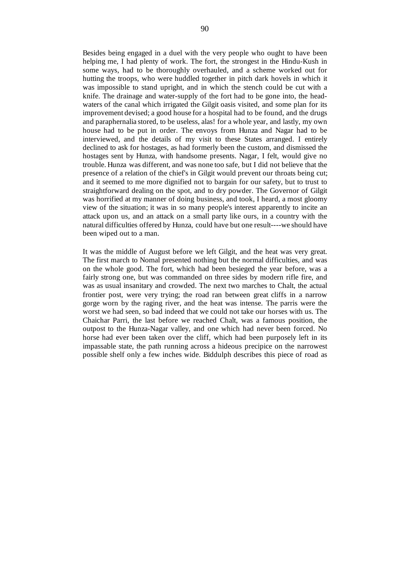Besides being engaged in a duel with the very people who ought to have been helping me, I had plenty of work. The fort, the strongest in the Hindu-Kush in some ways, had to be thoroughly overhauled, and a scheme worked out for hutting the troops, who were huddled together in pitch dark hovels in which it was impossible to stand upright, and in which the stench could be cut with a knife. The drainage and water-supply of the fort had to be gone into, the headwaters of the canal which irrigated the Gilgit oasis visited, and some plan for its improvement devised; a good house for a hospital had to be found, and the drugs and paraphernalia stored, to be useless, alas! for a whole year, and lastly, my own house had to be put in order. The envoys from Hunza and Nagar had to be interviewed, and the details of my visit to these States arranged. I entirely declined to ask for hostages, as had formerly been the custom, and dismissed the hostages sent by Hunza, with handsome presents. Nagar, I felt, would give no trouble. Hunza was different, and was none too safe, but I did not believe that the presence of a relation of the chief's in Gilgit would prevent our throats being cut; and it seemed to me more dignified not to bargain for our safety, but to trust to straightforward dealing on the spot, and to dry powder. The Governor of Gilgit was horrified at my manner of doing business, and took, I heard, a most gloomy view of the situation; it was in so many people's interest apparently to incite an attack upon us, and an attack on a small party like ours, in a country with the natural difficulties offered by Hunza, could have but one result----we should have been wiped out to a man.

It was the middle of August before we left Gilgit, and the heat was very great. The first march to Nomal presented nothing but the normal difficulties, and was on the whole good. The fort, which had been besieged the year before, was a fairly strong one, but was commanded on three sides by modern rifle fire, and was as usual insanitary and crowded. The next two marches to Chalt, the actual frontier post, were very trying; the road ran between great cliffs in a narrow gorge worn by the raging river, and the heat was intense. The parris were the worst we had seen, so bad indeed that we could not take our horses with us. The Chaichar Parri, the last before we reached Chalt, was a famous position, the outpost to the Hunza-Nagar valley, and one which had never been forced. No horse had ever been taken over the cliff, which had been purposely left in its impassable state, the path running across a hideous precipice on the narrowest possible shelf only a few inches wide. Biddulph describes this piece of road as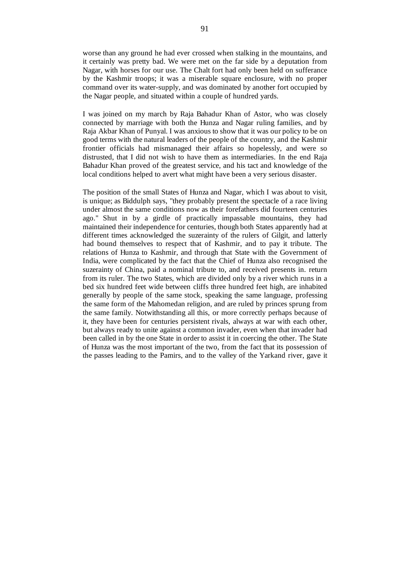worse than any ground he had ever crossed when stalking in the mountains, and it certainly was pretty bad. We were met on the far side by a deputation from Nagar, with horses for our use. The Chalt fort had only been held on sufferance by the Kashmir troops; it was a miserable square enclosure, with no proper command over its water-supply, and was dominated by another fort occupied by the Nagar people, and situated within a couple of hundred yards.

I was joined on my march by Raja Bahadur Khan of Astor, who was closely connected by marriage with both the Hunza and Nagar ruling families, and by Raja Akbar Khan of Punyal. I was anxious to show that it was our policy to be on good terms with the natural leaders of the people of the country, and the Kashmir frontier officials had mismanaged their affairs so hopelessly, and were so distrusted, that I did not wish to have them as intermediaries. In the end Raja Bahadur Khan proved of the greatest service, and his tact and knowledge of the local conditions helped to avert what might have been a very serious disaster.

The position of the small States of Hunza and Nagar, which I was about to visit, is unique; as Biddulph says, "they probably present the spectacle of a race living under almost the same conditions now as their forefathers did fourteen centuries ago." Shut in by a girdle of practically impassable mountains, they had maintained their independence for centuries, though both States apparently had at different times acknowledged the suzerainty of the rulers of Gilgit, and latterly had bound themselves to respect that of Kashmir, and to pay it tribute. The relations of Hunza to Kashmir, and through that State with the Government of India, were complicated by the fact that the Chief of Hunza also recognised the suzerainty of China, paid a nominal tribute to, and received presents in. return from its ruler. The two States, which are divided only by a river which runs in a bed six hundred feet wide between cliffs three hundred feet high, are inhabited generally by people of the same stock, speaking the same language, professing the same form of the Mahomedan religion, and are ruled by princes sprung from the same family. Notwithstanding all this, or more correctly perhaps because of it, they have been for centuries persistent rivals, always at war with each other, but always ready to unite against a common invader, even when that invader had been called in by the one State in order to assist it in coercing the other. The State of Hunza was the most important of the two, from the fact that its possession of the passes leading to the Pamirs, and to the valley of the Yarkand river, gave it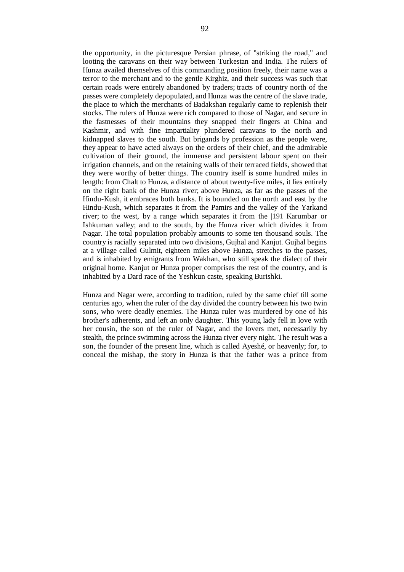the opportunity, in the picturesque Persian phrase, of "striking the road," and looting the caravans on their way between Turkestan and India. The rulers of Hunza availed themselves of this commanding position freely*,* their name was a terror to the merchant and to the gentle Kirghiz, and their success was such that certain roads were entirely abandoned by traders; tracts of country north of the passes were completely depopulated, and Hunza was the centre of the slave trade, the place to which the merchants of Badakshan regularly came to replenish their stocks. The rulers of Hunza were rich compared to those of Nagar, and secure in the fastnesses of their mountains they snapped their fingers at China and Kashmir, and with fine impartiality plundered caravans to the north and kidnapped slaves to the south. But brigands by profession as the people were, they appear to have acted always on the orders of their chief, and the admirable cultivation of their ground, the immense and persistent labour spent on their irrigation channels, and on the retaining walls of their terraced fields, showed that they were worthy of better things. The country itself is some hundred miles in length: from Chalt to Hunza, a distance of about twenty-five miles, it lies entirely on the right bank of the Hunza river; above Hunza, as far as the passes of the Hindu-Kush, it embraces both banks. It is bounded on the north and east by the Hindu-Kush, which separates it from the Pamirs and the valley of the Yarkand river; to the west, by a range which separates it from the |191 Karumbar or Ishkuman valley; and to the south, by the Hunza river which divides it from Nagar. The total population probably amounts to some ten thousand souls. The country is racially separated into two divisions, Gujhal and Kanjut. Gujhal begins at a village called Gulmit, eighteen miles above Hunza, stretches to the passes, and is inhabited by emigrants from Wakhan, who still speak the dialect of their

Hunza and Nagar were, according to tradition, ruled by the same chief till some centuries ago, when the ruler of the day divided the country between his two twin sons, who were deadly enemies. The Hunza ruler was murdered by one of his brother's adherents, and left an only daughter. This young lady fell in love with her cousin, the son of the ruler of Nagar, and the lovers met, necessarily by stealth, the prince swimming across the Hunza river every night. The result was a son, the founder of the present line, which is called Ayeshé, or heavenly; for, to conceal the mishap, the story in Hunza is that the father was a prince from

original home. Kanjut or Hunza proper comprises the rest of the country, and is

inhabited by a Dard race of the Yeshkun caste, speaking Burishki.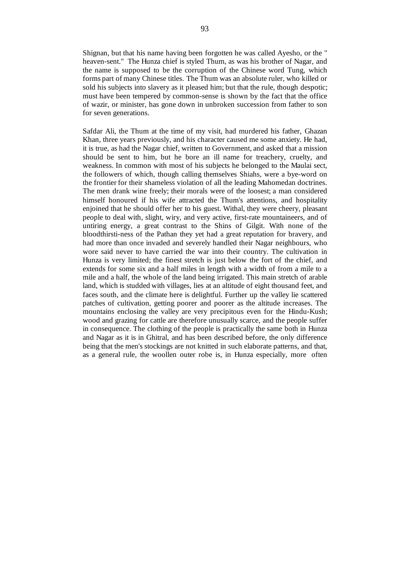Shignan, but that his name having been forgotten he was called Ayesho, or the " heaven-sent." The Hunza chief is styled Thum, as was his brother of Nagar, and the name is supposed to be the corruption of the Chinese word Tung, which forms part of many Chinese titles. The Thum was an absolute ruler, who killed or sold his subjects into slavery as it pleased him; but that the rule, though despotic; must have been tempered by common-sense is shown by the fact that the office of wazir, or minister, has gone down in unbroken succession from father to son for seven generations.

Safdar Ali, the Thum at the time of my visit, had murdered his father, Ghazan Khan, three years previously, and his character caused me some anxiety. He had, it is true, as had the Nagar chief, written to Government, and asked that a mission should be sent to him, but he bore an ill name for treachery, cruelty, and weakness. In common with most of his subjects he belonged to the Maulai sect, the followers of which, though calling themselves Shiahs, were a bye-word on the frontier for their shameless violation of all the leading Mahomedan doctrines. The men drank wine freely; their morals were of the loosest; a man considered himself honoured if his wife attracted the Thum's attentions, and hospitality enjoined that he should offer her to his guest. Withal, they were cheery, pleasant people to deal with, slight, wiry, and very active, first-rate mountaineers, and of untiring energy, a great contrast to the Shins of Gilgit. With none of the bloodthirsti-ness of the Pathan they yet had a great reputation for bravery, and had more than once invaded and severely handled their Nagar neighbours, who wore said never to have carried the war into their country. The cultivation in Hunza is very limited; the finest stretch is just below the fort of the chief, and extends for some six and a half miles in length with a width of from a mile to a mile and a half, the whole of the land being irrigated. This main stretch of arable land, which is studded with villages, lies at an altitude of eight thousand feet, and faces south, and the climate here is delightful. Further up the valley lie scattered patches of cultivation, getting poorer and poorer as the altitude increases. The mountains enclosing the valley are very precipitous even for the Hindu-Kush; wood and grazing for cattle are therefore unusually scarce, and the people suffer in consequence. The clothing of the people is practically the same both in Hunza and Nagar as it is in Ghitral, and has been described before, the only difference being that the men's stockings are not knitted in such elaborate patterns, and that, as a general rule, the woollen outer robe is, in Hunza especially, more often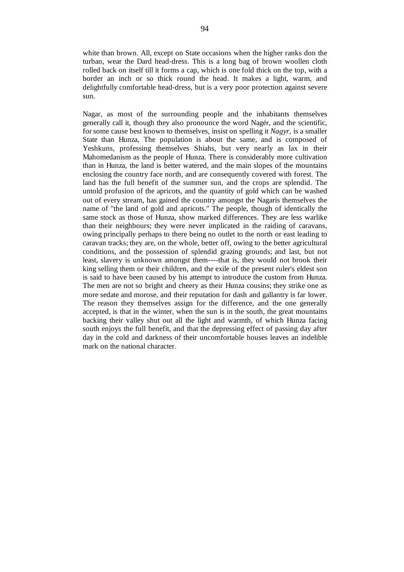white than brown. All, except on State occasions when the higher ranks don the turban, wear the Dard head-dress. This is a long bag of brown woollen cloth rolled back on itself till it forms a cap, which is one fold thick on the top, with a border an inch or so thick round the head. It makes a light, warm, and delightfully comfortable head-dress, but is a very poor protection against severe sun.

Nagar, as most of the surrounding people and the inhabitants themselves generally call it, though they also pronounce the word Nagér, and the scientific, for some cause best known to themselves, insist on spelling it *Nagyr,* is a smaller State than Hunza, The population is about the same, and is composed of Yeshkuns, professing themselves Shiahs, but very nearly as lax in their Mahomedanism as the people of Hunza. There is considerably more cultivation than in Hunza, the land is better watered, and the main slopes of the mountains enclosing the country face north, and are consequently covered with forest. The land has the full benefit of the summer sun, and the crops are splendid. The untold profusion of the apricots, and the quantity of gold which can be washed out of every stream, has gained the country amongst the Nagaris themselves the name of "the land of gold and apricots." The people, though of identically the same stock as those of Hunza, show marked differences. They are less warlike than their neighbours; they were never implicated in the raiding of caravans, owing principally perhaps to there being no outlet to the north or east leading to caravan tracks; they are, on the whole, better off, owing to the better agricultural conditions, and the possession of splendid grazing grounds; and last, but not least, slavery is unknown amongst them----that is, they would not brook their king selling them or their children, and the exile of the present ruler's eldest son is said to have been caused by his attempt to introduce the custom from Hunza. The men are not so bright and cheery as their Hunza cousins; they strike one as more sedate and morose, and their reputation for dash and gallantry is far lower. The reason they themselves assign for the difference, and the one generally accepted, is that in the winter, when the sun is in the south, the great mountains backing their valley shut out all the light and warmth, of which Hunza facing south enjoys the full benefit, and that the depressing effect of passing day after day in the cold and darkness of their uncomfortable houses leaves an indelible mark on the national character.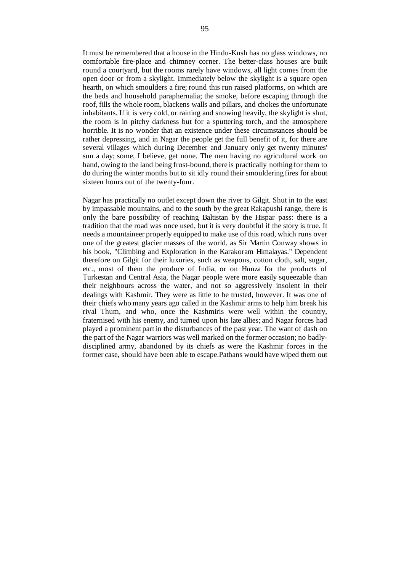It must be remembered that a house in the Hindu-Kush has no glass windows, no comfortable fire-place and chimney corner. The better-class houses are built round a courtyard, but the rooms rarely have windows, all light comes from the open door or from a skylight. Immediately below the skylight is a square open hearth, on which smoulders a fire; round this run raised platforms, on which are the beds and household paraphernalia; the smoke, before escaping through the roof, fills the whole room, blackens walls and pillars, and chokes the unfortunate inhabitants. If it is very cold, or raining and snowing heavily, the skylight is shut, the room is in pitchy darkness but for a sputtering torch, and the atmosphere horrible. It is no wonder that an existence under these circumstances should be rather depressing, and in Nagar the people get the full benefit of it, for there are several villages which during December and January only get twenty minutes' sun a day; some, I believe, get none. The men having no agricultural work on hand, owing to the land being frost-bound, there is practically nothing for them to do during the winter months but to sit idly round their smouldering fires for about sixteen hours out of the twenty-four.

Nagar has practically no outlet except down the river to Gilgit. Shut in to the east by impassable mountains, and to the south by the great Rakapushi range, there is only the bare possibility of reaching Baltistan by the Hispar pass: there is a tradition that the road was once used, but it is very doubtful if the story is true. It needs a mountaineer properly equipped to make use of this road, which runs over one of the greatest glacier masses of the world, as Sir Martin Conway shows in his book, "Climbing and Exploration in the Karakoram Himalayas." Dependent therefore on Gilgit for their luxuries, such as weapons, cotton cloth, salt, sugar, etc., most of them the produce of India, or on Hunza for the products of Turkestan and Central Asia, the Nagar people were more easily squeezable than their neighbours across the water, and not so aggressively insolent in their dealings with Kashmir. They were as little to be trusted, however. It was one of their chiefs who many years ago called in the Kashmir arms to help him break his rival Thum, and who, once the Kashmiris were well within the country, fraternised with his enemy, and turned upon his late allies; and Nagar forces had played a prominent part in the disturbances of the past year. The want of dash on the part of the Nagar warriors was well marked on the former occasion; no badlydisciplined army, abandoned by its chiefs as were the Kashmir forces in the former case, should have been able to escape.Pathans would have wiped them out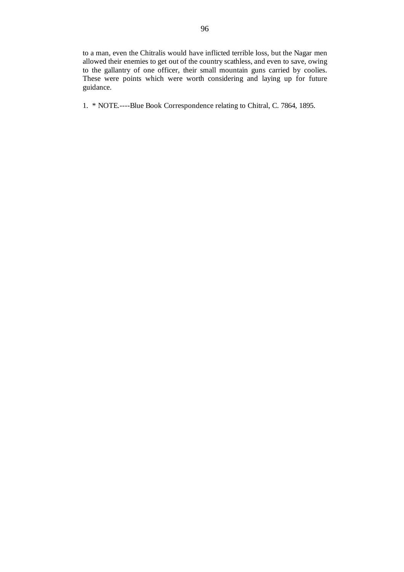to a man, even the Chitralis would have inflicted terrible loss, but the Nagar men allowed their enemies to get out of the country scathless, and even to save, owing to the gallantry of one officer, their small mountain guns carried by coolies. These were points which were worth considering and laying up for future guidance.

1. \* NOTE.----Blue Book Correspondence relating to Chitral, C. 7864, 1895.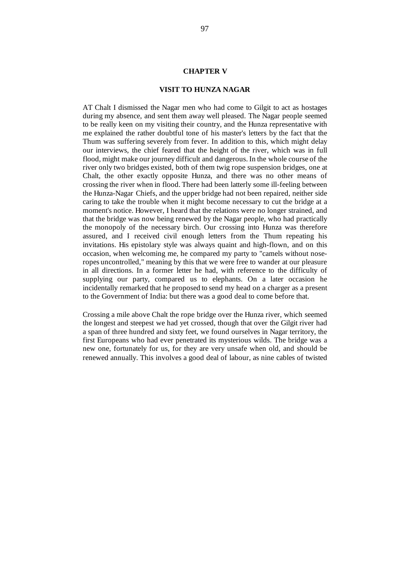## **CHAPTER V**

## **VISIT TO HUNZA NAGAR**

AT Chalt I dismissed the Nagar men who had come to Gilgit to act as hostages during my absence, and sent them away well pleased. The Nagar people seemed to be really keen on my visiting their country, and the Hunza representative with me explained the rather doubtful tone of his master's letters by the fact that the Thum was suffering severely from fever. In addition to this, which might delay our interviews, the chief feared that the height of the river, which was in full flood, might make our journey difficult and dangerous. In the whole course of the river only two bridges existed, both of them twig rope suspension bridges, one at Chalt, the other exactly opposite Hunza, and there was no other means of crossing the river when in flood. There had been latterly some ill-feeling between the Hunza-Nagar Chiefs, and the upper bridge had not been repaired, neither side caring to take the trouble when it might become necessary to cut the bridge at a moment's notice. However, I heard that the relations were no longer strained, and that the bridge was now being renewed by the Nagar people, who had practically the monopoly of the necessary birch. Our crossing into Hunza was therefore assured, and I received civil enough letters from the Thum repeating his invitations. His epistolary style was always quaint and high-flown, and on this occasion, when welcoming me, he compared my party to "camels without noseropes uncontrolled," meaning by this that we were free to wander at our pleasure in all directions. In a former letter he had, with reference to the difficulty of supplying our party, compared us to elephants. On a later occasion he incidentally remarked that he proposed to send my head on a charger as a present to the Government of India: but there was a good deal to come before that.

Crossing a mile above Chalt the rope bridge over the Hunza river, which seemed the longest and steepest we had yet crossed, though that over the Gilgit river had a span of three hundred and sixty feet, we found ourselves in Nagar territory, the first Europeans who had ever penetrated its mysterious wilds. The bridge was a new one, fortunately for us, for they are very unsafe when old, and should be renewed annually. This involves a good deal of labour, as nine cables of twisted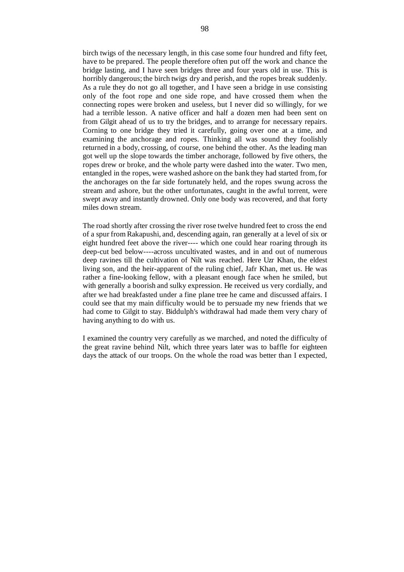birch twigs of the necessary length, in this case some four hundred and fifty feet, have to be prepared. The people therefore often put off the work and chance the bridge lasting, and I have seen bridges three and four years old in use. This is horribly dangerous; the birch twigs dry and perish, and the ropes break suddenly. As a rule they do not go all together, and I have seen a bridge in use consisting only of the foot rope and one side rope, and have crossed them when the connecting ropes were broken and useless, but I never did so willingly, for we had a terrible lesson. A native officer and half a dozen men had been sent on from Gilgit ahead of us to try the bridges, and to arrange for necessary repairs. Corning to one bridge they tried it carefully, going over one at a time, and examining the anchorage and ropes. Thinking all was sound they foolishly returned in a body, crossing, of course, one behind the other. As the leading man got well up the slope towards the timber anchorage, followed by five others, the ropes drew or broke, and the whole party were dashed into the water. Two men, entangled in the ropes, were washed ashore on the bank they had started from, for the anchorages on the far side fortunately held, and the ropes swung across the stream and ashore, but the other unfortunates, caught in the awful torrent, were swept away and instantly drowned. Only one body was recovered, and that forty miles down stream.

The road shortly after crossing the river rose twelve hundred feet to cross the end of a spur from Rakapushi, and, descending again, ran generally at a level of six or eight hundred feet above the river---- which one could hear roaring through its deep-cut bed below----across uncultivated wastes, and in and out of numerous deep ravines till the cultivation of Nilt was reached. Here Uzr Khan, the eldest living son, and the heir-apparent of the ruling chief, Jafr Khan, met us. He was rather a fine-looking fellow, with a pleasant enough face when he smiled, but with generally a boorish and sulky expression. He received us very cordially, and after we had breakfasted under a fine plane tree he came and discussed affairs. I could see that my main difficulty would be to persuade my new friends that we had come to Gilgit to stay. Biddulph's withdrawal had made them very chary of having anything to do with us.

I examined the country very carefully as we marched, and noted the difficulty of the great ravine behind Nilt, which three years later was to baffle for eighteen days the attack of our troops. On the whole the road was better than I expected,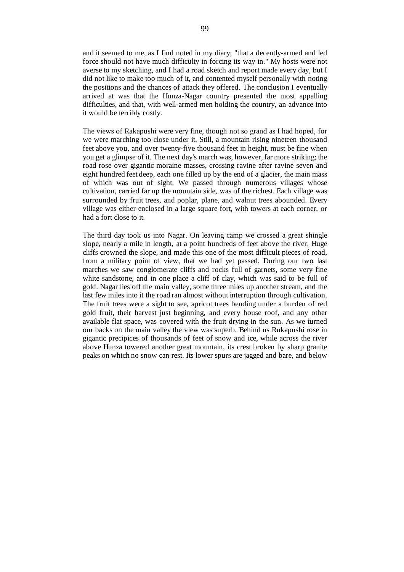and it seemed to me, as I find noted in my diary, "that a decently-armed and led force should not have much difficulty in forcing its way in." My hosts were not averse to my sketching, and I had a road sketch and report made every day, but I did not like to make too much of it, and contented myself personally with noting the positions and the chances of attack they offered. The conclusion I eventually arrived at was that the Hunza-Nagar country presented the most appalling difficulties, and that, with well-armed men holding the country, an advance into it would be terribly costly.

The views of Rakapushi were very fine, though not so grand as I had hoped, for we were marching too close under it. Still, a mountain rising nineteen thousand feet above you, and over twenty-five thousand feet in height, must be fine when you get a glimpse of it. The next day's march was, however, far more striking; the road rose over gigantic moraine masses, crossing ravine after ravine seven and eight hundred feet deep, each one filled up by the end of a glacier, the main mass of which was out of sight. We passed through numerous villages whose cultivation, carried far up the mountain side, was of the richest. Each village was surrounded by fruit trees, and poplar, plane, and walnut trees abounded. Every village was either enclosed in a large square fort, with towers at each corner, or had a fort close to it.

The third day took us into Nagar. On leaving camp we crossed a great shingle slope, nearly a mile in length, at a point hundreds of feet above the river. Huge cliffs crowned the slope, and made this one of the most difficult pieces of road, from a military point of view, that we had yet passed. During our two last marches we saw conglomerate cliffs and rocks full of garnets, some very fine white sandstone, and in one place a cliff of clay, which was said to be full of gold. Nagar lies off the main valley, some three miles up another stream, and the last few miles into it the road ran almost without interruption through cultivation. The fruit trees were a sight to see, apricot trees bending under a burden of red gold fruit, their harvest just beginning, and every house roof, and any other available flat space, was covered with the fruit drying in the sun. As we turned our backs on the main valley the view was superb. Behind us Rukapushi rose in gigantic precipices of thousands of feet of snow and ice, while across the river above Hunza towered another great mountain, its crest broken by sharp granite peaks on which no snow can rest. Its lower spurs are jagged and bare, and below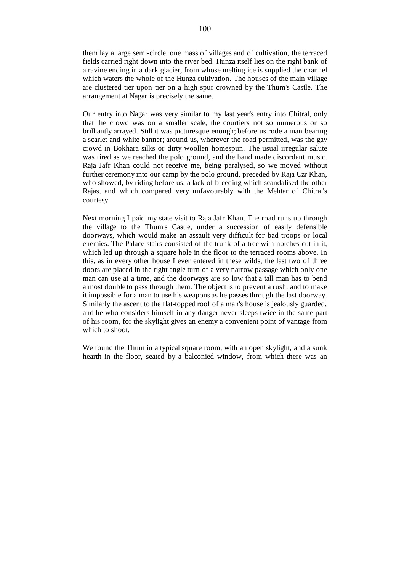them lay a large semi-circle, one mass of villages and of cultivation, the terraced fields carried right down into the river bed. Hunza itself lies on the right bank of a ravine ending in a dark glacier, from whose melting ice is supplied the channel which waters the whole of the Hunza cultivation. The houses of the main village are clustered tier upon tier on a high spur crowned by the Thum's Castle. The arrangement at Nagar is precisely the same.

Our entry into Nagar was very similar to my last year's entry into Chitral, only that the crowd was on a smaller scale, the courtiers not so numerous or so brilliantly arrayed. Still it was picturesque enough; before us rode a man bearing a scarlet and white banner; around us, wherever the road permitted, was the gay crowd in Bokhara silks or dirty woollen homespun. The usual irregular salute was fired as we reached the polo ground, and the band made discordant music. Raja Jafr Khan could not receive me, being paralysed, so we moved without further ceremony into our camp by the polo ground, preceded by Raja Uzr Khan, who showed, by riding before us, a lack of breeding which scandalised the other Rajas, and which compared very unfavourably with the Mehtar of Chitral's courtesy.

Next morning I paid my state visit to Raja Jafr Khan. The road runs up through the village to the Thum's Castle, under a succession of easily defensible doorways, which would make an assault very difficult for bad troops or local enemies. The Palace stairs consisted of the trunk of a tree with notches cut in it, which led up through a square hole in the floor to the terraced rooms above. In this, as in every other house I ever entered in these wilds, the last two of three doors are placed in the right angle turn of a very narrow passage which only one man can use at a time, and the doorways are so low that a tall man has to bend almost double to pass through them. The object is to prevent a rush, and to make it impossible for a man to use his weapons as he passes through the last doorway. Similarly the ascent to the flat-topped roof of a man's house is jealously guarded, and he who considers himself in any danger never sleeps twice in the same part of his room, for the skylight gives an enemy a convenient point of vantage from which to shoot.

We found the Thum in a typical square room, with an open skylight, and a sunk hearth in the floor, seated by a balconied window, from which there was an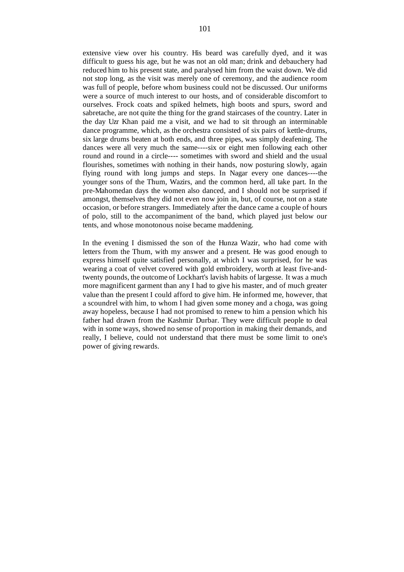extensive view over his country. His beard was carefully dyed, and it was difficult to guess his age, but he was not an old man; drink and debauchery had reduced him to his present state, and paralysed him from the waist down. We did not stop long, as the visit was merely one of ceremony, and the audience room was full of people, before whom business could not be discussed. Our uniforms were a source of much interest to our hosts, and of considerable discomfort to ourselves. Frock coats and spiked helmets, high boots and spurs, sword and sabretache, are not quite the thing for the grand staircases of the country. Later in the day Uzr Khan paid me a visit, and we had to sit through an interminable dance programme, which, as the orchestra consisted of six pairs of kettle-drums, six large drums beaten at both ends, and three pipes, was simply deafening. The dances were all very much the same----six or eight men following each other round and round in a circle---- sometimes with sword and shield and the usual flourishes, sometimes with nothing in their hands, now posturing slowly, again flying round with long jumps and steps. In Nagar every one dances----the younger sons of the Thum, Wazirs, and the common herd, all take part. In the pre-Mahomedan days the women also danced, and I should not be surprised if amongst, themselves they did not even now join in, but, of course, not on a state occasion, or before strangers. Immediately after the dance came a couple of hours of polo, still to the accompaniment of the band, which played just below our tents, and whose monotonous noise became maddening.

In the evening I dismissed the son of the Hunza Wazir, who had come with letters from the Thum, with my answer and a present. He was good enough to express himself quite satisfied personally, at which I was surprised, for he was wearing a coat of velvet covered with gold embroidery, worth at least five-andtwenty pounds, the outcome of Lockhart's lavish habits of largesse. It was a much more magnificent garment than any I had to give his master, and of much greater value than the present I could afford to give him. He informed me, however, that a scoundrel with him, to whom I had given some money and a choga, was going away hopeless, because I had not promised to renew to him a pension which his father had drawn from the Kashmir Durbar. They were difficult people to deal with in some ways, showed no sense of proportion in making their demands, and really, I believe, could not understand that there must be some limit to one's power of giving rewards.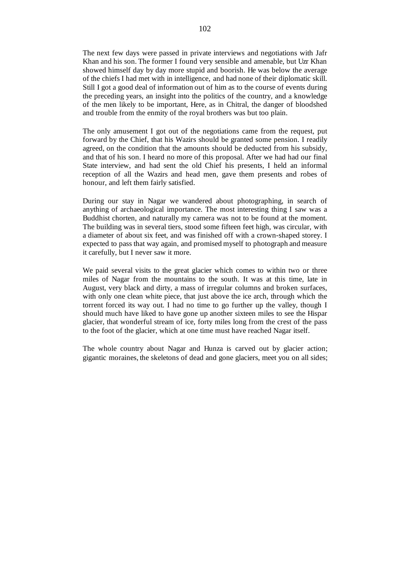The next few days were passed in private interviews and negotiations with Jafr Khan and his son. The former I found very sensible and amenable, but Uzr Khan showed himself day by day more stupid and boorish. He was below the average of the chiefs I had met with in intelligence, and had none of their diplomatic skill. Still I got a good deal of information out of him as to the course of events during the preceding years, an insight into the politics of the country, and a knowledge of the men likely to be important, Here, as in Chitral, the danger of bloodshed and trouble from the enmity of the royal brothers was but too plain.

The only amusement I got out of the negotiations came from the request, put forward by the Chief, that his Wazirs should be granted some pension. I readily agreed, on the condition that the amounts should be deducted from his subsidy, and that of his son. I heard no more of this proposal. After we had had our final State interview, and had sent the old Chief his presents, I held an informal reception of all the Wazirs and head men, gave them presents and robes of honour, and left them fairly satisfied.

During our stay in Nagar we wandered about photographing, in search of anything of archaeological importance. The most interesting thing I saw was a Buddhist chorten, and naturally my camera was not to be found at the moment. The building was in several tiers, stood some fifteen feet high, was circular, with a diameter of about six feet, and was finished off with a crown-shaped storey. I expected to pass that way again, and promised myself to photograph and measure it carefully, but I never saw it more.

We paid several visits to the great glacier which comes to within two or three miles of Nagar from the mountains to the south. It was at this time, late in August, very black and dirty, a mass of irregular columns and broken surfaces, with only one clean white piece, that just above the ice arch, through which the torrent forced its way out. I had no time to go further up the valley, though I should much have liked to have gone up another sixteen miles to see the Hispar glacier, that wonderful stream of ice, forty miles long from the crest of the pass to the foot of the glacier, which at one time must have reached Nagar itself.

The whole country about Nagar and Hunza is carved out by glacier action; gigantic moraines, the skeletons of dead and gone glaciers, meet you on all sides;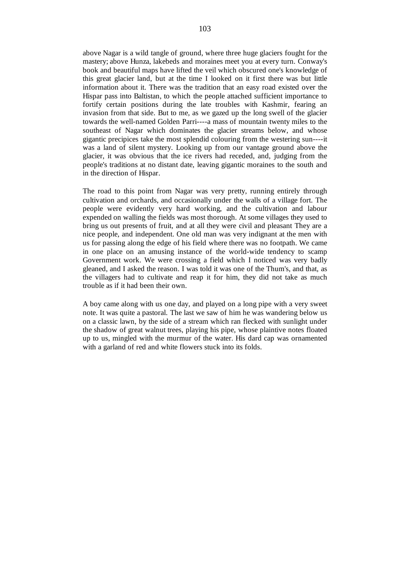above Nagar is a wild tangle of ground, where three huge glaciers fought for the mastery; above Hunza, lakebeds and moraines meet you at every turn. Conway's book and beautiful maps have lifted the veil which obscured one's knowledge of this great glacier land, but at the time I looked on it first there was but little information about it. There was the tradition that an easy road existed over the Hispar pass into Baltistan, to which the people attached sufficient importance to fortify certain positions during the late troubles with Kashmir, fearing an invasion from that side. But to me, as we gazed up the long swell of the glacier towards the well-named Golden Parri----a mass of mountain twenty miles to the southeast of Nagar which dominates the glacier streams below, and whose gigantic precipices take the most splendid colouring from the westering sun----it was a land of silent mystery. Looking up from our vantage ground above the glacier, it was obvious that the ice rivers had receded, and, judging from the people's traditions at no distant date, leaving gigantic moraines to the south and in the direction of Hispar.

The road to this point from Nagar was very pretty, running entirely through cultivation and orchards, and occasionally under the walls of a village fort. The people were evidently very hard working, and the cultivation and labour expended on walling the fields was most thorough. At some villages they used to bring us out presents of fruit, and at all they were civil and pleasant They are a nice people, and independent. One old man was very indignant at the men with us for passing along the edge of his field where there was no footpath. We came in one place on an amusing instance of the world-wide tendency to scamp Government work. We were crossing a field which I noticed was very badly gleaned, and I asked the reason. I was told it was one of the Thum's, and that, as the villagers had to cultivate and reap it for him, they did not take as much trouble as if it had been their own.

A boy came along with us one day, and played on a long pipe with a very sweet note. It was quite a pastoral. The last we saw of him he was wandering below us on a classic lawn, by the side of a stream which ran flecked with sunlight under the shadow of great walnut trees, playing his pipe, whose plaintive notes floated up to us, mingled with the murmur of the water. His dard cap was ornamented with a garland of red and white flowers stuck into its folds.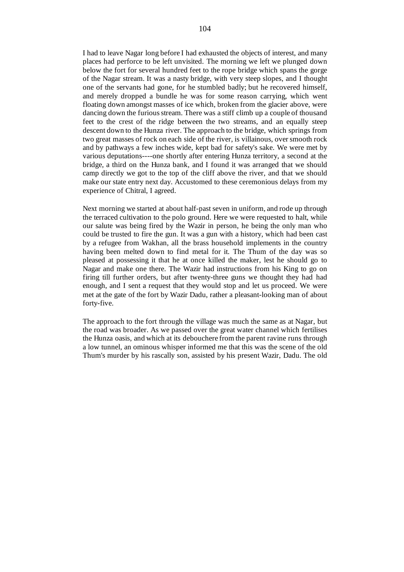I had to leave Nagar long before I had exhausted the objects of interest, and many places had perforce to be left unvisited. The morning we left we plunged down below the fort for several hundred feet to the rope bridge which spans the gorge of the Nagar stream. It was a nasty bridge, with very steep slopes, and I thought one of the servants had gone, for he stumbled badly; but he recovered himself, and merely dropped a bundle he was for some reason carrying, which went floating down amongst masses of ice which, broken from the glacier above, were dancing down the furious stream. There was a stiff climb up a couple of thousand feet to the crest of the ridge between the two streams, and an equally steep descent down to the Hunza river. The approach to the bridge, which springs from two great masses of rock on each side of the river, is villainous, over smooth rock and by pathways a few inches wide, kept bad for safety's sake. We were met by various deputations----one shortly after entering Hunza territory, a second at the bridge, a third on the Hunza bank, and I found it was arranged that we should camp directly we got to the top of the cliff above the river, and that we should make our state entry next day. Accustomed to these ceremonious delays from my experience of Chitral, I agreed.

Next morning we started at about half-past seven in uniform, and rode up through the terraced cultivation to the polo ground. Here we were requested to halt, while our salute was being fired by the Wazir in person, he being the only man who could be trusted to fire the gun. It was a gun with a history, which had been cast by a refugee from Wakhan, all the brass household implements in the country having been melted down to find metal for it. The Thum of the day was so pleased at possessing it that he at once killed the maker, lest he should go to Nagar and make one there. The Wazir had instructions from his King to go on firing till further orders, but after twenty-three guns we thought they had had enough, and I sent a request that they would stop and let us proceed. We were met at the gate of the fort by Wazir Dadu, rather a pleasant-looking man of about forty-five.

The approach to the fort through the village was much the same as at Nagar, but the road was broader. As we passed over the great water channel which fertilises the Hunza oasis, and which at its debouchere from the parent ravine runs through a low tunnel, an ominous whisper informed me that this was the scene of the old Thum's murder by his rascally son, assisted by his present Wazir, Dadu. The old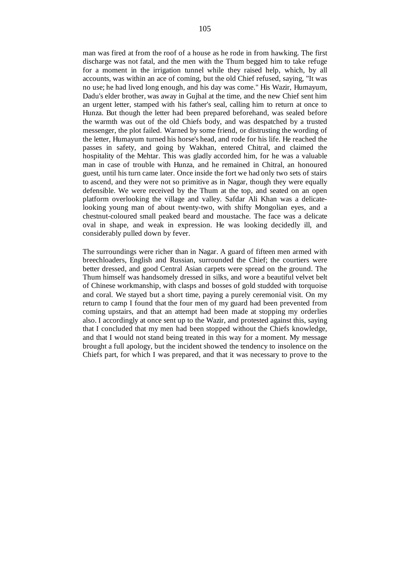105

for a moment in the irrigation tunnel while they raised help, which, by all accounts, was within an ace of coming, but the old Chief refused, saying, "It was no use; he had lived long enough, and his day was come." His Wazir, Humayum, Dadu's elder brother, was away in Gujhal at the time, and the new Chief sent him an urgent letter, stamped with his father's seal, calling him to return at once to Hunza. But though the letter had been prepared beforehand, was sealed before the warmth was out of the old Chiefs body, and was despatched by a trusted messenger, the plot failed. Warned by some friend, or distrusting the wording of the letter, Humayum turned his horse's head, and rode for his life. He reached the passes in safety, and going by Wakhan, entered Chitral, and claimed the hospitality of the Mehtar. This was gladly accorded him, for he was a valuable man in case of trouble with Hunza, and he remained in Chitral, an honoured guest, until his turn came later. Once inside the fort we had only two sets of stairs to ascend, and they were not so primitive as in Nagar, though they were equally defensible. We were received by the Thum at the top, and seated on an open platform overlooking the village and valley. Safdar Ali Khan was a delicatelooking young man of about twenty-two, with shifty Mongolian eyes, and a chestnut-coloured small peaked beard and moustache. The face was a delicate oval in shape, and weak in expression. He was looking decidedly ill, and considerably pulled down by fever.

The surroundings were richer than in Nagar. A guard of fifteen men armed with breechloaders, English and Russian, surrounded the Chief; the courtiers were better dressed, and good Central Asian carpets were spread on the ground. The Thum himself was handsomely dressed in silks, and wore a beautiful velvet belt of Chinese workmanship, with clasps and bosses of gold studded with torquoise and coral. We stayed but a short time, paying a purely ceremonial visit. On my return to camp I found that the four men of my guard had been prevented from coming upstairs, and that an attempt had been made at stopping my orderlies also. I accordingly at once sent up to the Wazir, and protested against this, saying that I concluded that my men had been stopped without the Chiefs knowledge, and that I would not stand being treated in this way for a moment. My message brought a full apology, but the incident showed the tendency to insolence on the Chiefs part, for which I was prepared, and that it was necessary to prove to the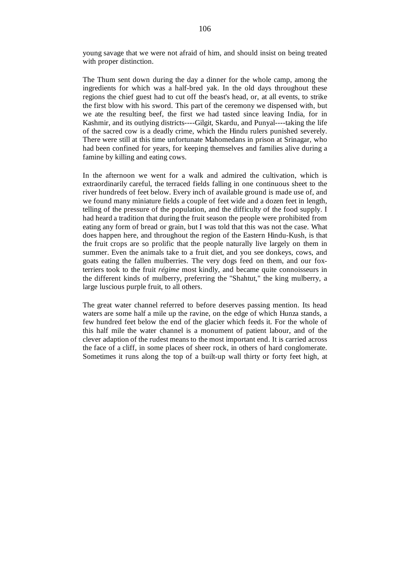young savage that we were not afraid of him, and should insist on being treated with proper distinction.

The Thum sent down during the day a dinner for the whole camp, among the ingredients for which was a half-bred yak. In the old days throughout these regions the chief guest had to cut off the beast's head, or, at all events, to strike the first blow with his sword. This part of the ceremony we dispensed with, but we ate the resulting beef, the first we had tasted since leaving India, for in Kashmir, and its outlying districts----Gilgit, Skardu, and Punyal----taking the life of the sacred cow is a deadly crime, which the Hindu rulers punished severely. There were still at this time unfortunate Mahomedans in prison at Srinagar, who had been confined for years, for keeping themselves and families alive during a famine by killing and eating cows.

In the afternoon we went for a walk and admired the cultivation, which is extraordinarily careful, the terraced fields falling in one continuous sheet to the river hundreds of feet below. Every inch of available ground is made use of, and we found many miniature fields a couple of feet wide and a dozen feet in length, telling of the pressure of the population, and the difficulty of the food supply. I had heard a tradition that during the fruit season the people were prohibited from eating any form of bread or grain, but I was told that this was not the case. What does happen here, and throughout the region of the Eastern Hindu-Kush, is that the fruit crops are so prolific that the people naturally live largely on them in summer. Even the animals take to a fruit diet, and you see donkeys, cows, and goats eating the fallen mulberries. The very dogs feed on them, and our foxterriers took to the fruit *régime* most kindly, and became quite connoisseurs in the different kinds of mulberry, preferring the "Shahtut," the king mulberry, a large luscious purple fruit, to all others.

The great water channel referred to before deserves passing mention. Its head waters are some half a mile up the ravine, on the edge of which Hunza stands, a few hundred feet below the end of the glacier which feeds it. For the whole of this half mile the water channel is a monument of patient labour, and of the clever adaption of the rudest means to the most important end. It is carried across the face of a cliff, in some places of sheer rock, in others of hard conglomerate. Sometimes it runs along the top of a built-up wall thirty or forty feet high, at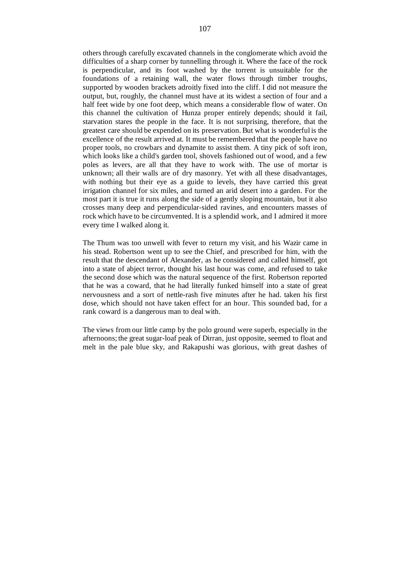others through carefully excavated channels in the conglomerate which avoid the difficulties of a sharp corner by tunnelling through it. Where the face of the rock is perpendicular, and its foot washed by the torrent is unsuitable for the foundations of a retaining wall, the water flows through timber troughs, supported by wooden brackets adroitly fixed into the cliff. I did not measure the output, but, roughly, the channel must have at its widest a section of four and a half feet wide by one foot deep, which means a considerable flow of water. On this channel the cultivation of Hunza proper entirely depends; should it fail, starvation stares the people in the face. It is not surprising, therefore, that the greatest care should be expended on its preservation. But what is wonderful is the excellence of the result arrived at. It must be remembered that the people have no proper tools, no crowbars and dynamite to assist them. A tiny pick of soft iron, which looks like a child's garden tool, shovels fashioned out of wood, and a few poles as levers, are all that they have to work with. The use of mortar is unknown; all their walls are of dry masonry. Yet with all these disadvantages, with nothing but their eye as a guide to levels, they have carried this great irrigation channel for six miles, and turned an arid desert into a garden. For the most part it is true it runs along the side of a gently sloping mountain, but it also crosses many deep and perpendicular-sided ravines, and encounters masses of rock which have to be circumvented. It is a splendid work, and I admired it more every time I walked along it.

The Thum was too unwell with fever to return my visit, and his Wazir came in his stead. Robertson went up to see the Chief, and prescribed for him, with the result that the descendant of Alexander, as he considered and called himself, got into a state of abject terror, thought his last hour was come, and refused to take the second dose which was the natural sequence of the first. Robertson reported that he was a coward, that he had literally funked himself into a state of great nervousness and a sort of nettle-rash five minutes after he had. taken his first dose, which should not have taken effect for an hour. This sounded bad, for a rank coward is a dangerous man to deal with.

The views from our little camp by the polo ground were superb, especially in the afternoons; the great sugar-loaf peak of Dirran, just opposite, seemed to float and melt in the pale blue sky, and Rakapushi was glorious, with great dashes of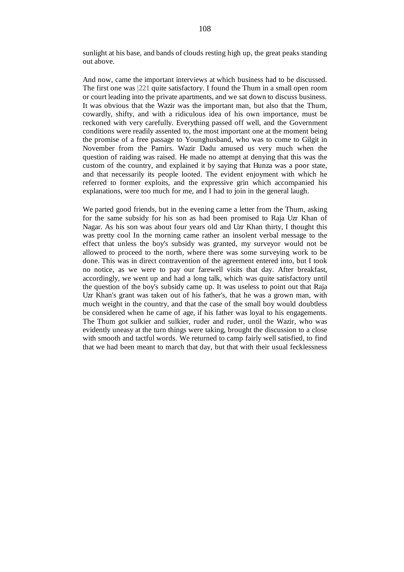sunlight at his base, and bands of clouds resting high up, the great peaks standing out above.

And now, came the important interviews at which business had to be discussed. The first one was |221 quite satisfactory. I found the Thum in a small open room or court leading into the private apartments, and we sat down to discuss business. It was obvious that the Wazir was the important man, but also that the Thum, cowardly, shifty, and with a ridiculous idea of his own importance, must be reckoned with very carefully. Everything passed off well, and the Government conditions were readily assented to, the most important one at the moment being the promise of a free passage to Younghusband, who was to come to Gilgit in November from the Pamirs. Wazir Dadu amused us very much when the question of raiding was raised. He made no attempt at denying that this was the custom of the country, and explained it by saying that Hunza was a poor state, and that necessarily its people looted. The evident enjoyment with which he referred to former exploits, and the expressive grin which accompanied his explanations, were too much for me, and I had to join in the general laugh.

We parted good friends, but in the evening came a letter from the Thum, asking for the same subsidy for his son as had been promised to Raja Uzr Khan of Nagar. As his son was about four years old and Uzr Khan thirty, I thought this was pretty cool In the morning came rather an insolent verbal message to the effect that unless the boy's subsidy was granted, my surveyor would not be allowed to proceed to the north, where there was some surveying work to be done. This was in direct contravention of the agreement entered into, but I took no notice, as we were to pay our farewell visits that day. After breakfast, accordingly, we went up and had a long talk, which was quite satisfactory until the question of the boy's subsidy came up. It was useless to point out that Raja Uzr Khan's grant was taken out of his father's, that he was a grown man, with much weight in the country, and that the case of the small boy would doubtless be considered when he came of age, if his father was loyal to his engagements. The Thum got sulkier and sulkier, ruder and ruder, until the Wazir, who was evidently uneasy at the turn things were taking, brought the discussion to a close with smooth and tactful words. We returned to camp fairly well satisfied, to find that we had been meant to march that day, but that with their usual fecklessness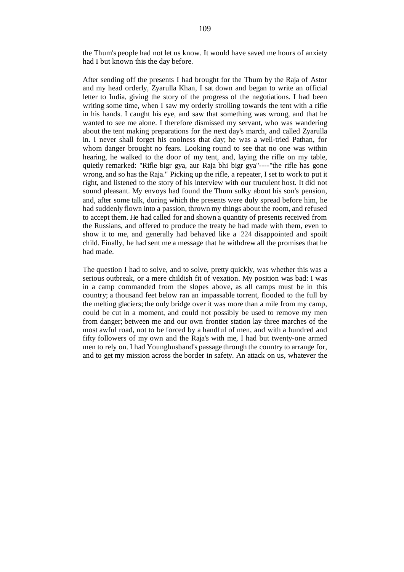the Thum's people had not let us know. It would have saved me hours of anxiety had I but known this the day before.

After sending off the presents I had brought for the Thum by the Raja of Astor and my head orderly, Zyarulla Khan, I sat down and began to write an official letter to India, giving the story of the progress of the negotiations. I had been writing some time, when I saw my orderly strolling towards the tent with a rifle in his hands. I caught his eye, and saw that something was wrong, and that he wanted to see me alone. I therefore dismissed my servant, who was wandering about the tent making preparations for the next day's march, and called Zyarulla in. I never shall forget his coolness that day; he was a well-tried Pathan, for whom danger brought no fears. Looking round to see that no one was within hearing, he walked to the door of my tent, and, laying the rifle on my table, quietly remarked: "Rifle bigr gya, aur Raja bhi bigr gya"----"the rifle has gone wrong, and so has the Raja." Picking up the rifle, a repeater, I set to work to put it right, and listened to the story of his interview with our truculent host. It did not sound pleasant. My envoys had found the Thum sulky about his son's pension, and, after some talk, during which the presents were duly spread before him, he had suddenly flown into a passion, thrown my things about the room, and refused to accept them. He had called for and shown a quantity of presents received from the Russians, and offered to produce the treaty he had made with them, even to show it to me, and generally had behaved like a |224 disappointed and spoilt child. Finally, he had sent me a message that he withdrew all the promises that he had made.

The question I had to solve, and to solve, pretty quickly, was whether this was a serious outbreak, or a mere childish fit of vexation. My position was bad: I was in a camp commanded from the slopes above, as all camps must be in this country; a thousand feet below ran an impassable torrent, flooded to the full by the melting glaciers; the only bridge over it was more than a mile from my camp, could be cut in a moment, and could not possibly be used to remove my men from danger; between me and our own frontier station lay three marches of the most awful road, not to be forced by a handful of men, and with a hundred and fifty followers of my own and the Raja's with me, I had but twenty-one armed men to rely on. I had Younghusband's passage through the country to arrange for, and to get my mission across the border in safety. An attack on us, whatever the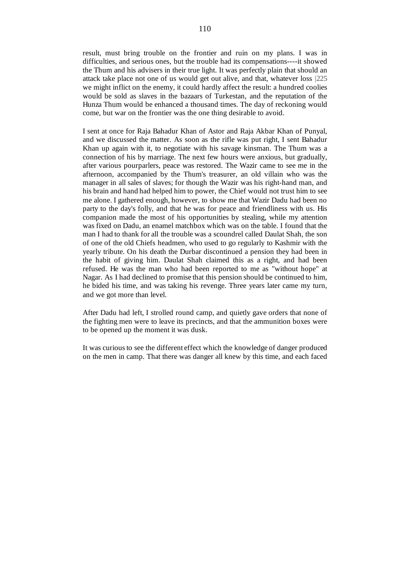result, must bring trouble on the frontier and ruin on my plans. I was in difficulties, and serious ones, but the trouble had its compensations----it showed the Thum and his advisers in their true light. It was perfectly plain that should an attack take place not one of us would get out alive, and that, whatever loss |225 we might inflict on the enemy, it could hardly affect the result: a hundred coolies would be sold as slaves in the bazaars of Turkestan, and the reputation of the Hunza Thum would be enhanced a thousand times. The day of reckoning would come, but war on the frontier was the one thing desirable to avoid.

I sent at once for Raja Bahadur Khan of Astor and Raja Akbar Khan of Punyal, and we discussed the matter. As soon as the rifle was put right, I sent Bahadur Khan up again with it, to negotiate with his savage kinsman. The Thum was a connection of his by marriage. The next few hours were anxious, but gradually, after various pourparlers, peace was restored. The Wazir came to see me in the afternoon, accompanied by the Thum's treasurer, an old villain who was the manager in all sales of slaves; for though the Wazir was his right-hand man, and his brain and hand had helped him to power, the Chief would not trust him to see me alone. I gathered enough, however, to show me that Wazir Dadu had been no party to the day's folly, and that he was for peace and friendliness with us. His companion made the most of his opportunities by stealing, while my attention was fixed on Dadu, an enamel matchbox which was on the table. I found that the man I had to thank for all the trouble was a scoundrel called Daulat Shah, the son of one of the old Chiefs headmen, who used to go regularly to Kashmir with the yearly tribute. On his death the Durbar discontinued a pension they had been in the habit of giving him. Daulat Shah claimed this as a right, and had been refused. He was the man who had been reported to me as "without hope" at Nagar. As I had declined to promise that this pension should be continued to him, he bided his time, and was taking his revenge. Three years later came my turn, and we got more than level.

After Dadu had left, I strolled round camp, and quietly gave orders that none of the fighting men were to leave its precincts, and that the ammunition boxes were to be opened up the moment it was dusk.

It was curious to see the different effect which the knowledge of danger produced on the men in camp. That there was danger all knew by this time, and each faced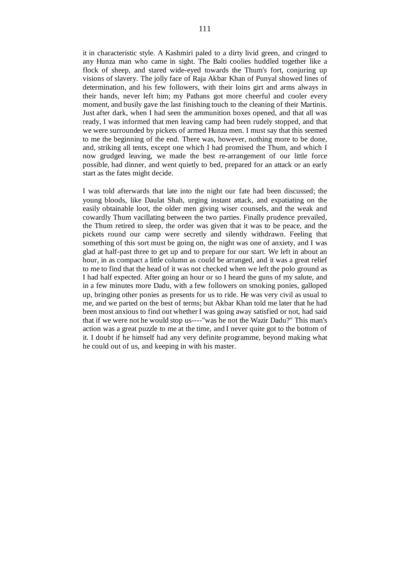it in characteristic style. A Kashmiri paled to a dirty livid green, and cringed to any Hunza man who came in sight. The Balti coolies huddled together like a flock of sheep, and stared wide-eyed towards the Thum's fort, conjuring up visions of slavery. The jolly face of Raja Akbar Khan of Punyal showed lines of determination, and his few followers, with their loins girt and arms always in their hands, never left him; my Pathans got more cheerful and cooler every moment, and busily gave the last finishing touch to the cleaning of their Martinis. Just after dark, when I had seen the ammunition boxes opened, and that all was ready, I was informed that men leaving camp had been rudely stopped, and that we were surrounded by pickets of armed Hunza men. I must say that this seemed to me the beginning of the end. There was, however, nothing more to be done, and, striking all tents, except one which I had promised the Thum, and which I now grudged leaving, we made the best re-arrangement of our little force possible, had dinner, and went quietly to bed, prepared for an attack or an early start as the fates might decide.

I was told afterwards that late into the night our fate had been discussed; the young bloods, like Daulat Shah, urging instant attack, and expatiating on the easily obtainable loot, the older men giving wiser counsels, and the weak and cowardly Thum vacillating between the two parties. Finally prudence prevailed, the Thum retired to sleep, the order was given that it was to be peace, and the pickets round our camp were secretly and silently withdrawn. Feeling that something of this sort must be going on, the night was one of anxiety, and I was glad at half-past three to get up and to prepare for our start. We left in about an hour, in as compact a little column as could be arranged, and it was a great relief to me to find that the head of it was not checked when we left the polo ground as I had half expected. After going an hour or so I heard the guns of my salute, and in a few minutes more Dadu, with a few followers on smoking ponies, galloped up, bringing other ponies as presents for us to ride. He was very civil as usual to me, and we parted on the best of terms; but Akbar Khan told me later that he had been most anxious to find out whether I was going away satisfied or not, had said that if we were not he would stop us----"was he not the Wazir Dadu?" This man's action was a great puzzle to me at the time, and I never quite got to the bottom of it. I doubt if he himself had any very definite programme, beyond making what he could out of us, and keeping in with his master.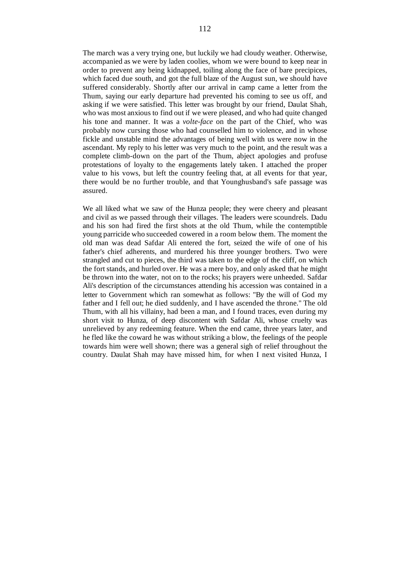The march was a very trying one, but luckily we had cloudy weather. Otherwise, accompanied as we were by laden coolies, whom we were bound to keep near in order to prevent any being kidnapped, toiling along the face of bare precipices, which faced due south, and got the full blaze of the August sun, we should have suffered considerably. Shortly after our arrival in camp came a letter from the Thum, saying our early departure had prevented his coming to see us off, and asking if we were satisfied. This letter was brought by our friend, Daulat Shah, who was most anxious to find out if we were pleased, and who had quite changed his tone and manner. It was a *volte-face* on the part of the Chief, who was probably now cursing those who had counselled him to violence, and in whose fickle and unstable mind the advantages of being well with us were now in the ascendant. My reply to his letter was very much to the point, and the result was a complete climb-down on the part of the Thum, abject apologies and profuse protestations of loyalty to the engagements lately taken. I attached the proper value to his vows, but left the country feeling that, at all events for that year, there would be no further trouble, and that Younghusband's safe passage was assured.

We all liked what we saw of the Hunza people; they were cheery and pleasant and civil as we passed through their villages. The leaders were scoundrels. Dadu and his son had fired the first shots at the old Thum, while the contemptible young parricide who succeeded cowered in a room below them. The moment the old man was dead Safdar Ali entered the fort, seized the wife of one of his father's chief adherents, and murdered his three younger brothers. Two were strangled and cut to pieces, the third was taken to the edge of the cliff, on which the fort stands, and hurled over. He was a mere boy, and only asked that he might be thrown into the water, not on to the rocks; his prayers were unheeded. Safdar Ali's description of the circumstances attending his accession was contained in a letter to Government which ran somewhat as follows: "By the will of God my father and I fell out; he died suddenly, and I have ascended the throne." The old Thum, with all his villainy, had been a man, and I found traces, even during my short visit to Hunza, of deep discontent with Safdar Ali, whose cruelty was unrelieved by any redeeming feature. When the end came, three years later, and he fled like the coward he was without striking a blow, the feelings of the people towards him were well shown; there was a general sigh of relief throughout the country. Daulat Shah may have missed him, for when I next visited Hunza, I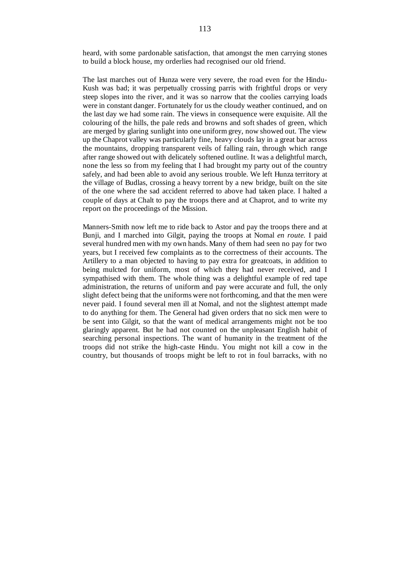heard, with some pardonable satisfaction, that amongst the men carrying stones to build a block house, my orderlies had recognised our old friend.

The last marches out of Hunza were very severe, the road even for the Hindu-Kush was bad; it was perpetually crossing parris with frightful drops or very steep slopes into the river, and it was so narrow that the coolies carrying loads were in constant danger. Fortunately for us the cloudy weather continued, and on the last day we had some rain. The views in consequence were exquisite. All the colouring of the hills, the pale reds and browns and soft shades of green, which are merged by glaring sunlight into one uniform grey, now showed out. The view up the Chaprot valley was particularly fine, heavy clouds lay in a great bar across the mountains, dropping transparent veils of falling rain, through which range after range showed out with delicately softened outline. It was a delightful march, none the less so from my feeling that I had brought my party out of the country safely, and had been able to avoid any serious trouble. We left Hunza territory at the village of Budlas, crossing a heavy torrent by a new bridge, built on the site of the one where the sad accident referred to above had taken place. I halted a couple of days at Chalt to pay the troops there and at Chaprot, and to write my report on the proceedings of the Mission.

Manners-Smith now left me to ride back to Astor and pay the troops there and at Bunji, and I marched into Gilgit, paying the troops at Nomal *en route.* I paid several hundred men with my own hands. Many of them had seen no pay for two years, but I received few complaints as to the correctness of their accounts. The Artillery to a man objected to having to pay extra for greatcoats, in addition to being mulcted for uniform, most of which they had never received, and I sympathised with them. The whole thing was a delightful example of red tape administration, the returns of uniform and pay were accurate and full, the only slight defect being that the uniforms were not forthcoming, and that the men were never paid. I found several men ill at Nomal, and not the slightest attempt made to do anything for them. The General had given orders that no sick men were to be sent into Gilgit, so that the want of medical arrangements might not be too glaringly apparent. But he had not counted on the unpleasant English habit of searching personal inspections. The want of humanity in the treatment of the troops did not strike the high-caste Hindu. You might not kill a cow in the country, but thousands of troops might be left to rot in foul barracks, with no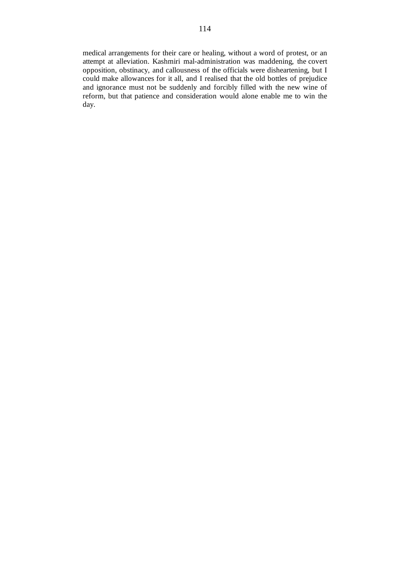medical arrangements for their care or healing, without a word of protest, or an attempt at alleviation. Kashmiri mal-administration was maddening, the covert opposition, obstinacy, and callousness of the officials were disheartening, but I could make allowances for it all, and I realised that the old bottles of prejudice and ignorance must not be suddenly and forcibly filled with the new wine of reform, but that patience and consideration would alone enable me to win the day.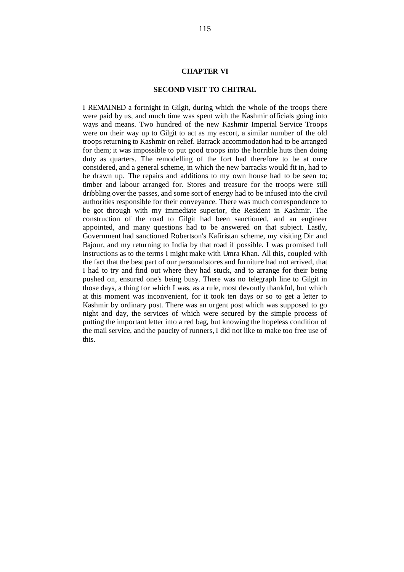# **CHAPTER VI**

# **SECOND VISIT TO CHITRAL**

I REMAINED a fortnight in Gilgit, during which the whole of the troops there were paid by us, and much time was spent with the Kashmir officials going into ways and means. Two hundred of the new Kashmir Imperial Service Troops were on their way up to Gilgit to act as my escort, a similar number of the old troops returning to Kashmir on relief. Barrack accommodation had to be arranged for them; it was impossible to put good troops into the horrible huts then doing duty as quarters. The remodelling of the fort had therefore to be at once considered, and a general scheme, in which the new barracks would fit in, had to be drawn up. The repairs and additions to my own house had to be seen to; timber and labour arranged for. Stores and treasure for the troops were still dribbling over the passes, and some sort of energy had to be infused into the civil authorities responsible for their conveyance. There was much correspondence to be got through with my immediate superior, the Resident in Kashmir. The construction of the road to Gilgit had been sanctioned, and an engineer appointed, and many questions had to be answered on that subject. Lastly, Government had sanctioned Robertson's Kafiristan scheme, my visiting Dir and Bajour, and my returning to India by that road if possible. I was promised full instructions as to the terms I might make with Umra Khan. All this, coupled with the fact that the best part of our personal stores and furniture had not arrived, that I had to try and find out where they had stuck, and to arrange for their being pushed on, ensured one's being busy. There was no telegraph line to Gilgit in those days, a thing for which I was, as a rule, most devoutly thankful, but which at this moment was inconvenient, for it took ten days or so to get a letter to Kashmir by ordinary post. There was an urgent post which was supposed to go night and day, the services of which were secured by the simple process of putting the important letter into a red bag, but knowing the hopeless condition of the mail service, and the paucity of runners, I did not like to make too free use of this.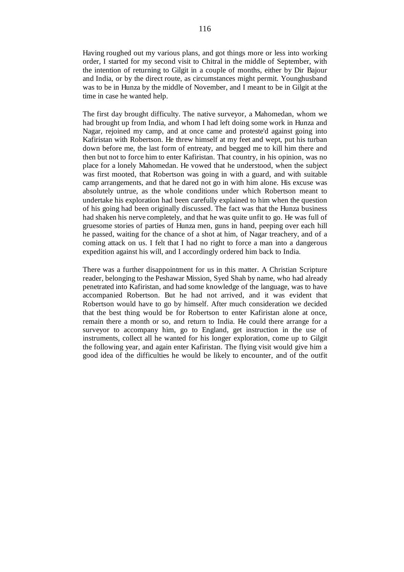Having roughed out my various plans, and got things more or less into working order, I started for my second visit to Chitral in the middle of September, with the intention of returning to Gilgit in a couple of months, either by Dir Bajour and India, or by the direct route, as circumstances might permit. Younghusband was to be in Hunza by the middle of November, and I meant to be in Gilgit at the time in case he wanted help.

The first day brought difficulty. The native surveyor, a Mahomedan, whom we had brought up from India, and whom I had left doing some work in Hunza and Nagar, rejoined my camp, and at once came and proteste'd against going into Kafiristan with Robertson. He threw himself at my feet and wept, put his turban down before me, the last form of entreaty, and begged me to kill him there and then but not to force him to enter Kafiristan. That country, in his opinion, was no place for a lonely Mahomedan. He vowed that he understood, when the subject was first mooted, that Robertson was going in with a guard, and with suitable camp arrangements, and that he dared not go in with him alone. His excuse was absolutely untrue, as the whole conditions under which Robertson meant to undertake his exploration had been carefully explained to him when the question of his going had been originally discussed. The fact was that the Hunza business had shaken his nerve completely, and that he was quite unfit to go. He was full of gruesome stories of parties of Hunza men, guns in hand, peeping over each hill he passed, waiting for the chance of a shot at him, of Nagar treachery, and of a coming attack on us. I felt that I had no right to force a man into a dangerous expedition against his will, and I accordingly ordered him back to India.

There was a further disappointment for us in this matter. A Christian Scripture reader, belonging to the Peshawar Mission, Syed Shah by name, who had already penetrated into Kafiristan, and had some knowledge of the language, was to have accompanied Robertson. But he had not arrived, and it was evident that Robertson would have to go by himself. After much consideration we decided that the best thing would be for Robertson to enter Kafiristan alone at once, remain there a month or so, and return to India. He could there arrange for a surveyor to accompany him, go to England, get instruction in the use of instruments, collect all he wanted for his longer exploration, come up to Gilgit the following year, and again enter Kafiristan. The flying visit would give him a good idea of the difficulties he would be likely to encounter, and of the outfit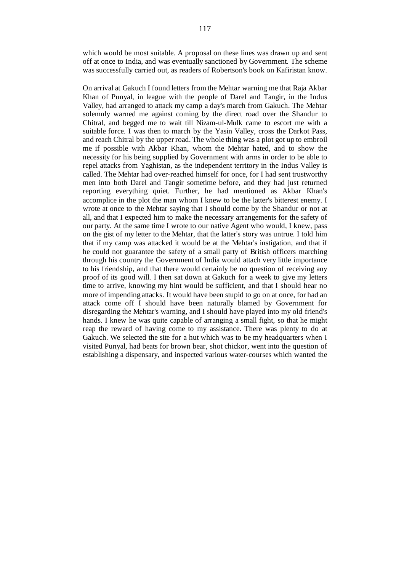which would be most suitable. A proposal on these lines was drawn up and sent off at once to India, and was eventually sanctioned by Government. The scheme was successfully carried out, as readers of Robertson's book on Kafiristan know.

On arrival at Gakuch I found letters from the Mehtar warning me that Raja Akbar Khan of Punyal, in league with the people of Darel and Tangir, in the Indus Valley, had arranged to attack my camp a day's march from Gakuch. The Mehtar solemnly warned me against coming by the direct road over the Shandur to Chitral, and begged me to wait till Nizam-ul-Mulk came to escort me with a suitable force. I was then to march by the Yasin Valley, cross the Darkot Pass, and reach Chitral by the upper road. The whole thing was a plot got up to embroil me if possible with Akbar Khan, whom the Mehtar hated, and to show the necessity for his being supplied by Government with arms in order to be able to repel attacks from Yaghistan, as the independent territory in the Indus Valley is called. The Mehtar had over-reached himself for once, for I had sent trustworthy men into both Darel and Tangir sometime before, and they had just returned reporting everything quiet. Further, he had mentioned as Akbar Khan's accomplice in the plot the man whom I knew to be the latter's bitterest enemy. I wrote at once to the Mehtar saying that I should come by the Shandur or not at all, and that I expected him to make the necessary arrangements for the safety of our party. At the same time I wrote to our native Agent who would, I knew, pass on the gist of my letter to the Mehtar, that the latter's story was untrue. I told him that if my camp was attacked it would be at the Mehtar's instigation, and that if he could not guarantee the safety of a small party of British officers marching through his country the Government of India would attach very little importance to his friendship, and that there would certainly be no question of receiving any proof of its good will. I then sat down at Gakuch for a week to give my letters time to arrive, knowing my hint would be sufficient, and that I should hear no more of impending attacks. It would have been stupid to go on at once, for had an attack come off I should have been naturally blamed by Government for disregarding the Mehtar's warning, and I should have played into my old friend's hands. I knew he was quite capable of arranging a small fight, so that he might reap the reward of having come to my assistance. There was plenty to do at Gakuch. We selected the site for a hut which was to be my headquarters when I visited Punyal, had beats for brown bear, shot chickor, went into the question of establishing a dispensary, and inspected various water-courses which wanted the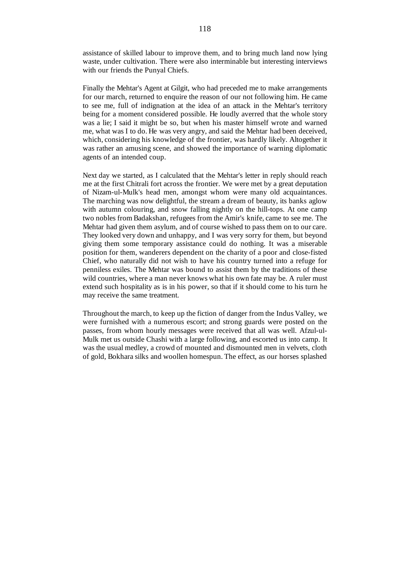assistance of skilled labour to improve them, and to bring much land now lying waste, under cultivation. There were also interminable but interesting interviews with our friends the Punyal Chiefs.

Finally the Mehtar's Agent at Gilgit, who had preceded me to make arrangements for our march, returned to enquire the reason of our not following him. He came to see me, full of indignation at the idea of an attack in the Mehtar's territory being for a moment considered possible. He loudly averred that the whole story was a lie; I said it might be so, but when his master himself wrote and warned me, what was I to do. He was very angry, and said the Mehtar had been deceived, which, considering his knowledge of the frontier, was hardly likely. Altogether it was rather an amusing scene, and showed the importance of warning diplomatic agents of an intended coup.

Next day we started, as I calculated that the Mehtar's letter in reply should reach me at the first Chitrali fort across the frontier. We were met by a great deputation of Nizam-ul-Mulk's head men, amongst whom were many old acquaintances. The marching was now delightful, the stream a dream of beauty, its banks aglow with autumn colouring, and snow falling nightly on the hill-tops. At one camp two nobles from Badakshan, refugees from the Amir's knife, came to see me. The Mehtar had given them asylum, and of course wished to pass them on to our care. They looked very down and unhappy, and I was very sorry for them, but beyond giving them some temporary assistance could do nothing. It was a miserable position for them, wanderers dependent on the charity of a poor and close-fisted Chief, who naturally did not wish to have his country turned into a refuge for penniless exiles. The Mehtar was bound to assist them by the traditions of these wild countries, where a man never knows what his own fate may be. A ruler must extend such hospitality as is in his power, so that if it should come to his turn he may receive the same treatment.

Throughout the march, to keep up the fiction of danger from the Indus Valley, we were furnished with a numerous escort; and strong guards were posted on the passes, from whom hourly messages were received that all was well. Afzul-ul-Mulk met us outside Chashi with a large following, and escorted us into camp. It was the usual medley, a crowd of mounted and dismounted men in velvets, cloth of gold, Bokhara silks and woollen homespun. The effect, as our horses splashed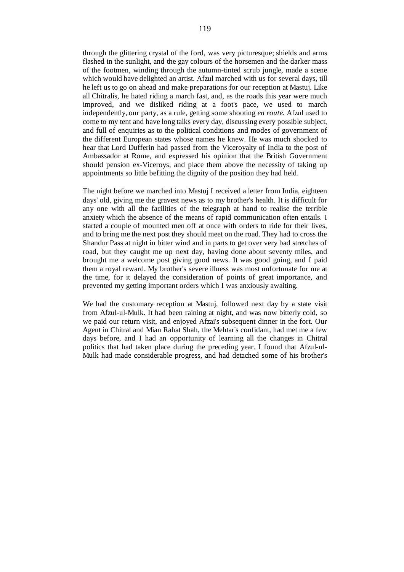through the glittering crystal of the ford, was very picturesque; shields and arms flashed in the sunlight, and the gay colours of the horsemen and the darker mass of the footmen, winding through the autumn-tinted scrub jungle, made a scene which would have delighted an artist. Afzul marched with us for several days, till he left us to go on ahead and make preparations for our reception at Mastuj. Like all Chitralis, he hated riding a march fast, and, as the roads this year were much improved, and we disliked riding at a foot's pace, we used to march independently, our party, as a rule, getting some shooting *en route.* Afzul used to come to my tent and have long talks every day, discussing every possible subject, and full of enquiries as to the political conditions and modes of government of the different European states whose names he knew. He was much shocked to hear that Lord Dufferin had passed from the Viceroyalty of India to the post of Ambassador at Rome, and expressed his opinion that the British Government should pension ex-Viceroys, and place them above the necessity of taking up appointments so little befitting the dignity of the position they had held.

The night before we marched into Mastuj I received a letter from India, eighteen days' old, giving me the gravest news as to my brother's health. It is difficult for any one with all the facilities of the telegraph at hand to realise the terrible anxiety which the absence of the means of rapid communication often entails. I started a couple of mounted men off at once with orders to ride for their lives, and to bring me the next post they should meet on the road. They had to cross the Shandur Pass at night in bitter wind and in parts to get over very bad stretches of road, but they caught me up next day, having done about seventy miles, and brought me a welcome post giving good news. It was good going, and I paid them a royal reward. My brother's severe illness was most unfortunate for me at the time, for it delayed the consideration of points of great importance, and prevented my getting important orders which I was anxiously awaiting.

We had the customary reception at Mastuj, followed next day by a state visit from Afzul-ul-Mulk. It had been raining at night, and was now bitterly cold, so we paid our return visit, and enjoyed Afzai's subsequent dinner in the fort. Our Agent in Chitral and Mian Rahat Shah, the Mehtar's confidant, had met me a few days before, and I had an opportunity of learning all the changes in Chitral politics that had taken place during the preceding year. I found that Afzul-ul-Mulk had made considerable progress, and had detached some of his brother's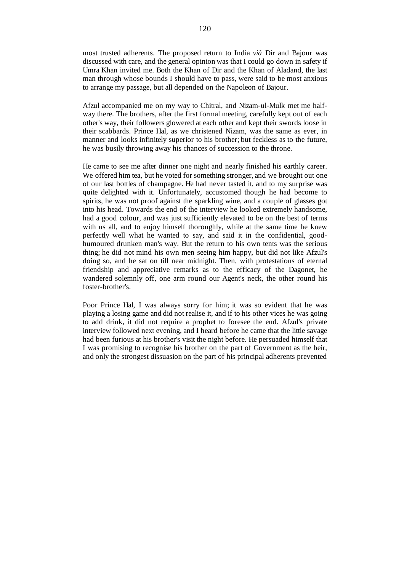most trusted adherents. The proposed return to India *viâ* Dir and Bajour was discussed with care, and the general opinion was that I could go down in safety if Umra Khan invited me. Both the Khan of Dir and the Khan of Aladand, the last man through whose bounds I should have to pass, were said to be most anxious to arrange my passage, but all depended on the Napoleon of Bajour.

Afzul accompanied me on my way to Chitral, and Nizam-ul-Mulk met me halfway there. The brothers, after the first formal meeting, carefully kept out of each other's way, their followers glowered at each other and kept their swords loose in their scabbards. Prince Hal, as we christened Nizam, was the same as ever, in manner and looks infinitely superior to his brother; but feckless as to the future, he was busily throwing away his chances of succession to the throne.

He came to see me after dinner one night and nearly finished his earthly career. We offered him tea, but he voted for something stronger, and we brought out one of our last bottles of champagne. He had never tasted it, and to my surprise was quite delighted with it. Unfortunately, accustomed though he had become to spirits, he was not proof against the sparkling wine, and a couple of glasses got into his head. Towards the end of the interview he looked extremely handsome, had a good colour, and was just sufficiently elevated to be on the best of terms with us all, and to enjoy himself thoroughly, while at the same time he knew perfectly well what he wanted to say, and said it in the confidential, goodhumoured drunken man's way. But the return to his own tents was the serious thing; he did not mind his own men seeing him happy, but did not like Afzul's doing so, and he sat on till near midnight. Then, with protestations of eternal friendship and appreciative remarks as to the efficacy of the Dagonet, he wandered solemnly off, one arm round our Agent's neck, the other round his foster-brother's.

Poor Prince Hal, I was always sorry for him; it was so evident that he was playing a losing game and did not realise it, and if to his other vices he was going to add drink, it did not require a prophet to foresee the end. Afzul's private interview followed next evening, and I heard before he came that the little savage had been furious at his brother's visit the night before. He persuaded himself that I was promising to recognise his brother on the part of Government as the heir, and only the strongest dissuasion on the part of his principal adherents prevented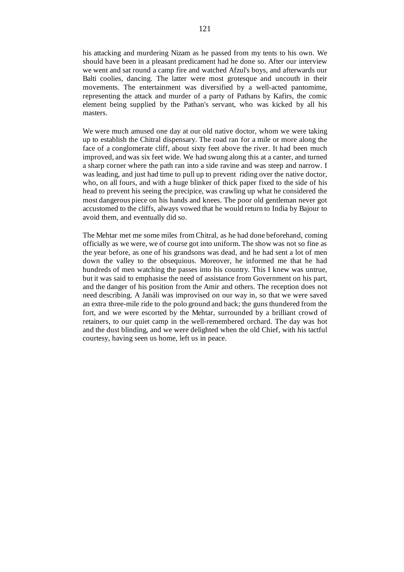his attacking and murdering Nizam as he passed from my tents to his own. We should have been in a pleasant predicament had he done so. After our interview we went and sat round a camp fire and watched Afzul's boys, and afterwards our Balti coolies, dancing. The latter were most grotesque and uncouth in their movements. The entertainment was diversified by a well-acted pantomime, representing the attack and murder of a party of Pathans by Kafirs, the comic element being supplied by the Pathan's servant, who was kicked by all his masters.

We were much amused one day at our old native doctor, whom we were taking up to establish the Chitral dispensary. The road ran for a mile or more along the face of a conglomerate cliff, about sixty feet above the river. It had been much improved, and was six feet wide. We had swung along this at a canter, and turned a sharp corner where the path ran into a side ravine and was steep and narrow. I was leading, and just had time to pull up to prevent riding over the native doctor, who, on all fours, and with a huge blinker of thick paper fixed to the side of his head to prevent his seeing the precipice, was crawling up what he considered the most dangerous piece on his hands and knees. The poor old gentleman never got accustomed to the cliffs, always vowed that he would return to India by Bajour to avoid them, and eventually did so.

The Mehtar met me some miles from Chitral, as he had done beforehand, coming officially as we were, we of course got into uniform. The show was not so fine as the year before, as one of his grandsons was dead, and he had sent a lot of men down the valley to the obsequious. Moreover, he informed me that he had hundreds of men watching the passes into his country. This I knew was untrue, but it was said to emphasise the need of assistance from Government on his part, and the danger of his position from the Amir and others. The reception does not need describing. A Janáli was improvised on our way in, so that we were saved an extra three-mile ride to the polo ground and back; the guns thundered from the fort, and we were escorted by the Mehtar, surrounded by a brilliant crowd of retainers, to our quiet camp in the well-remembered orchard. The day was hot and the dust blinding, and we were delighted when the old Chief, with his tactful courtesy, having seen us home, left us in peace.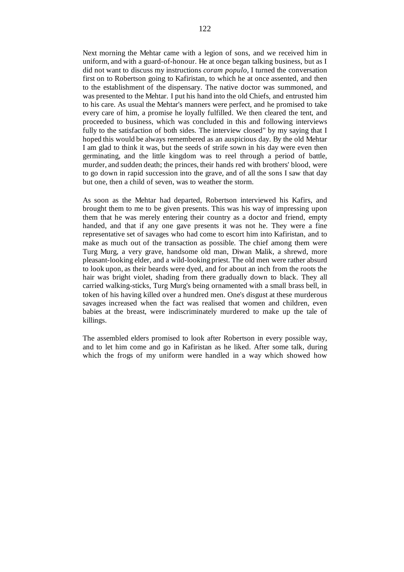Next morning the Mehtar came with a legion of sons, and we received him in uniform, and with a guard-of-honour. He at once began talking business, but as I did not want to discuss my instructions *coram populo,* I turned the conversation first on to Robertson going to Kafiristan, to which he at once assented, and then to the establishment of the dispensary. The native doctor was summoned, and was presented to the Mehtar. I put his hand into the old Chiefs, and entrusted him to his care. As usual the Mehtar's manners were perfect, and he promised to take every care of him, a promise he loyally fulfilled. We then cleared the tent, and proceeded to business, which was concluded in this and following interviews fully to the satisfaction of both sides. The interview closed" by my saying that I hoped this would be always remembered as an auspicious day. By the old Mehtar I am glad to think it was, but the seeds of strife sown in his day were even then germinating, and the little kingdom was to reel through a period of battle, murder, and sudden death; the princes, their hands red with brothers' blood, were to go down in rapid succession into the grave, and of all the sons I saw that day but one, then a child of seven, was to weather the storm.

As soon as the Mehtar had departed, Robertson interviewed his Kafirs, and brought them to me to be given presents. This was his way of impressing upon them that he was merely entering their country as a doctor and friend, empty handed, and that if any one gave presents it was not he. They were a fine representative set of savages who had come to escort him into Kafiristan, and to make as much out of the transaction as possible. The chief among them were Turg Murg, a very grave, handsome old man, Diwan Malik, a shrewd, more pleasant-looking elder, and a wild-looking priest. The old men were rather absurd to look upon, as their beards were dyed, and for about an inch from the roots the hair was bright violet, shading from there gradually down to black. They all carried walking-sticks, Turg Murg's being ornamented with a small brass bell, in token of his having killed over a hundred men. One's disgust at these murderous savages increased when the fact was realised that women and children, even babies at the breast, were indiscriminately murdered to make up the tale of killings.

The assembled elders promised to look after Robertson in every possible way, and to let him come and go in Kafiristan as he liked. After some talk, during which the frogs of my uniform were handled in a way which showed how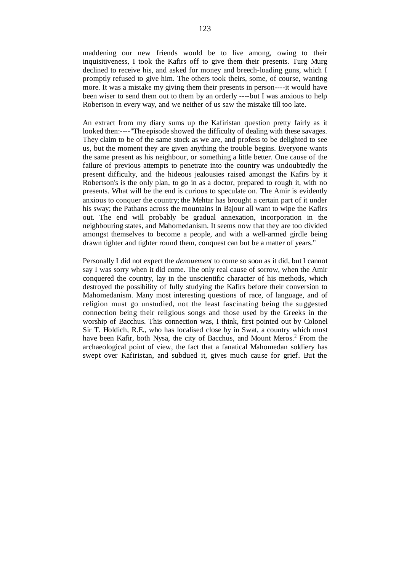maddening our new friends would be to live among, owing to their inquisitiveness, I took the Kafirs off to give them their presents. Turg Murg declined to receive his, and asked for money and breech-loading guns, which I promptly refused to give him. The others took theirs, some, of course, wanting more. It was a mistake my giving them their presents in person----it would have been wiser to send them out to them by an orderly ----but I was anxious to help Robertson in every way, and we neither of us saw the mistake till too late.

An extract from my diary sums up the Kafiristan question pretty fairly as it looked then:----"The episode showed the difficulty of dealing with these savages. They claim to be of the same stock as we are, and profess to be delighted to see us, but the moment they are given anything the trouble begins. Everyone wants the same present as his neighbour, or something a little better. One cause of the failure of previous attempts to penetrate into the country was undoubtedly the present difficulty, and the hideous jealousies raised amongst the Kafirs by it Robertson's is the only plan, to go in as a doctor, prepared to rough it, with no presents. What will be the end is curious to speculate on. The Amir is evidently anxious to conquer the country; the Mehtar has brought a certain part of it under his sway; the Pathans across the mountains in Bajour all want to wipe the Kafirs out. The end will probably be gradual annexation, incorporation in the neighbouring states, and Mahomedanism. It seems now that they are too divided amongst themselves to become a people, and with a well-armed girdle being drawn tighter and tighter round them, conquest can but be a matter of years."

Personally I did not expect the *denouement* to come so soon as it did, but I cannot say I was sorry when it did come. The only real cause of sorrow, when the Amir conquered the country, lay in the unscientific character of his methods, which destroyed the possibility of fully studying the Kafirs before their conversion to Mahomedanism. Many most interesting questions of race, of language, and of religion must go unstudied, not the least fascinating being the suggested connection being their religious songs and those used by the Greeks in the worship of Bacchus. This connection was, I think, first pointed out by Colonel Sir T. Holdich, R.E., who has localised close by in Swat, a country which must have been Kafir, both Nysa, the city of Bacchus, and Mount Meros.<sup>2</sup> From the archaeological point of view, the fact that a fanatical Mahomedan soldiery has swept over Kafiristan, and subdued it, gives much cause for grief. But the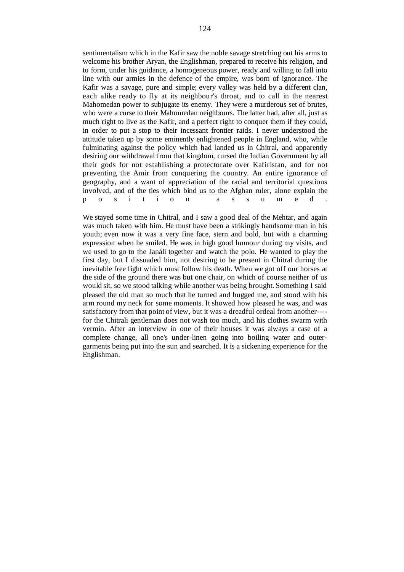sentimentalism which in the Kafir saw the noble savage stretching out his arms to welcome his brother Aryan, the Englishman, prepared to receive his religion, and to form, under his guidance, a homogeneous power, ready and willing to fall into line with our armies in the defence of the empire, was born of ignorance. The Kafir was a savage, pure and simple; every valley was held by a different clan, each alike ready to fly at its neighbour's throat, and to call in the nearest Mahomedan power to subjugate its enemy. They were a murderous set of brutes, who were a curse to their Mahomedan neighbours. The latter had, after all, just as much right to live as the Kafir, and a perfect right to conquer them if they could, in order to put a stop to their incessant frontier raids. I never understood the attitude taken up by some eminently enlightened people in England, who, while fulminating against the policy which had landed us in Chitral, and apparently desiring our withdrawal from that kingdom, cursed the Indian Government by all their gods for not establishing a protectorate over Kafiristan, and for not preventing the Amir from conquering the country. An entire ignorance of geography, and a want of appreciation of the racial and territorial questions involved, and of the ties which bind us to the Afghan ruler, alone explain the p o s i t i o n a s s u m e d .

We stayed some time in Chitral, and I saw a good deal of the Mehtar, and again was much taken with him. He must have been a strikingly handsome man in his youth; even now it was a very fine face, stern and bold, but with a charming expression when he smiled. He was in high good humour during my visits, and we used to go to the Janáli together and watch the polo. He wanted to play the first day, but I dissuaded him, not desiring to be present in Chitral during the inevitable free fight which must follow his death. When we got off our horses at the side of the ground there was but one chair, on which of course neither of us would sit, so we stood talking while another was being brought. Something I said pleased the old man so much that he turned and hugged me, and stood with his arm round my neck for some moments. It showed how pleased he was, and was satisfactory from that point of view, but it was a dreadful ordeal from another--- for the Chitrali gentleman does not wash too much, and his clothes swarm with vermin. After an interview in one of their houses it was always a case of a complete change, all one's under-linen going into boiling water and outergarments being put into the sun and searched. It is a sickening experience for the Englishman.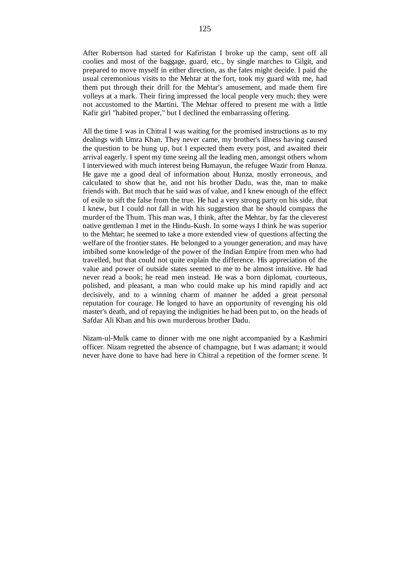After Robertson had started for Kafiristan I broke up the camp, sent off all coolies and most of the baggage, guard, etc., by single marches to Gilgit, and prepared to move myself in either direction, as the fates might decide. I paid the usual ceremonious visits to the Mehtar at the fort, took my guard with me, had them put through their drill for the Mehtar's amusement, and made them fire volleys at a mark. Their firing impressed the local people very much; they were not accustomed to the Martini. The Mehtar offered to present me with a little Kafir girl "habited proper," but I declined the embarrassing offering.

All the time I was in Chitral I was waiting for the promised instructions as to my dealings with Umra Khan. They never came, my brother's illness having caused the question to be hung up, but I expected them every post, and awaited their arrival eagerly. I spent my time seeing all the leading men, amongst others whom I interviewed with much interest being Humayun, the refugee Wazir from Hunza. He gave me a good deal of information about Hunza, mostly erroneous, and calculated to show that he, and not his brother Dadu, was the, man to make friends with. But much that he said was of value, and I knew enough of the effect of exile to sift the false from the true. He had a very strong party on his side, that I knew, but I could not fall in with his suggestion that he should compass the murder of the Thum. This man was, I think, after the Mehtar, by far the cleverest native gentleman I met in the Hindu-Kush. In some ways I think he was superior to the Mehtar; he seemed to take a more extended view of questions affecting the welfare of the frontier states. He belonged to a younger generation, and may have imbibed some knowledge of the power of the Indian Empire from men who had travelled, but that could not quite explain the difference. His appreciation of the value and power of outside states seemed to me to be almost intuitive. He had never read a book; he read men instead. He was a born diplomat, courteous, polished, and pleasant, a man who could make up his mind rapidly and act decisively, and to a winning charm of manner he added a great personal reputation for courage. He longed to have an opportunity of revenging his old master's death, and of repaying the indignities he had been put to, on the heads of Safdar Ali Khan and his own murderous brother Dadu.

Nizam-ul-Mulk came to dinner with me one night accompanied by a Kashmiri officer. Nizam regretted the absence of champagne, but I was adamant; it would never have done to have had here in Chitral a repetition of the former scene. It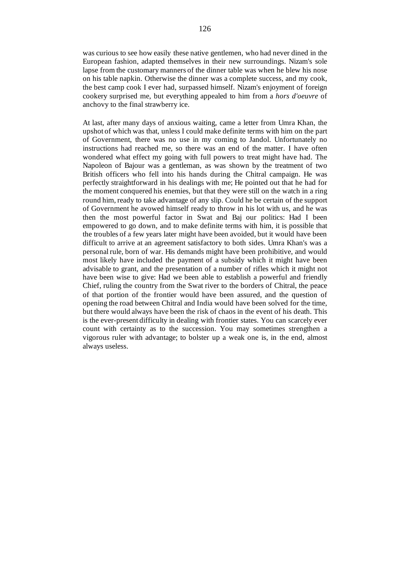was curious to see how easily these native gentlemen, who had never dined in the European fashion, adapted themselves in their new surroundings. Nizam's sole lapse from the customary manners of the dinner table was when he blew his nose on his table napkin. Otherwise the dinner was a complete success, and my cook, the best camp cook I ever had, surpassed himself. Nizam's enjoyment of foreign cookery surprised me, but everything appealed to him from a *hors d'oeuvre* of anchovy to the final strawberry ice.

At last, after many days of anxious waiting, came a letter from Umra Khan, the upshot of which was that, unless I could make definite terms with him on the part of Government, there was no use in my coming to Jandol. Unfortunately no instructions had reached me, so there was an end of the matter. I have often wondered what effect my going with full powers to treat might have had. The Napoleon of Bajour was a gentleman, as was shown by the treatment of two British officers who fell into his hands during the Chitral campaign. He was perfectly straightforward in his dealings with me; He pointed out that he had for the moment conquered his enemies, but that they were still on the watch in a ring round him, ready to take advantage of any slip. Could he be certain of the support of Government he avowed himself ready to throw in his lot with us, and he was then the most powerful factor in Swat and Baj our politics: Had I been empowered to go down, and to make definite terms with him, it is possible that the troubles of a few years later might have been avoided, but it would have been difficult to arrive at an agreement satisfactory to both sides. Umra Khan's was a personal rule, born of war. His demands might have been prohibitive, and would most likely have included the payment of a subsidy which it might have been advisable to grant, and the presentation of a number of rifles which it might not have been wise to give: Had we been able to establish a powerful and friendly Chief, ruling the country from the Swat river to the borders of Chitral, the peace of that portion of the frontier would have been assured, and the question of opening the road between Chitral and India would have been solved for the time, but there would always have been the risk of chaos in the event of his death. This is the ever-present difficulty in dealing with frontier states. You can scarcely ever count with certainty as to the succession. You may sometimes strengthen a vigorous ruler with advantage; to bolster up a weak one is, in the end, almost always useless.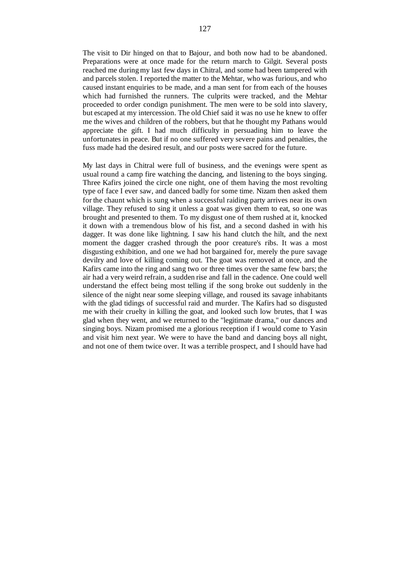The visit to Dir hinged on that to Bajour, and both now had to be abandoned. Preparations were at once made for the return march to Gilgit. Several posts reached me during my last few days in Chitral, and some had been tampered with and parcels stolen. I reported the matter to the Mehtar, who was furious, and who caused instant enquiries to be made, and a man sent for from each of the houses which had furnished the runners. The culprits were tracked, and the Mehtar proceeded to order condign punishment. The men were to be sold into slavery, but escaped at my intercession. The old Chief said it was no use he knew to offer me the wives and children of the robbers, but that he thought my Pathans would appreciate the gift. I had much difficulty in persuading him to leave the unfortunates in peace. But if no one suffered very severe pains and penalties, the fuss made had the desired result, and our posts were sacred for the future.

My last days in Chitral were full of business, and the evenings were spent as usual round a camp fire watching the dancing, and listening to the boys singing. Three Kafirs joined the circle one night, one of them having the most revolting type of face I ever saw, and danced badly for some time. Nizam then asked them for the chaunt which is sung when a successful raiding party arrives near its own village. They refused to sing it unless a goat was given them to eat, so one was brought and presented to them. To my disgust one of them rushed at it, knocked it down with a tremendous blow of his fist, and a second dashed in with his dagger. It was done like lightning. I saw his hand clutch the hilt, and the next moment the dagger crashed through the poor creature's ribs. It was a most disgusting exhibition, and one we had hot bargained for, merely the pure savage devilry and love of killing coming out. The goat was removed at once, and the Kafirs came into the ring and sang two or three times over the same few bars; the air had a very weird refrain, a sudden rise and fall in the cadence. One could well understand the effect being most telling if the song broke out suddenly in the silence of the night near some sleeping village, and roused its savage inhabitants with the glad tidings of successful raid and murder. The Kafirs had so disgusted me with their cruelty in killing the goat, and looked such low brutes, that I was glad when they went, and we returned to the "legitimate drama," our dances and singing boys. Nizam promised me a glorious reception if I would come to Yasin and visit him next year. We were to have the band and dancing boys all night, and not one of them twice over. It was a terrible prospect, and I should have had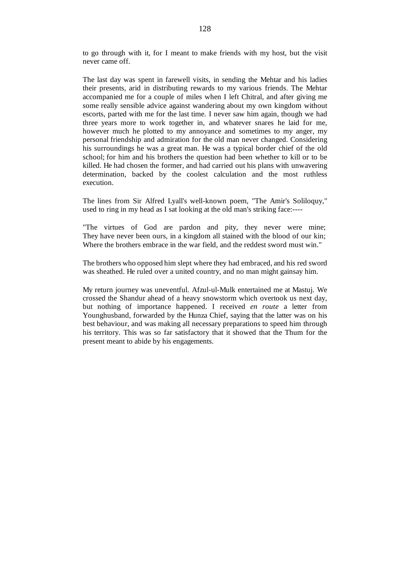to go through with it, for I meant to make friends with my host, but the visit never came off.

The last day was spent in farewell visits, in sending the Mehtar and his ladies their presents, arid in distributing rewards to my various friends. The Mehtar accompanied me for a couple of miles when I left Chitral, and after giving me some really sensible advice against wandering about my own kingdom without escorts, parted with me for the last time. I never saw him again, though we had three years more to work together in, and whatever snares he laid for me, however much he plotted to my annoyance and sometimes to my anger, my personal friendship and admiration for the old man never changed. Considering his surroundings he was a great man. He was a typical border chief of the old school; for him and his brothers the question had been whether to kill or to be killed. He had chosen the former, and had carried out his plans with unwavering determination, backed by the coolest calculation and the most ruthless execution.

The lines from Sir Alfred Lyall's well-known poem, "The Amir's Soliloquy," used to ring in my head as I sat looking at the old man's striking face:----

"The virtues of God are pardon and pity, they never were mine; They have never been ours, in a kingdom all stained with the blood of our kin; Where the brothers embrace in the war field, and the reddest sword must win."

The brothers who opposed him slept where they had embraced, and his red sword was sheathed. He ruled over a united country, and no man might gainsay him.

My return journey was uneventful. Afzul-ul-Mulk entertained me at Mastuj. We crossed the Shandur ahead of a heavy snowstorm which overtook us next day, but nothing of importance happened. I received *en route* a letter from Younghusband, forwarded by the Hunza Chief, saying that the latter was on his best behaviour, and was making all necessary preparations to speed him through his territory. This was so far satisfactory that it showed that the Thum for the present meant to abide by his engagements.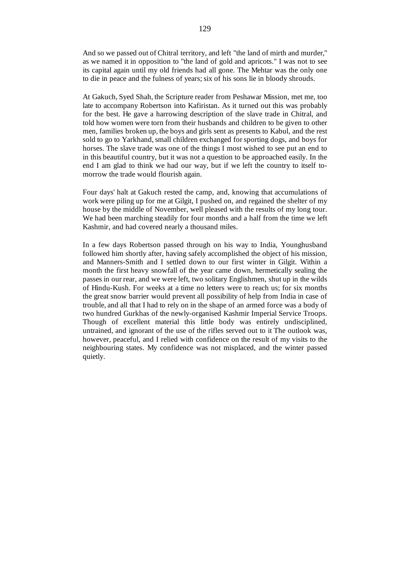And so we passed out of Chitral territory, and left "the land of mirth and murder," as we named it in opposition to "the land of gold and apricots." I was not to see its capital again until my old friends had all gone. The Mehtar was the only one to die in peace and the fulness of years; six of his sons lie in bloody shrouds.

At Gakuch, Syed Shah, the Scripture reader from Peshawar Mission, met me, too late to accompany Robertson into Kafiristan. As it turned out this was probably for the best. He gave a harrowing description of the slave trade in Chitral, and told how women were torn from their husbands and children to be given to other men, families broken up, the boys and girls sent as presents to Kabul, and the rest sold to go to Yarkhand, small children exchanged for sporting dogs, and boys for horses. The slave trade was one of the things I most wished to see put an end to in this beautiful country, but it was not a question to be approached easily. In the end I am glad to think we had our way, but if we left the country to itself tomorrow the trade would flourish again.

Four days' halt at Gakuch rested the camp, and, knowing that accumulations of work were piling up for me at Gilgit, I pushed on, and regained the shelter of my house by the middle of November, well pleased with the results of my long tour. We had been marching steadily for four months and a half from the time we left Kashmir, and had covered nearly a thousand miles.

In a few days Robertson passed through on his way to India, Younghusband followed him shortly after, having safely accomplished the object of his mission, and Manners-Smith and I settled down to our first winter in Gilgit. Within a month the first heavy snowfall of the year came down, hermetically sealing the passes in our rear, and we were left, two solitary Englishmen, shut up in the wilds of Hindu-Kush. For weeks at a time no letters were to reach us; for six months the great snow barrier would prevent all possibility of help from India in case of trouble, and all that I had to rely on in the shape of an armed force was a body of two hundred Gurkhas of the newly-organised Kashmir Imperial Service Troops. Though of excellent material this little body was entirely undisciplined, untrained, and ignorant of the use of the rifles served out to it The outlook was, however, peaceful, and I relied with confidence on the result of my visits to the neighbouring states. My confidence was not misplaced, and the winter passed quietly.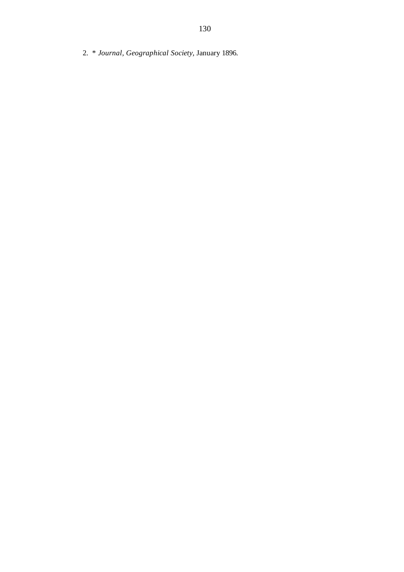2. \* *Journal, Geographical Society,* January 1896.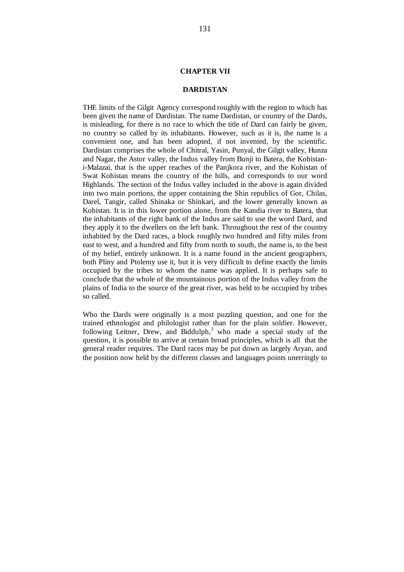# **CHAPTER VII**

### **DARDISTAN**

THE limits of the Gilgit Agency correspond roughly with the region to which has been given the name of Dardistan. The name Dardistan, or country of the Dards, is misleading, for there is no race to which the title of Dard can fairly be given, no country so called by its inhabitants. However, such as it is, the name is a convenient one, and has been adopted, if not invented, by the scientific. Dardistan comprises the whole of Chitral, Yasin, Punyal, the Gilgit valley, Hunza and Nagar, the Astor valley, the Indus valley from Bunji to Batera, the Kohistani-Malazai, that is the upper reaches of the Panjkora river, and the Kohistan of Swat Kohistan means the country of the hills, and corresponds to our word Highlands. The section of the Indus valley included in the above is again divided into two main portions, the upper containing the Shin republics of Gor, Chilas, Darel, Tangir, called Shinaka or Shinkari, and the lower generally known as Kohistan. It is in this lower portion alone, from the Kandia river to Batera, that the inhabitants of the right bank of the Indus are said to use the word Dard, and they apply it to the dwellers on the left bank. Throughout the rest of the country inhabited by the Dard races, a block roughly two hundred and fifty miles from east to west, and a hundred and fifty from north to south, the name is, to the best of my belief, entirely unknown. It is a name found in the ancient geographers, both Pliny and Ptolemy use it, but it is very difficult to define exactly the limits occupied by the tribes to whom the name was applied. It is perhaps safe to conclude that the whole of the mountainous portion of the Indus valley from the plains of India to the source of the great river, was held to be occupied by tribes so called.

Who the Dards were originally is a most puzzling question, and one for the trained ethnologist and philologist rather than for the plain soldier. However, following Leitner, Drew, and Biddulph, $3$  who made a special study of the question, it is possible to arrive at certain broad principles, which is all that the general reader requires. The Dard races may be put down as largely Aryan, and the position now held by the different classes and languages points unerringly to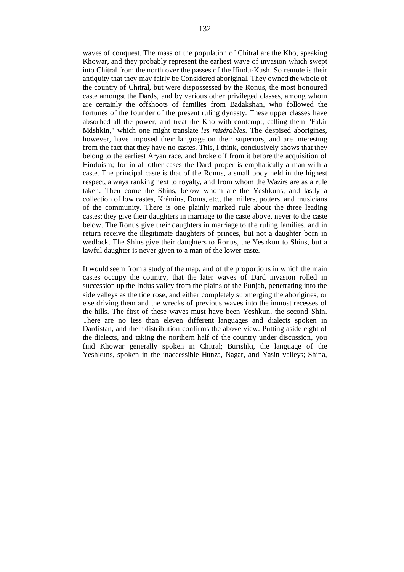waves of conquest. The mass of the population of Chitral are the Kho, speaking Khowar, and they probably represent the earliest wave of invasion which swept into Chitral from the north over the passes of the Hindu-Kush. So remote is their antiquity that they may fairly be Considered aboriginal. They owned the whole of the country of Chitral, but were dispossessed by the Ronus, the most honoured caste amongst the Dards, and by various other privileged classes, among whom are certainly the offshoots of families from Badakshan, who followed the fortunes of the founder of the present ruling dynasty. These upper classes have absorbed all the power, and treat the Kho with contempt, calling them "Fakir Mdshkin," which one might translate *les misérables.* The despised aborigines, however, have imposed their language on their superiors, and are interesting from the fact that they have no castes. This, I think, conclusively shows that they belong to the earliest Aryan race, and broke off from it before the acquisition of Hinduism*;* for in all other cases the Dard proper is emphatically a man with a caste. The principal caste is that of the Ronus, a small body held in the highest respect, always ranking next to royalty, and from whom the Wazirs are as a rule taken. Then come the Shins, below whom are the Yeshkuns, and lastly a collection of low castes, Krámins, Doms, etc., the millers, potters, and musicians of the community. There is one plainly marked rule about the three leading castes; they give their daughters in marriage to the caste above, never to the caste below. The Ronus give their daughters in marriage to the ruling families, and in return receive the illegitimate daughters of princes, but not a daughter born in wedlock. The Shins give their daughters to Ronus, the Yeshkun to Shins, but a lawful daughter is never given to a man of the lower caste.

It would seem from a study of the map, and of the proportions in which the main castes occupy the country, that the later waves of Dard invasion rolled in succession up the Indus valley from the plains of the Punjab, penetrating into the side valleys as the tide rose, and either completely submerging the aborigines, or else driving them and the wrecks of previous waves into the inmost recesses of the hills. The first of these waves must have been Yeshkun, the second Shin. There are no less than eleven different languages and dialects spoken in Dardistan, and their distribution confirms the above view. Putting aside eight of the dialects, and taking the northern half of the country under discussion, you find Khowar generally spoken in Chitral; Burishki, the language of the Yeshkuns, spoken in the inaccessible Hunza, Nagar, and Yasin valleys; Shina,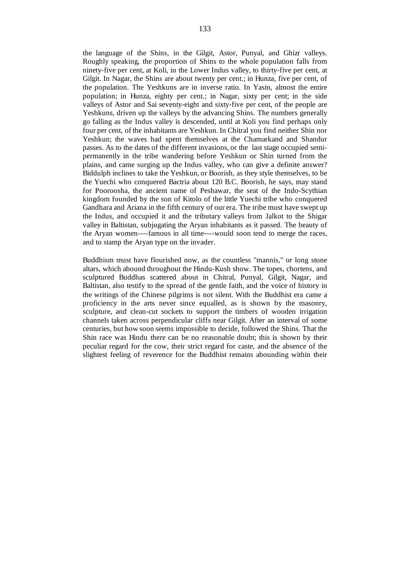the language of the Shins, in the Gilgit, Astor, Punyal, and Ghizr valleys. Roughly speaking, the proportion of Shins to the whole population falls from ninety-five per cent, at Koli, in the Lower Indus valley, to thirty-five per cent, at Gilgit. In Nagar, the Shins are about twenty per cent.; in Hunza, five per cent, of the population. The Yeshkuns are in inverse ratio. In Yasin, almost the entire population; in Hunza, eighty per cent.; in Nagar, sixty per cent; in the side valleys of Astor and Sai seventy-eight and sixty-five per cent, of the people are Yeshkuns, driven up the valleys by the advancing Shins. The numbers generally go falling as the Indus valley is descended, until at Koli you find perhaps only four per cent, of the inhabitants are Yeshkun. In Chitral you find neither Shin nor Yeshkun; the waves had spent themselves at the Chamarkand and Shandur passes. As to the dates of the different invasions, or the last stage occupied semipermanently in the tribe wandering before Yeshkun or Shin turned from the plains, and came surging up the Indus valley, who can give a definite answer? Biddulph inclines to take the Yeshkun, or Boorish, as they style themselves, to be the Yuechi who conquered Bactria about 120 B.C. Boorish, he says, may stand for Pooroosha, the ancient name of Peshawar, the seat of the Indo-Scythian kingdom founded by the son of Kitolo of the little Yuechi tribe who conquered Gandhara and Ariana in the fifth century of our era. The tribe must have swept up the Indus, and occupied it and the tributary valleys from Jalkot to the Shigar valley in Baltistan, subjugating the Aryan inhabitants as it passed. The beauty of the Aryan women----famous in all time----would soon tend to merge the races, and to stamp the Aryan type on the invader.

Buddhism must have flourished now, as the countless "mannis," or long stone altars, which abound throughout the Hindu-Kush show. The topes, chortens, and sculptured Buddhas scattered about in Chitral, Punyal, Gilgit, Nagar, and Baltistan, also testify to the spread of the gentle faith, and the voice of history in the writings of the Chinese pilgrims is not silent. With the Buddhist era came a proficiency in the arts never since equalled, as is shown by the masonry, sculpture, and clean-cut sockets to support the timbers of wooden irrigation channels taken across perpendicular cliffs near Gilgit. After an interval of some centuries, but how soon seems impossible to decide, followed the Shins. That the Shin race was Hindu there can be no reasonable doubt; this is shown by their peculiar regard for the cow, their strict regard for caste, and the absence of the slightest feeling of reverence for the Buddhist remains abounding within their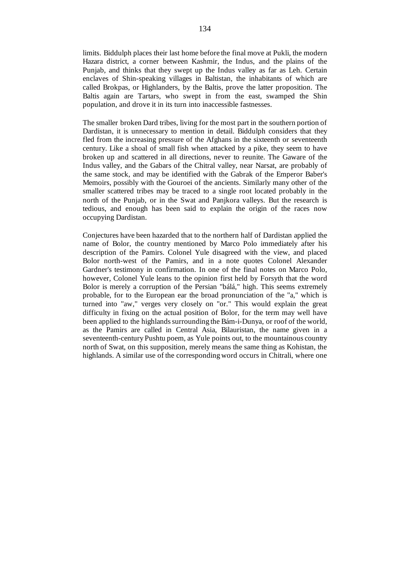limits. Biddulph places their last home before the final move at Pukli, the modern Hazara district, a corner between Kashmir, the Indus, and the plains of the Punjab, and thinks that they swept up the Indus valley as far as Leh. Certain enclaves of Shin-speaking villages in Baltistan, the inhabitants of which are called Brokpas, or Highlanders, by the Baltis, prove the latter proposition. The Baltis again are Tartars, who swept in from the east, swamped the Shin population, and drove it in its turn into inaccessible fastnesses.

The smaller broken Dard tribes, living for the most part in the southern portion of Dardistan, it is unnecessary to mention in detail. Biddulph considers that they fled from the increasing pressure of the Afghans in the sixteenth or seventeenth century. Like a shoal of small fish when attacked by a pike, they seem to have broken up and scattered in all directions, never to reunite. The Gaware of the Indus valley, and the Gabars of the Chitral valley, near Narsat, are probably of the same stock, and may be identified with the Gabrak of the Emperor Baber's Memoirs, possibly with the Gouroei of the ancients. Similarly many other of the smaller scattered tribes may be traced to a single root located probably in the north of the Punjab, or in the Swat and Panjkora valleys. But the research is tedious, and enough has been said to explain the origin of the races now occupying Dardistan.

Conjectures have been hazarded that to the northern half of Dardistan applied the name of Bolor, the country mentioned by Marco Polo immediately after his description of the Pamirs. Colonel Yule disagreed with the view, and placed Bolor north-west of the Pamirs, and in a note quotes Colonel Alexander Gardner's testimony in confirmation. In one of the final notes on Marco Polo, however, Colonel Yule leans to the opinion first held by Forsyth that the word Bolor is merely a corruption of the Persian "bálá," high. This seems extremely probable, for to the European ear the broad pronunciation of the "a," which is turned into "aw," verges very closely on "or." This would explain the great difficulty in fixing on the actual position of Bolor, for the term may well have been applied to the highlands surrounding the Bám-i-Dunya, or roof of the world, as the Pamirs are called in Central Asia, Bilauristan, the name given in a seventeenth-century Pushtu poem, as Yule points out, to the mountainous country north of Swat, on this supposition, merely means the same thing as Kohistan, the highlands. A similar use of the corresponding word occurs in Chitrali, where one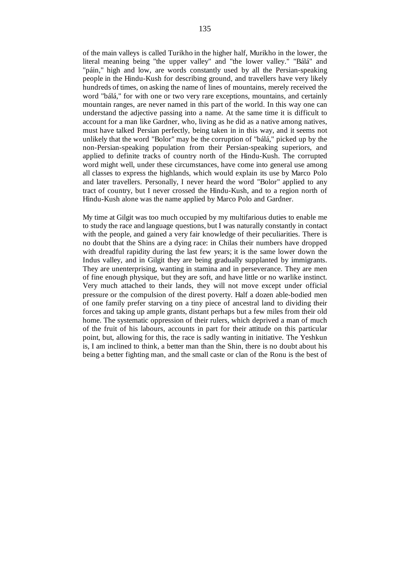of the main valleys is called Turikho in the higher half, Murikho in the lower, the literal meaning being "the upper valley" and "the lower valley." "Bálá" and "páin," high and low, are words constantly used by all the Persian-speaking people in the Hindu-Kush for describing ground, and travellers have very likely hundreds of times, on asking the name of lines of mountains, merely received the word "bálá," for with one or two very rare exceptions, mountains, and certainly mountain ranges, are never named in this part of the world. In this way one can understand the adjective passing into a name. At the same time it is difficult to account for a man like Gardner, who, living as he did as a native among natives, must have talked Persian perfectly, being taken in in this way, and it seems not unlikely that the word "Bolor" may be the corruption of "bálá," picked up by the non-Persian-speaking population from their Persian-speaking superiors, and applied to definite tracks of country north of the Hindu-Kush. The corrupted word might well, under these circumstances, have come into general use among all classes to express the highlands, which would explain its use by Marco Polo and later travellers. Personally, I never heard the word "Bolor" applied to any tract of country, but I never crossed the Hindu-Kush, and to a region north of Hindu-Kush alone was the name applied by Marco Polo and Gardner.

My time at Gilgit was too much occupied by my multifarious duties to enable me to study the race and language questions, but I was naturally constantly in contact with the people, and gained a very fair knowledge of their peculiarities. There is no doubt that the Shins are a dying race: in Chilas their numbers have dropped with dreadful rapidity during the last few years; it is the same lower down the Indus valley, and in Gilgit they are being gradually supplanted by immigrants. They are unenterprising, wanting in stamina and in perseverance. They are men of fine enough physique, but they are soft, and have little or no warlike instinct. Very much attached to their lands, they will not move except under official pressure or the compulsion of the direst poverty. Half a dozen able-bodied men of one family prefer starving on a tiny piece of ancestral land to dividing their forces and taking up ample grants, distant perhaps but a few miles from their old home. The systematic oppression of their rulers, which deprived a man of much of the fruit of his labours, accounts in part for their attitude on this particular point, but, allowing for this, the race is sadly wanting in initiative. The Yeshkun is, I am inclined to think, a better man than the Shin, there is no doubt about his being a better fighting man, and the small caste or clan of the Ronu is the best of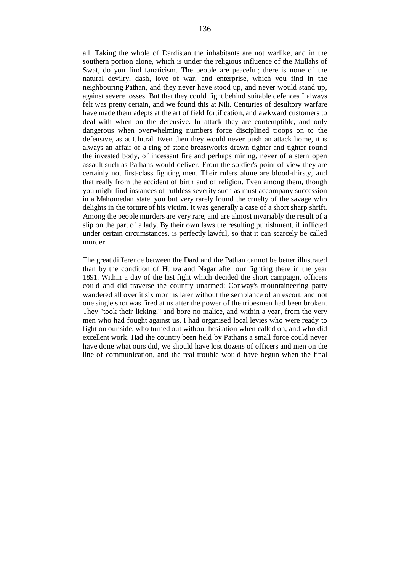all. Taking the whole of Dardistan the inhabitants are not warlike, and in the southern portion alone, which is under the religious influence of the Mullahs of Swat, do you find fanaticism. The people are peaceful; there is none of the natural devilry, dash, love of war, and enterprise, which you find in the neighbouring Pathan, and they never have stood up, and never would stand up, against severe losses. But that they could fight behind suitable defences I always felt was pretty certain, and we found this at Nilt. Centuries of desultory warfare have made them adepts at the art of field fortification, and awkward customers to deal with when on the defensive. In attack they are contemptible, and only dangerous when overwhelming numbers force disciplined troops on to the defensive, as at Chitral. Even then they would never push an attack home, it is always an affair of a ring of stone breastworks drawn tighter and tighter round the invested body, of incessant fire and perhaps mining, never of a stern open assault such as Pathans would deliver. From the soldier's point of view they are certainly not first-class fighting men. Their rulers alone are blood-thirsty, and that really from the accident of birth and of religion. Even among them, though you might find instances of ruthless severity such as must accompany succession in a Mahomedan state, you but very rarely found the cruelty of the savage who delights in the torture of his victim. It was generally a case of a short sharp shrift. Among the people murders are very rare, and are almost invariably the result of a slip on the part of a lady. By their own laws the resulting punishment, if inflicted under certain circumstances, is perfectly lawful, so that it can scarcely be called murder.

The great difference between the Dard and the Pathan cannot be better illustrated than by the condition of Hunza and Nagar after our fighting there in the year 1891. Within a day of the last fight which decided the short campaign, officers could and did traverse the country unarmed: Conway's mountaineering party wandered all over it six months later without the semblance of an escort, and not one single shot was fired at us after the power of the tribesmen had been broken. They "took their licking," and bore no malice, and within a year, from the very men who had fought against us, I had organised local levies who were ready to fight on our side, who turned out without hesitation when called on, and who did excellent work. Had the country been held by Pathans a small force could never have done what ours did, we should have lost dozens of officers and men on the line of communication, and the real trouble would have begun when the final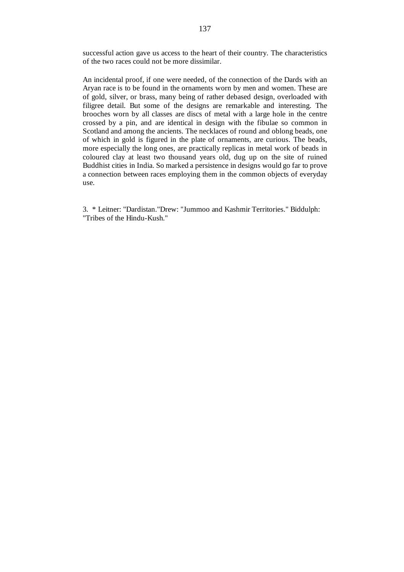successful action gave us access to the heart of their country. The characteristics of the two races could not be more dissimilar.

An incidental proof, if one were needed, of the connection of the Dards with an Aryan race is to be found in the ornaments worn by men and women. These are of gold, silver, or brass, many being of rather debased design, overloaded with filigree detail. But some of the designs are remarkable and interesting. The brooches worn by all classes are discs of metal with a large hole in the centre crossed by a pin, and are identical in design with the fibulae so common in Scotland and among the ancients. The necklaces of round and oblong beads, one of which in gold is figured in the plate of ornaments, are curious. The beads, more especially the long ones, are practically replicas in metal work of beads in coloured clay at least two thousand years old, dug up on the site of ruined Buddhist cities in India. So marked a persistence in designs would go far to prove a connection between races employing them in the common objects of everyday use.

3. \* Leitner: "Dardistan."Drew: "Jummoo and Kashmir Territories." Biddulph: "Tribes of the Hindu-Kush."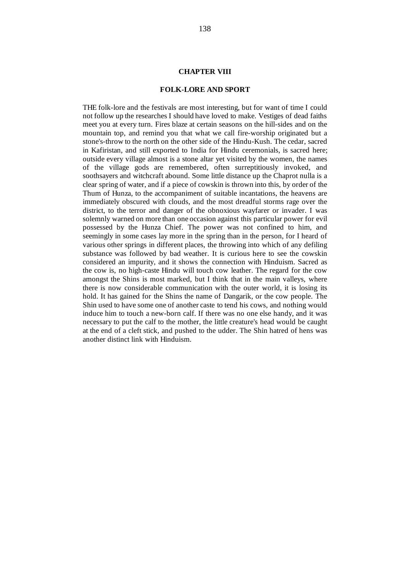# **CHAPTER VIII**

### **FOLK-LORE AND SPORT**

THE folk-lore and the festivals are most interesting, but for want of time I could not follow up the researches I should have loved to make. Vestiges of dead faiths meet you at every turn. Fires blaze at certain seasons on the hill-sides and on the mountain top, and remind you that what we call fire-worship originated but a stone's-throw to the north on the other side of the Hindu-Kush. The cedar, sacred in Kafiristan, and still exported to India for Hindu ceremonials, is sacred here; outside every village almost is a stone altar yet visited by the women, the names of the village gods are remembered, often surreptitiously invoked, and soothsayers and witchcraft abound. Some little distance up the Chaprot nulla is a clear spring of water, and if a piece of cowskin is thrown into this, by order of the Thum of Hunza, to the accompaniment of suitable incantations, the heavens are immediately obscured with clouds, and the most dreadful storms rage over the district, to the terror and danger of the obnoxious wayfarer or invader. I was solemnly warned on more than one occasion against this particular power for evil possessed by the Hunza Chief. The power was not confined to him, and seemingly in some cases lay more in the spring than in the person, for I heard of various other springs in different places, the throwing into which of any defiling substance was followed by bad weather. It is curious here to see the cowskin considered an impurity, and it shows the connection with Hinduism. Sacred as the cow is, no high-caste Hindu will touch cow leather. The regard for the cow amongst the Shins is most marked, but I think that in the main valleys, where there is now considerable communication with the outer world, it is losing its hold. It has gained for the Shins the name of Dangarik, or the cow people. The Shin used to have some one of another caste to tend his cows, and nothing would induce him to touch a new-born calf. If there was no one else handy, and it was necessary to put the calf to the mother, the little creature's head would be caught at the end of a cleft stick, and pushed to the udder. The Shin hatred of hens was another distinct link with Hinduism.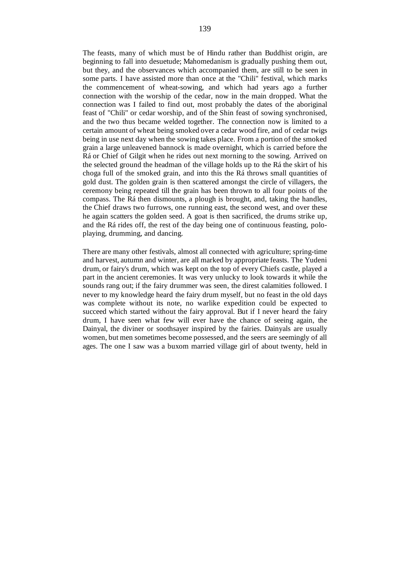The feasts, many of which must be of Hindu rather than Buddhist origin, are beginning to fall into desuetude; Mahomedanism is gradually pushing them out, but they, and the observances which accompanied them, are still to be seen in some parts. I have assisted more than once at the "Chili" festival, which marks the commencement of wheat-sowing, and which had years ago a further connection with the worship of the cedar, now in the main dropped. What the connection was I failed to find out, most probably the dates of the aboriginal feast of "Chili" or cedar worship, and of the Shin feast of sowing synchronised, and the two thus became welded together. The connection now is limited to a certain amount of wheat being smoked over a cedar wood fire, and of cedar twigs being in use next day when the sowing takes place. From a portion of the smoked grain a large unleavened bannock is made overnight, which is carried before the Rá or Chief of Gilgit when he rides out next morning to the sowing. Arrived on the selected ground the headman of the village holds up to the Rá the skirt of his choga full of the smoked grain, and into this the Rá throws small quantities of gold dust. The golden grain is then scattered amongst the circle of villagers, the ceremony being repeated till the grain has been thrown to all four points of the compass. The Rá then dismounts, a plough is brought, and, taking the handles, the Chief draws two furrows, one running east, the second west, and over these he again scatters the golden seed. A goat is then sacrificed, the drums strike up, and the Rá rides off, the rest of the day being one of continuous feasting, poloplaying, drumming, and dancing.

There are many other festivals, almost all connected with agriculture; spring-time and harvest, autumn and winter, are all marked by appropriate feasts. The Yudeni drum, or fairy's drum, which was kept on the top of every Chiefs castle, played a part in the ancient ceremonies. It was very unlucky to look towards it while the sounds rang out; if the fairy drummer was seen, the direst calamities followed. I never to my knowledge heard the fairy drum myself, but no feast in the old days was complete without its note, no warlike expedition could be expected to succeed which started without the fairy approval. But if I never heard the fairy drum, I have seen what few will ever have the chance of seeing again, the Dainyal, the diviner or soothsayer inspired by the fairies. Dainyals are usually women, but men sometimes become possessed, and the seers are seemingly of all ages. The one I saw was a buxom married village girl of about twenty, held in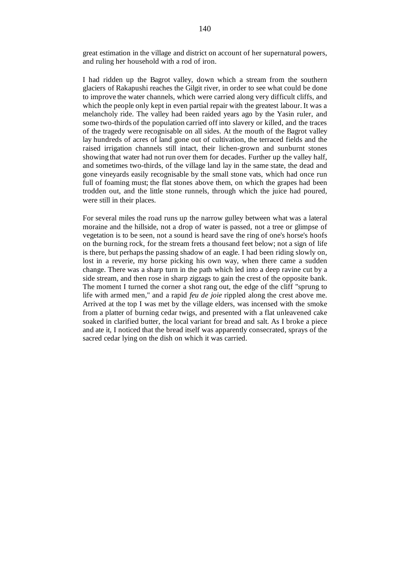great estimation in the village and district on account of her supernatural powers, and ruling her household with a rod of iron.

I had ridden up the Bagrot valley, down which a stream from the southern glaciers of Rakapushi reaches the Gilgit river, in order to see what could be done to improve the water channels, which were carried along very difficult cliffs, and which the people only kept in even partial repair with the greatest labour. It was a melancholy ride. The valley had been raided years ago by the Yasin ruler, and some two-thirds of the population carried off into slavery or killed, and the traces of the tragedy were recognisable on all sides. At the mouth of the Bagrot valley lay hundreds of acres of land gone out of cultivation, the terraced fields and the raised irrigation channels still intact, their lichen-grown and sunburnt stones showing that water had not run over them for decades. Further up the valley half, and sometimes two-thirds, of the village land lay in the same state, the dead and gone vineyards easily recognisable by the small stone vats, which had once run full of foaming must; the flat stones above them, on which the grapes had been trodden out, and the little stone runnels, through which the juice had poured, were still in their places.

For several miles the road runs up the narrow gulley between what was a lateral moraine and the hillside, not a drop of water is passed, not a tree or glimpse of vegetation is to be seen, not a sound is heard save the ring of one's horse's hoofs on the burning rock, for the stream frets a thousand feet below; not a sign of life is there, but perhaps the passing shadow of an eagle. I had been riding slowly on, lost in a reverie, my horse picking his own way, when there came a sudden change. There was a sharp turn in the path which led into a deep ravine cut by a side stream, and then rose in sharp zigzags to gain the crest of the opposite bank. The moment I turned the corner a shot rang out, the edge of the cliff "sprung to life with armed men," and a rapid *feu de joie* rippled along the crest above me. Arrived at the top I was met by the village elders, was incensed with the smoke from a platter of burning cedar twigs, and presented with a flat unleavened cake soaked in clarified butter, the local variant for bread and salt. As I broke a piece and ate it, I noticed that the bread itself was apparently consecrated, sprays of the sacred cedar lying on the dish on which it was carried.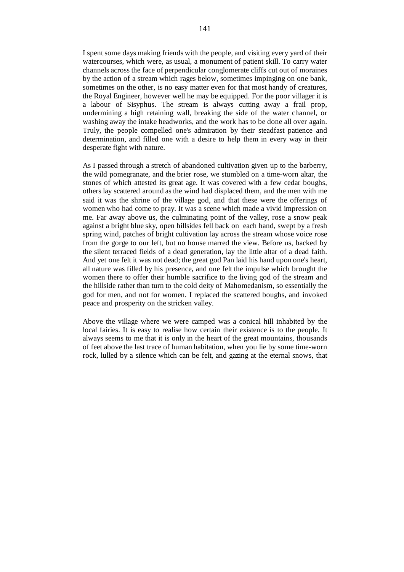I spent some days making friends with the people, and visiting every yard of their watercourses, which were, as usual, a monument of patient skill. To carry water channels across the face of perpendicular conglomerate cliffs cut out of moraines by the action of a stream which rages below, sometimes impinging on one bank, sometimes on the other, is no easy matter even for that most handy of creatures, the Royal Engineer, however well he may be equipped. For the poor villager it is a labour of Sisyphus. The stream is always cutting away a frail prop, undermining a high retaining wall, breaking the side of the water channel, or washing away the intake headworks, and the work has to be done all over again. Truly, the people compelled one's admiration by their steadfast patience and determination, and filled one with a desire to help them in every way in their desperate fight with nature.

As I passed through a stretch of abandoned cultivation given up to the barberry, the wild pomegranate, and the brier rose, we stumbled on a time-worn altar, the stones of which attested its great age. It was covered with a few cedar boughs, others lay scattered around as the wind had displaced them, and the men with me said it was the shrine of the village god, and that these were the offerings of women who had come to pray. It was a scene which made a vivid impression on me. Far away above us, the culminating point of the valley, rose a snow peak against a bright blue sky, open hillsides fell back on each hand, swept by a fresh spring wind, patches of bright cultivation lay across the stream whose voice rose from the gorge to our left, but no house marred the view. Before us, backed by the silent terraced fields of a dead generation, lay the little altar of a dead faith. And yet one felt it was not dead; the great god Pan laid his hand upon one's heart, all nature was filled by his presence, and one felt the impulse which brought the women there to offer their humble sacrifice to the living god of the stream and the hillside rather than turn to the cold deity of Mahomedanism, so essentially the god for men, and not for women. I replaced the scattered boughs, and invoked peace and prosperity on the stricken valley.

Above the village where we were camped was a conical hill inhabited by the local fairies. It is easy to realise how certain their existence is to the people. It always seems to me that it is only in the heart of the great mountains, thousands of feet above the last trace of human habitation, when you lie by some time-worn rock, lulled by a silence which can be felt, and gazing at the eternal snows, that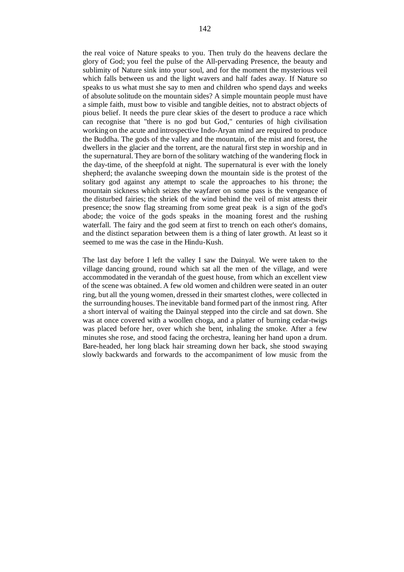the real voice of Nature speaks to you. Then truly do the heavens declare the glory of God; you feel the pulse of the All-pervading Presence, the beauty and sublimity of Nature sink into your soul, and for the moment the mysterious veil which falls between us and the light wavers and half fades away. If Nature so speaks to us what must she say to men and children who spend days and weeks of absolute solitude on the mountain sides? A simple mountain people must have a simple faith, must bow to visible and tangible deities, not to abstract objects of pious belief. It needs the pure clear skies of the desert to produce a race which can recognise that "there is no god but God," centuries of high civilisation working on the acute and introspective Indo-Aryan mind are required to produce the Buddha. The gods of the valley and the mountain, of the mist and forest, the dwellers in the glacier and the torrent, are the natural first step in worship and in the supernatural. They are born of the solitary watching of the wandering flock in the day-time, of the sheepfold at night. The supernatural is ever with the lonely shepherd; the avalanche sweeping down the mountain side is the protest of the solitary god against any attempt to scale the approaches to his throne; the mountain sickness which seizes the wayfarer on some pass is the vengeance of the disturbed fairies; the shriek of the wind behind the veil of mist attests their presence; the snow flag streaming from some great peak is a sign of the god's abode; the voice of the gods speaks in the moaning forest and the rushing waterfall. The fairy and the god seem at first to trench on each other's domains, and the distinct separation between them is a thing of later growth. At least so it seemed to me was the case in the Hindu-Kush.

The last day before I left the valley I saw the Dainyal. We were taken to the village dancing ground, round which sat all the men of the village, and were accommodated in the verandah of the guest house, from which an excellent view of the scene was obtained. A few old women and children were seated in an outer ring, but all the young women, dressed in their smartest clothes, were collected in the surrounding houses. The inevitable band formed part of the inmost ring. After a short interval of waiting the Dainyal stepped into the circle and sat down. She was at once covered with a woollen choga, and a platter of burning cedar-twigs was placed before her, over which she bent, inhaling the smoke. After a few minutes she rose, and stood facing the orchestra, leaning her hand upon a drum. Bare-headed, her long black hair streaming down her back, she stood swaying slowly backwards and forwards to the accompaniment of low music from the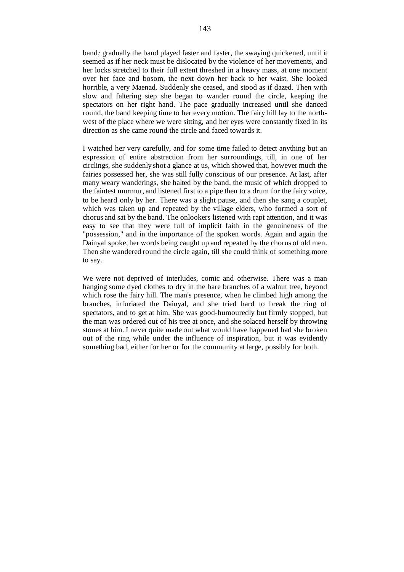band*;* gradually the band played faster and faster, the swaying quickened, until it seemed as if her neck must be dislocated by the violence of her movements, and her locks stretched to their full extent threshed in a heavy mass, at one moment over her face and bosom, the next down her back to her waist. She looked horrible, a very Maenad. Suddenly she ceased, and stood as if dazed. Then with slow and faltering step she began to wander round the circle, keeping the spectators on her right hand. The pace gradually increased until she danced round, the band keeping time to her every motion. The fairy hill lay to the northwest of the place where we were sitting, and her eyes were constantly fixed in its direction as she came round the circle and faced towards it.

I watched her very carefully, and for some time failed to detect anything but an expression of entire abstraction from her surroundings, till, in one of her circlings, she suddenly shot a glance at us, which showed that, however much the fairies possessed her, she was still fully conscious of our presence. At last, after many weary wanderings, she halted by the band, the music of which dropped to the faintest murmur, and listened first to a pipe then to a drum for the fairy voice, to be heard only by her. There was a slight pause, and then she sang a couplet, which was taken up and repeated by the village elders, who formed a sort of chorus and sat by the band. The onlookers listened with rapt attention, and it was easy to see that they were full of implicit faith in the genuineness of the "possession," and in the importance of the spoken words. Again and again the Dainyal spoke, her words being caught up and repeated by the chorus of old men. Then she wandered round the circle again, till she could think of something more to say.

We were not deprived of interludes, comic and otherwise. There was a man hanging some dyed clothes to dry in the bare branches of a walnut tree, beyond which rose the fairy hill. The man's presence, when he climbed high among the branches, infuriated the Dainyal, and she tried hard to break the ring of spectators, and to get at him. She was good-humouredly but firmly stopped, but the man was ordered out of his tree at once, and she solaced herself by throwing stones at him. I never quite made out what would have happened had she broken out of the ring while under the influence of inspiration, but it was evidently something bad, either for her or for the community at large, possibly for both.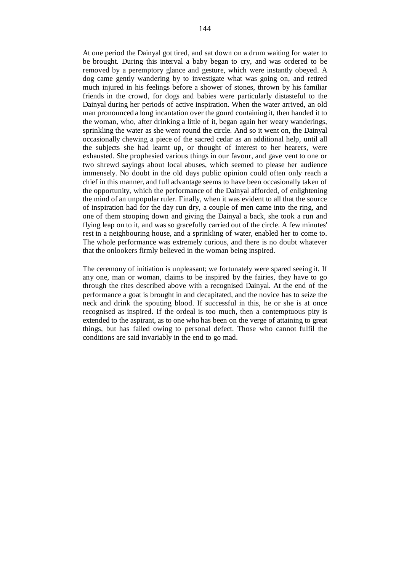At one period the Dainyal got tired, and sat down on a drum waiting for water to be brought. During this interval a baby began to cry, and was ordered to be removed by a peremptory glance and gesture, which were instantly obeyed. A dog came gently wandering by to investigate what was going on, and retired much injured in his feelings before a shower of stones, thrown by his familiar friends in the crowd, for dogs and babies were particularly distasteful to the Dainyal during her periods of active inspiration. When the water arrived, an old man pronounced a long incantation over the gourd containing it, then handed it to the woman, who, after drinking a little of it, began again her weary wanderings, sprinkling the water as she went round the circle. And so it went on, the Dainyal occasionally chewing a piece of the sacred cedar as an additional help, until all the subjects she had learnt up, or thought of interest to her hearers, were exhausted. She prophesied various things in our favour, and gave vent to one or two shrewd sayings about local abuses, which seemed to please her audience immensely. No doubt in the old days public opinion could often only reach a chief in this manner, and full advantage seems to have been occasionally taken of the opportunity, which the performance of the Dainyal afforded, of enlightening the mind of an unpopular ruler. Finally, when it was evident to all that the source of inspiration had for the day run dry, a couple of men came into the ring, and one of them stooping down and giving the Dainyal a back, she took a run and flying leap on to it, and was so gracefully carried out of the circle. A few minutes' rest in a neighbouring house, and a sprinkling of water, enabled her to come to. The whole performance was extremely curious, and there is no doubt whatever that the onlookers firmly believed in the woman being inspired.

The ceremony of initiation is unpleasant; we fortunately were spared seeing it. If any one, man or woman, claims to be inspired by the fairies, they have to go through the rites described above with a recognised Dainyal. At the end of the performance a goat is brought in and decapitated, and the novice has to seize the neck and drink the spouting blood. If successful in this, he or she is at once recognised as inspired. If the ordeal is too much, then a contemptuous pity is extended to the aspirant, as to one who has been on the verge of attaining to great things, but has failed owing to personal defect. Those who cannot fulfil the conditions are said invariably in the end to go mad.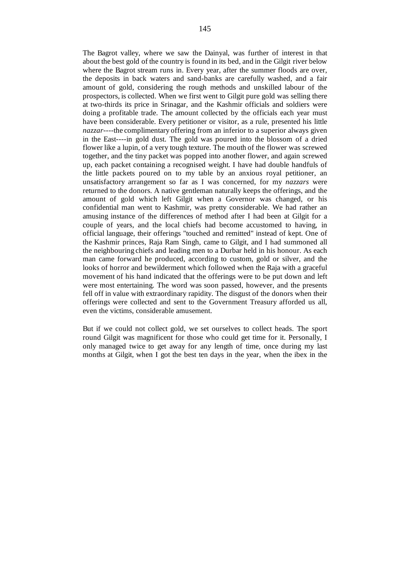The Bagrot valley, where we saw the Dainyal, was further of interest in that about the best gold of the country is found in its bed, and in the Gilgit river below where the Bagrot stream runs in. Every year, after the summer floods are over, the deposits in back waters and sand-banks are carefully washed, and a fair amount of gold, considering the rough methods and unskilled labour of the prospectors, is collected. When we first went to Gilgit pure gold was selling there at two-thirds its price in Srinagar, and the Kashmir officials and soldiers were doing a profitable trade. The amount collected by the officials each year must have been considerable. Every petitioner or visitor, as a rule, presented his little *nazzar----*the complimentary offering from an inferior to a superior always given in the East----in gold dust. The gold was poured into the blossom of a dried flower like a lupin, of a very tough texture. The mouth of the flower was screwed together, and the tiny packet was popped into another flower, and again screwed up, each packet containing a recognised weight. I have had double handfuls of the little packets poured on to my table by an anxious royal petitioner, an unsatisfactory arrangement so far as I was concerned, for my *nazzars* were returned to the donors. A native gentleman naturally keeps the offerings, and the amount of gold which left Gilgit when a Governor was changed, or his confidential man went to Kashmir, was pretty considerable. We had rather an amusing instance of the differences of method after I had been at Gilgit for a couple of years, and the local chiefs had become accustomed to having, in official language, their offerings "touched and remitted" instead of kept. One of the Kashmir princes, Raja Ram Singh, came to Gilgit, and I had summoned all the neighbouring chiefs and leading men to a Durbar held in his honour. As each man came forward he produced, according to custom, gold or silver, and the looks of horror and bewilderment which followed when the Raja with a graceful movement of his hand indicated that the offerings were to be put down and left were most entertaining. The word was soon passed, however, and the presents fell off in value with extraordinary rapidity. The disgust of the donors when their offerings were collected and sent to the Government Treasury afforded us all, even the victims, considerable amusement.

But if we could not collect gold, we set ourselves to collect heads. The sport round Gilgit was magnificent for those who could get time for it. Personally, I only managed twice to get away for any length of time, once during my last months at Gilgit, when I got the best ten days in the year, when the ibex in the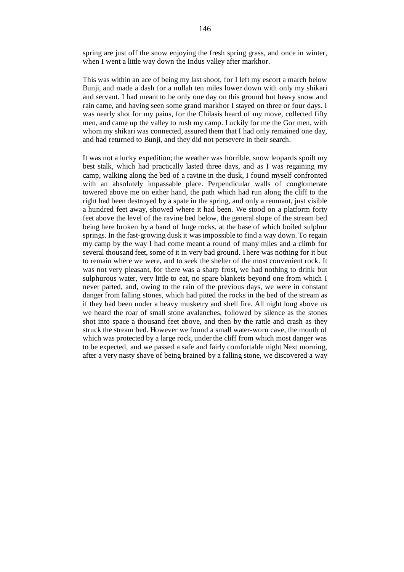spring are just off the snow enjoying the fresh spring grass, and once in winter, when I went a little way down the Indus valley after markhor.

This was within an ace of being my last shoot, for I left my escort a march below Bunji, and made a dash for a nullah ten miles lower down with only my shikari and servant. I had meant to be only one day on this ground but heavy snow and rain came, and having seen some grand markhor I stayed on three or four days. I was nearly shot for my pains, for the Chilasis heard of my move, collected fifty men, and came up the valley to rush my camp. Luckily for me the Gor men, with whom my shikari was connected, assured them that I had only remained one day, and had returned to Bunji, and they did not persevere in their search.

It was not a lucky expedition; the weather was horrible, snow leopards spoilt my best stalk, which had practically lasted three days, and as I was regaining my camp, walking along the bed of a ravine in the dusk, I found myself confronted with an absolutely impassable place. Perpendicular walls of conglomerate towered above me on either hand, the path which had run along the cliff to the right had been destroyed by a spate in the spring, and only a remnant, just visible a hundred feet away, showed where it had been. We stood on a platform forty feet above the level of the ravine bed below, the general slope of the stream bed being here broken by a band of huge rocks, at the base of which boiled sulphur springs. In the fast-growing dusk it was impossible to find a way down. To regain my camp by the way I had come meant a round of many miles and a climb for several thousand feet, some of it in very bad ground. There was nothing for it but to remain where we were, and to seek the shelter of the most convenient rock. It was not very pleasant, for there was a sharp frost, we had nothing to drink but sulphurous water, very little to eat, no spare blankets beyond one from which I never parted, and, owing to the rain of the previous days, we were in constant danger from falling stones, which had pitted the rocks in the bed of the stream as if they had been under a heavy musketry and shell fire. All night long above us we heard the roar of small stone avalanches, followed by silence as the stones shot into space a thousand feet above, and then by the rattle and crash as they struck the stream bed. However we found a small water-worn cave, the mouth of which was protected by a large rock, under the cliff from which most danger was to be expected, and we passed a safe and fairly comfortable night Next morning, after a very nasty shave of being brained by a falling stone, we discovered a way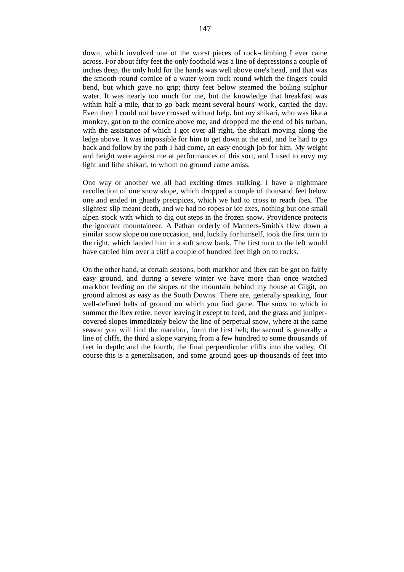down, which involved one of the worst pieces of rock-climbing I ever came across. For about fifty feet the only foothold was a line of depressions a couple of inches deep, the only hold for the hands was well above one's head, and that was the smooth round cornice of a water-worn rock round which the fingers could bend, but which gave no grip; thirty feet below steamed the boiling sulphur water. It was nearly too much for me, but the knowledge that breakfast was within half a mile, that to go back meant several hours' work, carried the day. Even then I could not have crossed without help, but my shikari, who was like a monkey, got on to the cornice above me, and dropped me the end of his turban, with the assistance of which I got over all right, the shikari moving along the ledge above. It was impossible for him to get down at the end, and he had to go back and follow by the path I had come, an easy enough job for him. My weight and height were against me at performances of this sort, and I used to envy my light and lithe shikari, to whom no ground came amiss.

One way or another we all had exciting times stalking. I have a nightmare recollection of one snow slope, which dropped a couple of thousand feet below one and ended in ghastly precipices, which we had to cross to reach ibex. The slightest slip meant death, and we had no ropes or ice axes, nothing but one small alpen stock with which to dig out steps in the frozen snow. Providence protects the ignorant mountaineer. A Pathan orderly of Manners-Smith's flew down a similar snow slope on one occasion, and, luckily for himself, took the first turn to the right, which landed him in a soft snow bank. The first turn to the left would have carried him over a cliff a couple of hundred feet high on to rocks.

On the other hand, at certain seasons, both markhor and ibex can be got on fairly easy ground, and during a severe winter we have more than once watched markhor feeding on the slopes of the mountain behind my house at Gilgit, on ground almost as easy as the South Downs. There are, generally speaking, four well-defined belts of ground on which you find game. The snow to which in summer the ibex retire, never leaving it except to feed, and the grass and junipercovered slopes immediately below the line of perpetual snow, where at the same season you will find the markhor, form the first belt; the second is generally a line of cliffs, the third a slope varying from a few hundred to some thousands of feet in depth; and the fourth, the final perpendicular cliffs into the valley. Of course this is a generalisation, and some ground goes up thousands of feet into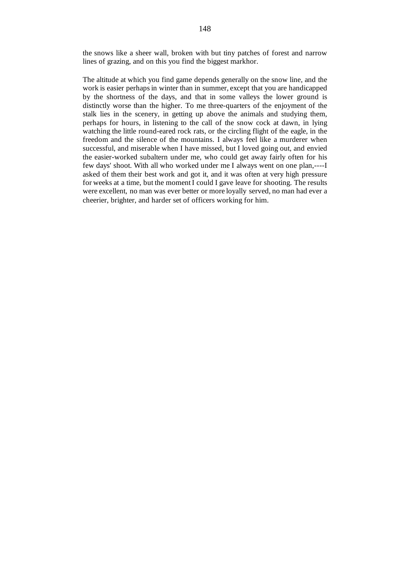the snows like a sheer wall, broken with but tiny patches of forest and narrow lines of grazing, and on this you find the biggest markhor.

The altitude at which you find game depends generally on the snow line, and the work is easier perhaps in winter than in summer, except that you are handicapped by the shortness of the days, and that in some valleys the lower ground is distinctly worse than the higher. To me three-quarters of the enjoyment of the stalk lies in the scenery, in getting up above the animals and studying them, perhaps for hours, in listening to the call of the snow cock at dawn, in lying watching the little round-eared rock rats, or the circling flight of the eagle, in the freedom and the silence of the mountains. I always feel like a murderer when successful, and miserable when I have missed, but I loved going out, and envied the easier-worked subaltern under me, who could get away fairly often for his few days' shoot. With all who worked under me I always went on one plan,----I asked of them their best work and got it, and it was often at very high pressure for weeks at a time, but the moment I could I gave leave for shooting. The results were excellent, no man was ever better or more loyally served, no man had ever a cheerier, brighter, and harder set of officers working for him.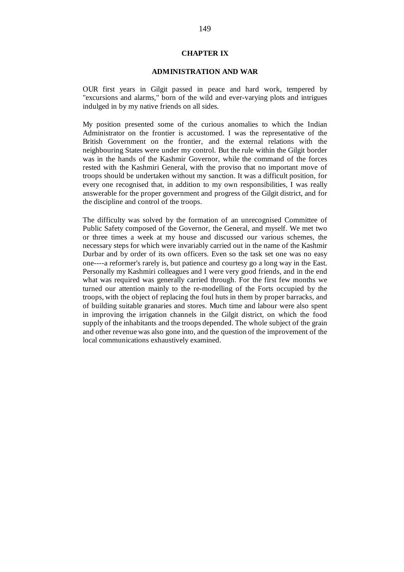## **CHAPTER IX**

# **ADMINISTRATION AND WAR**

OUR first years in Gilgit passed in peace and hard work, tempered by "excursions and alarms," born of the wild and ever-varying plots and intrigues indulged in by my native friends on all sides.

My position presented some of the curious anomalies to which the Indian Administrator on the frontier is accustomed. I was the representative of the British Government on the frontier, and the external relations with the neighbouring States were under my control. But the rule within the Gilgit border was in the hands of the Kashmir Governor, while the command of the forces rested with the Kashmiri General, with the proviso that no important move of troops should be undertaken without my sanction. It was a difficult position, for every one recognised that, in addition to my own responsibilities, I was really answerable for the proper government and progress of the Gilgit district, and for the discipline and control of the troops.

The difficulty was solved by the formation of an unrecognised Committee of Public Safety composed of the Governor, the General, and myself. We met two or three times a week at my house and discussed our various schemes, the necessary steps for which were invariably carried out in the name of the Kashmir Durbar and by order of its own officers. Even so the task set one was no easy one----a reformer's rarely is, but patience and courtesy go a long way in the East. Personally my Kashmiri colleagues and I were very good friends, and in the end what was required was generally carried through. For the first few months we turned our attention mainly to the re-modelling of the Forts occupied by the troops, with the object of replacing the foul huts in them by proper barracks, and of building suitable granaries and stores. Much time and labour were also spent in improving the irrigation channels in the Gilgit district, on which the food supply of the inhabitants and the troops depended. The whole subject of the grain and other revenue was also gone into, and the question of the improvement of the local communications exhaustively examined.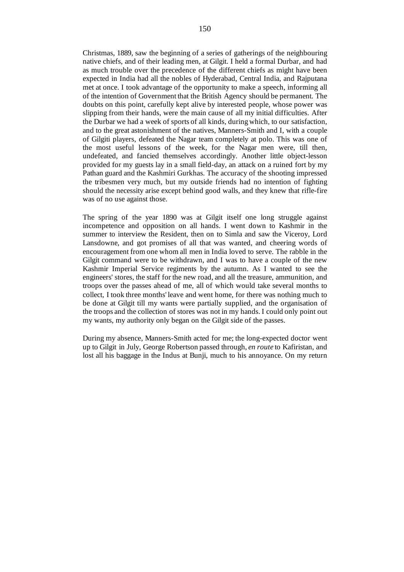Christmas, 1889, saw the beginning of a series of gatherings of the neighbouring native chiefs, and of their leading men, at Gilgit. I held a formal Durbar, and had as much trouble over the precedence of the different chiefs as might have been expected in India had all the nobles of Hyderabad, Central India, and Rajputana met at once. I took advantage of the opportunity to make a speech, informing all of the intention of Government that the British Agency should be permanent. The doubts on this point, carefully kept alive by interested people, whose power was slipping from their hands, were the main cause of all my initial difficulties. After the Durbar we had a week of sports of all kinds, during which, to our satisfaction, and to the great astonishment of the natives, Manners-Smith and I, with a couple of Gilgiti players, defeated the Nagar team completely at polo. This was one of the most useful lessons of the week, for the Nagar men were, till then, undefeated, and fancied themselves accordingly. Another little object-lesson provided for my guests lay in a small field-day, an attack on a ruined fort by my Pathan guard and the Kashmiri Gurkhas. The accuracy of the shooting impressed the tribesmen very much, but my outside friends had no intention of fighting should the necessity arise except behind good walls, and they knew that rifle-fire was of no use against those.

The spring of the year 1890 was at Gilgit itself one long struggle against incompetence and opposition on all hands. I went down to Kashmir in the summer to interview the Resident, then on to Simla and saw the Viceroy, Lord Lansdowne, and got promises of all that was wanted, and cheering words of encouragement from one whom all men in India loved to serve. The rabble in the Gilgit command were to be withdrawn, and I was to have a couple of the new Kashmir Imperial Service regiments by the autumn. As I wanted to see the engineers' stores, the staff for the new road, and all the treasure, ammunition, and troops over the passes ahead of me, all of which would take several months to collect, I took three months' leave and went home, for there was nothing much to be done at Gilgit till my wants were partially supplied, and the organisation of the troops and the collection of stores was not in my hands. I could only point out my wants, my authority only began on the Gilgit side of the passes.

During my absence, Manners-Smith acted for me; the long-expected doctor went up to Gilgit in July, George Robertson passed through, *en route* to Kafiristan, and lost all his baggage in the Indus at Bunji, much to his annoyance. On my return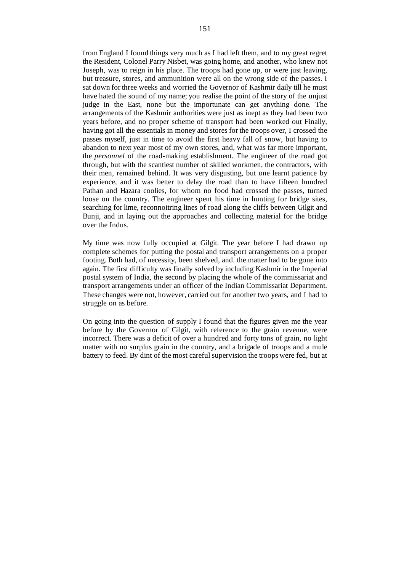from England I found things very much as I had left them, and to my great regret the Resident, Colonel Parry Nisbet, was going home, and another, who knew not Joseph, was to reign in his place. The troops had gone up, or were just leaving, but treasure, stores, and ammunition were all on the wrong side of the passes. I sat down for three weeks and worried the Governor of Kashmir daily till he must have hated the sound of my name; you realise the point of the story of the unjust judge in the East, none but the importunate can get anything done. The arrangements of the Kashmir authorities were just as inept as they had been two years before, and no proper scheme of transport had been worked out Finally, having got all the essentials in money and stores for the troops over, I crossed the passes myself, just in time to avoid the first heavy fall of snow, but having to abandon to next year most of my own stores, and, what was far more important, the *personnel* of the road-making establishment. The engineer of the road got through, but with the scantiest number of skilled workmen, the contractors, with their men, remained behind. It was very disgusting, but one learnt patience by experience, and it was better to delay the road than to have fifteen hundred Pathan and Hazara coolies, for whom no food had crossed the passes, turned loose on the country. The engineer spent his time in hunting for bridge sites, searching for lime, reconnoitring lines of road along the cliffs between Gilgit and Bunji, and in laying out the approaches and collecting material for the bridge over the Indus.

My time was now fully occupied at Gilgit. The year before I had drawn up complete schemes for putting the postal and transport arrangements on a proper footing. Both had, of necessity, been shelved, and. the matter had to be gone into again. The first difficulty was finally solved by including Kashmir in the Imperial postal system of India, the second by placing the whole of the commissariat and transport arrangements under an officer of the Indian Commissariat Department. These changes were not, however, carried out for another two years, and I had to struggle on as before.

On going into the question of supply I found that the figures given me the year before by the Governor of Gilgit, with reference to the grain revenue, were incorrect. There was a deficit of over a hundred and forty tons of grain, no light matter with no surplus grain in the country, and a brigade of troops and a mule battery to feed. By dint of the most careful supervision the troops were fed, but at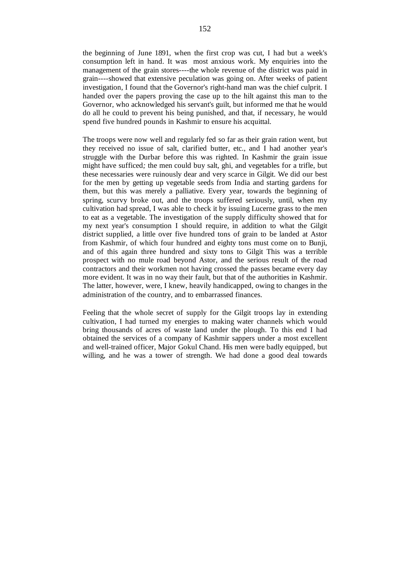grain----showed that extensive peculation was going on. After weeks of patient investigation, I found that the Governor's right-hand man was the chief culprit. I handed over the papers proving the case up to the hilt against this man to the Governor, who acknowledged his servant's guilt, but informed me that he would do all he could to prevent his being punished, and that, if necessary, he would spend five hundred pounds in Kashmir to ensure his acquittal.

The troops were now well and regularly fed so far as their grain ration went, but they received no issue of salt, clarified butter, etc., and I had another year's struggle with the Durbar before this was righted. In Kashmir the grain issue might have sufficed*;* the men could buy salt, ghi, and vegetables for a trifle, but these necessaries were ruinously dear and very scarce in Gilgit. We did our best for the men by getting up vegetable seeds from India and starting gardens for them, but this was merely a palliative. Every year, towards the beginning of spring, scurvy broke out, and the troops suffered seriously, until, when my cultivation had spread, I was able to check it by issuing Lucerne grass to the men to eat as a vegetable. The investigation of the supply difficulty showed that for my next year's consumption I should require, in addition to what the Gilgit district supplied, a little over five hundred tons of grain to be landed at Astor from Kashmir, of which four hundred and eighty tons must come on to Bunji, and of this again three hundred and sixty tons to Gilgit This was a terrible prospect with no mule road beyond Astor, and the serious result of the road contractors and their workmen not having crossed the passes became every day more evident. It was in no way their fault, but that of the authorities in Kashmir. The latter, however, were, I knew, heavily handicapped, owing to changes in the administration of the country, and to embarrassed finances.

Feeling that the whole secret of supply for the Gilgit troops lay in extending cultivation, I had turned my energies to making water channels which would bring thousands of acres of waste land under the plough. To this end I had obtained the services of a company of Kashmir sappers under a most excellent and well-trained officer, Major Gokul Chand. His men were badly equipped, but willing, and he was a tower of strength. We had done a good deal towards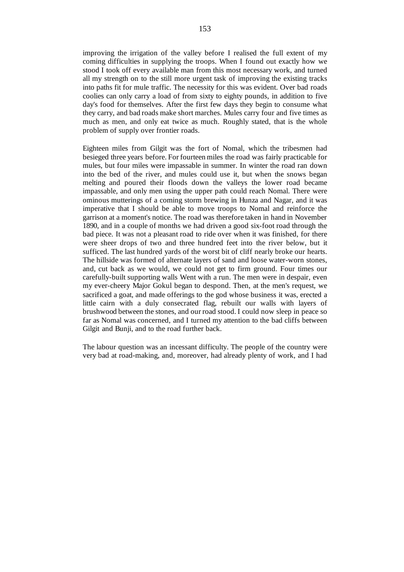improving the irrigation of the valley before I realised the full extent of my coming difficulties in supplying the troops. When I found out exactly how we stood I took off every available man from this most necessary work, and turned all my strength on to the still more urgent task of improving the existing tracks into paths fit for mule traffic. The necessity for this was evident. Over bad roads coolies can only carry a load of from sixty to eighty pounds, in addition to five day's food for themselves. After the first few days they begin to consume what they carry, and bad roads make short marches. Mules carry four and five times as much as men, and only eat twice as much. Roughly stated, that is the whole problem of supply over frontier roads.

Eighteen miles from Gilgit was the fort of Nomal, which the tribesmen had besieged three years before. For fourteen miles the road was fairly practicable for mules, but four miles were impassable in summer. In winter the road ran down into the bed of the river, and mules could use it, but when the snows began melting and poured their floods down the valleys the lower road became impassable, and only men using the upper path could reach Nomal. There were ominous mutterings of a coming storm brewing in Hunza and Nagar, and it was imperative that I should be able to move troops to Nomal and reinforce the garrison at a moment's notice. The road was therefore taken in hand in November 1890, and in a couple of months we had driven a good six-foot road through the bad piece. It was not a pleasant road to ride over when it was finished, for there were sheer drops of two and three hundred feet into the river below, but it sufficed. The last hundred yards of the worst bit of cliff nearly broke our hearts. The hillside was formed of alternate layers of sand and loose water-worn stones, and, cut back as we would, we could not get to firm ground. Four times our carefully-built supporting walls Went with a run. The men were in despair, even my ever-cheery Major Gokul began to despond. Then, at the men's request, we sacrificed a goat, and made offerings to the god whose business it was, erected a little cairn with a duly consecrated flag, rebuilt our walls with layers of brushwood between the stones, and our road stood. I could now sleep in peace so far as Nomal was concerned, and I turned my attention to the bad cliffs between Gilgit and Bunji, and to the road further back.

The labour question was an incessant difficulty. The people of the country were very bad at road-making, and, moreover, had already plenty of work, and I had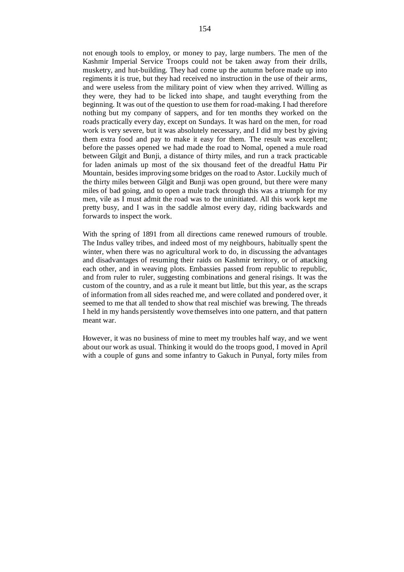not enough tools to employ, or money to pay, large numbers. The men of the Kashmir Imperial Service Troops could not be taken away from their drills, musketry, and hut-building. They had come up the autumn before made up into regiments it is true, but they had received no instruction in the use of their arms, and were useless from the military point of view when they arrived. Willing as they were, they had to be licked into shape, and taught everything from the beginning. It was out of the question to use them for road-making. I had therefore nothing but my company of sappers, and for ten months they worked on the roads practically every day, except on Sundays. It was hard on the men, for road work is very severe, but it was absolutely necessary, and I did my best by giving them extra food and pay to make it easy for them. The result was excellent; before the passes opened we had made the road to Nomal, opened a mule road between Gilgit and Bunji, a distance of thirty miles, and run a track practicable for laden animals up most of the six thousand feet of the dreadful Hattu Pir Mountain, besides improving some bridges on the road to Astor. Luckily much of the thirty miles between Gilgit and Bunji was open ground, but there were many miles of bad going, and to open a mule track through this was a triumph for my men, vile as I must admit the road was to the uninitiated. All this work kept me pretty busy, and I was in the saddle almost every day, riding backwards and forwards to inspect the work.

With the spring of 1891 from all directions came renewed rumours of trouble. The Indus valley tribes, and indeed most of my neighbours, habitually spent the winter, when there was no agricultural work to do, in discussing the advantages and disadvantages of resuming their raids on Kashmir territory, or of attacking each other, and in weaving plots. Embassies passed from republic to republic, and from ruler to ruler, suggesting combinations and general risings. It was the custom of the country, and as a rule it meant but little, but this year, as the scraps of information from all sides reached me, and were collated and pondered over, it seemed to me that all tended to show that real mischief was brewing. The threads I held in my hands persistently wove themselves into one pattern, and that pattern meant war.

However, it was no business of mine to meet my troubles half way, and we went about our work as usual. Thinking it would do the troops good, I moved in April with a couple of guns and some infantry to Gakuch in Punyal, forty miles from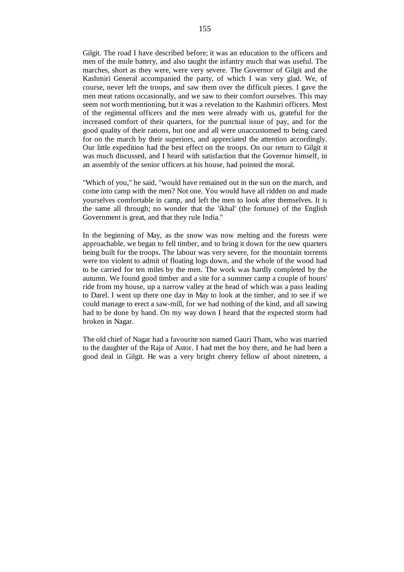Gilgit. The road I have described before; it was an education to the officers and men of the mule battery, and also taught the infantry much that was useful. The marches, short as they were, were very severe. The Governor of Gilgit and the Kashmiri General accompanied the party, of which I was very glad. We, of course, never left the troops, and saw them over the difficult pieces. I gave the men meat rations occasionally, and we saw to their comfort ourselves. This may seem not worth mentioning, but it was a revelation to the Kashmiri officers. Most of the regimental officers and the men were already with us, grateful for the increased comfort of their quarters, for the punctual issue of pay, and for the good quality of their rations, but one and all were unaccustomed to being cared for on the march by their superiors, and appreciated the attention accordingly. Our little expedition had the best effect on the troops. On our return to Gilgit it was much discussed, and I heard with satisfaction that the Governor himself, in an assembly of the senior officers at his house, had pointed the moral.

"Which of you," he said, "would have remained out in the sun on the march, and come into camp with the men? Not one. You would have all ridden on and made yourselves comfortable in camp, and left the men to look after themselves. It is the same all through; no wonder that the 'ikbal' (the fortune) of the English Government is great, and that they rule India."

In the beginning of May, as the snow was now melting and the forests were approachable, we began to fell timber, and to bring it down for the new quarters being built for the troops. The labour was very severe, for the mountain torrents were too violent to admit of floating logs down, and the whole of the wood had to be carried for ten miles by the men. The work was hardly completed by the autumn. We found good timber and a site for a summer camp a couple of hours' ride from my house, up a narrow valley at the head of which was a pass leading to Darel. I went up there one day in May to look at the timber, and to see if we could manage to erect a saw-mill, for we had nothing of the kind, and all sawing had to be done by hand. On my way down I heard that the expected storm had broken in Nagar.

The old chief of Nagar had a favourite son named Gauri Tham, who was married to the daughter of the Raja of Astor. I had met the boy there, and he had been a good deal in Gilgit. He was a very bright cheery fellow of about nineteen, a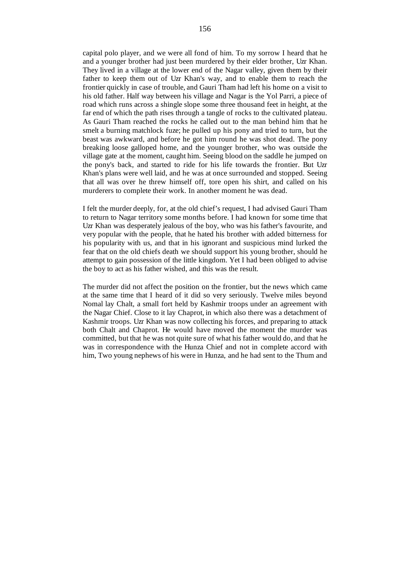capital polo player, and we were all fond of him. To my sorrow I heard that he and a younger brother had just been murdered by their elder brother, Uzr Khan. They lived in a village at the lower end of the Nagar valley, given them by their father to keep them out of Uzr Khan's way, and to enable them to reach the frontier quickly in case of trouble, and Gauri Tham had left his home on a visit to his old father. Half way between his village and Nagar is the Yol Parri, a piece of road which runs across a shingle slope some three thousand feet in height, at the far end of which the path rises through a tangle of rocks to the cultivated plateau. As Gauri Tham reached the rocks he called out to the man behind him that he smelt a burning matchlock fuze; he pulled up his pony and tried to turn, but the beast was awkward, and before he got him round he was shot dead. The pony breaking loose galloped home, and the younger brother, who was outside the village gate at the moment, caught him. Seeing blood on the saddle he jumped on the pony's back, and started to ride for his life towards the frontier. But Uzr Khan's plans were well laid, and he was at once surrounded and stopped. Seeing that all was over he threw himself off, tore open his shirt, and called on his murderers to complete their work. In another moment he was dead.

I felt the murder deeply, for, at the old chief's request, I had advised Gauri Tham to return to Nagar territory some months before. I had known for some time that Uzr Khan was desperately jealous of the boy, who was his father's favourite, and very popular with the people, that he hated his brother with added bitterness for his popularity with us, and that in his ignorant and suspicious mind lurked the fear that on the old chiefs death we should support his young brother, should he attempt to gain possession of the little kingdom. Yet I had been obliged to advise the boy to act as his father wished, and this was the result.

The murder did not affect the position on the frontier, but the news which came at the same time that I heard of it did so very seriously. Twelve miles beyond Nomal lay Chalt, a small fort held by Kashmir troops under an agreement with the Nagar Chief. Close to it lay Chaprot, in which also there was a detachment of Kashmir troops. Uzr Khan was now collecting his forces, and preparing to attack both Chalt and Chaprot. He would have moved the moment the murder was committed, but that he was not quite sure of what his father would do, and that he was in correspondence with the Hunza Chief and not in complete accord with him, Two young nephews of his were in Hunza, and he had sent to the Thum and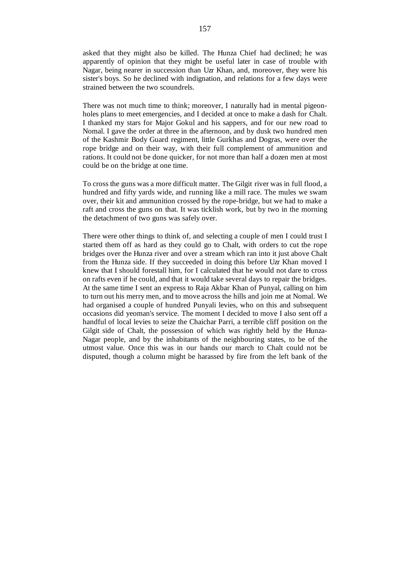asked that they might also be killed. The Hunza Chief had declined; he was apparently of opinion that they might be useful later in case of trouble with Nagar, being nearer in succession than Uzr Khan, and, moreover, they were his sister's boys. So he declined with indignation, and relations for a few days were strained between the two scoundrels.

There was not much time to think; moreover, I naturally had in mental pigeonholes plans to meet emergencies, and I decided at once to make a dash for Chalt. I thanked my stars for Major Gokul and his sappers, and for our new road to Nomal. I gave the order at three in the afternoon, and by dusk two hundred men of the Kashmir Body Guard regiment, little Gurkhas and Dogras, were over the rope bridge and on their way, with their full complement of ammunition and rations. It could not be done quicker, for not more than half a dozen men at most could be on the bridge at one time.

To cross the guns was a more difficult matter. The Gilgit river was in full flood, a hundred and fifty yards wide, and running like a mill race. The mules we swam over, their kit and ammunition crossed by the rope-bridge, but we had to make a raft and cross the guns on that. It was ticklish work, but by two in the morning the detachment of two guns was safely over.

There were other things to think of, and selecting a couple of men I could trust I started them off as hard as they could go to Chalt, with orders to cut the rope bridges over the Hunza river and over a stream which ran into it just above Chalt from the Hunza side. If they succeeded in doing this before Uzr Khan moved I knew that I should forestall him, for I calculated that he would not dare to cross on rafts even if he could, and that it would take several days to repair the bridges. At the same time I sent an express to Raja Akbar Khan of Punyal, calling on him to turn out his merry men, and to move across the hills and join me at Nomal. We had organised a couple of hundred Punyali levies, who on this and subsequent occasions did yeoman's service. The moment I decided to move I also sent off a handful of local levies to seize the Chaichar Parri, a terrible cliff position on the Gilgit side of Chalt, the possession of which was rightly held by the Hunza-Nagar people, and by the inhabitants of the neighbouring states, to be of the utmost value. Once this was in our hands our march to Chalt could not be disputed, though a column might be harassed by fire from the left bank of the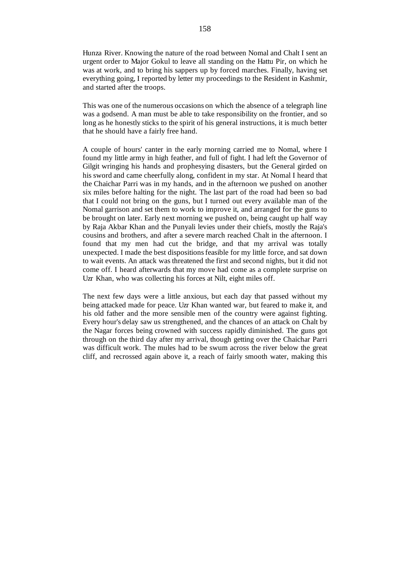This was one of the numerous occasions on which the absence of a telegraph line was a godsend. A man must be able to take responsibility on the frontier, and so long as he honestly sticks to the spirit of his general instructions, it is much better that he should have a fairly free hand.

A couple of hours' canter in the early morning carried me to Nomal, where I found my little army in high feather, and full of fight. I had left the Governor of Gilgit wringing his hands and prophesying disasters, but the General girded on his sword and came cheerfully along, confident in my star. At Nomal I heard that the Chaichar Parri was in my hands, and in the afternoon we pushed on another six miles before halting for the night. The last part of the road had been so bad that I could not bring on the guns, but I turned out every available man of the Nomal garrison and set them to work to improve it, and arranged for the guns to be brought on later. Early next morning we pushed on, being caught up half way by Raja Akbar Khan and the Punyali levies under their chiefs, mostly the Raja's cousins and brothers, and after a severe march reached Chalt in the afternoon. I found that my men had cut the bridge, and that my arrival was totally unexpected. I made the best dispositions feasible for my little force, and sat down to wait events. An attack was threatened the first and second nights, but it did not come off. I heard afterwards that my move had come as a complete surprise on Uzr Khan, who was collecting his forces at Nilt, eight miles off.

The next few days were a little anxious, but each day that passed without my being attacked made for peace. Uzr Khan wanted war, but feared to make it, and his old father and the more sensible men of the country were against fighting. Every hour's delay saw us strengthened, and the chances of an attack on Chalt by the Nagar forces being crowned with success rapidly diminished. The guns got through on the third day after my arrival, though getting over the Chaichar Parri was difficult work. The mules had to be swum across the river below the great cliff, and recrossed again above it, a reach of fairly smooth water, making this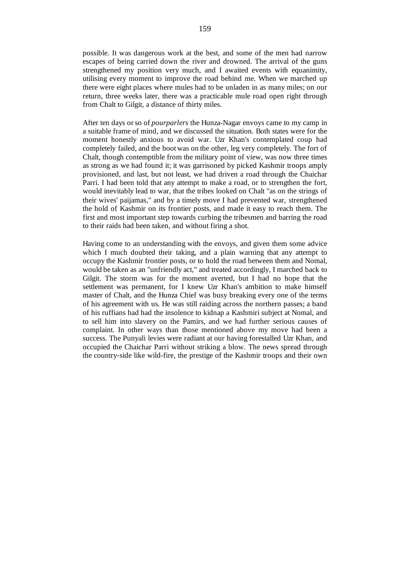possible. It was dangerous work at the best, and some of the men had narrow escapes of being carried down the river and drowned. The arrival of the guns strengthened my position very much, and I awaited events with equanimity, utilising every moment to improve the road behind me. When we marched up there were eight places where mules had to be unladen in as many miles; on our return, three weeks later, there was a practicable mule road open right through from Chalt to Gilgit, a distance of thirty miles.

After ten days or so of *pourparlers* the Hunza-Nagar envoys came to my camp in a suitable frame of mind, and we discussed the situation. Both states were for the moment honestly anxious to avoid war. Uzr Khan's contemplated coup had completely failed, and the boot was on the other, leg very completely. The fort of Chalt, though contemptible from the military point of view, was now three times as strong as we had found it; it was garrisoned by picked Kashmir troops amply provisioned, and last, but not least, we had driven a road through the Chaichar Parri. I had been told that any attempt to make a road, or to strengthen the fort, would inevitably lead to war, that the tribes looked on Chalt "as on the strings of their wives' paijamas," and by a timely move I had prevented war, strengthened the hold of Kashmir on its frontier posts, and made it easy to reach them. The first and most important step towards curbing the tribesmen and barring the road to their raids had been taken, and without firing a shot.

Having come to an understanding with the envoys, and given them some advice which I much doubted their taking, and a plain warning that any attempt to occupy the Kashmir frontier posts, or to hold the road between them and Nomal, would be taken as an "unfriendly act," and treated accordingly, I marched back to Gilgit. The storm was for the moment averted, but I had no hope that the settlement was permanent, for I knew Uzr Khan's ambition to make himself master of Chalt, and the Hunza Chief was busy breaking every one of the terms of his agreement with us. He was still raiding across the northern passes; a band of his ruffians had had the insolence to kidnap a Kashmiri subject at Nomal, and to sell him into slavery on the Pamirs, and we had further serious causes of complaint. In other ways than those mentioned above my move had been a success. The Punyali levies were radiant at our having forestalled Uzr Khan, and occupied the Chaichar Parri without striking a blow. The news spread through the country-side like wild-fire, the prestige of the Kashmir troops and their own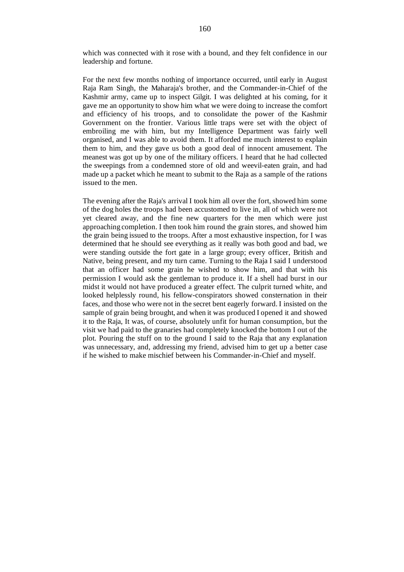which was connected with it rose with a bound, and they felt confidence in our leadership and fortune.

For the next few months nothing of importance occurred, until early in August Raja Ram Singh, the Maharaja's brother, and the Commander-in-Chief of the Kashmir army, came up to inspect Gilgit. I was delighted at his coming, for it gave me an opportunity to show him what we were doing to increase the comfort and efficiency of his troops, and to consolidate the power of the Kashmir Government on the frontier. Various little traps were set with the object of embroiling me with him, but my Intelligence Department was fairly well organised, and I was able to avoid them. It afforded me much interest to explain them to him, and they gave us both a good deal of innocent amusement. The meanest was got up by one of the military officers. I heard that he had collected the sweepings from a condemned store of old and weevil-eaten grain, and had made up a packet which he meant to submit to the Raja as a sample of the rations issued to the men.

The evening after the Raja's arrival I took him all over the fort, showed him some of the dog holes the troops had been accustomed to live in, all of which were not yet cleared away, and the fine new quarters for the men which were just approaching completion. I then took him round the grain stores, and showed him the grain being issued to the troops. After a most exhaustive inspection, for I was determined that he should see everything as it really was both good and bad, we were standing outside the fort gate in a large group; every officer, British and Native, being present, and my turn came. Turning to the Raja I said I understood that an officer had some grain he wished to show him, and that with his permission I would ask the gentleman to produce it. If a shell had burst in our midst it would not have produced a greater effect. The culprit turned white, and looked helplessly round, his fellow-conspirators showed consternation in their faces, and those who were not in the secret bent eagerly forward. I insisted on the sample of grain being brought, and when it was produced I opened it and showed it to the Raja, It was, of course, absolutely unfit for human consumption, but the visit we had paid to the granaries had completely knocked the bottom I out of the plot. Pouring the stuff on to the ground I said to the Raja that any explanation was unnecessary, and, addressing my friend, advised him to get up a better case if he wished to make mischief between his Commander-in-Chief and myself.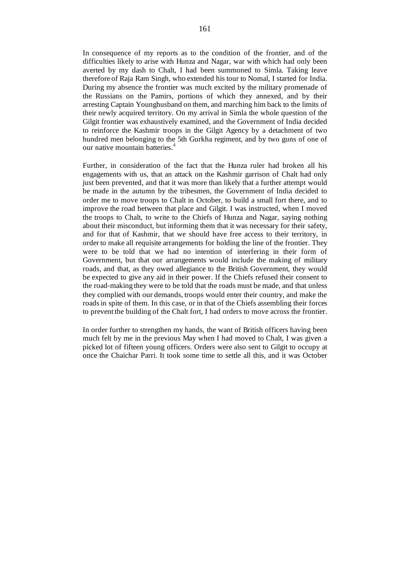In consequence of my reports as to the condition of the frontier, and of the difficulties likely to arise with Hunza and Nagar, war with which had only been averted by my dash to Chalt, I had been summoned to Simla. Taking leave therefore of Raja Ram Singh, who extended his tour to Nomal, I started for India. During my absence the frontier was much excited by the military promenade of the Russians on the Pamirs, portions of which they annexed, and by their arresting Captain Younghusband on them, and marching him back to the limits of their newly acquired territory. On my arrival in Simla the whole question of the Gilgit frontier was exhaustively examined, and the Government of India decided to reinforce the Kashmir troops in the Gilgit Agency by a detachment of two hundred men belonging to the 5th Gurkha regiment, and by two guns of one of our native mountain batteries.<sup>4</sup>

Further, in consideration of the fact that the Hunza ruler had broken all his engagements with us, that an attack on the Kashmir garrison of Chalt had only just been prevented, and that it was more than likely that a further attempt would be made in the autumn by the tribesmen, the Government of India decided to order me to move troops to Chalt in October, to build a small fort there, and to improve the road between that place and Gilgit. I was instructed, when I moved the troops to Chalt, to write to the Chiefs of Hunza and Nagar, saying nothing about their misconduct, but informing them that it was necessary for their safety, and for that of Kashmir, that we should have free access to their territory, in order to make all requisite arrangements for holding the line of the frontier. They were to be told that we had no intention of interfering in their form of Government, but that our arrangements would include the making of military roads, and that, as they owed allegiance to the British Government, they would be expected to give any aid in their power. If the Chiefs refused their consent to the road-making they were to be told that the roads must be made, and that unless they complied with our demands, troops would enter their country, and make the roads in spite of them. In this case, or in that of the Chiefs assembling their forces to prevent the building of the Chalt fort, I had orders to move across the frontier.

In order further to strengthen my hands, the want of British officers having been much felt by me in the previous May when I had moved to Chalt, I was given a picked lot of fifteen young officers. Orders were also sent to Gilgit to occupy at once the Chaichar Parri. It took some time to settle all this, and it was October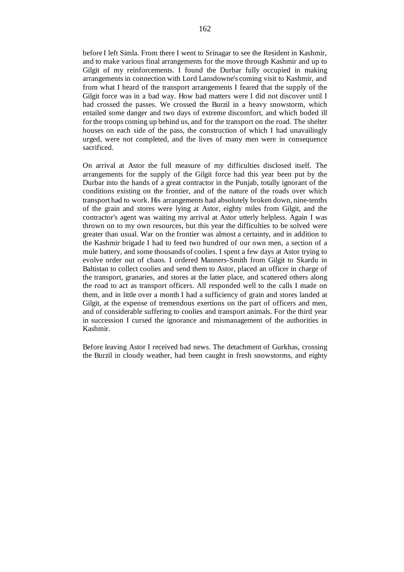before I left Simla. From there I went to Srinagar to see the Resident in Kashmir, and to make various final arrangements for the move through Kashmir and up to Gilgit of my reinforcements. I found the Durbar fully occupied in making arrangements in connection with Lord Lansdowne's coming visit to Kashmir, and from what I heard of the transport arrangements I feared that the supply of the Gilgit force was in a bad way. How bad matters were I did not discover until I had crossed the passes. We crossed the Burzil in a heavy snowstorm, which entailed some danger and two days of extreme discomfort, and which boded ill for the troops coming up behind us, and for the transport on the road. The shelter houses on each side of the pass, the construction of which I had unavailingly urged, were not completed, and the lives of many men were in consequence sacrificed.

On arrival at Astor the full measure of my difficulties disclosed itself. The arrangements for the supply of the Gilgit force had this year been put by the Durbar into the hands of a great contractor in the Punjab, totally ignorant of the conditions existing on the frontier, and of the nature of the roads over which transport had to work. His arrangements had absolutely broken down, nine-tenths of the grain and stores were lying at Astor, eighty miles from Gilgit, and the contractor's agent was waiting my arrival at Astor utterly helpless. Again I was thrown on to my own resources, but this year the difficulties to be solved were greater than usual. War on the frontier was almost a certainty, and in addition to the Kashmir brigade I had to feed two hundred of our own men, a section of a mule battery, and some thousands of coolies. I spent a few days at Astor trying to evolve order out of chaos. I ordered Manners-Smith from Gilgit to Skardu in Baltistan to collect coolies and send them to Astor, placed an officer in charge of the transport, granaries, and stores at the latter place, and scattered others along the road to act as transport officers. All responded well to the calls I made on them, and in little over a month I had a sufficiency of grain and stores landed at Gilgit, at the expense of tremendous exertions on the part of officers and men, and of considerable suffering to coolies and transport animals. For the third year in succession I cursed the ignorance and mismanagement of the authorities in Kashmir.

Before leaving Astor I received bad news. The detachment of Gurkhas, crossing the Burzil in cloudy weather, had been caught in fresh snowstorms, and eighty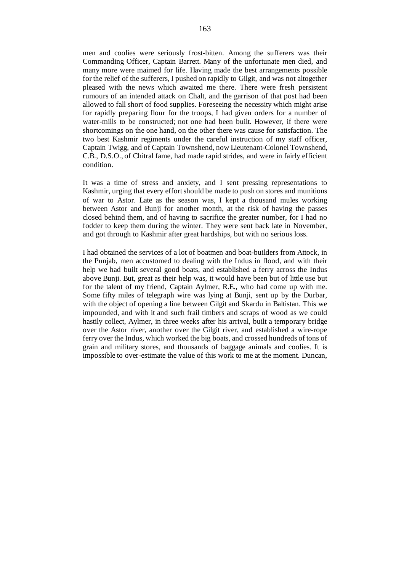men and coolies were seriously frost-bitten. Among the sufferers was their Commanding Officer, Captain Barrett. Many of the unfortunate men died, and many more were maimed for life. Having made the best arrangements possible for the relief of the sufferers, I pushed on rapidly to Gilgit, and was not altogether pleased with the news which awaited me there. There were fresh persistent rumours of an intended attack on Chalt, and the garrison of that post had been allowed to fall short of food supplies. Foreseeing the necessity which might arise for rapidly preparing flour for the troops, I had given orders for a number of water-mills to be constructed; not one had been built. However, if there were shortcomings on the one hand, on the other there was cause for satisfaction. The two best Kashmir regiments under the careful instruction of my staff officer, Captain Twigg, and of Captain Townshend, now Lieutenant-Colonel Townshend, C.B., D.S.O., of Chitral fame, had made rapid strides, and were in fairly efficient condition.

It was a time of stress and anxiety, and I sent pressing representations to Kashmir, urging that every effort should be made to push on stores and munitions of war to Astor. Late as the season was, I kept a thousand mules working between Astor and Bunji for another month, at the risk of having the passes closed behind them, and of having to sacrifice the greater number, for I had no fodder to keep them during the winter. They were sent back late in November, and got through to Kashmir after great hardships, but with no serious loss.

I had obtained the services of a lot of boatmen and boat-builders from Attock, in the Punjab, men accustomed to dealing with the Indus in flood, and with their help we had built several good boats, and established a ferry across the Indus above Bunji. But, great as their help was, it would have been but of little use but for the talent of my friend, Captain Aylmer, R.E., who had come up with me. Some fifty miles of telegraph wire was lying at Bunji, sent up by the Durbar, with the object of opening a line between Gilgit and Skardu in Baltistan. This we impounded, and with it and such frail timbers and scraps of wood as we could hastily collect, Aylmer, in three weeks after his arrival, built a temporary bridge over the Astor river, another over the Gilgit river, and established a wire-rope ferry over the Indus, which worked the big boats, and crossed hundreds of tons of grain and military stores, and thousands of baggage animals and coolies. It is impossible to over-estimate the value of this work to me at the moment. Duncan,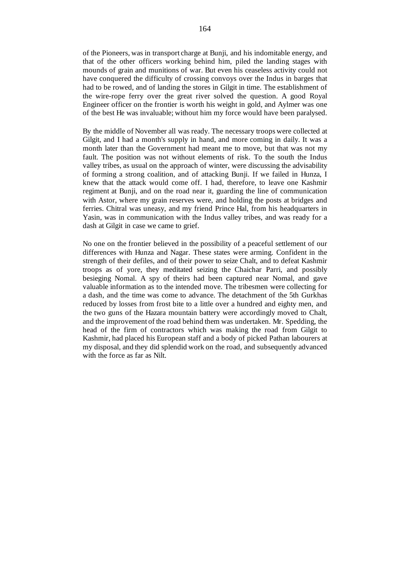of the Pioneers, was in transport charge at Bunji, and his indomitable energy, and that of the other officers working behind him, piled the landing stages with mounds of grain and munitions of war. But even his ceaseless activity could not have conquered the difficulty of crossing convoys over the Indus in barges that had to be rowed, and of landing the stores in Gilgit in time. The establishment of the wire-rope ferry over the great river solved the question. A good Royal Engineer officer on the frontier is worth his weight in gold, and Aylmer was one of the best He was invaluable; without him my force would have been paralysed.

By the middle of November all was ready. The necessary troops were collected at Gilgit, and I had a month's supply in hand, and more coming in daily. It was a month later than the Government had meant me to move, but that was not my fault. The position was not without elements of risk. To the south the Indus valley tribes, as usual on the approach of winter, were discussing the advisability of forming a strong coalition, and of attacking Bunji. If we failed in Hunza, I knew that the attack would come off. I had, therefore, to leave one Kashmir regiment at Bunji, and on the road near it, guarding the line of communication with Astor, where my grain reserves were, and holding the posts at bridges and ferries. Chitral was uneasy, and my friend Prince Hal, from his headquarters in Yasin, was in communication with the Indus valley tribes, and was ready for a dash at Gilgit in case we came to grief.

No one on the frontier believed in the possibility of a peaceful settlement of our differences with Hunza and Nagar. These states were arming. Confident in the strength of their defiles, and of their power to seize Chalt, and to defeat Kashmir troops as of yore, they meditated seizing the Chaichar Parri, and possibly besieging Nomal. A spy of theirs had been captured near Nomal, and gave valuable information as to the intended move. The tribesmen were collecting for a dash, and the time was come to advance. The detachment of the 5th Gurkhas reduced by losses from frost bite to a little over a hundred and eighty men, and the two guns of the Hazara mountain battery were accordingly moved to Chalt, and the improvement of the road behind them was undertaken. Mr. Spedding, the head of the firm of contractors which was making the road from Gilgit to Kashmir, had placed his European staff and a body of picked Pathan labourers at my disposal, and they did splendid work on the road, and subsequently advanced with the force as far as Nilt.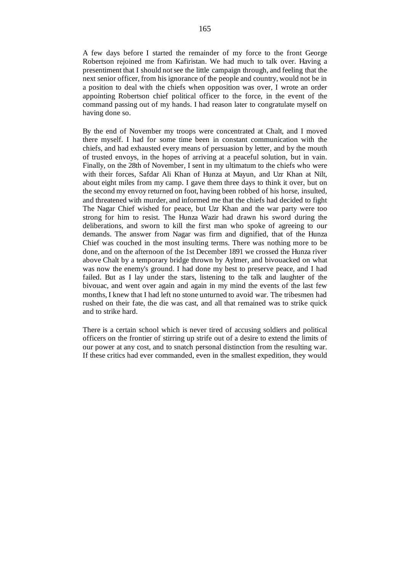A few days before I started the remainder of my force to the front George Robertson rejoined me from Kafiristan. We had much to talk over. Having a presentiment that I should not see the little campaign through, and feeling that the next senior officer, from his ignorance of the people and country, would not be in a position to deal with the chiefs when opposition was over, I wrote an order appointing Robertson chief political officer to the force, in the event of the command passing out of my hands. I had reason later to congratulate myself on having done so.

By the end of November my troops were concentrated at Chalt, and I moved there myself. I had for some time been in constant communication with the chiefs, and had exhausted every means of persuasion by letter, and by the mouth of trusted envoys, in the hopes of arriving at a peaceful solution, but in vain. Finally, on the 28th of November, I sent in my ultimatum to the chiefs who were with their forces, Safdar Ali Khan of Hunza at Mayun, and Uzr Khan at Nilt, about eight miles from my camp. I gave them three days to think it over, but on the second my envoy returned on foot, having been robbed of his horse, insulted, and threatened with murder, and informed me that the chiefs had decided to fight The Nagar Chief wished for peace, but Uzr Khan and the war party were too strong for him to resist. The Hunza Wazir had drawn his sword during the deliberations, and sworn to kill the first man who spoke of agreeing to our demands. The answer from Nagar was firm and dignified, that of the Hunza Chief was couched in the most insulting terms. There was nothing more to be done, and on the afternoon of the 1st December 1891 we crossed the Hunza river above Chalt by a temporary bridge thrown by Aylmer, and bivouacked on what was now the enemy's ground. I had done my best to preserve peace, and I had failed. But as I lay under the stars, listening to the talk and laughter of the bivouac, and went over again and again in my mind the events of the last few months, I knew that I had left no stone unturned to avoid war. The tribesmen had rushed on their fate, the die was cast, and all that remained was to strike quick and to strike hard.

There is a certain school which is never tired of accusing soldiers and political officers on the frontier of stirring up strife out of a desire to extend the limits of our power at any cost, and to snatch personal distinction from the resulting war. If these critics had ever commanded, even in the smallest expedition, they would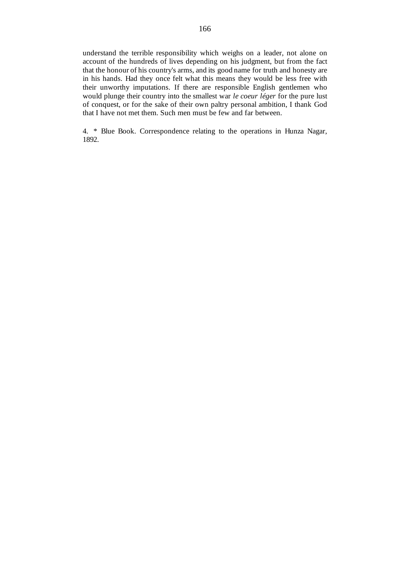understand the terrible responsibility which weighs on a leader, not alone on account of the hundreds of lives depending on his judgment, but from the fact that the honour of his country's arms, and its good name for truth and honesty are in his hands. Had they once felt what this means they would be less free with their unworthy imputations. If there are responsible English gentlemen who would plunge their country into the smallest war *le coeur léger* for the pure lust of conquest, or for the sake of their own paltry personal ambition, I thank God that I have not met them. Such men must be few and far between.

4. \* Blue Book. Correspondence relating to the operations in Hunza Nagar, 1892.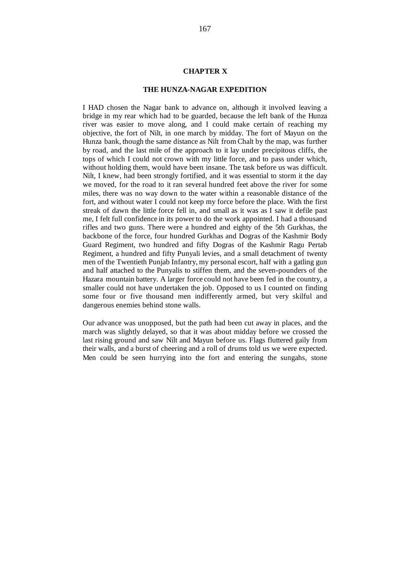## **CHAPTER X**

#### **THE HUNZA-NAGAR EXPEDITION**

I HAD chosen the Nagar bank to advance on, although it involved leaving a bridge in my rear which had to be guarded, because the left bank of the Hunza river was easier to move along, and I could make certain of reaching my objective, the fort of Nilt, in one march by midday. The fort of Mayun on the Hunza bank, though the same distance as Nilt from Chalt by the map, was further by road, and the last mile of the approach to it lay under precipitous cliffs, the tops of which I could not crown with my little force, and to pass under which, without holding them, would have been insane. The task before us was difficult. Nilt, I knew, had been strongly fortified, and it was essential to storm it the day we moved, for the road to it ran several hundred feet above the river for some miles, there was no way down to the water within a reasonable distance of the fort, and without water I could not keep my force before the place. With the first streak of dawn the little force fell in, and small as it was as I saw it defile past me, I felt full confidence in its power to do the work appointed. I had a thousand rifles and two guns. There were a hundred and eighty of the 5th Gurkhas, the backbone of the force, four hundred Gurkhas and Dogras of the Kashmir Body Guard Regiment, two hundred and fifty Dogras of the Kashmir Ragu Pertab Regiment, a hundred and fifty Punyali levies, and a small detachment of twenty men of the Twentieth Punjab Infantry, my personal escort, half with a gatling gun and half attached to the Punyalis to stiffen them, and the seven-pounders of the Hazara mountain battery. A larger force could not have been fed in the country, a smaller could not have undertaken the job. Opposed to us I counted on finding some four or five thousand men indifferently armed, but very skilful and dangerous enemies behind stone walls.

Our advance was unopposed, but the path had been cut away in places, and the march was slightly delayed, so that it was about midday before we crossed the last rising ground and saw Nilt and Mayun before us. Flags fluttered gaily from their walls, and a burst of cheering and a roll of drums told us we were expected. Men could be seen hurrying into the fort and entering the sungahs, stone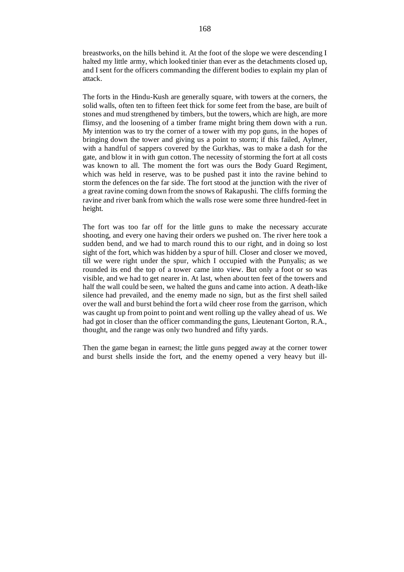breastworks, on the hills behind it. At the foot of the slope we were descending I halted my little army, which looked tinier than ever as the detachments closed up, and I sent for the officers commanding the different bodies to explain my plan of attack.

The forts in the Hindu-Kush are generally square, with towers at the corners, the solid walls, often ten to fifteen feet thick for some feet from the base, are built of stones and mud strengthened by timbers, but the towers, which are high, are more flimsy, and the loosening of a timber frame might bring them down with a run. My intention was to try the corner of a tower with my pop guns, in the hopes of bringing down the tower and giving us a point to storm; if this failed, Aylmer, with a handful of sappers covered by the Gurkhas, was to make a dash for the gate, and blow it in with gun cotton. The necessity of storming the fort at all costs was known to all. The moment the fort was ours the Body Guard Regiment, which was held in reserve, was to be pushed past it into the ravine behind to storm the defences on the far side. The fort stood at the junction with the river of a great ravine coming down from the snows of Rakapushi. The cliffs forming the ravine and river bank from which the walls rose were some three hundred-feet in height.

The fort was too far off for the little guns to make the necessary accurate shooting, and every one having their orders we pushed on. The river here took a sudden bend, and we had to march round this to our right, and in doing so lost sight of the fort, which was hidden by a spur of hill. Closer and closer we moved, till we were right under the spur, which I occupied with the Punyalis; as we rounded its end the top of a tower came into view. But only a foot or so was visible, and we had to get nearer in. At last, when about ten feet of the towers and half the wall could be seen, we halted the guns and came into action. A death-like silence had prevailed, and the enemy made no sign, but as the first shell sailed over the wall and burst behind the fort a wild cheer rose from the garrison, which was caught up from point to point and went rolling up the valley ahead of us. We had got in closer than the officer commanding the guns, Lieutenant Gorton, R.A., thought, and the range was only two hundred and fifty yards.

Then the game began in earnest; the little guns pegged away at the corner tower and burst shells inside the fort, and the enemy opened a very heavy but ill-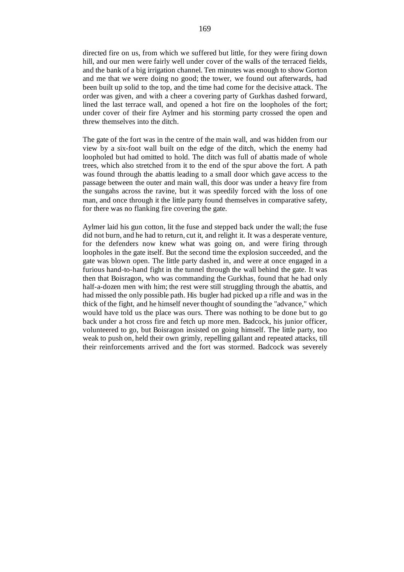directed fire on us, from which we suffered but little, for they were firing down hill, and our men were fairly well under cover of the walls of the terraced fields, and the bank of a big irrigation channel. Ten minutes was enough to show Gorton and me that we were doing no good; the tower, we found out afterwards, had been built up solid to the top, and the time had come for the decisive attack. The order was given, and with a cheer a covering party of Gurkhas dashed forward, lined the last terrace wall, and opened a hot fire on the loopholes of the fort; under cover of their fire Aylmer and his storming party crossed the open and threw themselves into the ditch.

The gate of the fort was in the centre of the main wall, and was hidden from our view by a six-foot wall built on the edge of the ditch, which the enemy had loopholed but had omitted to hold. The ditch was full of abattis made of whole trees, which also stretched from it to the end of the spur above the fort. A path was found through the abattis leading to a small door which gave access to the passage between the outer and main wall, this door was under a heavy fire from the sungahs across the ravine, but it was speedily forced with the loss of one man, and once through it the little party found themselves in comparative safety, for there was no flanking fire covering the gate.

Aylmer laid his gun cotton, lit the fuse and stepped back under the wall; the fuse did not burn, and he had to return, cut it, and relight it. It was a desperate venture, for the defenders now knew what was going on, and were firing through loopholes in the gate itself. But the second time the explosion succeeded, and the gate was blown open. The little party dashed in, and were at once engaged in a furious hand-to-hand fight in the tunnel through the wall behind the gate. It was then that Boisragon, who was commanding the Gurkhas, found that he had only half-a-dozen men with him; the rest were still struggling through the abattis, and had missed the only possible path. His bugler had picked up a rifle and was in the thick of the fight, and he himself never thought of sounding the "advance," which would have told us the place was ours. There was nothing to be done but to go back under a hot cross fire and fetch up more men. Badcock, his junior officer, volunteered to go, but Boisragon insisted on going himself. The little party, too weak to push on, held their own grimly, repelling gallant and repeated attacks, till their reinforcements arrived and the fort was stormed. Badcock was severely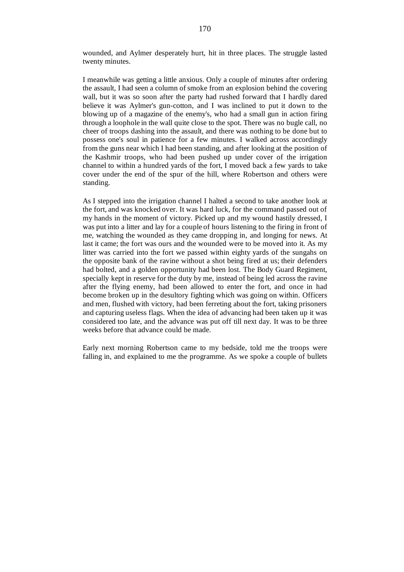wounded, and Aylmer desperately hurt, hit in three places. The struggle lasted twenty minutes.

I meanwhile was getting a little anxious. Only a couple of minutes after ordering the assault, I had seen a column of smoke from an explosion behind the covering wall, but it was so soon after the party had rushed forward that I hardly dared believe it was Aylmer's gun-cotton, and I was inclined to put it down to the blowing up of a magazine of the enemy's, who had a small gun in action firing through a loophole in the wall quite close to the spot. There was no bugle call, no cheer of troops dashing into the assault, and there was nothing to be done but to possess one's soul in patience for a few minutes. I walked across accordingly from the guns near which I had been standing, and after looking at the position of the Kashmir troops, who had been pushed up under cover of the irrigation channel to within a hundred yards of the fort, I moved back a few yards to take cover under the end of the spur of the hill, where Robertson and others were standing.

As I stepped into the irrigation channel I halted a second to take another look at the fort, and was knocked over. It was hard luck, for the command passed out of my hands in the moment of victory. Picked up and my wound hastily dressed, I was put into a litter and lay for a couple of hours listening to the firing in front of me, watching the wounded as they came dropping in, and longing for news. At last it came; the fort was ours and the wounded were to be moved into it. As my litter was carried into the fort we passed within eighty yards of the sungahs on the opposite bank of the ravine without a shot being fired at us; their defenders had bolted, and a golden opportunity had been lost. The Body Guard Regiment, specially kept in reserve for the duty by me, instead of being led across the ravine after the flying enemy, had been allowed to enter the fort, and once in had become broken up in the desultory fighting which was going on within. Officers and men, flushed with victory, had been ferreting about the fort, taking prisoners and capturing useless flags. When the idea of advancing had been taken up it was considered too late, and the advance was put off till next day. It was to be three weeks before that advance could be made.

Early next morning Robertson came to my bedside, told me the troops were falling in, and explained to me the programme. As we spoke a couple of bullets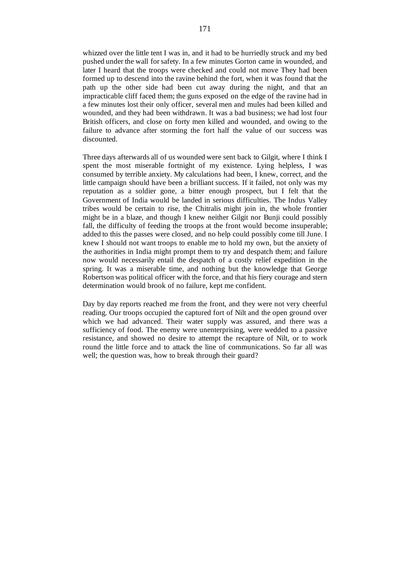whizzed over the little tent I was in, and it had to be hurriedly struck and my bed pushed under the wall for safety. In a few minutes Gorton came in wounded, and later I heard that the troops were checked and could not move They had been formed up to descend into the ravine behind the fort, when it was found that the path up the other side had been cut away during the night, and that an impracticable cliff faced them; the guns exposed on the edge of the ravine had in a few minutes lost their only officer, several men and mules had been killed and wounded, and they had been withdrawn. It was a bad business; we had lost four British officers, and close on forty men killed and wounded, and owing to the failure to advance after storming the fort half the value of our success was discounted.

Three days afterwards all of us wounded were sent back to Gilgit, where I think I spent the most miserable fortnight of my existence. Lying helpless, I was consumed by terrible anxiety. My calculations had been, I knew, correct, and the little campaign should have been a brilliant success. If it failed, not only was my reputation as a soldier gone, a bitter enough prospect, but I felt that the Government of India would be landed in serious difficulties. The Indus Valley tribes would be certain to rise, the Chitralis might join in, the whole frontier might be in a blaze, and though I knew neither Gilgit nor Bunji could possibly fall, the difficulty of feeding the troops at the front would become insuperable; added to this the passes were closed, and no help could possibly come till June. I knew I should not want troops to enable me to hold my own, but the anxiety of the authorities in India might prompt them to try and despatch them; and failure now would necessarily entail the despatch of a costly relief expedition in the spring. It was a miserable time, and nothing but the knowledge that George Robertson was political officer with the force, and that his fiery courage and stern determination would brook of no failure, kept me confident.

Day by day reports reached me from the front, and they were not very cheerful reading. Our troops occupied the captured fort of Nilt and the open ground over which we had advanced. Their water supply was assured, and there was a sufficiency of food. The enemy were unenterprising, were wedded to a passive resistance, and showed no desire to attempt the recapture of Nilt, or to work round the little force and to attack the line of communications. So far all was well; the question was, how to break through their guard?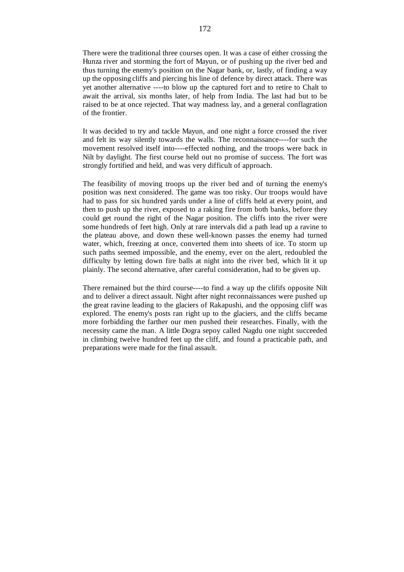There were the traditional three courses open. It was a case of either crossing the Hunza river and storming the fort of Mayun, or of pushing up the river bed and thus turning the enemy's position on the Nagar bank, or, lastly, of finding a way up the opposing cliffs and piercing his line of defence by direct attack. There was yet another alternative ----to blow up the captured fort and to retire to Chalt to await the arrival, six months later, of help from India. The last had but to be raised to be at once rejected. That way madness lay, and a general conflagration of the frontier.

It was decided to try and tackle Mayun, and one night a force crossed the river and felt its way silently towards the walls. The reconnaissance----for such the movement resolved itself into----effected nothing, and the troops were back in Nilt by daylight. The first course held out no promise of success. The fort was strongly fortified and held, and was very difficult of approach.

The feasibility of moving troops up the river bed and of turning the enemy's position was next considered. The game was too risky. Our troops would have had to pass for six hundred yards under a line of cliffs held at every point, and then to push up the river, exposed to a raking fire from both banks, before they could get round the right of the Nagar position. The cliffs into the river were some hundreds of feet high. Only at rare intervals did a path lead up a ravine to the plateau above, and down these well-known passes the enemy had turned water, which, freezing at once, converted them into sheets of ice. To storm up such paths seemed impossible, and the enemy, ever on the alert, redoubled the difficulty by letting down fire balls at night into the river bed, which lit it up plainly. The second alternative, after careful consideration, had to be given up.

There remained but the third course----to find a way up the clififs opposite Nilt and to deliver a direct assault. Night after night reconnaissances were pushed up the great ravine leading to the glaciers of Rakapushi, and the opposing cliff was explored. The enemy's posts ran right up to the glaciers, and the cliffs became more forbidding the farther our men pushed their researches. Finally, with the necessity came the man. A little Dogra sepoy called Nagdu one night succeeded in climbing twelve hundred feet up the cliff, and found a practicable path, and preparations were made for the final assault.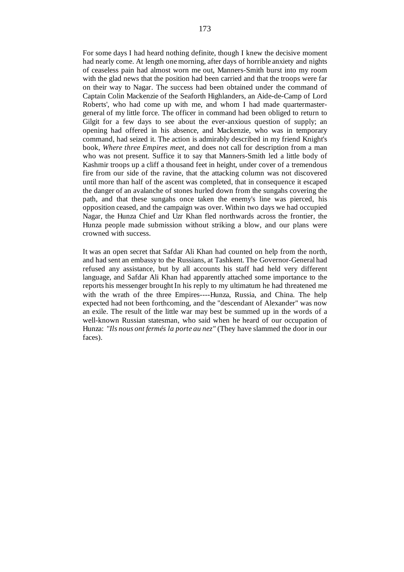For some days I had heard nothing definite, though I knew the decisive moment had nearly come. At length one morning, after days of horrible anxiety and nights of ceaseless pain had almost worn me out, Manners-Smith burst into my room with the glad news that the position had been carried and that the troops were far on their way to Nagar. The success had been obtained under the command of Captain Colin Mackenzie of the Seaforth Highlanders, an Aide-de-Camp of Lord Roberts', who had come up with me, and whom I had made quartermastergeneral of my little force. The officer in command had been obliged to return to Gilgit for a few days to see about the ever-anxious question of supply; an opening had offered in his absence, and Mackenzie, who was in temporary command, had seized it. The action is admirably described in my friend Knight's book, *Where three Empires meet,* and does not call for description from a man who was not present. Suffice it to say that Manners-Smith led a little body of Kashmir troops up a cliff a thousand feet in height, under cover of a tremendous fire from our side of the ravine, that the attacking column was not discovered until more than half of the ascent was completed, that in consequence it escaped the danger of an avalanche of stones hurled down from the sungahs covering the path, and that these sungahs once taken the enemy's line was pierced, his opposition ceased, and the campaign was over. Within two days we had occupied Nagar, the Hunza Chief and Uzr Khan fled northwards across the frontier, the Hunza people made submission without striking a blow, and our plans were crowned with success.

It was an open secret that Safdar Ali Khan had counted on help from the north, and had sent an embassy to the Russians, at Tashkent. The Governor-General had refused any assistance, but by all accounts his staff had held very different language, and Safdar Ali Khan had apparently attached some importance to the reports his messenger brought In his reply to my ultimatum he had threatened me with the wrath of the three Empires----Hunza, Russia, and China. The help expected had not been forthcoming, and the "descendant of Alexander" was now an exile. The result of the little war may best be summed up in the words of a well-known Russian statesman, who said when he heard of our occupation of Hunza: *"Ils nous ont fermés la porte au nez"* (They have slammed the door in our faces).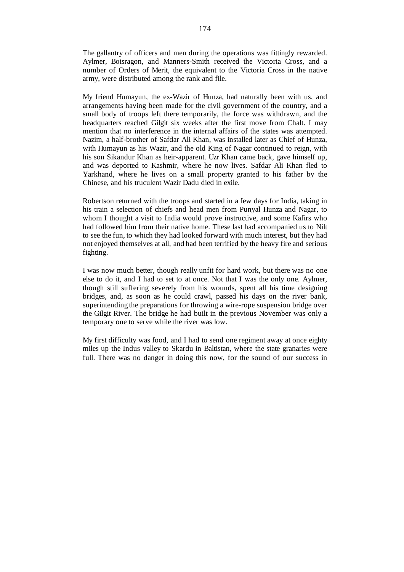The gallantry of officers and men during the operations was fittingly rewarded. Aylmer, Boisragon, and Manners-Smith received the Victoria Cross, and a number of Orders of Merit, the equivalent to the Victoria Cross in the native army, were distributed among the rank and file.

My friend Humayun, the ex-Wazir of Hunza, had naturally been with us, and arrangements having been made for the civil government of the country, and a small body of troops left there temporarily, the force was withdrawn, and the headquarters reached Gilgit six weeks after the first move from Chalt. I may mention that no interference in the internal affairs of the states was attempted. Nazim, a half-brother of Safdar Ali Khan, was installed later as Chief of Hunza, with Humayun as his Wazir, and the old King of Nagar continued to reign, with his son Sikandur Khan as heir-apparent. Uzr Khan came back, gave himself up, and was deported to Kashmir, where he now lives. Safdar Ali Khan fled to Yarkhand, where he lives on a small property granted to his father by the Chinese, and his truculent Wazir Dadu died in exile.

Robertson returned with the troops and started in a few days for India, taking in his train a selection of chiefs and head men from Punyal Hunza and Nagar, to whom I thought a visit to India would prove instructive, and some Kafirs who had followed him from their native home. These last had accompanied us to Nilt to see the fun, to which they had looked forward with much interest, but they had not enjoyed themselves at all, and had been terrified by the heavy fire and serious fighting.

I was now much better, though really unfit for hard work, but there was no one else to do it, and I had to set to at once. Not that I was the only one. Aylmer, though still suffering severely from his wounds, spent all his time designing bridges, and, as soon as he could crawl, passed his days on the river bank, superintending the preparations for throwing a wire-rope suspension bridge over the Gilgit River. The bridge he had built in the previous November was only a temporary one to serve while the river was low.

My first difficulty was food, and I had to send one regiment away at once eighty miles up the Indus valley to Skardu in Baltistan, where the state granaries were full. There was no danger in doing this now, for the sound of our success in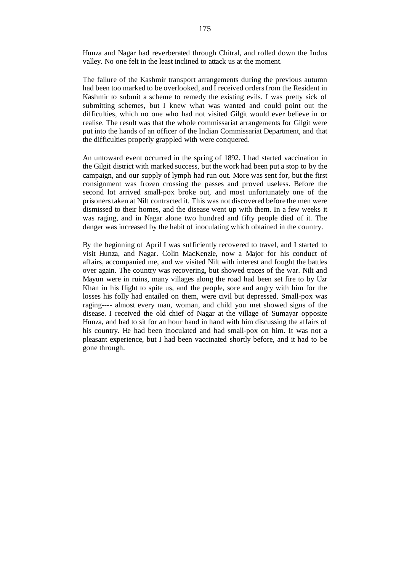Hunza and Nagar had reverberated through Chitral, and rolled down the Indus valley. No one felt in the least inclined to attack us at the moment.

The failure of the Kashmir transport arrangements during the previous autumn had been too marked to be overlooked, and I received orders from the Resident in Kashmir to submit a scheme to remedy the existing evils. I was pretty sick of submitting schemes, but I knew what was wanted and could point out the difficulties, which no one who had not visited Gilgit would ever believe in or realise. The result was that the whole commissariat arrangements for Gilgit were put into the hands of an officer of the Indian Commissariat Department, and that the difficulties properly grappled with were conquered.

An untoward event occurred in the spring of 1892. I had started vaccination in the Gilgit district with marked success, but the work had been put a stop to by the campaign, and our supply of lymph had run out. More was sent for, but the first consignment was frozen crossing the passes and proved useless. Before the second lot arrived small-pox broke out, and most unfortunately one of the prisoners taken at Nilt contracted it. This was not discovered before the men were dismissed to their homes, and the disease went up with them. In a few weeks it was raging, and in Nagar alone two hundred and fifty people died of it. The danger was increased by the habit of inoculating which obtained in the country.

By the beginning of April I was sufficiently recovered to travel, and I started to visit Hunza, and Nagar. Colin MacKenzie, now a Major for his conduct of affairs, accompanied me, and we visited Nilt with interest and fought the battles over again. The country was recovering, but showed traces of the war. Nilt and Mayun were in ruins, many villages along the road had been set fire to by Uzr Khan in his flight to spite us, and the people, sore and angry with him for the losses his folly had entailed on them, were civil but depressed. Small-pox was raging---- almost every man, woman, and child you met showed signs of the disease. I received the old chief of Nagar at the village of Sumayar opposite Hunza, and had to sit for an hour hand in hand with him discussing the affairs of his country. He had been inoculated and had small-pox on him. It was not a pleasant experience, but I had been vaccinated shortly before, and it had to be gone through.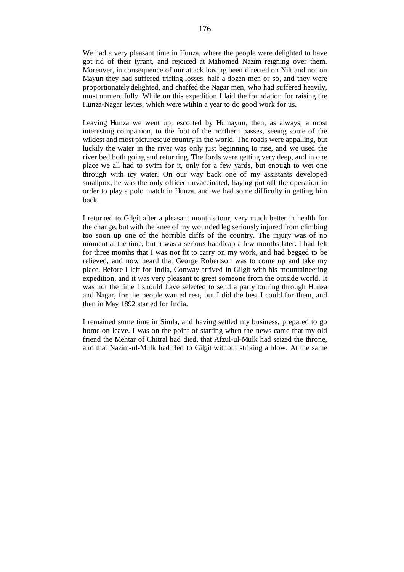We had a very pleasant time in Hunza, where the people were delighted to have got rid of their tyrant, and rejoiced at Mahomed Nazim reigning over them. Moreover, in consequence of our attack having been directed on Nilt and not on Mayun they had suffered trifling losses, half a dozen men or so, and they were proportionately delighted, and chaffed the Nagar men, who had suffered heavily, most unmercifully. While on this expedition I laid the foundation for raising the Hunza-Nagar levies, which were within a year to do good work for us.

Leaving Hunza we went up, escorted by Humayun, then, as always, a most interesting companion, to the foot of the northern passes, seeing some of the wildest and most picturesque country in the world. The roads were appalling, but luckily the water in the river was only just beginning to rise, and we used the river bed both going and returning. The fords were getting very deep, and in one place we all had to swim for it, only for a few yards, but enough to wet one through with icy water. On our way back one of my assistants developed smallpox; he was the only officer unvaccinated, having put off the operation in order to play a polo match in Hunza, and we had some difficulty in getting him back.

I returned to Gilgit after a pleasant month's tour, very much better in health for the change, but with the knee of my wounded leg seriously injured from climbing too soon up one of the horrible cliffs of the country. The injury was of no moment at the time, but it was a serious handicap a few months later. I had felt for three months that I was not fit to carry on my work, and had begged to be relieved, and now heard that George Robertson was to come up and take my place. Before I left for India, Conway arrived in Gilgit with his mountaineering expedition, and it was very pleasant to greet someone from the outside world. It was not the time I should have selected to send a party touring through Hunza and Nagar, for the people wanted rest, but I did the best I could for them, and then in May 1892 started for India.

I remained some time in Simla, and having settled my business, prepared to go home on leave. I was on the point of starting when the news came that my old friend the Mehtar of Chitral had died, that Afzul-ul-Mulk had seized the throne, and that Nazim-ul-Mulk had fled to Gilgit without striking a blow. At the same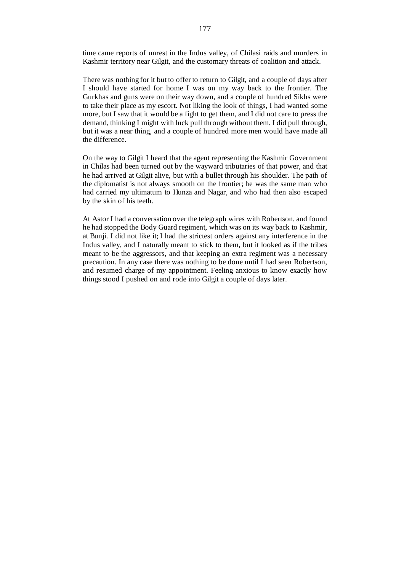time came reports of unrest in the Indus valley, of Chilasi raids and murders in Kashmir territory near Gilgit, and the customary threats of coalition and attack.

There was nothing for it but to offer to return to Gilgit, and a couple of days after I should have started for home I was on my way back to the frontier. The Gurkhas and guns were on their way down, and a couple of hundred Sikhs were to take their place as my escort. Not liking the look of things, I had wanted some more, but I saw that it would be a fight to get them, and I did not care to press the demand, thinking I might with luck pull through without them. I did pull through, but it was a near thing, and a couple of hundred more men would have made all the difference.

On the way to Gilgit I heard that the agent representing the Kashmir Government in Chilas had been turned out by the wayward tributaries of that power, and that he had arrived at Gilgit alive, but with a bullet through his shoulder. The path of the diplomatist is not always smooth on the frontier; he was the same man who had carried my ultimatum to Hunza and Nagar, and who had then also escaped by the skin of his teeth.

At Astor I had a conversation over the telegraph wires with Robertson, and found he had stopped the Body Guard regiment, which was on its way back to Kashmir, at Bunji. I did not like it; I had the strictest orders against any interference in the Indus valley, and I naturally meant to stick to them, but it looked as if the tribes meant to be the aggressors, and that keeping an extra regiment was a necessary precaution. In any case there was nothing to be done until I had seen Robertson, and resumed charge of my appointment. Feeling anxious to know exactly how things stood I pushed on and rode into Gilgit a couple of days later.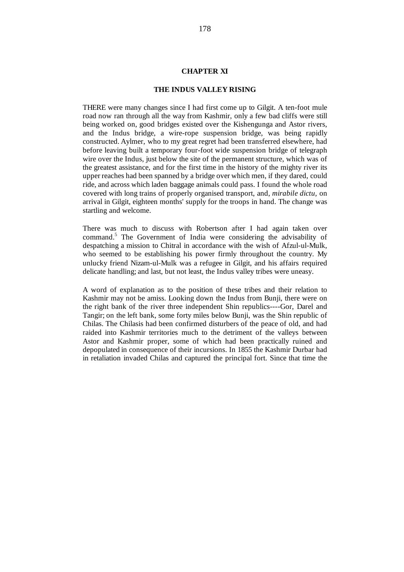## **CHAPTER XI**

#### **THE INDUS VALLEY RISING**

THERE were many changes since I had first come up to Gilgit. A ten-foot mule road now ran through all the way from Kashmir, only a few bad cliffs were still being worked on, good bridges existed over the Kishengunga and Astor rivers, and the Indus bridge, a wire-rope suspension bridge, was being rapidly constructed. Aylmer, who to my great regret had been transferred elsewhere, had before leaving built a temporary four-foot wide suspension bridge of telegraph wire over the Indus, just below the site of the permanent structure, which was of the greatest assistance, and for the first time in the history of the mighty river its upper reaches had been spanned by a bridge over which men, if they dared, could ride, and across which laden baggage animals could pass. I found the whole road covered with long trains of properly organised transport, and, *mirabile dictu,* on arrival in Gilgit, eighteen months' supply for the troops in hand. The change was startling and welcome.

There was much to discuss with Robertson after I had again taken over command.<sup>5</sup> The Government of India were considering the advisability of despatching a mission to Chitral in accordance with the wish of Afzul-ul-Mulk, who seemed to be establishing his power firmly throughout the country. My unlucky friend Nizam-ul-Mulk was a refugee in Gilgit, and his affairs required delicate handling; and last, but not least, the Indus valley tribes were uneasy.

A word of explanation as to the position of these tribes and their relation to Kashmir may not be amiss. Looking down the Indus from Bunji, there were on the right bank of the river three independent Shin republics----Gor, Darel and Tangir; on the left bank, some forty miles below Bunji, was the Shin republic of Chilas. The Chilasis had been confirmed disturbers of the peace of old, and had raided into Kashmir territories much to the detriment of the valleys between Astor and Kashmir proper, some of which had been practically ruined and depopulated in consequence of their incursions. In 1855 the Kashmir Durbar had in retaliation invaded Chilas and captured the principal fort. Since that time the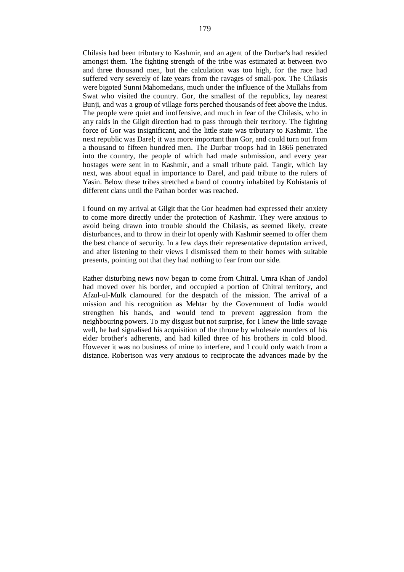Chilasis had been tributary to Kashmir, and an agent of the Durbar's had resided amongst them. The fighting strength of the tribe was estimated at between two and three thousand men, but the calculation was too high, for the race had suffered very severely of late years from the ravages of small-pox. The Chilasis were bigoted Sunni Mahomedans, much under the influence of the Mullahs from Swat who visited the country. Gor, the smallest of the republics, lay nearest Bunji, and was a group of village forts perched thousands of feet above the Indus. The people were quiet and inoffensive, and much in fear of the Chilasis, who in any raids in the Gilgit direction had to pass through their territory. The fighting force of Gor was insignificant, and the little state was tributary to Kashmir. The next republic was Darel; it was more important than Gor, and could turn out from a thousand to fifteen hundred men. The Durbar troops had in 1866 penetrated into the country, the people of which had made submission, and every year hostages were sent in to Kashmir, and a small tribute paid. Tangir, which lay next, was about equal in importance to Darel, and paid tribute to the rulers of Yasin. Below these tribes stretched a band of country inhabited by Kohistanis of different clans until the Pathan border was reached.

I found on my arrival at Gilgit that the Gor headmen had expressed their anxiety to come more directly under the protection of Kashmir. They were anxious to avoid being drawn into trouble should the Chilasis, as seemed likely, create disturbances, and to throw in their lot openly with Kashmir seemed to offer them the best chance of security. In a few days their representative deputation arrived, and after listening to their views I dismissed them to their homes with suitable presents, pointing out that they had nothing to fear from our side.

Rather disturbing news now began to come from Chitral. Umra Khan of Jandol had moved over his border, and occupied a portion of Chitral territory, and Afzul-ul-Mulk clamoured for the despatch of the mission. The arrival of a mission and his recognition as Mehtar by the Government of India would strengthen his hands, and would tend to prevent aggression from the neighbouring powers. To my disgust but not surprise, for I knew the little savage well, he had signalised his acquisition of the throne by wholesale murders of his elder brother's adherents, and had killed three of his brothers in cold blood. However it was no business of mine to interfere, and I could only watch from a distance. Robertson was very anxious to reciprocate the advances made by the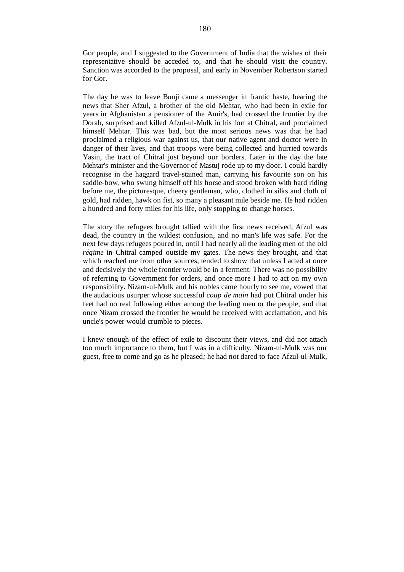Gor people, and I suggested to the Government of India that the wishes of their representative should be acceded to, and that he should visit the country. Sanction was accorded to the proposal, and early in November Robertson started for Gor.

The day he was to leave Bunji came a messenger in frantic haste, bearing the news that Sher Afzul, a brother of the old Mehtar, who had been in exile for years in Afghanistan a pensioner of the Amir's, had crossed the frontier by the Dorah, surprised and killed Afzul-ul-Mulk in his fort at Chitral, and proclaimed himself Mehtar. This was bad, but the most serious news was that he had proclaimed a religious war against us, that our native agent and doctor were in danger of their lives, and that troops were being collected and hurried towards Yasin, the tract of Chitral just beyond our borders. Later in the day the late Mehtar's minister and the Governor of Mastuj rode up to my door. I could hardly recognise in the haggard travel-stained man, carrying his favourite son on his saddle-bow, who swung himself off his horse and stood broken with hard riding before me, the picturesque, cheery gentleman, who, clothed in silks and cloth of gold, had ridden, hawk on fist, so many a pleasant mile beside me. He had ridden a hundred and forty miles for his life, only stopping to change horses.

The story the refugees brought tallied with the first news received; Afzul was dead, the country in the wildest confusion, and no man's life was safe. For the next few days refugees poured in, until I had nearly all the leading men of the old *régime* in Chitral camped outside my gates. The news they brought, and that which reached me from other sources, tended to show that unless I acted at once and decisively the whole frontier would be in a ferment. There was no possibility of referring to Government for orders, and once more I had to act on my own responsibility. Nizam-ul-Mulk and his nobles came hourly to see me, vowed that the audacious usurper whose successful *coup de main* had put Chitral under his feet had no real following either among the leading men or the people, and that once Nizam crossed the frontier he would be received with acclamation, and his uncle's power would crumble to pieces.

I knew enough of the effect of exile to discount their views, and did not attach too much importance to them, but I was in a difficulty. Nizam-ul-Mulk was our guest, free to come and go as he pleased*;* he had not dared to face Afzul-ul-Mulk,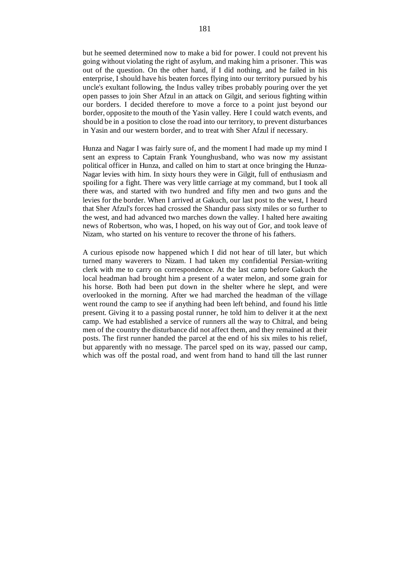but he seemed determined now to make a bid for power. I could not prevent his going without violating the right of asylum, and making him a prisoner. This was out of the question. On the other hand, if I did nothing, and he failed in his enterprise, I should have his beaten forces flying into our territory pursued by his uncle's exultant following, the Indus valley tribes probably pouring over the yet open passes to join Sher Afzul in an attack on Gilgit, and serious fighting within our borders. I decided therefore to move a force to a point just beyond our border, opposite to the mouth of the Yasin valley. Here I could watch events, and should be in a position to close the road into our territory, to prevent disturbances in Yasin and our western border, and to treat with Sher Afzul if necessary.

Hunza and Nagar I was fairly sure of, and the moment I had made up my mind I sent an express to Captain Frank Younghusband, who was now my assistant political officer in Hunza, and called on him to start at once bringing the Hunza-Nagar levies with him. In sixty hours they were in Gilgit, full of enthusiasm and spoiling for a fight. There was very little carriage at my command, but I took all there was, and started with two hundred and fifty men and two guns and the levies for the border. When I arrived at Gakuch, our last post to the west, I heard that Sher Afzul's forces had crossed the Shandur pass sixty miles or so further to the west, and had advanced two marches down the valley. I halted here awaiting news of Robertson, who was, I hoped, on his way out of Gor, and took leave of Nizam, who started on his venture to recover the throne of his fathers.

A curious episode now happened which I did not hear of till later, but which turned many waverers to Nizam. I had taken my confidential Persian-writing clerk with me to carry on correspondence. At the last camp before Gakuch the local headman had brought him a present of a water melon, and some grain for his horse. Both had been put down in the shelter where he slept, and were overlooked in the morning. After we had marched the headman of the village went round the camp to see if anything had been left behind, and found his little present. Giving it to a passing postal runner, he told him to deliver it at the next camp. We had established a service of runners all the way to Chitral, and being men of the country the disturbance did not affect them, and they remained at their posts. The first runner handed the parcel at the end of his six miles to his relief, but apparently with no message. The parcel sped on its way, passed our camp, which was off the postal road, and went from hand to hand till the last runner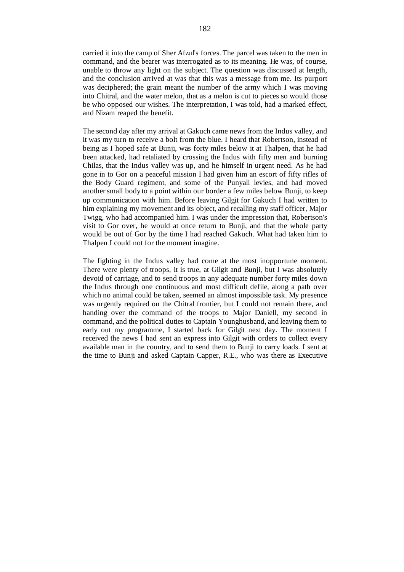carried it into the camp of Sher Afzul's forces. The parcel was taken to the men in command, and the bearer was interrogated as to its meaning. He was, of course, unable to throw any light on the subject. The question was discussed at length, and the conclusion arrived at was that this was a message from me. Its purport was deciphered; the grain meant the number of the army which I was moving into Chitral, and the water melon, that as a melon is cut to pieces so would those be who opposed our wishes. The interpretation, I was told, had a marked effect, and Nizam reaped the benefit.

The second day after my arrival at Gakuch came news from the Indus valley, and it was my turn to receive a bolt from the blue. I heard that Robertson, instead of being as I hoped safe at Bunji, was forty miles below it at Thalpen, that he had been attacked, had retaliated by crossing the Indus with fifty men and burning Chilas, that the Indus valley was up, and he himself in urgent need. As he had gone in to Gor on a peaceful mission I had given him an escort of fifty rifles of the Body Guard regiment, and some of the Punyali levies, and had moved another small body to a point within our border a few miles below Bunji, to keep up communication with him. Before leaving Gilgit for Gakuch I had written to him explaining my movement and its object, and recalling my staff officer, Major Twigg, who had accompanied him. I was under the impression that, Robertson's visit to Gor over, he would at once return to Bunji, and that the whole party would be out of Gor by the time I had reached Gakuch. What had taken him to Thalpen I could not for the moment imagine.

The fighting in the Indus valley had come at the most inopportune moment. There were plenty of troops, it is true, at Gilgit and Bunji, but I was absolutely devoid of carriage, and to send troops in any adequate number forty miles down the Indus through one continuous and most difficult defile, along a path over which no animal could be taken, seemed an almost impossible task. My presence was urgently required on the Chitral frontier, but I could not remain there, and handing over the command of the troops to Major Daniell, my second in command, and the political duties to Captain Younghusband, and leaving them to early out my programme, I started back for Gilgit next day. The moment I received the news I had sent an express into Gilgit with orders to collect every available man in the country, and to send them to Bunji to carry loads. I sent at the time to Bunji and asked Captain Capper, R.E., who was there as Executive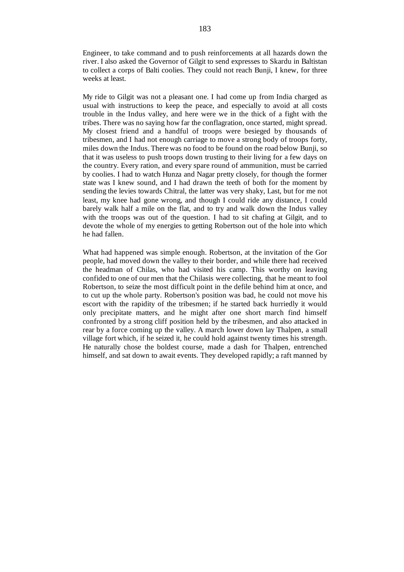Engineer, to take command and to push reinforcements at all hazards down the river. I also asked the Governor of Gilgit to send expresses to Skardu in Baltistan to collect a corps of Balti coolies. They could not reach Bunji, I knew, for three weeks at least.

My ride to Gilgit was not a pleasant one. I had come up from India charged as usual with instructions to keep the peace, and especially to avoid at all costs trouble in the Indus valley, and here were we in the thick of a fight with the tribes. There was no saying how far the conflagration, once started, might spread. My closest friend and a handful of troops were besieged by thousands of tribesmen, and I had not enough carriage to move a strong body of troops forty, miles down the Indus. There was no food to be found on the road below Bunji, so that it was useless to push troops down trusting to their living for a few days on the country. Every ration, and every spare round of ammunition, must be carried by coolies. I had to watch Hunza and Nagar pretty closely, for though the former state was I knew sound, and I had drawn the teeth of both for the moment by sending the levies towards Chitral, the latter was very shaky, Last, but for me not least, my knee had gone wrong, and though I could ride any distance, I could barely walk half a mile on the flat, and to try and walk down the Indus valley with the troops was out of the question. I had to sit chafing at Gilgit, and to devote the whole of my energies to getting Robertson out of the hole into which he had fallen.

What had happened was simple enough. Robertson, at the invitation of the Gor people, had moved down the valley to their border, and while there had received the headman of Chilas, who had visited his camp. This worthy on leaving confided to one of our men that the Chilasis were collecting, that he meant to fool Robertson, to seize the most difficult point in the defile behind him at once, and to cut up the whole party. Robertson's position was bad, he could not move his escort with the rapidity of the tribesmen; if he started back hurriedly it would only precipitate matters, and he might after one short march find himself confronted by a strong cliff position held by the tribesmen, and also attacked in rear by a force coming up the valley. A march lower down lay Thalpen, a small village fort which, if he seized it, he could hold against twenty times his strength. He naturally chose the boldest course, made a dash for Thalpen, entrenched himself, and sat down to await events. They developed rapidly; a raft manned by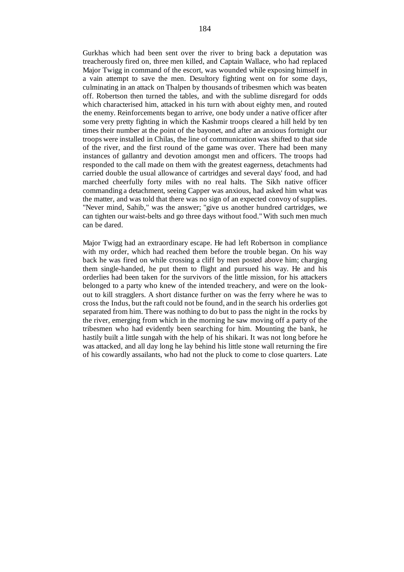Gurkhas which had been sent over the river to bring back a deputation was treacherously fired on, three men killed, and Captain Wallace, who had replaced Major Twigg in command of the escort, was wounded while exposing himself in a vain attempt to save the men. Desultory fighting went on for some days, culminating in an attack on Thalpen by thousands of tribesmen which was beaten off. Robertson then turned the tables, and with the sublime disregard for odds which characterised him, attacked in his turn with about eighty men, and routed the enemy. Reinforcements began to arrive, one body under a native officer after some very pretty fighting in which the Kashmir troops cleared a hill held by ten times their number at the point of the bayonet, and after an anxious fortnight our troops were installed in Chilas, the line of communication was shifted to that side of the river, and the first round of the game was over. There had been many instances of gallantry and devotion amongst men and officers. The troops had responded to the call made on them with the greatest eagerness, detachments had carried double the usual allowance of cartridges and several days' food, and had marched cheerfully forty miles with no real halts. The Sikh native officer commanding a detachment, seeing Capper was anxious, had asked him what was the matter, and was told that there was no sign of an expected convoy of supplies. "Never mind, Sahib," was the answer; "give us another hundred cartridges, we can tighten our waist-belts and go three days without food." With such men much can be dared.

Major Twigg had an extraordinary escape. He had left Robertson in compliance with my order, which had reached them before the trouble began. On his way back he was fired on while crossing a cliff by men posted above him; charging them single-handed, he put them to flight and pursued his way. He and his orderlies had been taken for the survivors of the little mission, for his attackers belonged to a party who knew of the intended treachery, and were on the lookout to kill stragglers. A short distance further on was the ferry where he was to cross the Indus, but the raft could not be found, and in the search his orderlies got separated from him. There was nothing to do but to pass the night in the rocks by the river, emerging from which in the morning he saw moving off a party of the tribesmen who had evidently been searching for him. Mounting the bank, he hastily built a little sungah with the help of his shikari. It was not long before he was attacked, and all day long he lay behind his little stone wall returning the fire of his cowardly assailants, who had not the pluck to come to close quarters. Late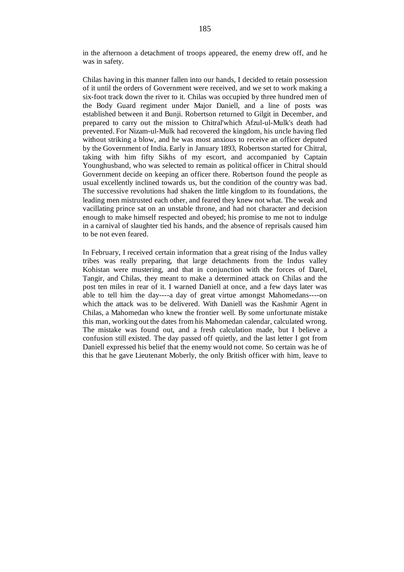in the afternoon a detachment of troops appeared, the enemy drew off, and he was in safety.

Chilas having in this manner fallen into our hands, I decided to retain possession of it until the orders of Government were received, and we set to work making a six-foot track down the river to it. Chilas was occupied by three hundred men of the Body Guard regiment under Major Daniell, and a line of posts was established between it and Bunji. Robertson returned to Gilgit in December, and prepared to carry out the mission to Chitral'which Afzul-ul-Mulk's death had prevented. For Nizam-ul-Mulk had recovered the kingdom, his uncle having fled without striking a blow, and he was most anxious to receive an officer deputed by the Government of India. Early in January 1893, Robertson started for Chitral, taking with him fifty Sikhs of my escort, and accompanied by Captain Younghusband, who was selected to remain as political officer in Chitral should Government decide on keeping an officer there. Robertson found the people as usual excellently inclined towards us, but the condition of the country was bad. The successive revolutions had shaken the little kingdom to its foundations, the leading men mistrusted each other, and feared they knew not what. The weak and vacillating prince sat on an unstable throne, and had not character and decision enough to make himself respected and obeyed; his promise to me not to indulge in a carnival of slaughter tied his hands, and the absence of reprisals caused him to be not even feared.

In February, I received certain information that a great rising of the Indus valley tribes was really preparing, that large detachments from the Indus valley Kohistan were mustering, and that in conjunction with the forces of Darel, Tangir, and Chilas, they meant to make a determined attack on Chilas and the post ten miles in rear of it. I warned Daniell at once, and a few days later was able to tell him the day----a day of great virtue amongst Mahomedans----on which the attack was to be delivered. With Daniell was the Kashmir Agent in Chilas, a Mahomedan who knew the frontier well. By some unfortunate mistake this man, working out the dates from his Mahomedan calendar, calculated wrong. The mistake was found out, and a fresh calculation made, but I believe a confusion still existed. The day passed off quietly, and the last letter I got from Daniell expressed his belief that the enemy would not come. So certain was he of this that he gave Lieutenant Moberly, the only British officer with him, leave to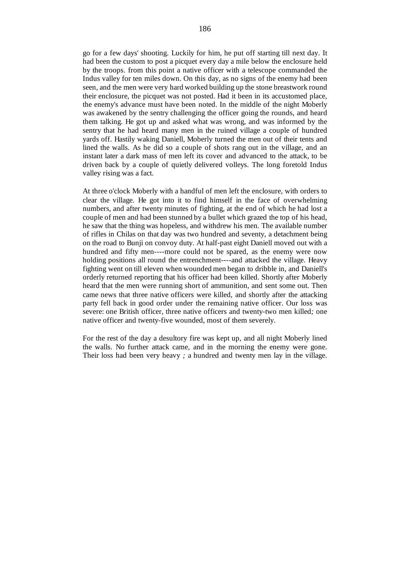go for a few days' shooting. Luckily for him, he put off starting till next day. It had been the custom to post a picquet every day a mile below the enclosure held by the troops. from this point a native officer with a telescope commanded the Indus valley for ten miles down. On this day, as no signs of the enemy had been seen, and the men were very hard worked building up the stone breastwork round their enclosure, the picquet was not posted. Had it been in its accustomed place, the enemy's advance must have been noted. In the middle of the night Moberly was awakened by the sentry challenging the officer going the rounds, and heard them talking. He got up and asked what was wrong, and was informed by the sentry that he had heard many men in the ruined village a couple of hundred yards off. Hastily waking Daniell, Moberly turned the men out of their tents and lined the walls. As he did so a couple of shots rang out in the village, and an instant later a dark mass of men left its cover and advanced to the attack, to be driven back by a couple of quietly delivered volleys. The long foretold Indus valley rising was a fact.

At three o'clock Moberly with a handful of men left the enclosure, with orders to clear the village. He got into it to find himself in the face of overwhelming numbers, and after twenty minutes of fighting, at the end of which he had lost a couple of men and had been stunned by a bullet which grazed the top of his head, he saw that the thing was hopeless, and withdrew his men. The available number of rifles in Chilas on that day was two hundred and seventy, a detachment being on the road to Bunji on convoy duty. At half-past eight Daniell moved out with a hundred and fifty men----more could not be spared, as the enemy were now holding positions all round the entrenchment----and attacked the village. Heavy fighting went on till eleven when wounded men began to dribble in, and Daniell's orderly returned reporting that his officer had been killed. Shortly after Moberly heard that the men were running short of ammunition, and sent some out. Then came news that three native officers were killed, and shortly after the attacking party fell back in good order under the remaining native officer. Our loss was severe: one British officer, three native officers and twenty-two men killed*;* one native officer and twenty-five wounded, most of them severely.

For the rest of the day a desultory fire was kept up, and all night Moberly lined the walls. No further attack came, and in the morning the enemy were gone. Their loss had been very heavy *;* a hundred and twenty men lay in the village.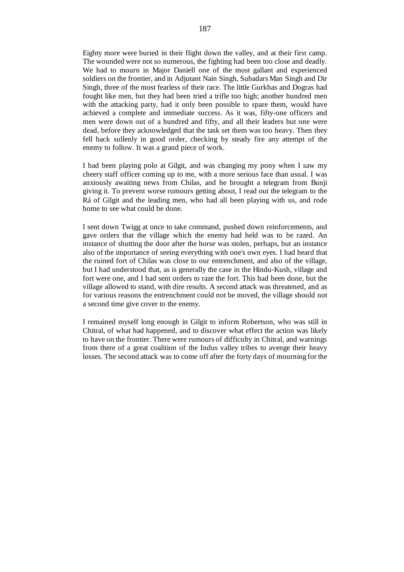Eighty more were buried in their flight down the valley, and at their first camp. The wounded were not so numerous, the fighting had been too close and deadly. We had to mourn in Major Daniell one of the most gallant and experienced soldiers on the frontier, and in Adjutant Nain Singh, Subadars Man Singh and Dir Singh, three of the most fearless of their race. The little Gurkhas and Dogras had fought like men, but they had been tried a trifle too high; another hundred men with the attacking party, had it only been possible to spare them, would have achieved a complete and immediate success. As it was, fifty-one officers and men were down out of a hundred and fifty, and all their leaders but one were dead, before they acknowledged that the task set them was too heavy. Then they fell back sullenly in good order, checking by steady fire any attempt of the enemy to follow. It was a grand piece of work.

I had been playing polo at Gilgit, and was changing my pony when I saw my cheery staff officer coming up to me, with a more serious face than usual. I was anxiously awaiting news from Chilas, and he brought a telegram from Bunji giving it. To prevent worse rumours getting about, I read out the telegram to the Rá of Gilgit and the leading men, who had all been playing with us, and rode home to see what could be done.

I sent down Twigg at once to take command, pushed down reinforcements, and gave orders that the village which the enemy had held was to be razed. An instance of shutting the door after the horse was stolen, perhaps, but an instance also of the importance of seeing everything with one's own eyes. I had heard that the ruined fort of Chilas was close to our entrenchment, and also of the village, but I had understood that, as is generally the case in the Hindu-Kush, village and fort were one, and I had sent orders to raze the fort. This had been done, but the village allowed to stand, with dire results. A second attack was threatened, and as for various reasons the entrenchment could not be moved, the village should not a second time give cover to the enemy.

I remained myself long enough in Gilgit to inform Robertson, who was still in Chitral, of what had happened, and to discover what effect the action was likely to have on the frontier. There were rumours of difficulty in Chitral, and warnings from there of a great coalition of the Indus valley tribes to avenge their heavy losses. The second attack was to come off after the forty days of mourning for the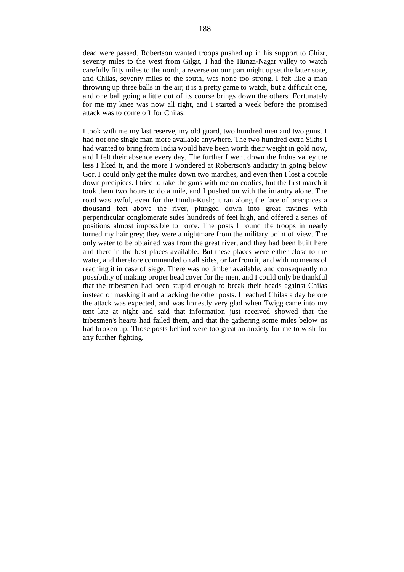dead were passed. Robertson wanted troops pushed up in his support to Ghizr, seventy miles to the west from Gilgit, I had the Hunza-Nagar valley to watch carefully fifty miles to the north, a reverse on our part might upset the latter state, and Chilas, seventy miles to the south, was none too strong. I felt like a man throwing up three balls in the air; it is a pretty game to watch, but a difficult one, and one ball going a little out of its course brings down the others. Fortunately for me my knee was now all right, and I started a week before the promised attack was to come off for Chilas.

I took with me my last reserve, my old guard, two hundred men and two guns. I had not one single man more available anywhere. The two hundred extra Sikhs I had wanted to bring from India would have been worth their weight in gold now, and I felt their absence every day. The further I went down the Indus valley the less I liked it, and the more I wondered at Robertson's audacity in going below Gor. I could only get the mules down two marches, and even then I lost a couple down precipices. I tried to take the guns with me on coolies, but the first march it took them two hours to do a mile, and I pushed on with the infantry alone. The road was awful, even for the Hindu-Kush; it ran along the face of precipices a thousand feet above the river, plunged down into great ravines with perpendicular conglomerate sides hundreds of feet high, and offered a series of positions almost impossible to force. The posts I found the troops in nearly turned my hair grey; they were a nightmare from the military point of view. The only water to be obtained was from the great river, and they had been built here and there in the best places available. But these places were either close to the water, and therefore commanded on all sides, or far from it, and with no means of reaching it in case of siege. There was no timber available, and consequently no possibility of making proper head cover for the men, and I could only be thankful that the tribesmen had been stupid enough to break their heads against Chilas instead of masking it and attacking the other posts. I reached Chilas a day before the attack was expected, and was honestly very glad when Twigg came into my tent late at night and said that information just received showed that the tribesmen's hearts had failed them, and that the gathering some miles below us had broken up. Those posts behind were too great an anxiety for me to wish for any further fighting.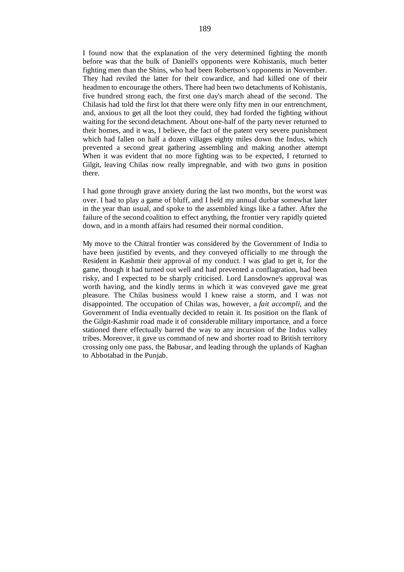I found now that the explanation of the very determined fighting the month before was that the bulk of Daniell's opponents were Kohistanis, much better fighting men than the Shins, who had been Robertson's opponents in November. They had reviled the latter for their cowardice, and had killed one of their headmen to encourage the others. There had been two detachments of Kohistanis, five hundred strong each, the first one day's march ahead of the second. The Chilasis had told the first lot that there were only fifty men in our entrenchment, and, anxious to get all the loot they could, they had forded the fighting without waiting for the second detachment. About one-half of the party never returned to their homes, and it was, I believe, the fact of the patent very severe punishment which had fallen on half a dozen villages eighty miles down the Indus, which prevented a second great gathering assembling and making another attempt When it was evident that no more fighting was to be expected, I returned to Gilgit, leaving Chilas now really impregnable, and with two guns in position there.

I had gone through grave anxiety during the last two months, but the worst was over. I had to play a game of bluff, and I held my annual durbar somewhat later in the year than usual, and spoke to the assembled kings like a father. After the failure of the second coalition to effect anything, the frontier very rapidly quieted down, and in a month affairs had resumed their normal condition.

My move to the Chitral frontier was considered by the Government of India to have been justified by events, and they conveyed officially to me through the Resident in Kashmir their approval of my conduct. I was glad to get it, for the game, though it had turned out well and had prevented a conflagration, had been risky, and I expected to be sharply criticised. Lord Lansdowne's approval was worth having, and the kindly terms in which it was conveyed gave me great pleasure. The Chilas business would I knew raise a storm, and I was not disappointed. The occupation of Chilas was, however, a *fait accompli,* and the Government of India eventually decided to retain it. Its position on the flank of the Gilgit-Kashmir road made it of considerable military importance, and a force stationed there effectually barred the way to any incursion of the Indus valley tribes. Moreover, it gave us command of new and shorter road to British territory crossing only one pass, the Babusar, and leading through the uplands of Kaghan to Abbotabad in the Punjab.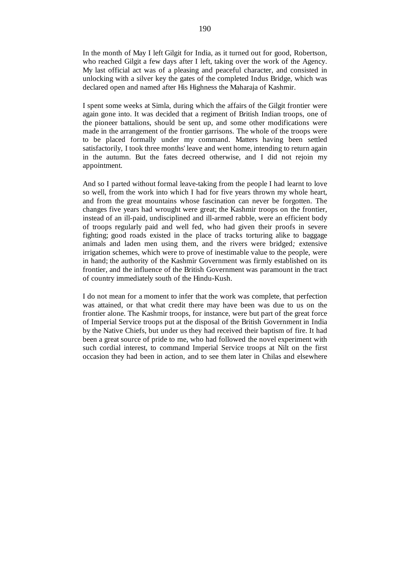In the month of May I left Gilgit for India, as it turned out for good, Robertson, who reached Gilgit a few days after I left, taking over the work of the Agency. My last official act was of a pleasing and peaceful character, and consisted in unlocking with a silver key the gates of the completed Indus Bridge, which was declared open and named after His Highness the Maharaja of Kashmir.

I spent some weeks at Simla, during which the affairs of the Gilgit frontier were again gone into. It was decided that a regiment of British Indian troops, one of the pioneer battalions, should be sent up, and some other modifications were made in the arrangement of the frontier garrisons. The whole of the troops were to be placed formally under my command. Matters having been settled satisfactorily, I took three months' leave and went home, intending to return again in the autumn. But the fates decreed otherwise, and I did not rejoin my appointment.

And so I parted without formal leave-taking from the people I had learnt to love so well, from the work into which I had for five years thrown my whole heart, and from the great mountains whose fascination can never be forgotten. The changes five years had wrought were great; the Kashmir troops on the frontier, instead of an ill-paid, undisciplined and ill-armed rabble, were an efficient body of troops regularly paid and well fed, who had given their proofs in severe fighting; good roads existed in the place of tracks torturing alike to baggage animals and laden men using them, and the rivers were bridged*;* extensive irrigation schemes, which were to prove of inestimable value to the people, were in hand; the authority of the Kashmir Government was firmly established on its frontier, and the influence of the British Government was paramount in the tract of country immediately south of the Hindu-Kush.

I do not mean for a moment to infer that the work was complete, that perfection was attained, or that what credit there may have been was due to us on the frontier alone. The Kashmir troops, for instance, were but part of the great force of Imperial Service troops put at the disposal of the British Government in India by the Native Chiefs, but under us they had received their baptism of fire. It had been a great source of pride to me, who had followed the novel experiment with such cordial interest, to command Imperial Service troops at Nilt on the first occasion they had been in action, and to see them later in Chilas and elsewhere